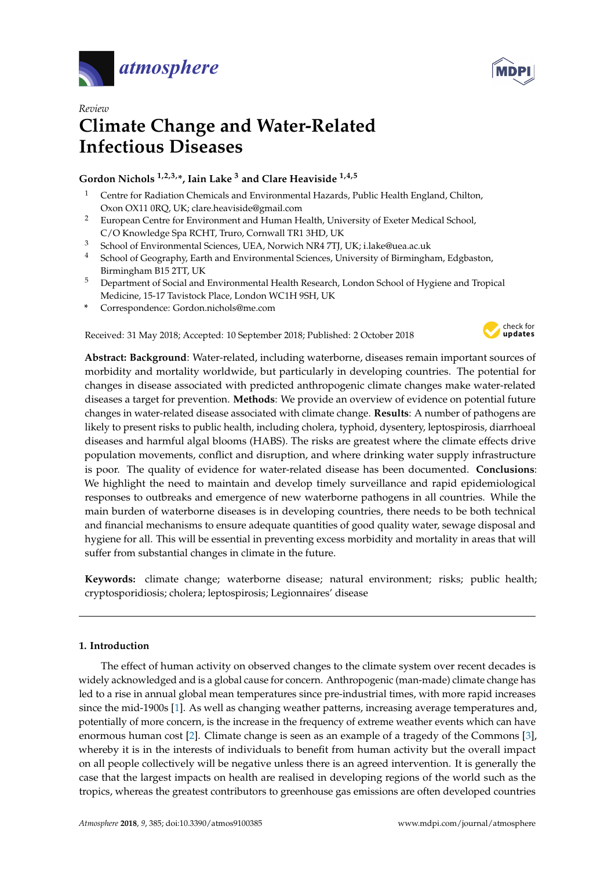



# *Review* **Climate Change and Water-Related Infectious Diseases**

# **Gordon Nichols 1,2,3,\*, Iain Lake <sup>3</sup> and Clare Heaviside 1,4,5**

- <sup>1</sup> Centre for Radiation Chemicals and Environmental Hazards, Public Health England, Chilton, Oxon OX11 0RQ, UK; clare.heaviside@gmail.com
- <sup>2</sup> European Centre for Environment and Human Health, University of Exeter Medical School, C/O Knowledge Spa RCHT, Truro, Cornwall TR1 3HD, UK
- <sup>3</sup> School of Environmental Sciences, UEA, Norwich NR4 7TJ, UK; i.lake@uea.ac.uk
- <sup>4</sup> School of Geography, Earth and Environmental Sciences, University of Birmingham, Edgbaston, Birmingham B15 2TT, UK
- <sup>5</sup> Department of Social and Environmental Health Research, London School of Hygiene and Tropical Medicine, 15-17 Tavistock Place, London WC1H 9SH, UK
- **\*** Correspondence: Gordon.nichols@me.com

Received: 31 May 2018; Accepted: 10 September 2018; Published: 2 October 2018



**Abstract: Background**: Water-related, including waterborne, diseases remain important sources of morbidity and mortality worldwide, but particularly in developing countries. The potential for changes in disease associated with predicted anthropogenic climate changes make water-related diseases a target for prevention. **Methods**: We provide an overview of evidence on potential future changes in water-related disease associated with climate change. **Results**: A number of pathogens are likely to present risks to public health, including cholera, typhoid, dysentery, leptospirosis, diarrhoeal diseases and harmful algal blooms (HABS). The risks are greatest where the climate effects drive population movements, conflict and disruption, and where drinking water supply infrastructure is poor. The quality of evidence for water-related disease has been documented. **Conclusions**: We highlight the need to maintain and develop timely surveillance and rapid epidemiological responses to outbreaks and emergence of new waterborne pathogens in all countries. While the main burden of waterborne diseases is in developing countries, there needs to be both technical and financial mechanisms to ensure adequate quantities of good quality water, sewage disposal and hygiene for all. This will be essential in preventing excess morbidity and mortality in areas that will suffer from substantial changes in climate in the future.

**Keywords:** climate change; waterborne disease; natural environment; risks; public health; cryptosporidiosis; cholera; leptospirosis; Legionnaires' disease

# **1. Introduction**

The effect of human activity on observed changes to the climate system over recent decades is widely acknowledged and is a global cause for concern. Anthropogenic (man-made) climate change has led to a rise in annual global mean temperatures since pre-industrial times, with more rapid increases since the mid-1900s [\[1\]](#page-29-0). As well as changing weather patterns, increasing average temperatures and, potentially of more concern, is the increase in the frequency of extreme weather events which can have enormous human cost [\[2\]](#page-29-1). Climate change is seen as an example of a tragedy of the Commons [\[3\]](#page-29-2), whereby it is in the interests of individuals to benefit from human activity but the overall impact on all people collectively will be negative unless there is an agreed intervention. It is generally the case that the largest impacts on health are realised in developing regions of the world such as the tropics, whereas the greatest contributors to greenhouse gas emissions are often developed countries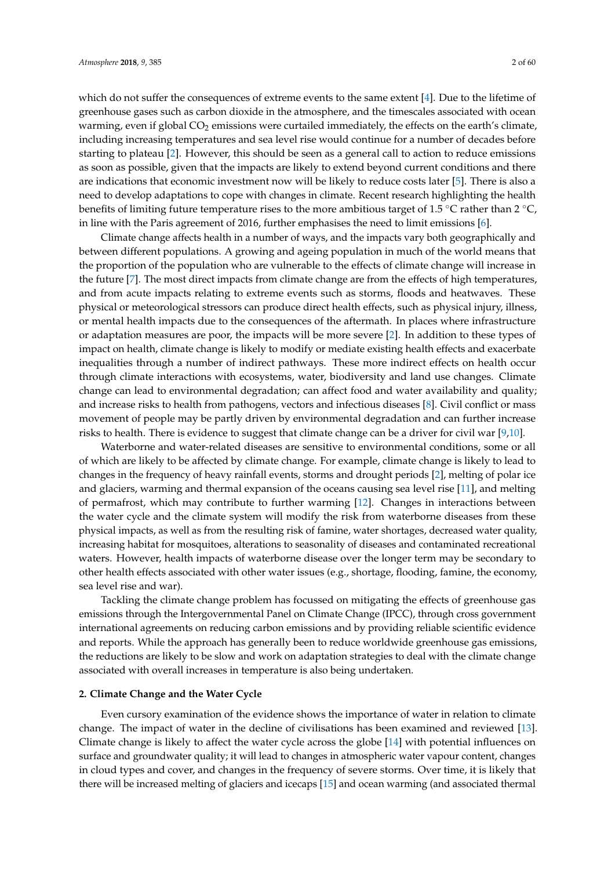which do not suffer the consequences of extreme events to the same extent [\[4\]](#page-29-3). Due to the lifetime of greenhouse gases such as carbon dioxide in the atmosphere, and the timescales associated with ocean warming, even if global  $CO<sub>2</sub>$  emissions were curtailed immediately, the effects on the earth's climate, including increasing temperatures and sea level rise would continue for a number of decades before starting to plateau [\[2\]](#page-29-1). However, this should be seen as a general call to action to reduce emissions as soon as possible, given that the impacts are likely to extend beyond current conditions and there are indications that economic investment now will be likely to reduce costs later [\[5\]](#page-29-4). There is also a need to develop adaptations to cope with changes in climate. Recent research highlighting the health benefits of limiting future temperature rises to the more ambitious target of 1.5 °C rather than 2 °C, in line with the Paris agreement of 2016, further emphasises the need to limit emissions [\[6\]](#page-29-5).

Climate change affects health in a number of ways, and the impacts vary both geographically and between different populations. A growing and ageing population in much of the world means that the proportion of the population who are vulnerable to the effects of climate change will increase in the future [\[7\]](#page-29-6). The most direct impacts from climate change are from the effects of high temperatures, and from acute impacts relating to extreme events such as storms, floods and heatwaves. These physical or meteorological stressors can produce direct health effects, such as physical injury, illness, or mental health impacts due to the consequences of the aftermath. In places where infrastructure or adaptation measures are poor, the impacts will be more severe [\[2\]](#page-29-1). In addition to these types of impact on health, climate change is likely to modify or mediate existing health effects and exacerbate inequalities through a number of indirect pathways. These more indirect effects on health occur through climate interactions with ecosystems, water, biodiversity and land use changes. Climate change can lead to environmental degradation; can affect food and water availability and quality; and increase risks to health from pathogens, vectors and infectious diseases [\[8\]](#page-29-7). Civil conflict or mass movement of people may be partly driven by environmental degradation and can further increase risks to health. There is evidence to suggest that climate change can be a driver for civil war [\[9](#page-29-8)[,10\]](#page-29-9).

Waterborne and water-related diseases are sensitive to environmental conditions, some or all of which are likely to be affected by climate change. For example, climate change is likely to lead to changes in the frequency of heavy rainfall events, storms and drought periods [\[2\]](#page-29-1), melting of polar ice and glaciers, warming and thermal expansion of the oceans causing sea level rise [\[11\]](#page-29-10), and melting of permafrost, which may contribute to further warming [\[12\]](#page-29-11). Changes in interactions between the water cycle and the climate system will modify the risk from waterborne diseases from these physical impacts, as well as from the resulting risk of famine, water shortages, decreased water quality, increasing habitat for mosquitoes, alterations to seasonality of diseases and contaminated recreational waters. However, health impacts of waterborne disease over the longer term may be secondary to other health effects associated with other water issues (e.g., shortage, flooding, famine, the economy, sea level rise and war).

Tackling the climate change problem has focussed on mitigating the effects of greenhouse gas emissions through the Intergovernmental Panel on Climate Change (IPCC), through cross government international agreements on reducing carbon emissions and by providing reliable scientific evidence and reports. While the approach has generally been to reduce worldwide greenhouse gas emissions, the reductions are likely to be slow and work on adaptation strategies to deal with the climate change associated with overall increases in temperature is also being undertaken.

# **2. Climate Change and the Water Cycle**

Even cursory examination of the evidence shows the importance of water in relation to climate change. The impact of water in the decline of civilisations has been examined and reviewed [\[13\]](#page-29-12). Climate change is likely to affect the water cycle across the globe [\[14\]](#page-29-13) with potential influences on surface and groundwater quality; it will lead to changes in atmospheric water vapour content, changes in cloud types and cover, and changes in the frequency of severe storms. Over time, it is likely that there will be increased melting of glaciers and icecaps [\[15\]](#page-29-14) and ocean warming (and associated thermal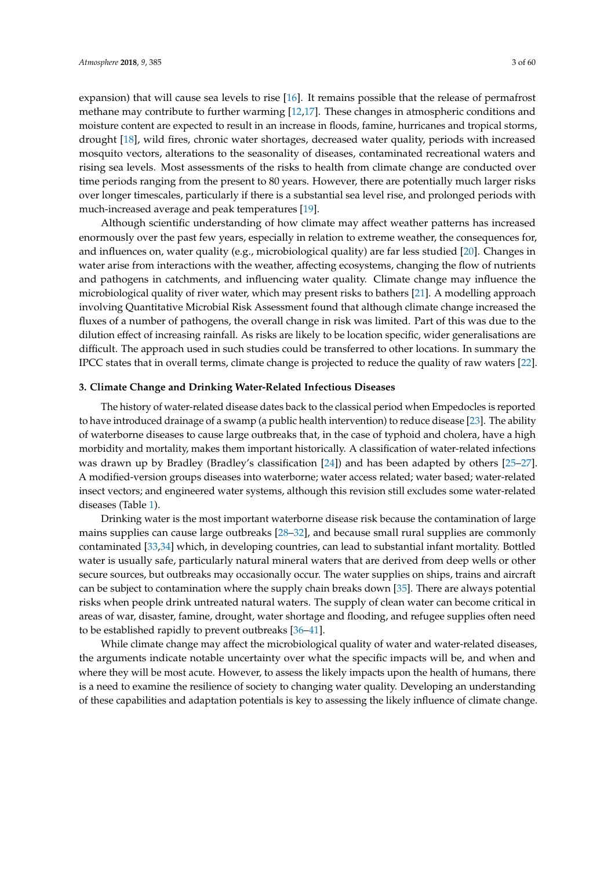expansion) that will cause sea levels to rise [\[16\]](#page-29-15). It remains possible that the release of permafrost methane may contribute to further warming [\[12,](#page-29-11)[17\]](#page-29-16). These changes in atmospheric conditions and moisture content are expected to result in an increase in floods, famine, hurricanes and tropical storms, drought [\[18\]](#page-29-17), wild fires, chronic water shortages, decreased water quality, periods with increased mosquito vectors, alterations to the seasonality of diseases, contaminated recreational waters and rising sea levels. Most assessments of the risks to health from climate change are conducted over time periods ranging from the present to 80 years. However, there are potentially much larger risks over longer timescales, particularly if there is a substantial sea level rise, and prolonged periods with much-increased average and peak temperatures [\[19\]](#page-29-18).

Although scientific understanding of how climate may affect weather patterns has increased enormously over the past few years, especially in relation to extreme weather, the consequences for, and influences on, water quality (e.g., microbiological quality) are far less studied [\[20\]](#page-29-19). Changes in water arise from interactions with the weather, affecting ecosystems, changing the flow of nutrients and pathogens in catchments, and influencing water quality. Climate change may influence the microbiological quality of river water, which may present risks to bathers [\[21\]](#page-29-20). A modelling approach involving Quantitative Microbial Risk Assessment found that although climate change increased the fluxes of a number of pathogens, the overall change in risk was limited. Part of this was due to the dilution effect of increasing rainfall. As risks are likely to be location specific, wider generalisations are difficult. The approach used in such studies could be transferred to other locations. In summary the IPCC states that in overall terms, climate change is projected to reduce the quality of raw waters [\[22\]](#page-30-0).

### **3. Climate Change and Drinking Water-Related Infectious Diseases**

The history of water-related disease dates back to the classical period when Empedocles is reported to have introduced drainage of a swamp (a public health intervention) to reduce disease [\[23\]](#page-30-1). The ability of waterborne diseases to cause large outbreaks that, in the case of typhoid and cholera, have a high morbidity and mortality, makes them important historically. A classification of water-related infections was drawn up by Bradley (Bradley's classification [\[24\]](#page-30-2)) and has been adapted by others [\[25–](#page-30-3)[27\]](#page-30-4). A modified-version groups diseases into waterborne; water access related; water based; water-related insect vectors; and engineered water systems, although this revision still excludes some water-related diseases (Table [1\)](#page-3-0).

Drinking water is the most important waterborne disease risk because the contamination of large mains supplies can cause large outbreaks [\[28](#page-30-5)[–32\]](#page-30-6), and because small rural supplies are commonly contaminated [\[33](#page-30-7)[,34\]](#page-30-8) which, in developing countries, can lead to substantial infant mortality. Bottled water is usually safe, particularly natural mineral waters that are derived from deep wells or other secure sources, but outbreaks may occasionally occur. The water supplies on ships, trains and aircraft can be subject to contamination where the supply chain breaks down [\[35\]](#page-30-9). There are always potential risks when people drink untreated natural waters. The supply of clean water can become critical in areas of war, disaster, famine, drought, water shortage and flooding, and refugee supplies often need to be established rapidly to prevent outbreaks [\[36](#page-30-10)[–41\]](#page-30-11).

While climate change may affect the microbiological quality of water and water-related diseases, the arguments indicate notable uncertainty over what the specific impacts will be, and when and where they will be most acute. However, to assess the likely impacts upon the health of humans, there is a need to examine the resilience of society to changing water quality. Developing an understanding of these capabilities and adaptation potentials is key to assessing the likely influence of climate change.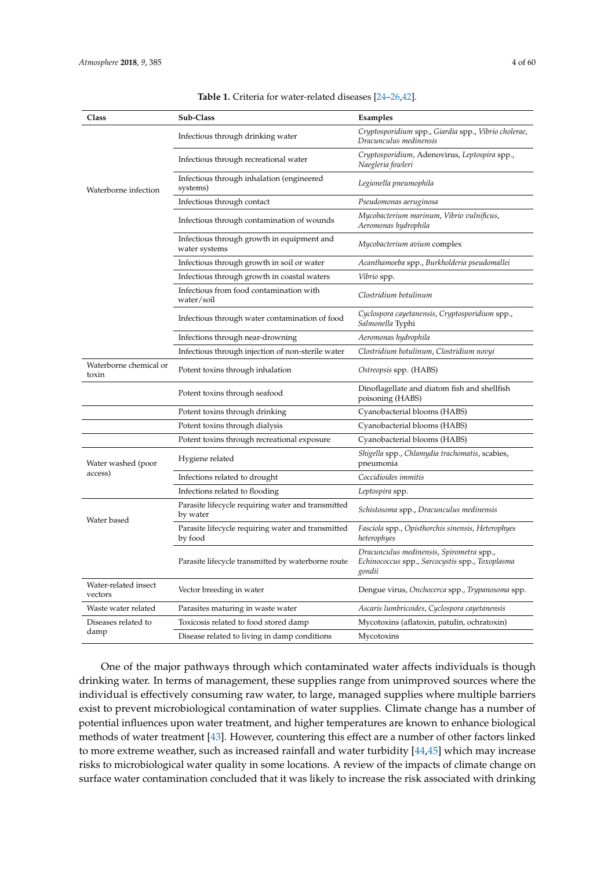<span id="page-3-0"></span>

| Class                           | Sub-Class                                                      | Examples                                                                                              |
|---------------------------------|----------------------------------------------------------------|-------------------------------------------------------------------------------------------------------|
|                                 | Infectious through drinking water                              | Cryptosporidium spp., Giardia spp., Vibrio cholerae,<br>Dracunculus medinensis                        |
|                                 | Infectious through recreational water                          | Cryptosporidium, Adenovirus, Leptospira spp.,<br>Naegleria fowleri                                    |
| Waterborne infection            | Infectious through inhalation (engineered<br>systems)          | Legionella pneumophila                                                                                |
|                                 | Infectious through contact                                     | Pseudomonas aeruginosa                                                                                |
|                                 | Infectious through contamination of wounds                     | Mycobacterium marinum, Vibrio vulnificus,<br>Aeromonas hydrophila                                     |
|                                 | Infectious through growth in equipment and<br>water systems    | Mycobacterium avium complex                                                                           |
|                                 | Infectious through growth in soil or water                     | Acanthamoeba spp., Burkholderia pseudomallei                                                          |
|                                 | Infectious through growth in coastal waters                    | Vibrio spp.                                                                                           |
|                                 | Infectious from food contamination with<br>water/soil          | Clostridium botulinum                                                                                 |
|                                 | Infectious through water contamination of food                 | Cyclospora cayetanensis, Cryptosporidium spp.,<br>Salmonella Typhi                                    |
|                                 | Infections through near-drowning                               | Aeromonas hydrophila                                                                                  |
|                                 | Infectious through injection of non-sterile water              | Clostridium botulinum, Clostridium novyi                                                              |
| Waterborne chemical or<br>toxin | Potent toxins through inhalation                               | Ostreopsis spp. (HABS)                                                                                |
|                                 | Potent toxins through seafood                                  | Dinoflagellate and diatom fish and shellfish<br>poisoning (HABS)                                      |
|                                 | Potent toxins through drinking                                 | Cyanobacterial blooms (HABS)                                                                          |
|                                 | Potent toxins through dialysis                                 | Cyanobacterial blooms (HABS)                                                                          |
|                                 | Potent toxins through recreational exposure                    | Cyanobacterial blooms (HABS)                                                                          |
| Water washed (poor              | Hygiene related                                                | Shigella spp., Chlamydia trachomatis, scabies,<br>pneumonia                                           |
| access)                         | Infections related to drought                                  | Coccidioides immitis                                                                                  |
|                                 | Infections related to flooding                                 | Leptospira spp.                                                                                       |
| Water based                     | Parasite lifecycle requiring water and transmitted<br>by water | Schistosoma spp., Dracunculus medinensis                                                              |
|                                 | Parasite lifecycle requiring water and transmitted<br>by food  | Fasciola spp., Opisthorchis sinensis, Heterophyes<br>heterophyes                                      |
|                                 | Parasite lifecycle transmitted by waterborne route             | Dracunculus medinensis, Spirometra spp.,<br>Echinococcus spp., Sarcocystis spp., Toxoplasma<br>gondii |
| Water-related insect<br>vectors | Vector breeding in water                                       | Dengue virus, Onchocerca spp., Trypanosoma spp.                                                       |
| Waste water related             | Parasites maturing in waste water                              | Ascaris lumbricoides, Cyclospora cayetanensis                                                         |
| Diseases related to             | Toxicosis related to food stored damp                          | Mycotoxins (aflatoxin, patulin, ochratoxin)                                                           |
| damp                            | Disease related to living in damp conditions                   | Mycotoxins                                                                                            |

**Table 1.** Criteria for water-related diseases [\[24](#page-30-2)[–26](#page-30-12)[,42\]](#page-31-0).

One of the major pathways through which contaminated water affects individuals is though drinking water. In terms of management, these supplies range from unimproved sources where the individual is effectively consuming raw water, to large, managed supplies where multiple barriers exist to prevent microbiological contamination of water supplies. Climate change has a number of potential influences upon water treatment, and higher temperatures are known to enhance biological methods of water treatment [\[43\]](#page-31-1). However, countering this effect are a number of other factors linked to more extreme weather, such as increased rainfall and water turbidity [\[44,](#page-31-2)[45\]](#page-31-3) which may increase risks to microbiological water quality in some locations. A review of the impacts of climate change on surface water contamination concluded that it was likely to increase the risk associated with drinking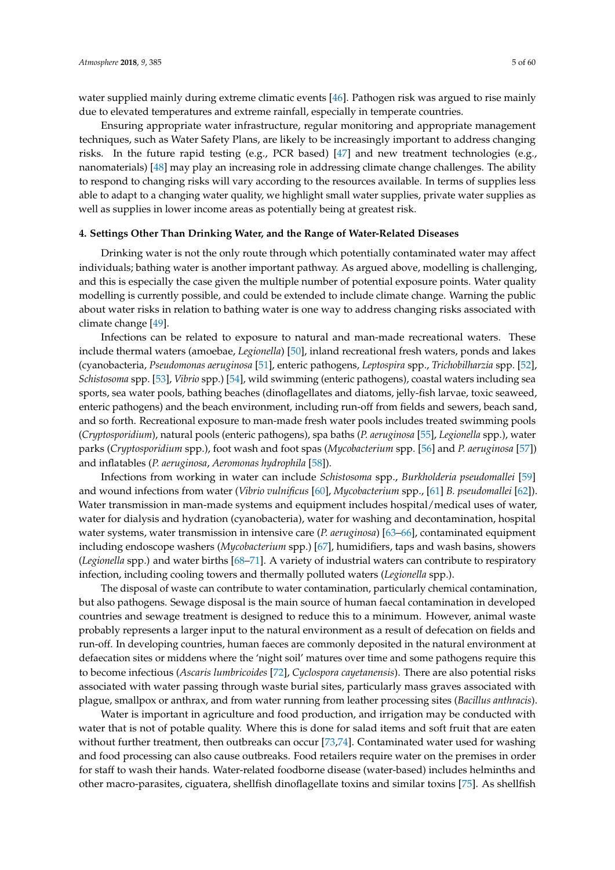water supplied mainly during extreme climatic events [\[46\]](#page-31-4). Pathogen risk was argued to rise mainly due to elevated temperatures and extreme rainfall, especially in temperate countries.

Ensuring appropriate water infrastructure, regular monitoring and appropriate management techniques, such as Water Safety Plans, are likely to be increasingly important to address changing risks. In the future rapid testing (e.g., PCR based) [\[47\]](#page-31-5) and new treatment technologies (e.g., nanomaterials) [\[48\]](#page-31-6) may play an increasing role in addressing climate change challenges. The ability to respond to changing risks will vary according to the resources available. In terms of supplies less able to adapt to a changing water quality, we highlight small water supplies, private water supplies as well as supplies in lower income areas as potentially being at greatest risk.

#### **4. Settings Other Than Drinking Water, and the Range of Water-Related Diseases**

Drinking water is not the only route through which potentially contaminated water may affect individuals; bathing water is another important pathway. As argued above, modelling is challenging, and this is especially the case given the multiple number of potential exposure points. Water quality modelling is currently possible, and could be extended to include climate change. Warning the public about water risks in relation to bathing water is one way to address changing risks associated with climate change [\[49\]](#page-31-7).

Infections can be related to exposure to natural and man-made recreational waters. These include thermal waters (amoebae, *Legionella*) [\[50\]](#page-31-8), inland recreational fresh waters, ponds and lakes (cyanobacteria, *Pseudomonas aeruginosa* [\[51\]](#page-31-9), enteric pathogens, *Leptospira* spp., *Trichobilharzia* spp. [\[52\]](#page-31-10), *Schistosoma* spp. [\[53\]](#page-31-11), *Vibrio* spp.) [\[54\]](#page-31-12), wild swimming (enteric pathogens), coastal waters including sea sports, sea water pools, bathing beaches (dinoflagellates and diatoms, jelly-fish larvae, toxic seaweed, enteric pathogens) and the beach environment, including run-off from fields and sewers, beach sand, and so forth. Recreational exposure to man-made fresh water pools includes treated swimming pools (*Cryptosporidium*), natural pools (enteric pathogens), spa baths (*P. aeruginosa* [\[55\]](#page-31-13), *Legionella* spp.), water parks (*Cryptosporidium* spp.), foot wash and foot spas (*Mycobacterium* spp. [\[56\]](#page-31-14) and *P. aeruginosa* [\[57\]](#page-31-15)) and inflatables (*P. aeruginosa*, *Aeromonas hydrophila* [\[58\]](#page-31-16)).

Infections from working in water can include *Schistosoma* spp., *Burkholderia pseudomallei* [\[59\]](#page-31-17) and wound infections from water (*Vibrio vulnificus* [\[60\]](#page-31-18), *Mycobacterium* spp., [\[61\]](#page-31-19) *B. pseudomallei* [\[62\]](#page-31-20)). Water transmission in man-made systems and equipment includes hospital/medical uses of water, water for dialysis and hydration (cyanobacteria), water for washing and decontamination, hospital water systems, water transmission in intensive care (*P. aeruginosa*) [\[63](#page-31-21)[–66\]](#page-32-0), contaminated equipment including endoscope washers (*Mycobacterium* spp.) [\[67\]](#page-32-1), humidifiers, taps and wash basins, showers (*Legionella* spp.) and water births [\[68–](#page-32-2)[71\]](#page-32-3). A variety of industrial waters can contribute to respiratory infection, including cooling towers and thermally polluted waters (*Legionella* spp.).

The disposal of waste can contribute to water contamination, particularly chemical contamination, but also pathogens. Sewage disposal is the main source of human faecal contamination in developed countries and sewage treatment is designed to reduce this to a minimum. However, animal waste probably represents a larger input to the natural environment as a result of defecation on fields and run-off. In developing countries, human faeces are commonly deposited in the natural environment at defaecation sites or middens where the 'night soil' matures over time and some pathogens require this to become infectious (*Ascaris lumbricoides* [\[72\]](#page-32-4), *Cyclospora cayetanensis*). There are also potential risks associated with water passing through waste burial sites, particularly mass graves associated with plague, smallpox or anthrax, and from water running from leather processing sites (*Bacillus anthracis*).

Water is important in agriculture and food production, and irrigation may be conducted with water that is not of potable quality. Where this is done for salad items and soft fruit that are eaten without further treatment, then outbreaks can occur [\[73,](#page-32-5)[74\]](#page-32-6). Contaminated water used for washing and food processing can also cause outbreaks. Food retailers require water on the premises in order for staff to wash their hands. Water-related foodborne disease (water-based) includes helminths and other macro-parasites, ciguatera, shellfish dinoflagellate toxins and similar toxins [\[75\]](#page-32-7). As shellfish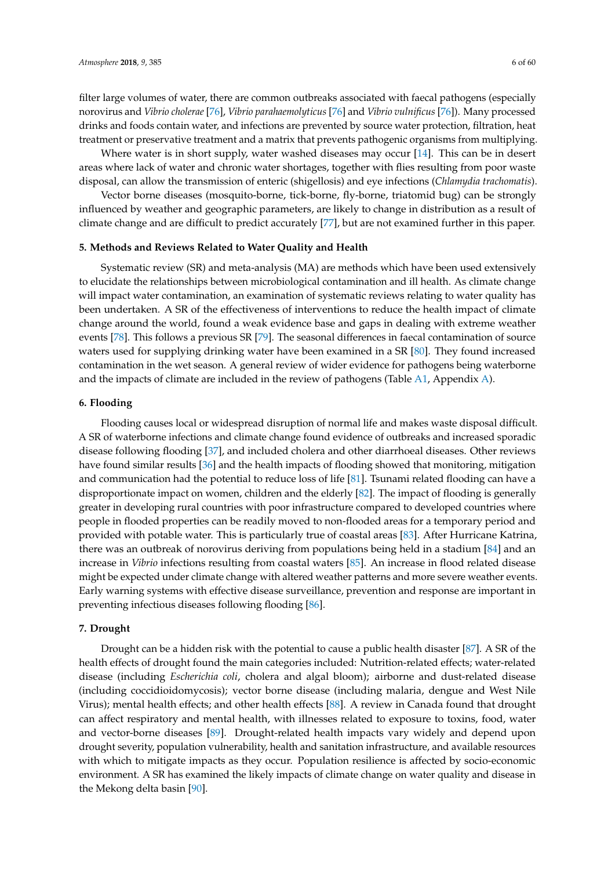filter large volumes of water, there are common outbreaks associated with faecal pathogens (especially norovirus and *Vibrio cholerae* [\[76\]](#page-32-8), *Vibrio parahaemolyticus* [\[76\]](#page-32-8) and *Vibrio vulnificus* [\[76\]](#page-32-8)). Many processed drinks and foods contain water, and infections are prevented by source water protection, filtration, heat treatment or preservative treatment and a matrix that prevents pathogenic organisms from multiplying.

Where water is in short supply, water washed diseases may occur [\[14\]](#page-29-13). This can be in desert areas where lack of water and chronic water shortages, together with flies resulting from poor waste disposal, can allow the transmission of enteric (shigellosis) and eye infections (*Chlamydia trachomatis*).

Vector borne diseases (mosquito-borne, tick-borne, fly-borne, triatomid bug) can be strongly influenced by weather and geographic parameters, are likely to change in distribution as a result of climate change and are difficult to predict accurately [\[77\]](#page-32-9), but are not examined further in this paper.

# **5. Methods and Reviews Related to Water Quality and Health**

Systematic review (SR) and meta-analysis (MA) are methods which have been used extensively to elucidate the relationships between microbiological contamination and ill health. As climate change will impact water contamination, an examination of systematic reviews relating to water quality has been undertaken. A SR of the effectiveness of interventions to reduce the health impact of climate change around the world, found a weak evidence base and gaps in dealing with extreme weather events [\[78\]](#page-32-10). This follows a previous SR [\[79\]](#page-32-11). The seasonal differences in faecal contamination of source waters used for supplying drinking water have been examined in a SR [\[80\]](#page-32-12). They found increased contamination in the wet season. A general review of wider evidence for pathogens being waterborne and the impacts of climate are included in the review of pathogens (Table [A1,](#page-28-0) Appendix [A\)](#page-13-0).

# **6. Flooding**

Flooding causes local or widespread disruption of normal life and makes waste disposal difficult. A SR of waterborne infections and climate change found evidence of outbreaks and increased sporadic disease following flooding [\[37\]](#page-30-13), and included cholera and other diarrhoeal diseases. Other reviews have found similar results [\[36\]](#page-30-10) and the health impacts of flooding showed that monitoring, mitigation and communication had the potential to reduce loss of life [\[81\]](#page-32-13). Tsunami related flooding can have a disproportionate impact on women, children and the elderly [\[82\]](#page-32-14). The impact of flooding is generally greater in developing rural countries with poor infrastructure compared to developed countries where people in flooded properties can be readily moved to non-flooded areas for a temporary period and provided with potable water. This is particularly true of coastal areas [\[83\]](#page-32-15). After Hurricane Katrina, there was an outbreak of norovirus deriving from populations being held in a stadium [\[84\]](#page-32-16) and an increase in *Vibrio* infections resulting from coastal waters [\[85\]](#page-33-0). An increase in flood related disease might be expected under climate change with altered weather patterns and more severe weather events. Early warning systems with effective disease surveillance, prevention and response are important in preventing infectious diseases following flooding [\[86\]](#page-33-1).

### **7. Drought**

Drought can be a hidden risk with the potential to cause a public health disaster [\[87\]](#page-33-2). A SR of the health effects of drought found the main categories included: Nutrition-related effects; water-related disease (including *Escherichia coli*, cholera and algal bloom); airborne and dust-related disease (including coccidioidomycosis); vector borne disease (including malaria, dengue and West Nile Virus); mental health effects; and other health effects [\[88\]](#page-33-3). A review in Canada found that drought can affect respiratory and mental health, with illnesses related to exposure to toxins, food, water and vector-borne diseases [\[89\]](#page-33-4). Drought-related health impacts vary widely and depend upon drought severity, population vulnerability, health and sanitation infrastructure, and available resources with which to mitigate impacts as they occur. Population resilience is affected by socio-economic environment. A SR has examined the likely impacts of climate change on water quality and disease in the Mekong delta basin [\[90\]](#page-33-5).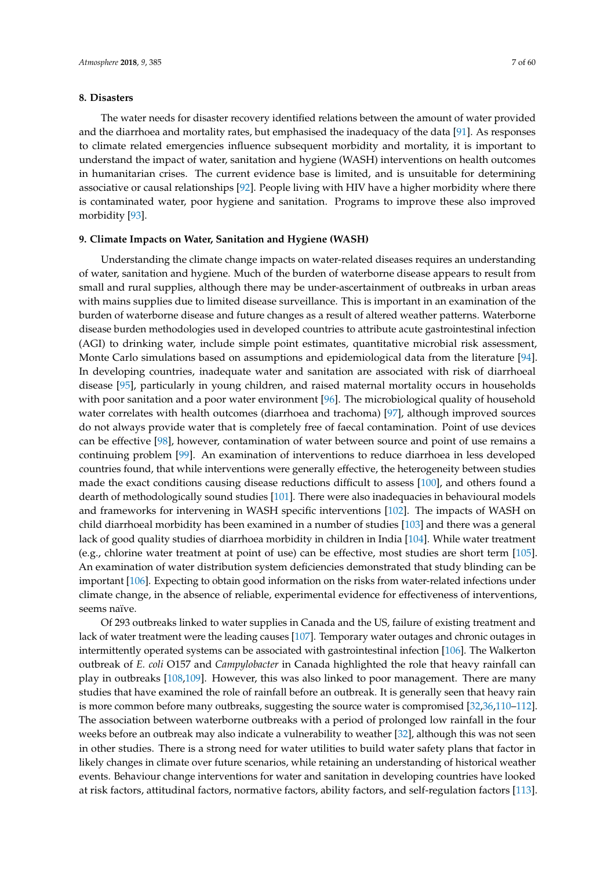### **8. Disasters**

The water needs for disaster recovery identified relations between the amount of water provided and the diarrhoea and mortality rates, but emphasised the inadequacy of the data [\[91\]](#page-33-6). As responses to climate related emergencies influence subsequent morbidity and mortality, it is important to understand the impact of water, sanitation and hygiene (WASH) interventions on health outcomes in humanitarian crises. The current evidence base is limited, and is unsuitable for determining associative or causal relationships [\[92\]](#page-33-7). People living with HIV have a higher morbidity where there is contaminated water, poor hygiene and sanitation. Programs to improve these also improved morbidity [\[93\]](#page-33-8).

#### **9. Climate Impacts on Water, Sanitation and Hygiene (WASH)**

Understanding the climate change impacts on water-related diseases requires an understanding of water, sanitation and hygiene. Much of the burden of waterborne disease appears to result from small and rural supplies, although there may be under-ascertainment of outbreaks in urban areas with mains supplies due to limited disease surveillance. This is important in an examination of the burden of waterborne disease and future changes as a result of altered weather patterns. Waterborne disease burden methodologies used in developed countries to attribute acute gastrointestinal infection (AGI) to drinking water, include simple point estimates, quantitative microbial risk assessment, Monte Carlo simulations based on assumptions and epidemiological data from the literature [\[94\]](#page-33-9). In developing countries, inadequate water and sanitation are associated with risk of diarrhoeal disease [\[95\]](#page-33-10), particularly in young children, and raised maternal mortality occurs in households with poor sanitation and a poor water environment [\[96\]](#page-33-11). The microbiological quality of household water correlates with health outcomes (diarrhoea and trachoma) [\[97\]](#page-33-12), although improved sources do not always provide water that is completely free of faecal contamination. Point of use devices can be effective [\[98\]](#page-33-13), however, contamination of water between source and point of use remains a continuing problem [\[99\]](#page-33-14). An examination of interventions to reduce diarrhoea in less developed countries found, that while interventions were generally effective, the heterogeneity between studies made the exact conditions causing disease reductions difficult to assess [\[100\]](#page-33-15), and others found a dearth of methodologically sound studies [\[101\]](#page-33-16). There were also inadequacies in behavioural models and frameworks for intervening in WASH specific interventions [\[102\]](#page-33-17). The impacts of WASH on child diarrhoeal morbidity has been examined in a number of studies [\[103\]](#page-33-18) and there was a general lack of good quality studies of diarrhoea morbidity in children in India [\[104\]](#page-34-0). While water treatment (e.g., chlorine water treatment at point of use) can be effective, most studies are short term [\[105\]](#page-34-1). An examination of water distribution system deficiencies demonstrated that study blinding can be important [\[106\]](#page-34-2). Expecting to obtain good information on the risks from water-related infections under climate change, in the absence of reliable, experimental evidence for effectiveness of interventions, seems naïve.

Of 293 outbreaks linked to water supplies in Canada and the US, failure of existing treatment and lack of water treatment were the leading causes [\[107\]](#page-34-3). Temporary water outages and chronic outages in intermittently operated systems can be associated with gastrointestinal infection [\[106\]](#page-34-2). The Walkerton outbreak of *E. coli* O157 and *Campylobacter* in Canada highlighted the role that heavy rainfall can play in outbreaks [\[108](#page-34-4)[,109\]](#page-34-5). However, this was also linked to poor management. There are many studies that have examined the role of rainfall before an outbreak. It is generally seen that heavy rain is more common before many outbreaks, suggesting the source water is compromised [\[32,](#page-30-6)[36](#page-30-10)[,110–](#page-34-6)[112\]](#page-34-7). The association between waterborne outbreaks with a period of prolonged low rainfall in the four weeks before an outbreak may also indicate a vulnerability to weather [\[32\]](#page-30-6), although this was not seen in other studies. There is a strong need for water utilities to build water safety plans that factor in likely changes in climate over future scenarios, while retaining an understanding of historical weather events. Behaviour change interventions for water and sanitation in developing countries have looked at risk factors, attitudinal factors, normative factors, ability factors, and self-regulation factors [\[113\]](#page-34-8).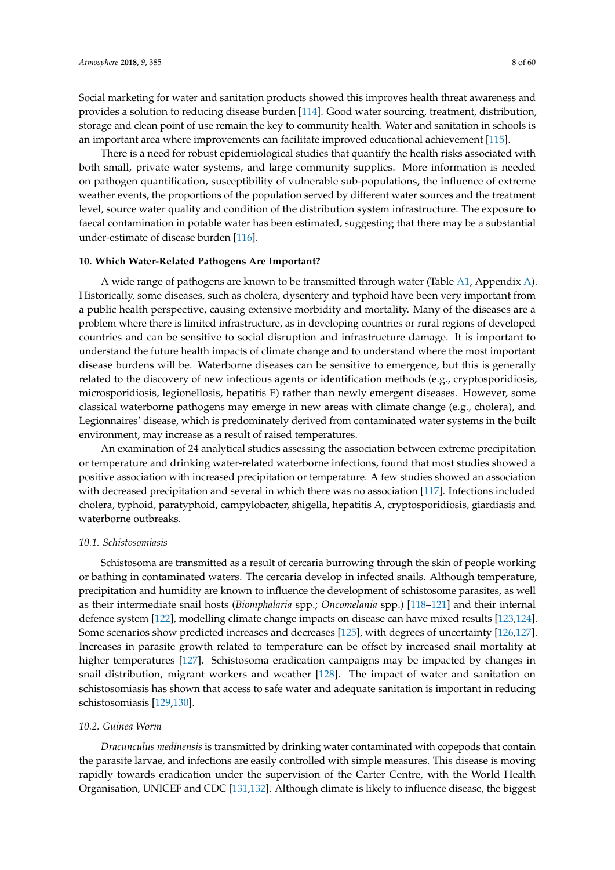There is a need for robust epidemiological studies that quantify the health risks associated with both small, private water systems, and large community supplies. More information is needed on pathogen quantification, susceptibility of vulnerable sub-populations, the influence of extreme weather events, the proportions of the population served by different water sources and the treatment level, source water quality and condition of the distribution system infrastructure. The exposure to faecal contamination in potable water has been estimated, suggesting that there may be a substantial under-estimate of disease burden [\[116\]](#page-34-11).

#### **10. Which Water-Related Pathogens Are Important?**

A wide range of pathogens are known to be transmitted through water (Table [A1,](#page-28-0) Appendix [A\)](#page-13-0). Historically, some diseases, such as cholera, dysentery and typhoid have been very important from a public health perspective, causing extensive morbidity and mortality. Many of the diseases are a problem where there is limited infrastructure, as in developing countries or rural regions of developed countries and can be sensitive to social disruption and infrastructure damage. It is important to understand the future health impacts of climate change and to understand where the most important disease burdens will be. Waterborne diseases can be sensitive to emergence, but this is generally related to the discovery of new infectious agents or identification methods (e.g., cryptosporidiosis, microsporidiosis, legionellosis, hepatitis E) rather than newly emergent diseases. However, some classical waterborne pathogens may emerge in new areas with climate change (e.g., cholera), and Legionnaires' disease, which is predominately derived from contaminated water systems in the built environment, may increase as a result of raised temperatures.

An examination of 24 analytical studies assessing the association between extreme precipitation or temperature and drinking water-related waterborne infections, found that most studies showed a positive association with increased precipitation or temperature. A few studies showed an association with decreased precipitation and several in which there was no association [\[117\]](#page-34-12). Infections included cholera, typhoid, paratyphoid, campylobacter, shigella, hepatitis A, cryptosporidiosis, giardiasis and waterborne outbreaks.

#### *10.1. Schistosomiasis*

Schistosoma are transmitted as a result of cercaria burrowing through the skin of people working or bathing in contaminated waters. The cercaria develop in infected snails. Although temperature, precipitation and humidity are known to influence the development of schistosome parasites, as well as their intermediate snail hosts (*Biomphalaria* spp.; *Oncomelania* spp.) [\[118–](#page-34-13)[121\]](#page-34-14) and their internal defence system [\[122\]](#page-34-15), modelling climate change impacts on disease can have mixed results [\[123,](#page-35-0)[124\]](#page-35-1). Some scenarios show predicted increases and decreases [\[125\]](#page-35-2), with degrees of uncertainty [\[126,](#page-35-3)[127\]](#page-35-4). Increases in parasite growth related to temperature can be offset by increased snail mortality at higher temperatures [\[127\]](#page-35-4). Schistosoma eradication campaigns may be impacted by changes in snail distribution, migrant workers and weather [\[128\]](#page-35-5). The impact of water and sanitation on schistosomiasis has shown that access to safe water and adequate sanitation is important in reducing schistosomiasis [\[129,](#page-35-6)[130\]](#page-35-7).

#### *10.2. Guinea Worm*

*Dracunculus medinensis* is transmitted by drinking water contaminated with copepods that contain the parasite larvae, and infections are easily controlled with simple measures. This disease is moving rapidly towards eradication under the supervision of the Carter Centre, with the World Health Organisation, UNICEF and CDC [\[131](#page-35-8)[,132\]](#page-35-9). Although climate is likely to influence disease, the biggest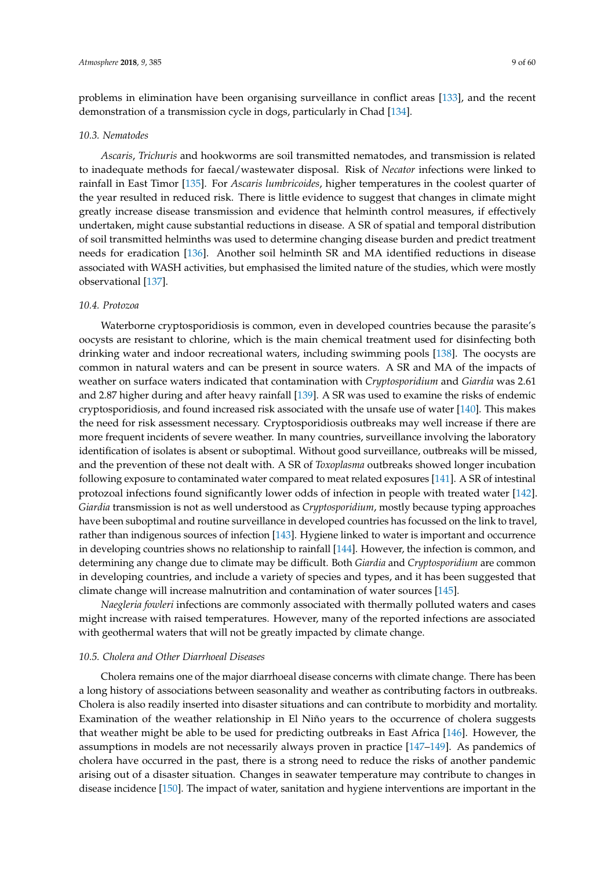problems in elimination have been organising surveillance in conflict areas [\[133\]](#page-35-10), and the recent demonstration of a transmission cycle in dogs, particularly in Chad [\[134\]](#page-35-11).

#### *10.3. Nematodes*

*Ascaris*, *Trichuris* and hookworms are soil transmitted nematodes, and transmission is related to inadequate methods for faecal/wastewater disposal. Risk of *Necator* infections were linked to rainfall in East Timor [\[135\]](#page-35-12). For *Ascaris lumbricoides*, higher temperatures in the coolest quarter of the year resulted in reduced risk. There is little evidence to suggest that changes in climate might greatly increase disease transmission and evidence that helminth control measures, if effectively undertaken, might cause substantial reductions in disease. A SR of spatial and temporal distribution of soil transmitted helminths was used to determine changing disease burden and predict treatment needs for eradication [\[136\]](#page-35-13). Another soil helminth SR and MA identified reductions in disease associated with WASH activities, but emphasised the limited nature of the studies, which were mostly observational [\[137\]](#page-35-14).

### *10.4. Protozoa*

Waterborne cryptosporidiosis is common, even in developed countries because the parasite's oocysts are resistant to chlorine, which is the main chemical treatment used for disinfecting both drinking water and indoor recreational waters, including swimming pools [\[138\]](#page-35-15). The oocysts are common in natural waters and can be present in source waters. A SR and MA of the impacts of weather on surface waters indicated that contamination with *Cryptosporidium* and *Giardia* was 2.61 and 2.87 higher during and after heavy rainfall [\[139\]](#page-35-16). A SR was used to examine the risks of endemic cryptosporidiosis, and found increased risk associated with the unsafe use of water [\[140\]](#page-35-17). This makes the need for risk assessment necessary. Cryptosporidiosis outbreaks may well increase if there are more frequent incidents of severe weather. In many countries, surveillance involving the laboratory identification of isolates is absent or suboptimal. Without good surveillance, outbreaks will be missed, and the prevention of these not dealt with. A SR of *Toxoplasma* outbreaks showed longer incubation following exposure to contaminated water compared to meat related exposures [\[141\]](#page-35-18). A SR of intestinal protozoal infections found significantly lower odds of infection in people with treated water [\[142\]](#page-35-19). *Giardia* transmission is not as well understood as *Cryptosporidium*, mostly because typing approaches have been suboptimal and routine surveillance in developed countries has focussed on the link to travel, rather than indigenous sources of infection [\[143\]](#page-36-0). Hygiene linked to water is important and occurrence in developing countries shows no relationship to rainfall [\[144\]](#page-36-1). However, the infection is common, and determining any change due to climate may be difficult. Both *Giardia* and *Cryptosporidium* are common in developing countries, and include a variety of species and types, and it has been suggested that climate change will increase malnutrition and contamination of water sources [\[145\]](#page-36-2).

*Naegleria fowleri* infections are commonly associated with thermally polluted waters and cases might increase with raised temperatures. However, many of the reported infections are associated with geothermal waters that will not be greatly impacted by climate change.

### *10.5. Cholera and Other Diarrhoeal Diseases*

Cholera remains one of the major diarrhoeal disease concerns with climate change. There has been a long history of associations between seasonality and weather as contributing factors in outbreaks. Cholera is also readily inserted into disaster situations and can contribute to morbidity and mortality. Examination of the weather relationship in El Niño years to the occurrence of cholera suggests that weather might be able to be used for predicting outbreaks in East Africa [\[146\]](#page-36-3). However, the assumptions in models are not necessarily always proven in practice [\[147](#page-36-4)[–149\]](#page-36-5). As pandemics of cholera have occurred in the past, there is a strong need to reduce the risks of another pandemic arising out of a disaster situation. Changes in seawater temperature may contribute to changes in disease incidence [\[150\]](#page-36-6). The impact of water, sanitation and hygiene interventions are important in the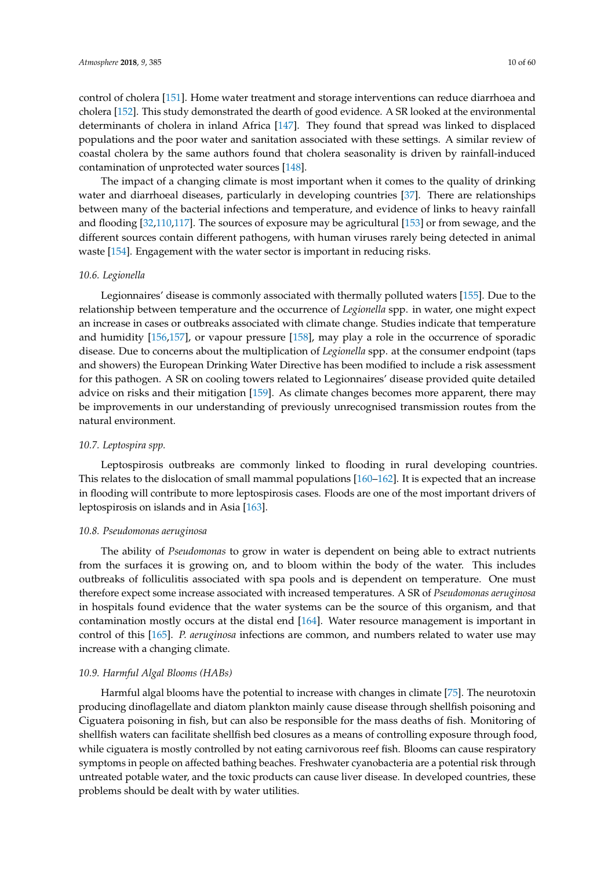control of cholera [\[151\]](#page-36-7). Home water treatment and storage interventions can reduce diarrhoea and cholera [\[152\]](#page-36-8). This study demonstrated the dearth of good evidence. A SR looked at the environmental determinants of cholera in inland Africa [\[147\]](#page-36-4). They found that spread was linked to displaced populations and the poor water and sanitation associated with these settings. A similar review of coastal cholera by the same authors found that cholera seasonality is driven by rainfall-induced contamination of unprotected water sources [\[148\]](#page-36-9).

The impact of a changing climate is most important when it comes to the quality of drinking water and diarrhoeal diseases, particularly in developing countries [\[37\]](#page-30-13). There are relationships between many of the bacterial infections and temperature, and evidence of links to heavy rainfall and flooding [\[32,](#page-30-6)[110,](#page-34-6)[117\]](#page-34-12). The sources of exposure may be agricultural [\[153\]](#page-36-10) or from sewage, and the different sources contain different pathogens, with human viruses rarely being detected in animal waste [\[154\]](#page-36-11). Engagement with the water sector is important in reducing risks.

### *10.6. Legionella*

Legionnaires' disease is commonly associated with thermally polluted waters [\[155\]](#page-36-12). Due to the relationship between temperature and the occurrence of *Legionella* spp. in water, one might expect an increase in cases or outbreaks associated with climate change. Studies indicate that temperature and humidity [\[156](#page-36-13)[,157\]](#page-36-14), or vapour pressure [\[158\]](#page-36-15), may play a role in the occurrence of sporadic disease. Due to concerns about the multiplication of *Legionella* spp. at the consumer endpoint (taps and showers) the European Drinking Water Directive has been modified to include a risk assessment for this pathogen. A SR on cooling towers related to Legionnaires' disease provided quite detailed advice on risks and their mitigation [\[159\]](#page-36-16). As climate changes becomes more apparent, there may be improvements in our understanding of previously unrecognised transmission routes from the natural environment.

#### *10.7. Leptospira spp.*

Leptospirosis outbreaks are commonly linked to flooding in rural developing countries. This relates to the dislocation of small mammal populations [\[160–](#page-36-17)[162\]](#page-37-0). It is expected that an increase in flooding will contribute to more leptospirosis cases. Floods are one of the most important drivers of leptospirosis on islands and in Asia [\[163\]](#page-37-1).

#### *10.8. Pseudomonas aeruginosa*

The ability of *Pseudomonas* to grow in water is dependent on being able to extract nutrients from the surfaces it is growing on, and to bloom within the body of the water. This includes outbreaks of folliculitis associated with spa pools and is dependent on temperature. One must therefore expect some increase associated with increased temperatures. A SR of *Pseudomonas aeruginosa* in hospitals found evidence that the water systems can be the source of this organism, and that contamination mostly occurs at the distal end [\[164\]](#page-37-2). Water resource management is important in control of this [\[165\]](#page-37-3). *P. aeruginosa* infections are common, and numbers related to water use may increase with a changing climate.

#### *10.9. Harmful Algal Blooms (HABs)*

Harmful algal blooms have the potential to increase with changes in climate [\[75\]](#page-32-7). The neurotoxin producing dinoflagellate and diatom plankton mainly cause disease through shellfish poisoning and Ciguatera poisoning in fish, but can also be responsible for the mass deaths of fish. Monitoring of shellfish waters can facilitate shellfish bed closures as a means of controlling exposure through food, while ciguatera is mostly controlled by not eating carnivorous reef fish. Blooms can cause respiratory symptoms in people on affected bathing beaches. Freshwater cyanobacteria are a potential risk through untreated potable water, and the toxic products can cause liver disease. In developed countries, these problems should be dealt with by water utilities.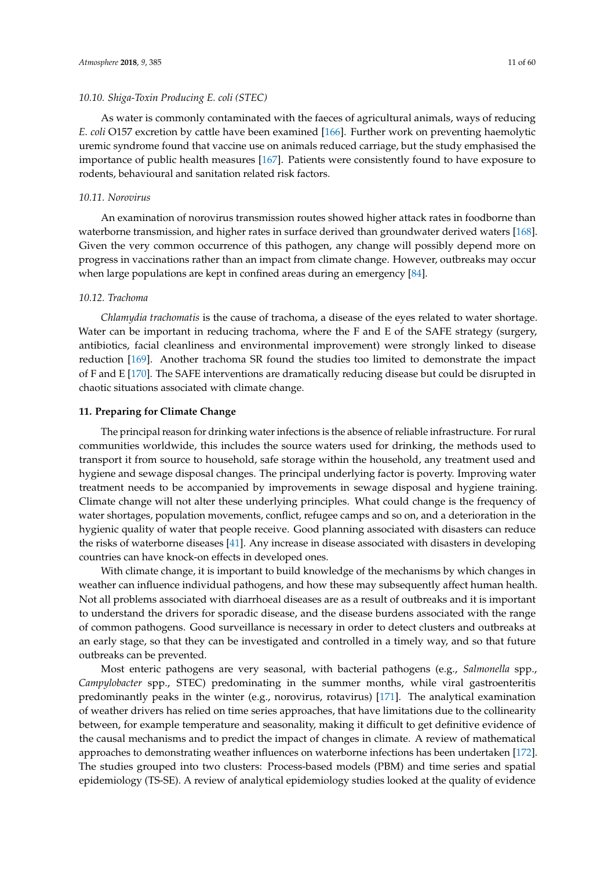### *10.10. Shiga-Toxin Producing E. coli (STEC)*

As water is commonly contaminated with the faeces of agricultural animals, ways of reducing *E. coli* O157 excretion by cattle have been examined [\[166\]](#page-37-4). Further work on preventing haemolytic uremic syndrome found that vaccine use on animals reduced carriage, but the study emphasised the importance of public health measures [\[167\]](#page-37-5). Patients were consistently found to have exposure to rodents, behavioural and sanitation related risk factors.

# *10.11. Norovirus*

An examination of norovirus transmission routes showed higher attack rates in foodborne than waterborne transmission, and higher rates in surface derived than groundwater derived waters [\[168\]](#page-37-6). Given the very common occurrence of this pathogen, any change will possibly depend more on progress in vaccinations rather than an impact from climate change. However, outbreaks may occur when large populations are kept in confined areas during an emergency [\[84\]](#page-32-16).

#### *10.12. Trachoma*

*Chlamydia trachomatis* is the cause of trachoma, a disease of the eyes related to water shortage. Water can be important in reducing trachoma, where the F and E of the SAFE strategy (surgery, antibiotics, facial cleanliness and environmental improvement) were strongly linked to disease reduction [\[169\]](#page-37-7). Another trachoma SR found the studies too limited to demonstrate the impact of F and E [\[170\]](#page-37-8). The SAFE interventions are dramatically reducing disease but could be disrupted in chaotic situations associated with climate change.

### **11. Preparing for Climate Change**

The principal reason for drinking water infections is the absence of reliable infrastructure. For rural communities worldwide, this includes the source waters used for drinking, the methods used to transport it from source to household, safe storage within the household, any treatment used and hygiene and sewage disposal changes. The principal underlying factor is poverty. Improving water treatment needs to be accompanied by improvements in sewage disposal and hygiene training. Climate change will not alter these underlying principles. What could change is the frequency of water shortages, population movements, conflict, refugee camps and so on, and a deterioration in the hygienic quality of water that people receive. Good planning associated with disasters can reduce the risks of waterborne diseases [\[41\]](#page-30-11). Any increase in disease associated with disasters in developing countries can have knock-on effects in developed ones.

With climate change, it is important to build knowledge of the mechanisms by which changes in weather can influence individual pathogens, and how these may subsequently affect human health. Not all problems associated with diarrhoeal diseases are as a result of outbreaks and it is important to understand the drivers for sporadic disease, and the disease burdens associated with the range of common pathogens. Good surveillance is necessary in order to detect clusters and outbreaks at an early stage, so that they can be investigated and controlled in a timely way, and so that future outbreaks can be prevented.

Most enteric pathogens are very seasonal, with bacterial pathogens (e.g., *Salmonella* spp., *Campylobacter* spp., STEC) predominating in the summer months, while viral gastroenteritis predominantly peaks in the winter (e.g., norovirus, rotavirus) [\[171\]](#page-37-9). The analytical examination of weather drivers has relied on time series approaches, that have limitations due to the collinearity between, for example temperature and seasonality, making it difficult to get definitive evidence of the causal mechanisms and to predict the impact of changes in climate. A review of mathematical approaches to demonstrating weather influences on waterborne infections has been undertaken [\[172\]](#page-37-10). The studies grouped into two clusters: Process-based models (PBM) and time series and spatial epidemiology (TS-SE). A review of analytical epidemiology studies looked at the quality of evidence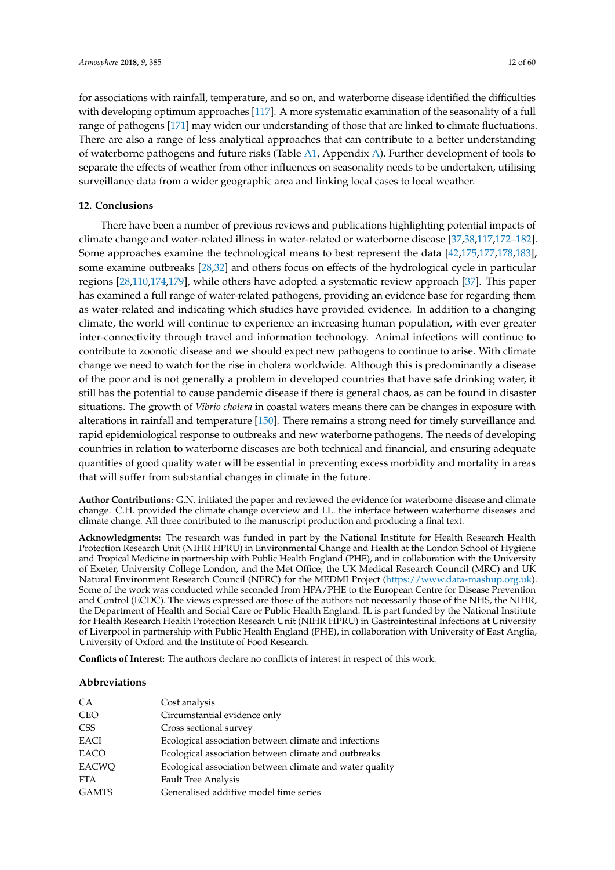for associations with rainfall, temperature, and so on, and waterborne disease identified the difficulties with developing optimum approaches [\[117\]](#page-34-12). A more systematic examination of the seasonality of a full range of pathogens [\[171\]](#page-37-9) may widen our understanding of those that are linked to climate fluctuations. There are also a range of less analytical approaches that can contribute to a better understanding of waterborne pathogens and future risks (Table [A1,](#page-28-0) Appendix [A\)](#page-13-0). Further development of tools to separate the effects of weather from other influences on seasonality needs to be undertaken, utilising surveillance data from a wider geographic area and linking local cases to local weather.

### **12. Conclusions**

There have been a number of previous reviews and publications highlighting potential impacts of climate change and water-related illness in water-related or waterborne disease [\[37,](#page-30-13)[38,](#page-30-14)[117,](#page-34-12)[172–](#page-37-10)[182\]](#page-38-0). Some approaches examine the technological means to best represent the data [\[42,](#page-31-0)[175,](#page-37-11)[177,](#page-37-12)[178,](#page-37-13)[183\]](#page-38-1), some examine outbreaks [\[28,](#page-30-5)[32\]](#page-30-6) and others focus on effects of the hydrological cycle in particular regions [\[28](#page-30-5)[,110](#page-34-6)[,174](#page-37-14)[,179\]](#page-37-15), while others have adopted a systematic review approach [\[37\]](#page-30-13). This paper has examined a full range of water-related pathogens, providing an evidence base for regarding them as water-related and indicating which studies have provided evidence. In addition to a changing climate, the world will continue to experience an increasing human population, with ever greater inter-connectivity through travel and information technology. Animal infections will continue to contribute to zoonotic disease and we should expect new pathogens to continue to arise. With climate change we need to watch for the rise in cholera worldwide. Although this is predominantly a disease of the poor and is not generally a problem in developed countries that have safe drinking water, it still has the potential to cause pandemic disease if there is general chaos, as can be found in disaster situations. The growth of *Vibrio cholera* in coastal waters means there can be changes in exposure with alterations in rainfall and temperature [\[150\]](#page-36-6). There remains a strong need for timely surveillance and rapid epidemiological response to outbreaks and new waterborne pathogens. The needs of developing countries in relation to waterborne diseases are both technical and financial, and ensuring adequate quantities of good quality water will be essential in preventing excess morbidity and mortality in areas that will suffer from substantial changes in climate in the future.

**Author Contributions:** G.N. initiated the paper and reviewed the evidence for waterborne disease and climate change. C.H. provided the climate change overview and I.L. the interface between waterborne diseases and climate change. All three contributed to the manuscript production and producing a final text.

**Acknowledgments:** The research was funded in part by the National Institute for Health Research Health Protection Research Unit (NIHR HPRU) in Environmental Change and Health at the London School of Hygiene and Tropical Medicine in partnership with Public Health England (PHE), and in collaboration with the University of Exeter, University College London, and the Met Office; the UK Medical Research Council (MRC) and UK Natural Environment Research Council (NERC) for the MEDMI Project [\(https://www.data-mashup.org.uk\)](https://www.data-mashup.org.uk). Some of the work was conducted while seconded from HPA/PHE to the European Centre for Disease Prevention and Control (ECDC). The views expressed are those of the authors not necessarily those of the NHS, the NIHR, the Department of Health and Social Care or Public Health England. IL is part funded by the National Institute for Health Research Health Protection Research Unit (NIHR HPRU) in Gastrointestinal Infections at University of Liverpool in partnership with Public Health England (PHE), in collaboration with University of East Anglia, University of Oxford and the Institute of Food Research.

**Conflicts of Interest:** The authors declare no conflicts of interest in respect of this work.

#### **Abbreviations**

| СA           | Cost analysis                                            |
|--------------|----------------------------------------------------------|
| <b>CEO</b>   | Circumstantial evidence only                             |
| <b>CSS</b>   | Cross sectional survey                                   |
| EACI         | Ecological association between climate and infections    |
| EACO         | Ecological association between climate and outbreaks     |
| EACWQ        | Ecological association between climate and water quality |
| FTA          | <b>Fault Tree Analysis</b>                               |
| <b>GAMTS</b> | Generalised additive model time series                   |
|              |                                                          |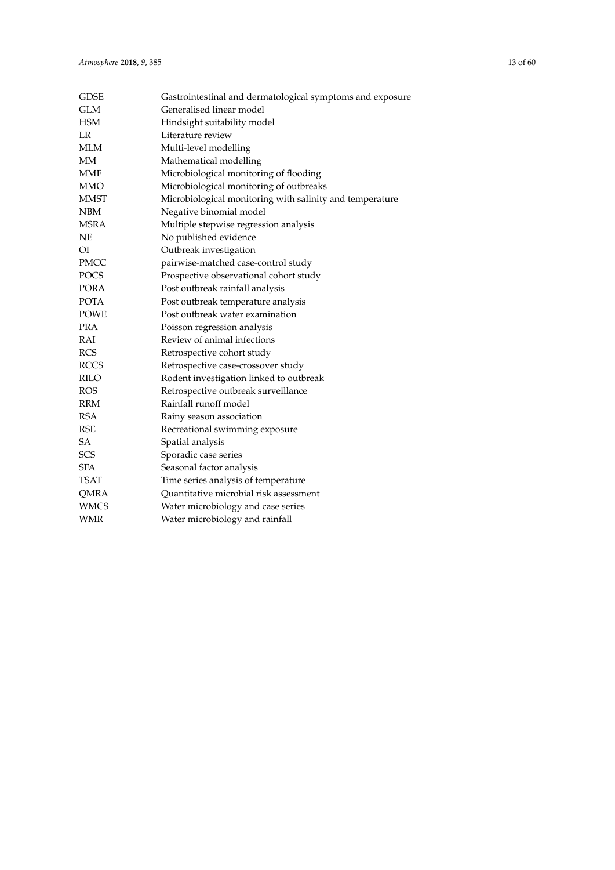| Gastrointestinal and dermatological symptoms and exposure |
|-----------------------------------------------------------|
| Generalised linear model                                  |
| Hindsight suitability model                               |
| Literature review                                         |
| Multi-level modelling                                     |
| Mathematical modelling                                    |
| Microbiological monitoring of flooding                    |
| Microbiological monitoring of outbreaks                   |
| Microbiological monitoring with salinity and temperature  |
| Negative binomial model                                   |
| Multiple stepwise regression analysis                     |
| No published evidence                                     |
| Outbreak investigation                                    |
| pairwise-matched case-control study                       |
| Prospective observational cohort study                    |
| Post outbreak rainfall analysis                           |
| Post outbreak temperature analysis                        |
| Post outbreak water examination                           |
| Poisson regression analysis                               |
| Review of animal infections                               |
| Retrospective cohort study                                |
| Retrospective case-crossover study                        |
| Rodent investigation linked to outbreak                   |
| Retrospective outbreak surveillance                       |
| Rainfall runoff model                                     |
| Rainy season association                                  |
| Recreational swimming exposure                            |
| Spatial analysis                                          |
| Sporadic case series                                      |
| Seasonal factor analysis                                  |
| Time series analysis of temperature                       |
| Quantitative microbial risk assessment                    |
| Water microbiology and case series                        |
| Water microbiology and rainfall                           |
|                                                           |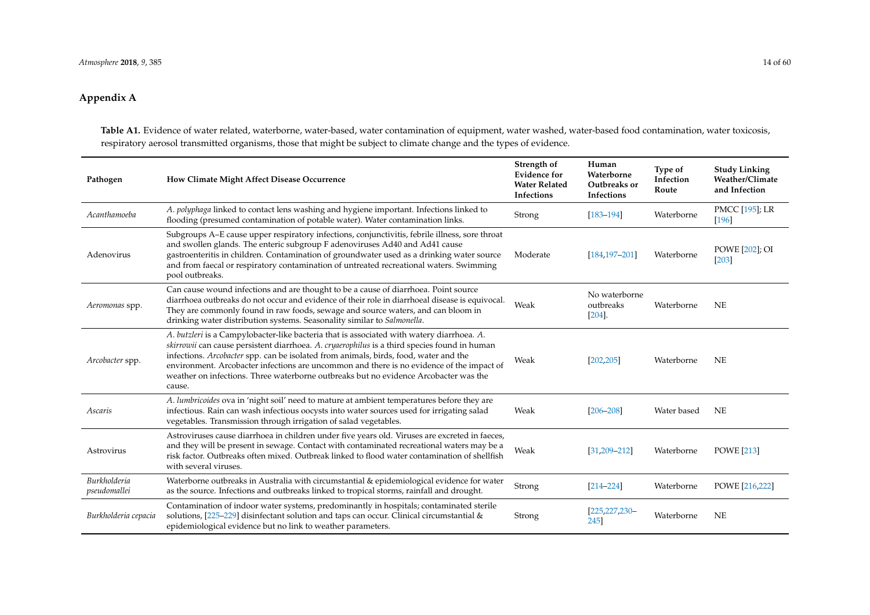# **Appendix A**

Table A1. Evidence of water related, waterborne, water-based, water contamination of equipment, water washed, water-based food contamination, water toxicosis, respiratory aerosol transmitted organisms, those that might be subject to climate change and the types of evidence.

<span id="page-13-0"></span>

| Pathogen                     | How Climate Might Affect Disease Occurrence                                                                                                                                                                                                                                                                                                                                                                                                                                      | Strength of<br><b>Evidence for</b><br><b>Water Related</b><br>Infections | Human<br>Waterborne<br>Outbreaks or<br><b>Infections</b> | Type of<br>Infection<br>Route | <b>Study Linking</b><br>Weather/Climate<br>and Infection |
|------------------------------|----------------------------------------------------------------------------------------------------------------------------------------------------------------------------------------------------------------------------------------------------------------------------------------------------------------------------------------------------------------------------------------------------------------------------------------------------------------------------------|--------------------------------------------------------------------------|----------------------------------------------------------|-------------------------------|----------------------------------------------------------|
| Acanthamoeba                 | A. polyphaga linked to contact lens washing and hygiene important. Infections linked to<br>flooding (presumed contamination of potable water). Water contamination links.                                                                                                                                                                                                                                                                                                        | Strong                                                                   | $[183 - 194]$                                            | Waterborne                    | PMCC [195]; LR<br>$[196]$                                |
| Adenovirus                   | Subgroups A-E cause upper respiratory infections, conjunctivitis, febrile illness, sore throat<br>and swollen glands. The enteric subgroup F adenoviruses Ad40 and Ad41 cause<br>gastroenteritis in children. Contamination of groundwater used as a drinking water source<br>and from faecal or respiratory contamination of untreated recreational waters. Swimming<br>pool outbreaks.                                                                                         | Moderate                                                                 | $[184, 197 - 201]$                                       | Waterborne                    | POWE [202]; OI<br>$[203]$                                |
| Aeromonas spp.               | Can cause wound infections and are thought to be a cause of diarrhoea. Point source<br>diarrhoea outbreaks do not occur and evidence of their role in diarrhoeal disease is equivocal.<br>They are commonly found in raw foods, sewage and source waters, and can bloom in<br>drinking water distribution systems. Seasonality similar to Salmonella.                                                                                                                            | Weak                                                                     | No waterborne<br>outbreaks<br>[204]                      | Waterborne                    | <b>NE</b>                                                |
| Arcobacter spp.              | A. butzleri is a Campylobacter-like bacteria that is associated with watery diarrhoea. A.<br>skirrowii can cause persistent diarrhoea. A. cryaerophilus is a third species found in human<br>infections. Arcobacter spp. can be isolated from animals, birds, food, water and the<br>environment. Arcobacter infections are uncommon and there is no evidence of the impact of<br>weather on infections. Three waterborne outbreaks but no evidence Arcobacter was the<br>cause. | Weak                                                                     | [202, 205]                                               | Waterborne                    | <b>NE</b>                                                |
| Ascaris                      | A. lumbricoides ova in 'night soil' need to mature at ambient temperatures before they are<br>infectious. Rain can wash infectious oocysts into water sources used for irrigating salad<br>vegetables. Transmission through irrigation of salad vegetables.                                                                                                                                                                                                                      | Weak                                                                     | $[206 - 208]$                                            | Water based                   | NE                                                       |
| Astrovirus                   | Astroviruses cause diarrhoea in children under five years old. Viruses are excreted in faeces,<br>and they will be present in sewage. Contact with contaminated recreational waters may be a<br>risk factor. Outbreaks often mixed. Outbreak linked to flood water contamination of shellfish<br>with several viruses.                                                                                                                                                           | Weak                                                                     | $[31, 209 - 212]$                                        | Waterborne                    | <b>POWE</b> [213]                                        |
| Burkholderia<br>pseudomallei | Waterborne outbreaks in Australia with circumstantial & epidemiological evidence for water<br>as the source. Infections and outbreaks linked to tropical storms, rainfall and drought.                                                                                                                                                                                                                                                                                           | Strong                                                                   | $[214 - 224]$                                            | Waterborne                    | POWE [216,222]                                           |
| Burkholderia cepacia         | Contamination of indoor water systems, predominantly in hospitals; contaminated sterile<br>solutions, [225-229] disinfectant solution and taps can occur. Clinical circumstantial &<br>epidemiological evidence but no link to weather parameters.                                                                                                                                                                                                                               | Strong                                                                   | $[225, 227, 230 -$<br>245]                               | Waterborne                    | <b>NE</b>                                                |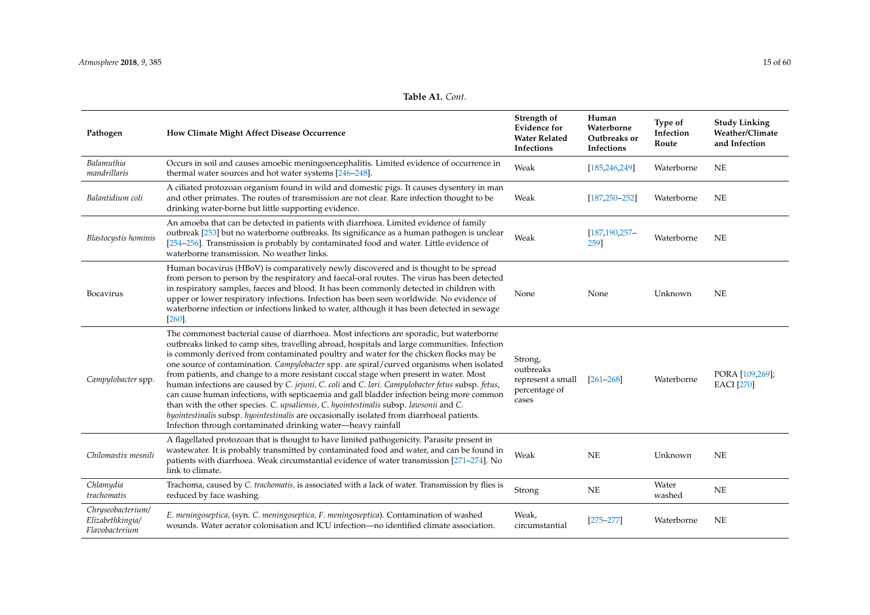| Pathogen                                                | How Climate Might Affect Disease Occurrence                                                                                                                                                                                                                                                                                                                                                                                                                                                                                                                                                                                                                                                                                                                                                                                                                                                                                        | Strength of<br><b>Evidence</b> for<br><b>Water Related</b><br>Infections | Human<br>Waterborne<br>Outbreaks or<br>Infections | Type of<br>Infection<br>Route | <b>Study Linking</b><br>Weather/Climate<br>and Infection |
|---------------------------------------------------------|------------------------------------------------------------------------------------------------------------------------------------------------------------------------------------------------------------------------------------------------------------------------------------------------------------------------------------------------------------------------------------------------------------------------------------------------------------------------------------------------------------------------------------------------------------------------------------------------------------------------------------------------------------------------------------------------------------------------------------------------------------------------------------------------------------------------------------------------------------------------------------------------------------------------------------|--------------------------------------------------------------------------|---------------------------------------------------|-------------------------------|----------------------------------------------------------|
| <b>Balamuthia</b><br>mandrillaris                       | Occurs in soil and causes amoebic meningoencephalitis. Limited evidence of occurrence in<br>thermal water sources and hot water systems [246-248].                                                                                                                                                                                                                                                                                                                                                                                                                                                                                                                                                                                                                                                                                                                                                                                 | Weak                                                                     | [185, 246, 249]                                   | Waterborne                    | <b>NE</b>                                                |
| Balantidium coli                                        | A ciliated protozoan organism found in wild and domestic pigs. It causes dysentery in man<br>and other primates. The routes of transmission are not clear. Rare infection thought to be<br>drinking water-borne but little supporting evidence.                                                                                                                                                                                                                                                                                                                                                                                                                                                                                                                                                                                                                                                                                    | Weak                                                                     | $[187, 250 - 252]$                                | Waterborne                    | <b>NE</b>                                                |
| Blastocystis hominis                                    | An amoeba that can be detected in patients with diarrhoea. Limited evidence of family<br>outbreak [253] but no waterborne outbreaks. Its significance as a human pathogen is unclear<br>[254-256]. Transmission is probably by contaminated food and water. Little evidence of<br>waterborne transmission. No weather links.                                                                                                                                                                                                                                                                                                                                                                                                                                                                                                                                                                                                       | Weak                                                                     | [187, 190, 257]<br>259]                           | Waterborne                    | <b>NE</b>                                                |
| Bocavirus                                               | Human bocavirus (HBoV) is comparatively newly discovered and is thought to be spread<br>from person to person by the respiratory and faecal-oral routes. The virus has been detected<br>in respiratory samples, faeces and blood. It has been commonly detected in children with<br>upper or lower respiratory infections. Infection has been seen worldwide. No evidence of<br>waterborne infection or infections linked to water, although it has been detected in sewage<br>$[260]$ .                                                                                                                                                                                                                                                                                                                                                                                                                                           | None                                                                     | None                                              | Unknown                       | <b>NE</b>                                                |
| Campylobacter spp.                                      | The commonest bacterial cause of diarrhoea. Most infections are sporadic, but waterborne<br>outbreaks linked to camp sites, travelling abroad, hospitals and large communities. Infection<br>is commonly derived from contaminated poultry and water for the chicken flocks may be<br>one source of contamination. Campylobacter spp. are spiral/curved organisms when isolated<br>from patients, and change to a more resistant coccal stage when present in water. Most<br>human infections are caused by C. jejuni, C. coli and C. lari. Campylobacter fetus subsp. fetus,<br>can cause human infections, with septicaemia and gall bladder infection being more common<br>than with the other species. C. upsaliensis, C. hyointestinalis subsp. lawsonii and C.<br>hyointestinalis subsp. hyointestinalis are occasionally isolated from diarrhoeal patients.<br>Infection through contaminated drinking water-heavy rainfall | Strong,<br>outbreaks<br>represent a small<br>percentage of<br>cases      | $[261 - 268]$                                     | Waterborne                    | PORA [109,269];<br><b>EACI</b> [270]                     |
| Chilomastix mesnili                                     | A flagellated protozoan that is thought to have limited pathogenicity. Parasite present in<br>wastewater. It is probably transmitted by contaminated food and water, and can be found in<br>patients with diarrhoea. Weak circumstantial evidence of water transmission [271-274]. No<br>link to climate.                                                                                                                                                                                                                                                                                                                                                                                                                                                                                                                                                                                                                          | Weak                                                                     | NE                                                | Unknown                       | <b>NE</b>                                                |
| Chlamydia<br>trachomatis                                | Trachoma, caused by C. trachomatis, is associated with a lack of water. Transmission by flies is<br>reduced by face washing.                                                                                                                                                                                                                                                                                                                                                                                                                                                                                                                                                                                                                                                                                                                                                                                                       | Strong                                                                   | <b>NE</b>                                         | Water<br>washed               | <b>NE</b>                                                |
| Chryseobacterium/<br>Elizabethkingia/<br>Flavobacterium | E. meningoseptica, (syn. C. meningoseptica, F. meningoseptica). Contamination of washed<br>wounds. Water aerator colonisation and ICU infection—no identified climate association.                                                                                                                                                                                                                                                                                                                                                                                                                                                                                                                                                                                                                                                                                                                                                 | Weak,<br>circumstantial                                                  | $[275 - 277]$                                     | Waterborne                    | <b>NE</b>                                                |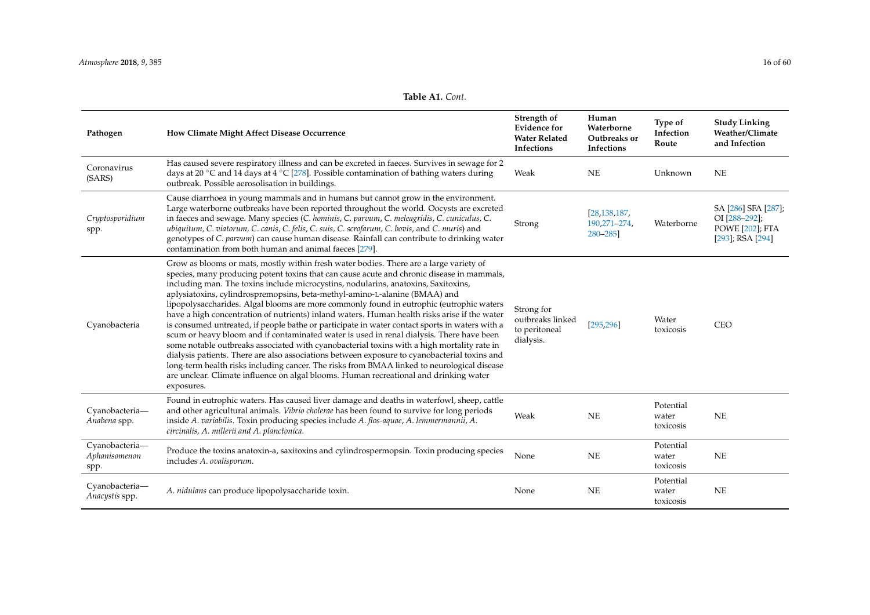| Pathogen                                | How Climate Might Affect Disease Occurrence                                                                                                                                                                                                                                                                                                                                                                                                                                                                                                                                                                                                                                                                                                                                                                                                                                                                                                                                                                                                                                                                                                            | Strength of<br><b>Evidence for</b><br><b>Water Related</b><br>Infections | Human<br>Waterborne<br>Outbreaks or<br>Infections | Type of<br>Infection<br>Route   | <b>Study Linking</b><br>Weather/Climate<br>and Infection                           |
|-----------------------------------------|--------------------------------------------------------------------------------------------------------------------------------------------------------------------------------------------------------------------------------------------------------------------------------------------------------------------------------------------------------------------------------------------------------------------------------------------------------------------------------------------------------------------------------------------------------------------------------------------------------------------------------------------------------------------------------------------------------------------------------------------------------------------------------------------------------------------------------------------------------------------------------------------------------------------------------------------------------------------------------------------------------------------------------------------------------------------------------------------------------------------------------------------------------|--------------------------------------------------------------------------|---------------------------------------------------|---------------------------------|------------------------------------------------------------------------------------|
| Coronavirus<br>(SARS)                   | Has caused severe respiratory illness and can be excreted in faeces. Survives in sewage for 2<br>days at 20 °C and 14 days at 4 °C [278]. Possible contamination of bathing waters during<br>outbreak. Possible aerosolisation in buildings.                                                                                                                                                                                                                                                                                                                                                                                                                                                                                                                                                                                                                                                                                                                                                                                                                                                                                                           | Weak                                                                     | <b>NE</b>                                         | Unknown                         | <b>NE</b>                                                                          |
| Cryptosporidium<br>spp.                 | Cause diarrhoea in young mammals and in humans but cannot grow in the environment.<br>Large waterborne outbreaks have been reported throughout the world. Oocysts are excreted<br>in faeces and sewage. Many species (C. hominis, C. parvum, C. meleagridis, C. cuniculus, C.<br>ubiquitum, C. viatorum, C. canis, C. felis, C. suis, C. scrofarum, C. bovis, and C. muris) and<br>genotypes of C. parvum) can cause human disease. Rainfall can contribute to drinking water<br>contamination from both human and animal faeces [279].                                                                                                                                                                                                                                                                                                                                                                                                                                                                                                                                                                                                                | Strong                                                                   | [28, 138, 187,<br>190,271-274,<br>280-285]        | Waterborne                      | SA [286] SFA [287];<br>OI [288-292];<br><b>POWE</b> [202]; FTA<br>[293]; RSA [294] |
| Cyanobacteria                           | Grow as blooms or mats, mostly within fresh water bodies. There are a large variety of<br>species, many producing potent toxins that can cause acute and chronic disease in mammals,<br>including man. The toxins include microcystins, nodularins, anatoxins, Saxitoxins,<br>aplysiatoxins, cylindrospremopsins, beta-methyl-amino-L-alanine (BMAA) and<br>lipopolysaccharides. Algal blooms are more commonly found in eutrophic (eutrophic waters<br>have a high concentration of nutrients) inland waters. Human health risks arise if the water<br>is consumed untreated, if people bathe or participate in water contact sports in waters with a<br>scum or heavy bloom and if contaminated water is used in renal dialysis. There have been<br>some notable outbreaks associated with cyanobacterial toxins with a high mortality rate in<br>dialysis patients. There are also associations between exposure to cyanobacterial toxins and<br>long-term health risks including cancer. The risks from BMAA linked to neurological disease<br>are unclear. Climate influence on algal blooms. Human recreational and drinking water<br>exposures. | Strong for<br>outbreaks linked<br>to peritoneal<br>dialysis.             | [295, 296]                                        | Water<br>toxicosis              | <b>CEO</b>                                                                         |
| Cyanobacteria-<br>Anabena spp.          | Found in eutrophic waters. Has caused liver damage and deaths in waterfowl, sheep, cattle<br>and other agricultural animals. Vibrio cholerae has been found to survive for long periods<br>inside A. variabilis. Toxin producing species include A. flos-aquae, A. lemmermannii, A.<br>circinalis, A. millerii and A. planctonica.                                                                                                                                                                                                                                                                                                                                                                                                                                                                                                                                                                                                                                                                                                                                                                                                                     | Weak                                                                     | <b>NE</b>                                         | Potential<br>water<br>toxicosis | <b>NE</b>                                                                          |
| Cyanobacteria-<br>Aphanisomenon<br>spp. | Produce the toxins anatoxin-a, saxitoxins and cylindrospermopsin. Toxin producing species<br>includes A. ovalisporum.                                                                                                                                                                                                                                                                                                                                                                                                                                                                                                                                                                                                                                                                                                                                                                                                                                                                                                                                                                                                                                  | None                                                                     | <b>NE</b>                                         | Potential<br>water<br>toxicosis | <b>NE</b>                                                                          |
| Cyanobacteria-<br>Anacystis spp.        | A. nidulans can produce lipopolysaccharide toxin.                                                                                                                                                                                                                                                                                                                                                                                                                                                                                                                                                                                                                                                                                                                                                                                                                                                                                                                                                                                                                                                                                                      | None                                                                     | <b>NE</b>                                         | Potential<br>water<br>toxicosis | <b>NE</b>                                                                          |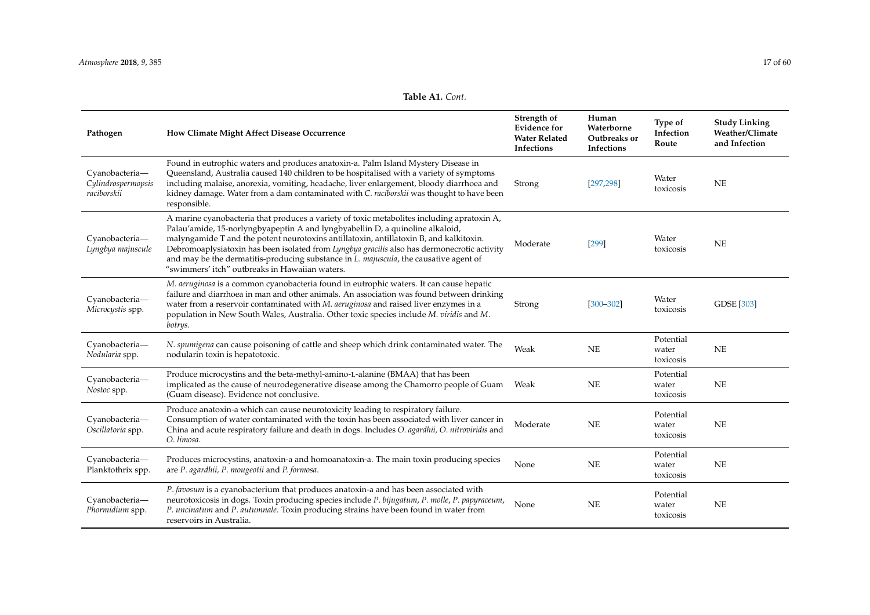| Pathogen                                            | How Climate Might Affect Disease Occurrence                                                                                                                                                                                                                                                                                                                                                                                                                                                                     | Strength of<br><b>Evidence for</b><br><b>Water Related</b><br>Infections | Human<br>Waterborne<br>Outbreaks or<br><b>Infections</b> | Type of<br>Infection<br>Route   | <b>Study Linking</b><br>Weather/Climate<br>and Infection |
|-----------------------------------------------------|-----------------------------------------------------------------------------------------------------------------------------------------------------------------------------------------------------------------------------------------------------------------------------------------------------------------------------------------------------------------------------------------------------------------------------------------------------------------------------------------------------------------|--------------------------------------------------------------------------|----------------------------------------------------------|---------------------------------|----------------------------------------------------------|
| Cyanobacteria-<br>Cylindrospermopsis<br>raciborskii | Found in eutrophic waters and produces anatoxin-a. Palm Island Mystery Disease in<br>Queensland, Australia caused 140 children to be hospitalised with a variety of symptoms<br>including malaise, anorexia, vomiting, headache, liver enlargement, bloody diarrhoea and<br>kidney damage. Water from a dam contaminated with C. raciborskii was thought to have been<br>responsible.                                                                                                                           | Strong                                                                   | [297, 298]                                               | Water<br>toxicosis              | NE                                                       |
| Cyanobacteria-<br>Lyngbya majuscule                 | A marine cyanobacteria that produces a variety of toxic metabolites including apratoxin A,<br>Palau'amide, 15-norlyngbyapeptin A and lyngbyabellin D, a quinoline alkaloid,<br>malyngamide T and the potent neurotoxins antillatoxin, antillatoxin B, and kalkitoxin.<br>Debromoaplysiatoxin has been isolated from Lyngbya gracilis also has dermonecrotic activity<br>and may be the dermatitis-producing substance in L. majuscula, the causative agent of<br>"swimmers' itch" outbreaks in Hawaiian waters. | Moderate                                                                 | $[299]$                                                  | Water<br>toxicosis              | <b>NE</b>                                                |
| Cyanobacteria-<br>Microcystis spp.                  | M. aeruginosa is a common cyanobacteria found in eutrophic waters. It can cause hepatic<br>failure and diarrhoea in man and other animals. An association was found between drinking<br>water from a reservoir contaminated with $M$ . $a$ eruginosa and raised liver enzymes in a<br>population in New South Wales, Australia. Other toxic species include M. viridis and M.<br>botrys.                                                                                                                        | Strong                                                                   | $[300 - 302]$                                            | Water<br>toxicosis              | <b>GDSE</b> [303]                                        |
| Cyanobacteria-<br>Nodularia spp.                    | N. spumigena can cause poisoning of cattle and sheep which drink contaminated water. The<br>nodularin toxin is hepatotoxic.                                                                                                                                                                                                                                                                                                                                                                                     | Weak                                                                     | <b>NE</b>                                                | Potential<br>water<br>toxicosis | <b>NE</b>                                                |
| Cyanobacteria-<br>Nostoc spp.                       | Produce microcystins and the beta-methyl-amino-L-alanine (BMAA) that has been<br>implicated as the cause of neurodegenerative disease among the Chamorro people of Guam<br>(Guam disease). Evidence not conclusive.                                                                                                                                                                                                                                                                                             | Weak                                                                     | <b>NE</b>                                                | Potential<br>water<br>toxicosis | <b>NE</b>                                                |
| Cyanobacteria-<br>Oscillatoria spp.                 | Produce anatoxin-a which can cause neurotoxicity leading to respiratory failure.<br>Consumption of water contaminated with the toxin has been associated with liver cancer in<br>China and acute respiratory failure and death in dogs. Includes O. agardhii, O. nitroviridis and<br>O. limosa.                                                                                                                                                                                                                 | Moderate                                                                 | <b>NE</b>                                                | Potential<br>water<br>toxicosis | <b>NE</b>                                                |
| Cyanobacteria-<br>Planktothrix spp.                 | Produces microcystins, anatoxin-a and homoanatoxin-a. The main toxin producing species<br>are P. agardhii, P. mougeotii and P. formosa.                                                                                                                                                                                                                                                                                                                                                                         | None                                                                     | NE                                                       | Potential<br>water<br>toxicosis | <b>NE</b>                                                |
| Cyanobacteria-<br>Phormidium spp.                   | P. favosum is a cyanobacterium that produces anatoxin-a and has been associated with<br>neurotoxicosis in dogs. Toxin producing species include P. bijugatum, P. molle, P. papyraceum,<br>P. uncinatum and P. autumnale. Toxin producing strains have been found in water from<br>reservoirs in Australia.                                                                                                                                                                                                      | None                                                                     | <b>NE</b>                                                | Potential<br>water<br>toxicosis | <b>NE</b>                                                |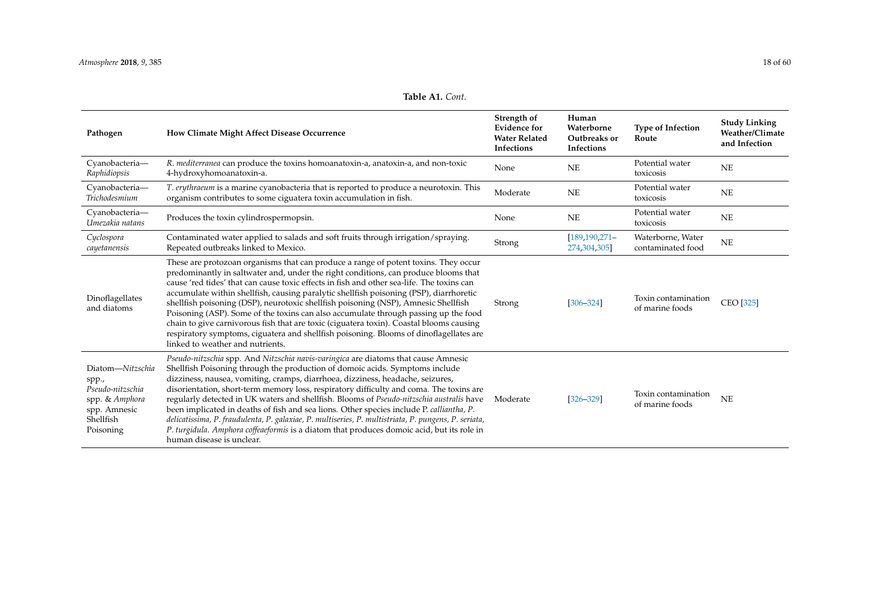| Pathogen                                                                                                  | How Climate Might Affect Disease Occurrence                                                                                                                                                                                                                                                                                                                                                                                                                                                                                                                                                                                                                                                                                                                                | Strength of<br><b>Evidence for</b><br><b>Water Related</b><br>Infections | Human<br>Waterborne<br>Outbreaks or<br><b>Infections</b> | <b>Type of Infection</b><br>Route      | <b>Study Linking</b><br>Weather/Climate<br>and Infection |
|-----------------------------------------------------------------------------------------------------------|----------------------------------------------------------------------------------------------------------------------------------------------------------------------------------------------------------------------------------------------------------------------------------------------------------------------------------------------------------------------------------------------------------------------------------------------------------------------------------------------------------------------------------------------------------------------------------------------------------------------------------------------------------------------------------------------------------------------------------------------------------------------------|--------------------------------------------------------------------------|----------------------------------------------------------|----------------------------------------|----------------------------------------------------------|
| Cyanobacteria-<br>Raphidiopsis                                                                            | R. mediterranea can produce the toxins homoanatoxin-a, anatoxin-a, and non-toxic<br>4-hydroxyhomoanatoxin-a.                                                                                                                                                                                                                                                                                                                                                                                                                                                                                                                                                                                                                                                               | None                                                                     | <b>NE</b>                                                | Potential water<br>toxicosis           | <b>NE</b>                                                |
| Cyanobacteria-<br>Trichodesmium                                                                           | T. erythraeum is a marine cyanobacteria that is reported to produce a neurotoxin. This<br>organism contributes to some ciguatera toxin accumulation in fish.                                                                                                                                                                                                                                                                                                                                                                                                                                                                                                                                                                                                               | Moderate                                                                 | <b>NE</b>                                                | Potential water<br>toxicosis           | <b>NE</b>                                                |
| Cyanobacteria-<br>Umezakia natans                                                                         | Produces the toxin cylindrospermopsin.                                                                                                                                                                                                                                                                                                                                                                                                                                                                                                                                                                                                                                                                                                                                     | None                                                                     | NE                                                       | Potential water<br>toxicosis           | <b>NE</b>                                                |
| Cyclospora<br>cayetanensis                                                                                | Contaminated water applied to salads and soft fruits through irrigation/spraying.<br>Repeated outbreaks linked to Mexico.                                                                                                                                                                                                                                                                                                                                                                                                                                                                                                                                                                                                                                                  | Strong                                                                   | $[189, 190, 271 -$<br>274,304,305]                       | Waterborne, Water<br>contaminated food | <b>NE</b>                                                |
| Dinoflagellates<br>and diatoms                                                                            | These are protozoan organisms that can produce a range of potent toxins. They occur<br>predominantly in saltwater and, under the right conditions, can produce blooms that<br>cause 'red tides' that can cause toxic effects in fish and other sea-life. The toxins can<br>accumulate within shellfish, causing paralytic shellfish poisoning (PSP), diarrhoretic<br>shellfish poisoning (DSP), neurotoxic shellfish poisoning (NSP), Amnesic Shellfish<br>Poisoning (ASP). Some of the toxins can also accumulate through passing up the food<br>chain to give carnivorous fish that are toxic (ciguatera toxin). Coastal blooms causing<br>respiratory symptoms, ciguatera and shellfish poisoning. Blooms of dinoflagellates are<br>linked to weather and nutrients.    | Strong                                                                   | $[306 - 324]$                                            | Toxin contamination<br>of marine foods | CEO <sup>[325]</sup>                                     |
| Diatom-Nitzschia<br>spp.,<br>Pseudo-nitzschia<br>spp. & Amphora<br>spp. Amnesic<br>Shellfish<br>Poisoning | Pseudo-nitzschia spp. And Nitzschia navis-varingica are diatoms that cause Amnesic<br>Shellfish Poisoning through the production of domoic acids. Symptoms include<br>dizziness, nausea, vomiting, cramps, diarrhoea, dizziness, headache, seizures,<br>disorientation, short-term memory loss, respiratory difficulty and coma. The toxins are<br>regularly detected in UK waters and shellfish. Blooms of Pseudo-nitzschia australis have<br>been implicated in deaths of fish and sea lions. Other species include P. calliantha, P.<br>delicatissima, P. fraudulenta, P. galaxiae, P. multiseries, P. multistriata, P. pungens, P. seriata,<br>P. turgidula. Amphora coffeaeformis is a diatom that produces domoic acid, but its role in<br>human disease is unclear. | Moderate                                                                 | $[326 - 329]$                                            | Toxin contamination<br>of marine foods | <b>NE</b>                                                |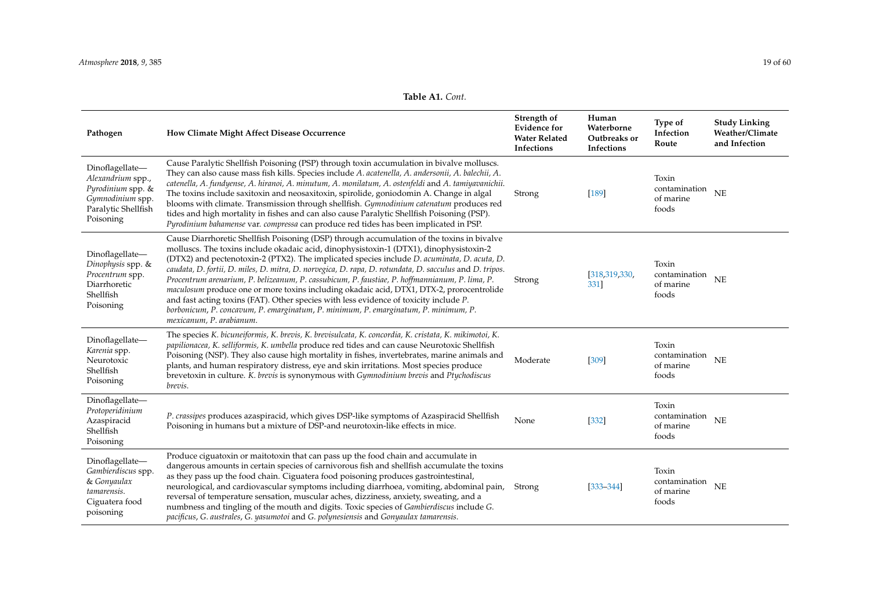| Pathogen                                                                                                          | How Climate Might Affect Disease Occurrence                                                                                                                                                                                                                                                                                                                                                                                                                                                                                                                                                                                                                                                                                                                                                                      | Strength of<br><b>Evidence</b> for<br><b>Water Related</b><br>Infections | Human<br>Waterborne<br>Outbreaks or<br>Infections | Type of<br>Infection<br>Route                | <b>Study Linking</b><br>Weather/Climate<br>and Infection |
|-------------------------------------------------------------------------------------------------------------------|------------------------------------------------------------------------------------------------------------------------------------------------------------------------------------------------------------------------------------------------------------------------------------------------------------------------------------------------------------------------------------------------------------------------------------------------------------------------------------------------------------------------------------------------------------------------------------------------------------------------------------------------------------------------------------------------------------------------------------------------------------------------------------------------------------------|--------------------------------------------------------------------------|---------------------------------------------------|----------------------------------------------|----------------------------------------------------------|
| Dinoflagellate-<br>Alexandrium spp.,<br>Pyrodinium spp. &<br>Gymnodinium spp.<br>Paralytic Shellfish<br>Poisoning | Cause Paralytic Shellfish Poisoning (PSP) through toxin accumulation in bivalve molluscs.<br>They can also cause mass fish kills. Species include A. acatenella, A. andersonii, A. balechii, A.<br>catenella, A. fundyense, A. hiranoi, A. minutum, A. monilatum, A. ostenfeldi and A. tamiyavanichii.<br>The toxins include saxitoxin and neosaxitoxin, spirolide, goniodomin A. Change in algal<br>blooms with climate. Transmission through shellfish. Gymnodinium catenatum produces red<br>tides and high mortality in fishes and can also cause Paralytic Shellfish Poisoning (PSP).<br>Pyrodinium bahamense var. compressa can produce red tides has been implicated in PSP.                                                                                                                              | Strong                                                                   | $[189]$                                           | Toxin<br>contamination<br>of marine<br>foods | <b>NE</b>                                                |
| Dinoflagellate-<br>Dinophysis spp. &<br>Procentrum spp.<br>Diarrhoretic<br>Shellfish<br>Poisoning                 | Cause Diarrhoretic Shellfish Poisoning (DSP) through accumulation of the toxins in bivalve<br>molluscs. The toxins include okadaic acid, dinophysistoxin-1 (DTX1), dinophysistoxin-2<br>(DTX2) and pectenotoxin-2 (PTX2). The implicated species include <i>D. acuminata, D. acuta, D.</i><br>caudata, D. fortii, D. miles, D. mitra, D. norvegica, D. rapa, D. rotundata, D. sacculus and D. tripos.<br>Procentrum arenarium, P. belizeanum, P. cassubicum, P. faustiae, P. hoffmannianum, P. lima, P.<br>maculosum produce one or more toxins including okadaic acid, DTX1, DTX-2, prorocentrolide<br>and fast acting toxins (FAT). Other species with less evidence of toxicity include P.<br>borbonicum, P. concavum, P. emarginatum, P. minimum, P. emarginatum, P. minimum, P.<br>mexicanum, P. arabianum. | Strong                                                                   | [318, 319, 330,<br>331]                           | Toxin<br>contamination<br>of marine<br>foods | <b>NE</b>                                                |
| Dinoflagellate-<br>Karenia spp.<br>Neurotoxic<br>Shellfish<br>Poisoning                                           | The species K. bicuneiformis, K. brevis, K. brevisulcata, K. concordia, K. cristata, K. mikimotoi, K.<br>papilionacea, K. selliformis, K. umbella produce red tides and can cause Neurotoxic Shellfish<br>Poisoning (NSP). They also cause high mortality in fishes, invertebrates, marine animals and<br>plants, and human respiratory distress, eye and skin irritations. Most species produce<br>brevetoxin in culture. K. brevis is synonymous with Gymnodinium brevis and Ptychodiscus<br>brevis.                                                                                                                                                                                                                                                                                                           | Moderate                                                                 | $[309]$                                           | Toxin<br>contamination<br>of marine<br>foods | <b>NE</b>                                                |
| Dinoflagellate-<br>Protoperidinium<br>Azaspiracid<br>Shellfish<br>Poisoning                                       | P. crassipes produces azaspiracid, which gives DSP-like symptoms of Azaspiracid Shellfish<br>Poisoning in humans but a mixture of DSP-and neurotoxin-like effects in mice.                                                                                                                                                                                                                                                                                                                                                                                                                                                                                                                                                                                                                                       | None                                                                     | $[332]$                                           | Toxin<br>contamination<br>of marine<br>foods | <b>NE</b>                                                |
| Dinoflagellate-<br>Gambierdiscus spp.<br>& Gonyaulax<br>tamarensis.<br>Ciguatera food<br>poisoning                | Produce ciguatoxin or maitotoxin that can pass up the food chain and accumulate in<br>dangerous amounts in certain species of carnivorous fish and shellfish accumulate the toxins<br>as they pass up the food chain. Ciguatera food poisoning produces gastrointestinal,<br>neurological, and cardiovascular symptoms including diarrhoea, vomiting, abdominal pain,<br>reversal of temperature sensation, muscular aches, dizziness, anxiety, sweating, and a<br>numbness and tingling of the mouth and digits. Toxic species of Gambierdiscus include G.<br>pacificus, G. australes, G. yasumotoi and G. polynesiensis and Gonyaulax tamarensis.                                                                                                                                                              | Strong                                                                   | $[333 - 344]$                                     | Toxin<br>contamination<br>of marine<br>foods | <b>NE</b>                                                |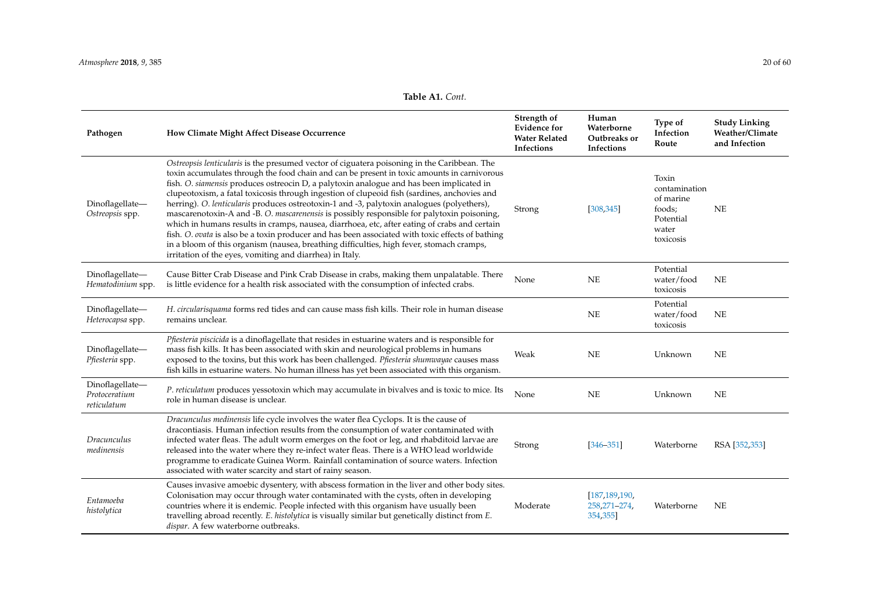| Pathogen                                        | How Climate Might Affect Disease Occurrence                                                                                                                                                                                                                                                                                                                                                                                                                                                                                                                                                                                                                                                                                                                                                                                                                                                                                                   | Strength of<br><b>Evidence</b> for<br><b>Water Related</b><br>Infections | Human<br>Waterborne<br>Outbreaks or<br>Infections | Type of<br>Infection<br>Route                                                    | <b>Study Linking</b><br>Weather/Climate<br>and Infection |
|-------------------------------------------------|-----------------------------------------------------------------------------------------------------------------------------------------------------------------------------------------------------------------------------------------------------------------------------------------------------------------------------------------------------------------------------------------------------------------------------------------------------------------------------------------------------------------------------------------------------------------------------------------------------------------------------------------------------------------------------------------------------------------------------------------------------------------------------------------------------------------------------------------------------------------------------------------------------------------------------------------------|--------------------------------------------------------------------------|---------------------------------------------------|----------------------------------------------------------------------------------|----------------------------------------------------------|
| Dinoflagellate-<br>Ostreopsis spp.              | Ostreopsis lenticularis is the presumed vector of ciguatera poisoning in the Caribbean. The<br>toxin accumulates through the food chain and can be present in toxic amounts in carnivorous<br>fish. O. siamensis produces ostreocin D, a palytoxin analogue and has been implicated in<br>clupeotoxism, a fatal toxicosis through ingestion of clupeoid fish (sardines, anchovies and<br>herring). O. lenticularis produces ostreotoxin-1 and -3, palytoxin analogues (polyethers),<br>mascarenotoxin-A and -B. O. mascarenensis is possibly responsible for palytoxin poisoning,<br>which in humans results in cramps, nausea, diarrhoea, etc, after eating of crabs and certain<br>fish. O. ovata is also be a toxin producer and has been associated with toxic effects of bathing<br>in a bloom of this organism (nausea, breathing difficulties, high fever, stomach cramps,<br>irritation of the eyes, vomiting and diarrhea) in Italy. | Strong                                                                   | [308, 345]                                        | Toxin<br>contamination<br>of marine<br>foods;<br>Potential<br>water<br>toxicosis | <b>NE</b>                                                |
| Dinoflagellate-<br>Hematodinium spp.            | Cause Bitter Crab Disease and Pink Crab Disease in crabs, making them unpalatable. There<br>is little evidence for a health risk associated with the consumption of infected crabs.                                                                                                                                                                                                                                                                                                                                                                                                                                                                                                                                                                                                                                                                                                                                                           | None                                                                     | <b>NE</b>                                         | Potential<br>water/food<br>toxicosis                                             | <b>NE</b>                                                |
| Dinoflagellate-<br>Heterocapsa spp.             | H. circularisquama forms red tides and can cause mass fish kills. Their role in human disease<br>remains unclear.                                                                                                                                                                                                                                                                                                                                                                                                                                                                                                                                                                                                                                                                                                                                                                                                                             |                                                                          | <b>NE</b>                                         | Potential<br>water/food<br>toxicosis                                             | <b>NE</b>                                                |
| Dinoflagellate-<br>Pfiesteria spp.              | Pfiesteria piscicida is a dinoflagellate that resides in estuarine waters and is responsible for<br>mass fish kills. It has been associated with skin and neurological problems in humans<br>exposed to the toxins, but this work has been challenged. Pfiesteria shumwayae causes mass<br>fish kills in estuarine waters. No human illness has yet been associated with this organism.                                                                                                                                                                                                                                                                                                                                                                                                                                                                                                                                                       | Weak                                                                     | <b>NE</b>                                         | Unknown                                                                          | <b>NE</b>                                                |
| Dinoflagellate-<br>Protoceratium<br>reticulatum | P. reticulatum produces yessotoxin which may accumulate in bivalves and is toxic to mice. Its<br>role in human disease is unclear.                                                                                                                                                                                                                                                                                                                                                                                                                                                                                                                                                                                                                                                                                                                                                                                                            | None                                                                     | <b>NE</b>                                         | Unknown                                                                          | <b>NE</b>                                                |
| Dracunculus<br>medinensis                       | Dracunculus medinensis life cycle involves the water flea Cyclops. It is the cause of<br>dracontiasis. Human infection results from the consumption of water contaminated with<br>infected water fleas. The adult worm emerges on the foot or leg, and rhabditoid larvae are<br>released into the water where they re-infect water fleas. There is a WHO lead worldwide<br>programme to eradicate Guinea Worm. Rainfall contamination of source waters. Infection<br>associated with water scarcity and start of rainy season.                                                                                                                                                                                                                                                                                                                                                                                                                | Strong                                                                   | $[346 - 351]$                                     | Waterborne                                                                       | RSA [352,353]                                            |
| Entamoeba<br>histolytica                        | Causes invasive amoebic dysentery, with abscess formation in the liver and other body sites.<br>Colonisation may occur through water contaminated with the cysts, often in developing<br>countries where it is endemic. People infected with this organism have usually been<br>travelling abroad recently. E. histolytica is visually similar but genetically distinct from E.<br>dispar. A few waterborne outbreaks.                                                                                                                                                                                                                                                                                                                                                                                                                                                                                                                        | Moderate                                                                 | [187, 189, 190,<br>258, 271 - 274,<br>354,355]    | Waterborne                                                                       | <b>NE</b>                                                |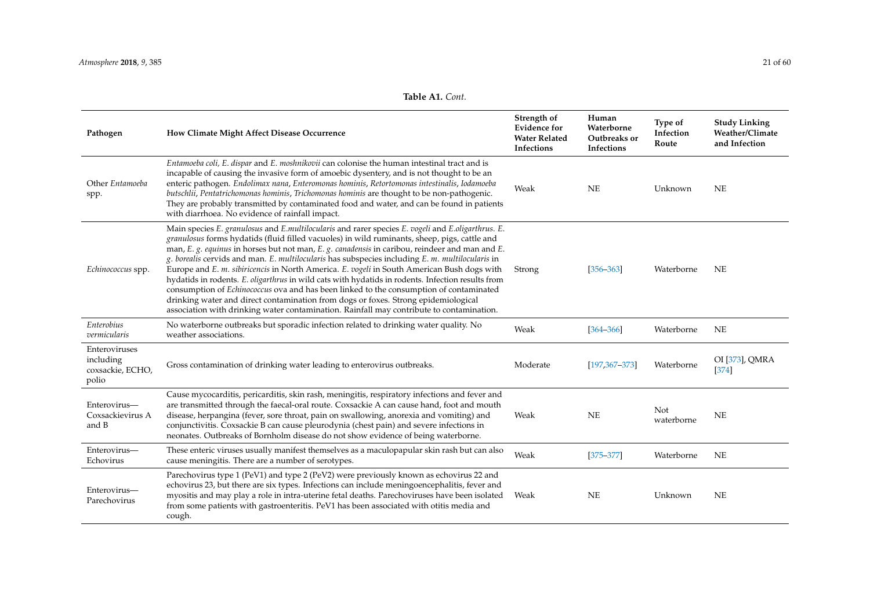| Pathogen                                                | How Climate Might Affect Disease Occurrence                                                                                                                                                                                                                                                                                                                                                                                                                                                                                                                                                                                                                                                                                                                                                                                                                                           | Strength of<br><b>Evidence</b> for<br><b>Water Related</b><br>Infections | Human<br>Waterborne<br>Outbreaks or<br>Infections | Type of<br>Infection<br>Route | <b>Study Linking</b><br>Weather/Climate<br>and Infection |
|---------------------------------------------------------|---------------------------------------------------------------------------------------------------------------------------------------------------------------------------------------------------------------------------------------------------------------------------------------------------------------------------------------------------------------------------------------------------------------------------------------------------------------------------------------------------------------------------------------------------------------------------------------------------------------------------------------------------------------------------------------------------------------------------------------------------------------------------------------------------------------------------------------------------------------------------------------|--------------------------------------------------------------------------|---------------------------------------------------|-------------------------------|----------------------------------------------------------|
| Other Entamoeba<br>spp.                                 | Entamoeba coli, E. dispar and E. moshnikovii can colonise the human intestinal tract and is<br>incapable of causing the invasive form of amoebic dysentery, and is not thought to be an<br>enteric pathogen. Endolimax nana, Enteromonas hominis, Retortomonas intestinalis, Iodamoeba<br>butschlii, Pentatrichomonas hominis, Trichomonas hominis are thought to be non-pathogenic.<br>They are probably transmitted by contaminated food and water, and can be found in patients<br>with diarrhoea. No evidence of rainfall impact.                                                                                                                                                                                                                                                                                                                                                 | Weak                                                                     | <b>NE</b>                                         | Unknown                       | <b>NE</b>                                                |
| Echinococcus spp.                                       | Main species E. granulosus and E.multilocularis and rarer species E. vogeli and E.oligarthrus. E.<br>granulosus forms hydatids (fluid filled vacuoles) in wild ruminants, sheep, pigs, cattle and<br>man, E. g. equinus in horses but not man, E. g. canadensis in caribou, reindeer and man and E.<br>g. borealis cervids and man. E. multilocularis has subspecies including E. m. multilocularis in<br>Europe and E. m. sibiricencis in North America. E. vogeli in South American Bush dogs with<br>hydatids in rodents. E. oligarthrus in wild cats with hydatids in rodents. Infection results from<br>consumption of Echinococcus ova and has been linked to the consumption of contaminated<br>drinking water and direct contamination from dogs or foxes. Strong epidemiological<br>association with drinking water contamination. Rainfall may contribute to contamination. | Strong                                                                   | $[356 - 363]$                                     | Waterborne                    | <b>NE</b>                                                |
| Enterobius<br>vermicularis                              | No waterborne outbreaks but sporadic infection related to drinking water quality. No<br>weather associations.                                                                                                                                                                                                                                                                                                                                                                                                                                                                                                                                                                                                                                                                                                                                                                         | Weak                                                                     | $[364 - 366]$                                     | Waterborne                    | NE                                                       |
| Enteroviruses<br>including<br>coxsackie, ECHO,<br>polio | Gross contamination of drinking water leading to enterovirus outbreaks.                                                                                                                                                                                                                                                                                                                                                                                                                                                                                                                                                                                                                                                                                                                                                                                                               | Moderate                                                                 | $[197, 367 - 373]$                                | Waterborne                    | OI [373], QMRA<br>$[374]$                                |
| Enterovirus-<br>Coxsackievirus A<br>and B               | Cause mycocarditis, pericarditis, skin rash, meningitis, respiratory infections and fever and<br>are transmitted through the faecal-oral route. Coxsackie A can cause hand, foot and mouth<br>disease, herpangina (fever, sore throat, pain on swallowing, anorexia and vomiting) and<br>conjunctivitis. Coxsackie B can cause pleurodynia (chest pain) and severe infections in<br>neonates. Outbreaks of Bornholm disease do not show evidence of being waterborne.                                                                                                                                                                                                                                                                                                                                                                                                                 | Weak                                                                     | <b>NE</b>                                         | Not<br>waterborne             | <b>NE</b>                                                |
| Enterovirus-<br>Echovirus                               | These enteric viruses usually manifest themselves as a maculopapular skin rash but can also<br>cause meningitis. There are a number of serotypes.                                                                                                                                                                                                                                                                                                                                                                                                                                                                                                                                                                                                                                                                                                                                     | Weak                                                                     | $[375 - 377]$                                     | Waterborne                    | <b>NE</b>                                                |
| Enterovirus-<br>Parechovirus                            | Parechovirus type 1 (PeV1) and type 2 (PeV2) were previously known as echovirus 22 and<br>echovirus 23, but there are six types. Infections can include meningoencephalitis, fever and<br>myositis and may play a role in intra-uterine fetal deaths. Parechoviruses have been isolated<br>from some patients with gastroenteritis. PeV1 has been associated with otitis media and<br>cough.                                                                                                                                                                                                                                                                                                                                                                                                                                                                                          | Weak                                                                     | <b>NE</b>                                         | Unknown                       | <b>NE</b>                                                |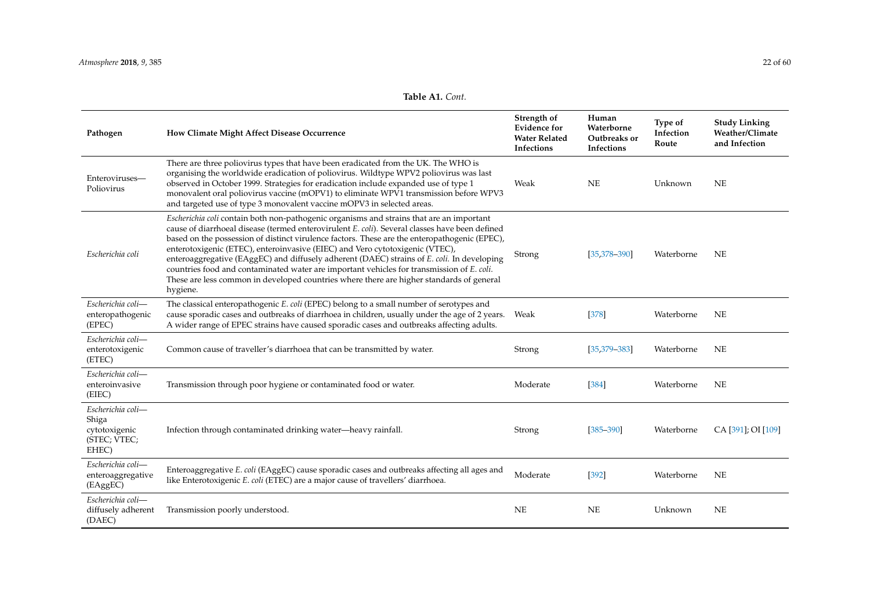| Pathogen                                                             | How Climate Might Affect Disease Occurrence                                                                                                                                                                                                                                                                                                                                                                                                                                                                                                                                                                                                                                    | Strength of<br><b>Evidence</b> for<br><b>Water Related</b><br>Infections | Human<br>Waterborne<br>Outbreaks or<br>Infections | Type of<br>Infection<br>Route | <b>Study Linking</b><br>Weather/Climate<br>and Infection |
|----------------------------------------------------------------------|--------------------------------------------------------------------------------------------------------------------------------------------------------------------------------------------------------------------------------------------------------------------------------------------------------------------------------------------------------------------------------------------------------------------------------------------------------------------------------------------------------------------------------------------------------------------------------------------------------------------------------------------------------------------------------|--------------------------------------------------------------------------|---------------------------------------------------|-------------------------------|----------------------------------------------------------|
| Enteroviruses-<br>Poliovirus                                         | There are three poliovirus types that have been eradicated from the UK. The WHO is<br>organising the worldwide eradication of poliovirus. Wildtype WPV2 poliovirus was last<br>observed in October 1999. Strategies for eradication include expanded use of type 1<br>monovalent oral poliovirus vaccine (mOPV1) to eliminate WPV1 transmission before WPV3<br>and targeted use of type 3 monovalent vaccine mOPV3 in selected areas.                                                                                                                                                                                                                                          | Weak                                                                     | <b>NE</b>                                         | Unknown                       | <b>NE</b>                                                |
| Escherichia coli                                                     | Escherichia coli contain both non-pathogenic organisms and strains that are an important<br>cause of diarrhoeal disease (termed enterovirulent E. coli). Several classes have been defined<br>based on the possession of distinct virulence factors. These are the enteropathogenic (EPEC),<br>enterotoxigenic (ETEC), enteroinvasive (EIEC) and Vero cytotoxigenic (VTEC),<br>enteroaggregative (EAggEC) and diffusely adherent (DAEC) strains of E. coli. In developing<br>countries food and contaminated water are important vehicles for transmission of E. coli.<br>These are less common in developed countries where there are higher standards of general<br>hygiene. | Strong                                                                   | $[35, 378 - 390]$                                 | Waterborne                    | <b>NE</b>                                                |
| Escherichia coli-<br>enteropathogenic<br>(EPEC)                      | The classical enteropathogenic E. coli (EPEC) belong to a small number of serotypes and<br>cause sporadic cases and outbreaks of diarrhoea in children, usually under the age of 2 years.<br>A wider range of EPEC strains have caused sporadic cases and outbreaks affecting adults.                                                                                                                                                                                                                                                                                                                                                                                          | Weak                                                                     | $[378]$                                           | Waterborne                    | <b>NE</b>                                                |
| Escherichia coli-<br>enterotoxigenic<br>(ETEC)                       | Common cause of traveller's diarrhoea that can be transmitted by water.                                                                                                                                                                                                                                                                                                                                                                                                                                                                                                                                                                                                        | Strong                                                                   | $[35, 379 - 383]$                                 | Waterborne                    | <b>NE</b>                                                |
| Escherichia coli-<br>enteroinvasive<br>(EIEC)                        | Transmission through poor hygiene or contaminated food or water.                                                                                                                                                                                                                                                                                                                                                                                                                                                                                                                                                                                                               | Moderate                                                                 | $[384]$                                           | Waterborne                    | <b>NE</b>                                                |
| Escherichia coli-<br>Shiga<br>cytotoxigenic<br>(STEC; VTEC;<br>EHEC) | Infection through contaminated drinking water—heavy rainfall.                                                                                                                                                                                                                                                                                                                                                                                                                                                                                                                                                                                                                  | Strong                                                                   | $[385 - 390]$                                     | Waterborne                    | CA [391]; OI [109]                                       |
| Escherichia coli-<br>enteroaggregative<br>(EAggEC)                   | Enteroaggregative E. coli (EAggEC) cause sporadic cases and outbreaks affecting all ages and<br>like Enterotoxigenic E. coli (ETEC) are a major cause of travellers' diarrhoea.                                                                                                                                                                                                                                                                                                                                                                                                                                                                                                | Moderate                                                                 | $[392]$                                           | Waterborne                    | <b>NE</b>                                                |
| Escherichia coli-<br>diffusely adherent<br>(DAEC)                    | Transmission poorly understood.                                                                                                                                                                                                                                                                                                                                                                                                                                                                                                                                                                                                                                                | NE                                                                       | NE                                                | Unknown                       | NE                                                       |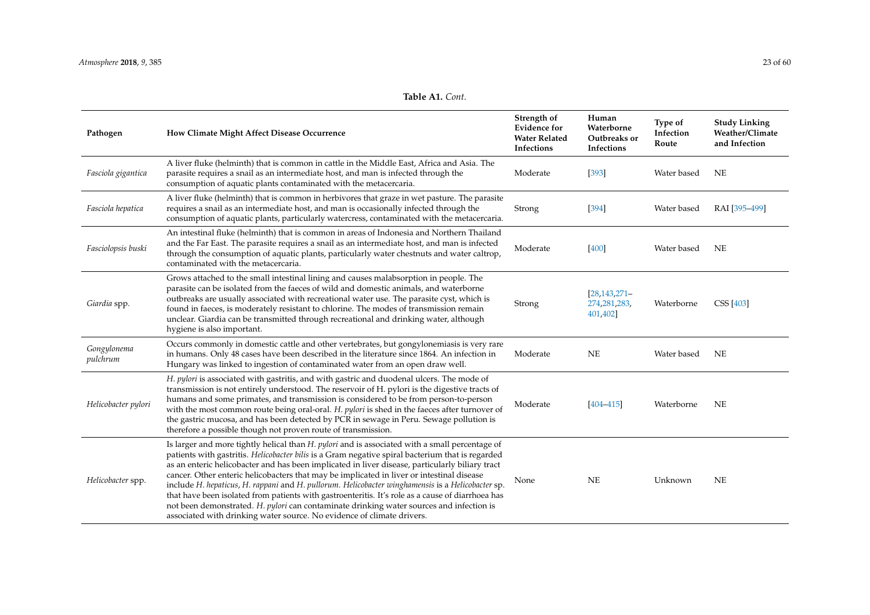| Pathogen                | How Climate Might Affect Disease Occurrence                                                                                                                                                                                                                                                                                                                                                                                                                                                                                                                                                                                                                                                                                                                                        | Strength of<br><b>Evidence</b> for<br><b>Water Related</b><br>Infections | Human<br>Waterborne<br>Outbreaks or<br>Infections | Type of<br>Infection<br>Route | <b>Study Linking</b><br>Weather/Climate<br>and Infection |
|-------------------------|------------------------------------------------------------------------------------------------------------------------------------------------------------------------------------------------------------------------------------------------------------------------------------------------------------------------------------------------------------------------------------------------------------------------------------------------------------------------------------------------------------------------------------------------------------------------------------------------------------------------------------------------------------------------------------------------------------------------------------------------------------------------------------|--------------------------------------------------------------------------|---------------------------------------------------|-------------------------------|----------------------------------------------------------|
| Fasciola gigantica      | A liver fluke (helminth) that is common in cattle in the Middle East, Africa and Asia. The<br>parasite requires a snail as an intermediate host, and man is infected through the<br>consumption of aquatic plants contaminated with the metacercaria.                                                                                                                                                                                                                                                                                                                                                                                                                                                                                                                              | Moderate                                                                 | $[393]$                                           | Water based                   | NE                                                       |
| Fasciola hepatica       | A liver fluke (helminth) that is common in herbivores that graze in wet pasture. The parasite<br>requires a snail as an intermediate host, and man is occasionally infected through the<br>consumption of aquatic plants, particularly watercress, contaminated with the metacercaria.                                                                                                                                                                                                                                                                                                                                                                                                                                                                                             | Strong                                                                   | $[394]$                                           | Water based                   | RAI [395-499]                                            |
| Fasciolopsis buski      | An intestinal fluke (helminth) that is common in areas of Indonesia and Northern Thailand<br>and the Far East. The parasite requires a snail as an intermediate host, and man is infected<br>through the consumption of aquatic plants, particularly water chestnuts and water caltrop,<br>contaminated with the metacercaria.                                                                                                                                                                                                                                                                                                                                                                                                                                                     | Moderate                                                                 | [400]                                             | Water based                   | <b>NE</b>                                                |
| Giardia spp.            | Grows attached to the small intestinal lining and causes malabsorption in people. The<br>parasite can be isolated from the faeces of wild and domestic animals, and waterborne<br>outbreaks are usually associated with recreational water use. The parasite cyst, which is<br>found in faeces, is moderately resistant to chlorine. The modes of transmission remain<br>unclear. Giardia can be transmitted through recreational and drinking water, although<br>hygiene is also important.                                                                                                                                                                                                                                                                                       | Strong                                                                   | [28, 143, 271]<br>274, 281, 283,<br>401,402]      | Waterborne                    | CSS [403]                                                |
| Gongylonema<br>pulchrum | Occurs commonly in domestic cattle and other vertebrates, but gongylonemiasis is very rare<br>in humans. Only 48 cases have been described in the literature since 1864. An infection in<br>Hungary was linked to ingestion of contaminated water from an open draw well.                                                                                                                                                                                                                                                                                                                                                                                                                                                                                                          | Moderate                                                                 | <b>NE</b>                                         | Water based                   | <b>NE</b>                                                |
| Helicobacter pylori     | H. pylori is associated with gastritis, and with gastric and duodenal ulcers. The mode of<br>transmission is not entirely understood. The reservoir of H. pylori is the digestive tracts of<br>humans and some primates, and transmission is considered to be from person-to-person<br>with the most common route being oral-oral. H. pylori is shed in the faeces after turnover of<br>the gastric mucosa, and has been detected by PCR in sewage in Peru. Sewage pollution is<br>therefore a possible though not proven route of transmission.                                                                                                                                                                                                                                   | Moderate                                                                 | $[404 - 415]$                                     | Waterborne                    | <b>NE</b>                                                |
| Helicobacter spp.       | Is larger and more tightly helical than H. pylori and is associated with a small percentage of<br>patients with gastritis. Helicobacter bilis is a Gram negative spiral bacterium that is regarded<br>as an enteric helicobacter and has been implicated in liver disease, particularly biliary tract<br>cancer. Other enteric helicobacters that may be implicated in liver or intestinal disease<br>include H. hepaticus, H. rappani and H. pullorum. Helicobacter winghamensis is a Helicobacter sp.<br>that have been isolated from patients with gastroenteritis. It's role as a cause of diarrhoea has<br>not been demonstrated. H. pylori can contaminate drinking water sources and infection is<br>associated with drinking water source. No evidence of climate drivers. | None                                                                     | <b>NE</b>                                         | Unknown                       | <b>NE</b>                                                |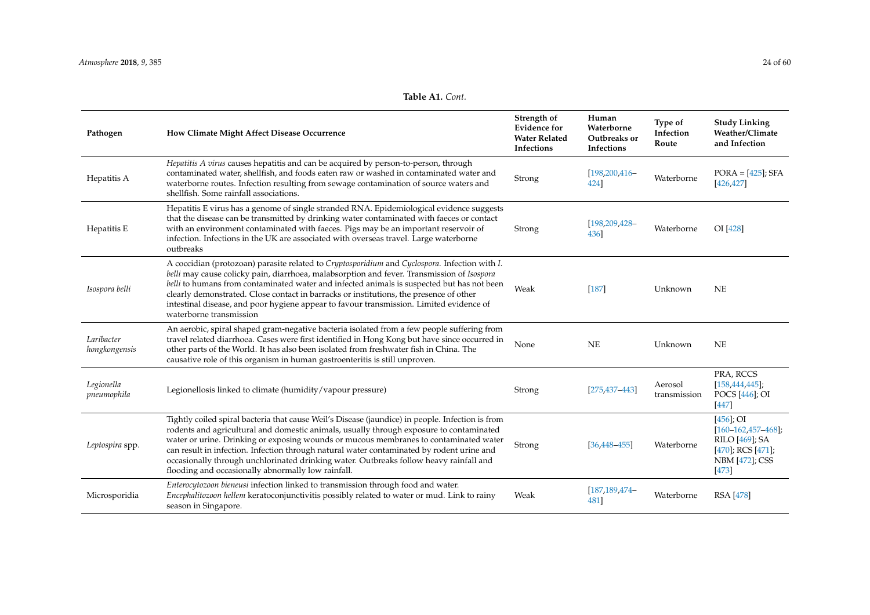| Pathogen                    | How Climate Might Affect Disease Occurrence                                                                                                                                                                                                                                                                                                                                                                                                                                                                                       | Strength of<br><b>Evidence</b> for<br><b>Water Related</b><br>Infections | Human<br>Waterborne<br>Outbreaks or<br>Infections | Type of<br>Infection<br>Route | <b>Study Linking</b><br>Weather/Climate<br>and Infection                                                             |
|-----------------------------|-----------------------------------------------------------------------------------------------------------------------------------------------------------------------------------------------------------------------------------------------------------------------------------------------------------------------------------------------------------------------------------------------------------------------------------------------------------------------------------------------------------------------------------|--------------------------------------------------------------------------|---------------------------------------------------|-------------------------------|----------------------------------------------------------------------------------------------------------------------|
| Hepatitis A                 | Hepatitis A virus causes hepatitis and can be acquired by person-to-person, through<br>contaminated water, shellfish, and foods eaten raw or washed in contaminated water and<br>waterborne routes. Infection resulting from sewage contamination of source waters and<br>shellfish. Some rainfall associations.                                                                                                                                                                                                                  | Strong                                                                   | $[198, 200, 416 -$<br>424]                        | Waterborne                    | $PORA = [425]$ ; SFA<br>[426, 427]                                                                                   |
| Hepatitis E                 | Hepatitis E virus has a genome of single stranded RNA. Epidemiological evidence suggests<br>that the disease can be transmitted by drinking water contaminated with faeces or contact<br>with an environment contaminated with faeces. Pigs may be an important reservoir of<br>infection. Infections in the UK are associated with overseas travel. Large waterborne<br>outbreaks                                                                                                                                                | Strong                                                                   | $[198, 209, 428 -$<br>436]                        | Waterborne                    | OI [428]                                                                                                             |
| Isospora belli              | A coccidian (protozoan) parasite related to Cryptosporidium and Cyclospora. Infection with I.<br>belli may cause colicky pain, diarrhoea, malabsorption and fever. Transmission of Isospora<br>belli to humans from contaminated water and infected animals is suspected but has not been<br>clearly demonstrated. Close contact in barracks or institutions, the presence of other<br>intestinal disease, and poor hygiene appear to favour transmission. Limited evidence of<br>waterborne transmission                         | Weak                                                                     | $[187]$                                           | Unknown                       | <b>NE</b>                                                                                                            |
| Laribacter<br>hongkongensis | An aerobic, spiral shaped gram-negative bacteria isolated from a few people suffering from<br>travel related diarrhoea. Cases were first identified in Hong Kong but have since occurred in<br>other parts of the World. It has also been isolated from freshwater fish in China. The<br>causative role of this organism in human gastroenteritis is still unproven.                                                                                                                                                              | None                                                                     | NE                                                | Unknown                       | NE                                                                                                                   |
| Legionella<br>pneumophila   | Legionellosis linked to climate (humidity/vapour pressure)                                                                                                                                                                                                                                                                                                                                                                                                                                                                        | Strong                                                                   | $[275, 437 - 443]$                                | Aerosol<br>transmission       | PRA, RCCS<br>$[158, 444, 445]$ ;<br>POCS [446]; OI<br>$[447]$                                                        |
| Leptospira spp.             | Tightly coiled spiral bacteria that cause Weil's Disease (jaundice) in people. Infection is from<br>rodents and agricultural and domestic animals, usually through exposure to contaminated<br>water or urine. Drinking or exposing wounds or mucous membranes to contaminated water<br>can result in infection. Infection through natural water contaminated by rodent urine and<br>occasionally through unchlorinated drinking water. Outbreaks follow heavy rainfall and<br>flooding and occasionally abnormally low rainfall. | Strong                                                                   | $[36, 448 - 455]$                                 | Waterborne                    | $[456]$ ; OI<br>$[160 - 162, 457 - 468]$ ;<br>RILO [469]; SA<br>$[470]$ ; RCS $[471]$ ;<br>NBM [472]; CSS<br>$[473]$ |
| Microsporidia               | Enterocytozoon bieneusi infection linked to transmission through food and water.<br>Encephalitozoon hellem keratoconjunctivitis possibly related to water or mud. Link to rainy<br>season in Singapore.                                                                                                                                                                                                                                                                                                                           | Weak                                                                     | $[187, 189, 474 -$<br>481]                        | Waterborne                    | <b>RSA</b> [478]                                                                                                     |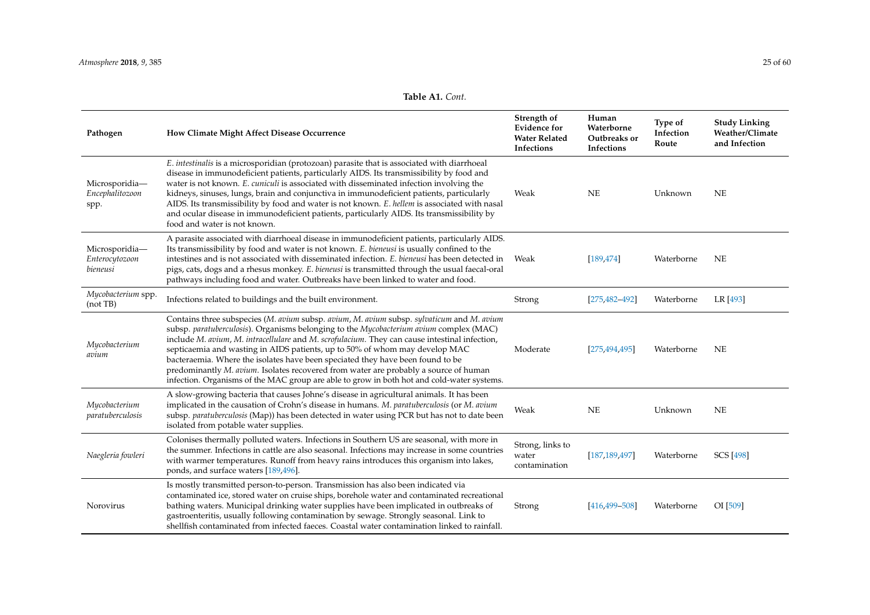| Pathogen                                     | How Climate Might Affect Disease Occurrence                                                                                                                                                                                                                                                                                                                                                                                                                                                                                                                                                                                                 | Strength of<br><b>Evidence</b> for<br><b>Water Related</b><br>Infections | Human<br>Waterborne<br>Outbreaks or<br>Infections | Type of<br>Infection<br>Route | <b>Study Linking</b><br>Weather/Climate<br>and Infection |
|----------------------------------------------|---------------------------------------------------------------------------------------------------------------------------------------------------------------------------------------------------------------------------------------------------------------------------------------------------------------------------------------------------------------------------------------------------------------------------------------------------------------------------------------------------------------------------------------------------------------------------------------------------------------------------------------------|--------------------------------------------------------------------------|---------------------------------------------------|-------------------------------|----------------------------------------------------------|
| Microsporidia-<br>Encephalitozoon<br>spp.    | E. intestinalis is a microsporidian (protozoan) parasite that is associated with diarrhoeal<br>disease in immunodeficient patients, particularly AIDS. Its transmissibility by food and<br>water is not known. E. cuniculi is associated with disseminated infection involving the<br>kidneys, sinuses, lungs, brain and conjunctiva in immunodeficient patients, particularly<br>AIDS. Its transmissibility by food and water is not known. E. hellem is associated with nasal<br>and ocular disease in immunodeficient patients, particularly AIDS. Its transmissibility by<br>food and water is not known.                               | Weak                                                                     | <b>NE</b>                                         | Unknown                       | <b>NE</b>                                                |
| Microsporidia-<br>Enterocytozoon<br>bieneusi | A parasite associated with diarrhoeal disease in immunodeficient patients, particularly AIDS.<br>Its transmissibility by food and water is not known. E. bieneusi is usually confined to the<br>intestines and is not associated with disseminated infection. E. bieneusi has been detected in<br>pigs, cats, dogs and a rhesus monkey. E. bieneusi is transmitted through the usual faecal-oral<br>pathways including food and water. Outbreaks have been linked to water and food.                                                                                                                                                        | Weak                                                                     | [189, 474]                                        | Waterborne                    | <b>NE</b>                                                |
| Mycobacterium spp.<br>(not TB)               | Infections related to buildings and the built environment.                                                                                                                                                                                                                                                                                                                                                                                                                                                                                                                                                                                  | Strong                                                                   | $[275, 482 - 492]$                                | Waterborne                    | LR [493]                                                 |
| Mycobacterium<br>avium                       | Contains three subspecies (M. avium subsp. avium, M. avium subsp. sylvaticum and M. avium<br>subsp. paratuberculosis). Organisms belonging to the Mycobacterium avium complex (MAC)<br>include M. avium, M. intracellulare and M. scrofulacium. They can cause intestinal infection,<br>septicaemia and wasting in AIDS patients, up to 50% of whom may develop MAC<br>bacteraemia. Where the isolates have been speciated they have been found to be<br>predominantly M. avium. Isolates recovered from water are probably a source of human<br>infection. Organisms of the MAC group are able to grow in both hot and cold-water systems. | Moderate                                                                 | [275, 494, 495]                                   | Waterborne                    | <b>NE</b>                                                |
| Mycobacterium<br>paratuberculosis            | A slow-growing bacteria that causes Johne's disease in agricultural animals. It has been<br>implicated in the causation of Crohn's disease in humans. M. paratuberculosis (or M. avium<br>subsp. paratuberculosis (Map)) has been detected in water using PCR but has not to date been<br>isolated from potable water supplies.                                                                                                                                                                                                                                                                                                             | Weak                                                                     | NE                                                | Unknown                       | NE                                                       |
| Naegleria fowleri                            | Colonises thermally polluted waters. Infections in Southern US are seasonal, with more in<br>the summer. Infections in cattle are also seasonal. Infections may increase in some countries<br>with warmer temperatures. Runoff from heavy rains introduces this organism into lakes,<br>ponds, and surface waters [189,496].                                                                                                                                                                                                                                                                                                                | Strong, links to<br>water<br>contamination                               | [187, 189, 497]                                   | Waterborne                    | <b>SCS</b> [498]                                         |
| Norovirus                                    | Is mostly transmitted person-to-person. Transmission has also been indicated via<br>contaminated ice, stored water on cruise ships, borehole water and contaminated recreational<br>bathing waters. Municipal drinking water supplies have been implicated in outbreaks of<br>gastroenteritis, usually following contamination by sewage. Strongly seasonal. Link to<br>shellfish contaminated from infected faeces. Coastal water contamination linked to rainfall.                                                                                                                                                                        | Strong                                                                   | $[416, 499 - 508]$                                | Waterborne                    | OI [509]                                                 |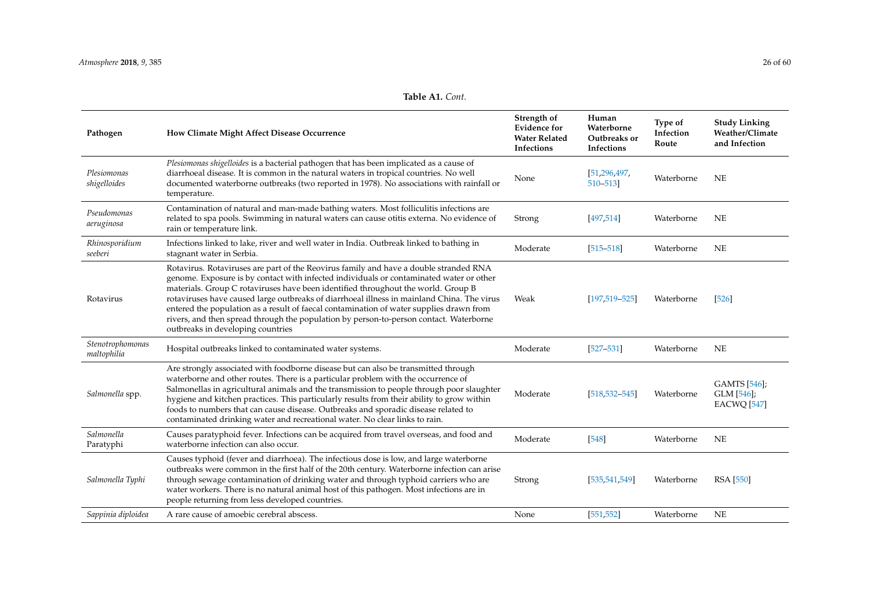| Pathogen                        | How Climate Might Affect Disease Occurrence                                                                                                                                                                                                                                                                                                                                                                                                                                                                                                                                                   | Strength of<br><b>Evidence</b> for<br><b>Water Related</b><br>Infections | Human<br>Waterborne<br>Outbreaks or<br>Infections | Type of<br>Infection<br>Route | <b>Study Linking</b><br>Weather/Climate<br>and Infection |
|---------------------------------|-----------------------------------------------------------------------------------------------------------------------------------------------------------------------------------------------------------------------------------------------------------------------------------------------------------------------------------------------------------------------------------------------------------------------------------------------------------------------------------------------------------------------------------------------------------------------------------------------|--------------------------------------------------------------------------|---------------------------------------------------|-------------------------------|----------------------------------------------------------|
| Plesiomonas<br>shigelloides     | Plesiomonas shigelloides is a bacterial pathogen that has been implicated as a cause of<br>diarrhoeal disease. It is common in the natural waters in tropical countries. No well<br>documented waterborne outbreaks (two reported in 1978). No associations with rainfall or<br>temperature.                                                                                                                                                                                                                                                                                                  | None                                                                     | [51, 296, 497,<br>$510 - 513$                     | Waterborne                    | <b>NE</b>                                                |
| Pseudomonas<br>aeruginosa       | Contamination of natural and man-made bathing waters. Most folliculitis infections are<br>related to spa pools. Swimming in natural waters can cause otitis externa. No evidence of<br>rain or temperature link.                                                                                                                                                                                                                                                                                                                                                                              | Strong                                                                   | [497, 514]                                        | Waterborne                    | <b>NE</b>                                                |
| Rhinosporidium<br>seeberi       | Infections linked to lake, river and well water in India. Outbreak linked to bathing in<br>stagnant water in Serbia.                                                                                                                                                                                                                                                                                                                                                                                                                                                                          | Moderate                                                                 | $[515 - 518]$                                     | Waterborne                    | <b>NE</b>                                                |
| Rotavirus                       | Rotavirus. Rotaviruses are part of the Reovirus family and have a double stranded RNA<br>genome. Exposure is by contact with infected individuals or contaminated water or other<br>materials. Group C rotaviruses have been identified throughout the world. Group B<br>rotaviruses have caused large outbreaks of diarrhoeal illness in mainland China. The virus<br>entered the population as a result of faecal contamination of water supplies drawn from<br>rivers, and then spread through the population by person-to-person contact. Waterborne<br>outbreaks in developing countries | Weak                                                                     | $[197, 519 - 525]$                                | Waterborne                    | $[526]$                                                  |
| Stenotrophomonas<br>maltophilia | Hospital outbreaks linked to contaminated water systems.                                                                                                                                                                                                                                                                                                                                                                                                                                                                                                                                      | Moderate                                                                 | $[527 - 531]$                                     | Waterborne                    | <b>NE</b>                                                |
| Salmonella spp.                 | Are strongly associated with foodborne disease but can also be transmitted through<br>waterborne and other routes. There is a particular problem with the occurrence of<br>Salmonellas in agricultural animals and the transmission to people through poor slaughter<br>hygiene and kitchen practices. This particularly results from their ability to grow within<br>foods to numbers that can cause disease. Outbreaks and sporadic disease related to<br>contaminated drinking water and recreational water. No clear links to rain.                                                       | Moderate                                                                 | $[518.532 - 545]$                                 | Waterborne                    | GAMTS [546];<br>GLM [546];<br><b>EACWQ</b> [547]         |
| Salmonella<br>Paratyphi         | Causes paratyphoid fever. Infections can be acquired from travel overseas, and food and<br>waterborne infection can also occur.                                                                                                                                                                                                                                                                                                                                                                                                                                                               | Moderate                                                                 | $[548]$                                           | Waterborne                    | <b>NE</b>                                                |
| Salmonella Typhi                | Causes typhoid (fever and diarrhoea). The infectious dose is low, and large waterborne<br>outbreaks were common in the first half of the 20th century. Waterborne infection can arise<br>through sewage contamination of drinking water and through typhoid carriers who are<br>water workers. There is no natural animal host of this pathogen. Most infections are in<br>people returning from less developed countries.                                                                                                                                                                    | Strong                                                                   | [535,541,549]                                     | Waterborne                    | <b>RSA</b> [550]                                         |
| Sappinia diploidea              | A rare cause of amoebic cerebral abscess.                                                                                                                                                                                                                                                                                                                                                                                                                                                                                                                                                     | None                                                                     | [551, 552]                                        | Waterborne                    | <b>NE</b>                                                |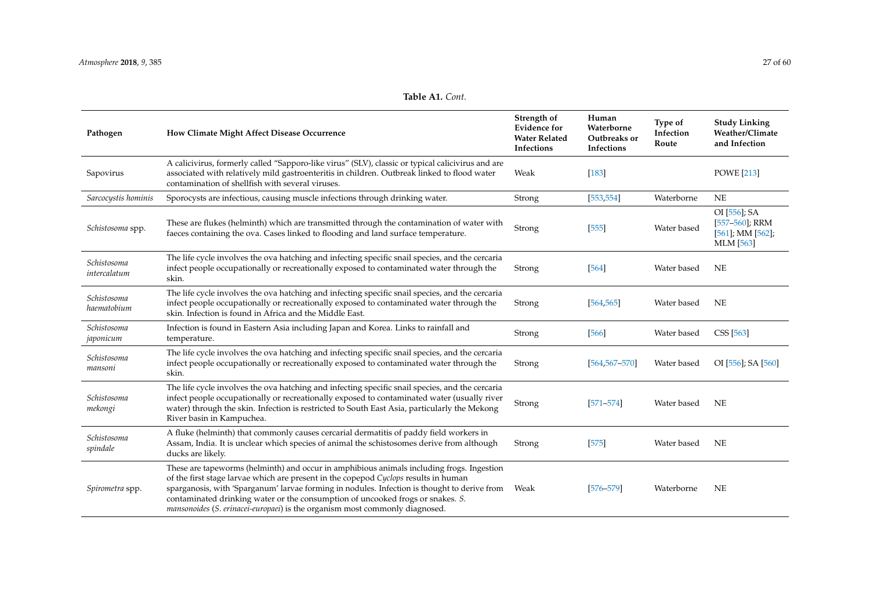| Pathogen                          | How Climate Might Affect Disease Occurrence                                                                                                                                                                                                                                                                                                                                                                                                              | Strength of<br><b>Evidence</b> for<br><b>Water Related</b><br>Infections | Human<br>Waterborne<br>Outbreaks or<br><b>Infections</b> | Type of<br>Infection<br>Route | <b>Study Linking</b><br>Weather/Climate<br>and Infection                        |
|-----------------------------------|----------------------------------------------------------------------------------------------------------------------------------------------------------------------------------------------------------------------------------------------------------------------------------------------------------------------------------------------------------------------------------------------------------------------------------------------------------|--------------------------------------------------------------------------|----------------------------------------------------------|-------------------------------|---------------------------------------------------------------------------------|
| Sapovirus                         | A calicivirus, formerly called "Sapporo-like virus" (SLV), classic or typical calicivirus and are<br>associated with relatively mild gastroenteritis in children. Outbreak linked to flood water<br>contamination of shellfish with several viruses.                                                                                                                                                                                                     | Weak                                                                     | $[183]$                                                  |                               | <b>POWE</b> [213]                                                               |
| Sarcocystis hominis               | Sporocysts are infectious, causing muscle infections through drinking water.                                                                                                                                                                                                                                                                                                                                                                             | Strong                                                                   | [553, 554]                                               | Waterborne                    | <b>NE</b>                                                                       |
| Schistosoma spp.                  | These are flukes (helminth) which are transmitted through the contamination of water with<br>faeces containing the ova. Cases linked to flooding and land surface temperature.                                                                                                                                                                                                                                                                           | Strong                                                                   | [555]                                                    | Water based                   | OI [556]; SA<br>$[557-560]$ ; RRM<br>$[561]$ ; MM $[562]$ ;<br><b>MLM</b> [563] |
| Schistosoma<br>intercalatum       | The life cycle involves the ova hatching and infecting specific snail species, and the cercaria<br>infect people occupationally or recreationally exposed to contaminated water through the<br>skin.                                                                                                                                                                                                                                                     | Strong                                                                   | $[564]$                                                  | Water based                   | <b>NE</b>                                                                       |
| <b>Schistosoma</b><br>haematobium | The life cycle involves the ova hatching and infecting specific snail species, and the cercaria<br>infect people occupationally or recreationally exposed to contaminated water through the<br>skin. Infection is found in Africa and the Middle East.                                                                                                                                                                                                   | Strong                                                                   | [564, 565]                                               | Water based                   | NE                                                                              |
| Schistosoma<br>japonicum          | Infection is found in Eastern Asia including Japan and Korea. Links to rainfall and<br>temperature.                                                                                                                                                                                                                                                                                                                                                      | Strong                                                                   | $[566]$                                                  | Water based                   | CSS [563]                                                                       |
| Schistosoma<br>mansoni            | The life cycle involves the ova hatching and infecting specific snail species, and the cercaria<br>infect people occupationally or recreationally exposed to contaminated water through the<br>skin.                                                                                                                                                                                                                                                     | Strong                                                                   | $[564, 567 - 570]$                                       | Water based                   | OI [556]; SA [560]                                                              |
| Schistosoma<br>mekongi            | The life cycle involves the ova hatching and infecting specific snail species, and the cercaria<br>infect people occupationally or recreationally exposed to contaminated water (usually river<br>water) through the skin. Infection is restricted to South East Asia, particularly the Mekong<br>River basin in Kampuchea.                                                                                                                              | Strong                                                                   | $[571 - 574]$                                            | Water based                   | <b>NE</b>                                                                       |
| Schistosoma<br>spindale           | A fluke (helminth) that commonly causes cercarial dermatitis of paddy field workers in<br>Assam, India. It is unclear which species of animal the schistosomes derive from although<br>ducks are likely.                                                                                                                                                                                                                                                 | Strong                                                                   | $[575]$                                                  | Water based                   | <b>NE</b>                                                                       |
| Spirometra spp.                   | These are tapeworms (helminth) and occur in amphibious animals including frogs. Ingestion<br>of the first stage larvae which are present in the copepod Cyclops results in human<br>sparganosis, with 'Sparganum' larvae forming in nodules. Infection is thought to derive from<br>contaminated drinking water or the consumption of uncooked frogs or snakes. S.<br><i>mansonoides (S. erinacei-europaei)</i> is the organism most commonly diagnosed. | Weak                                                                     | $[576 - 579]$                                            | Waterborne                    | NE                                                                              |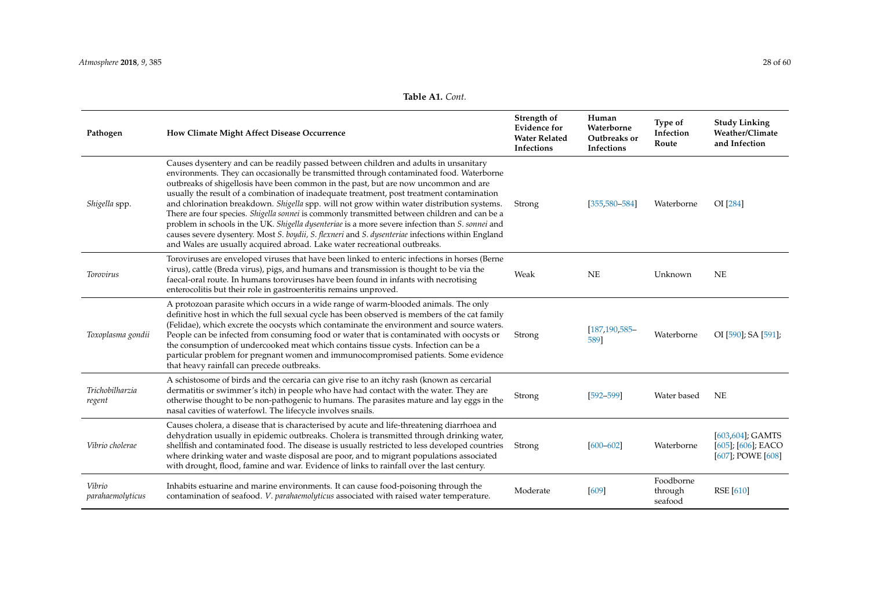| Pathogen                   | How Climate Might Affect Disease Occurrence                                                                                                                                                                                                                                                                                                                                                                                                                                                                                                                                                                                                                                                                                                                                                                                                               | Strength of<br><b>Evidence</b> for<br><b>Water Related</b><br>Infections | Human<br>Waterborne<br>Outbreaks or<br>Infections | Type of<br>Infection<br>Route   | <b>Study Linking</b><br>Weather/Climate<br>and Infection                   |
|----------------------------|-----------------------------------------------------------------------------------------------------------------------------------------------------------------------------------------------------------------------------------------------------------------------------------------------------------------------------------------------------------------------------------------------------------------------------------------------------------------------------------------------------------------------------------------------------------------------------------------------------------------------------------------------------------------------------------------------------------------------------------------------------------------------------------------------------------------------------------------------------------|--------------------------------------------------------------------------|---------------------------------------------------|---------------------------------|----------------------------------------------------------------------------|
| Shigella spp.              | Causes dysentery and can be readily passed between children and adults in unsanitary<br>environments. They can occasionally be transmitted through contaminated food. Waterborne<br>outbreaks of shigellosis have been common in the past, but are now uncommon and are<br>usually the result of a combination of inadequate treatment, post treatment contamination<br>and chlorination breakdown. Shigella spp. will not grow within water distribution systems.<br>There are four species. Shigella sonnei is commonly transmitted between children and can be a<br>problem in schools in the UK. Shigella dysenteriae is a more severe infection than S. sonnei and<br>causes severe dysentery. Most S. boydii, S. flexneri and S. dysenteriae infections within England<br>and Wales are usually acquired abroad. Lake water recreational outbreaks. | Strong                                                                   | $[355, 580 - 584]$                                | Waterborne                      | OI [284]                                                                   |
| <i>Torovirus</i>           | Toroviruses are enveloped viruses that have been linked to enteric infections in horses (Berne<br>virus), cattle (Breda virus), pigs, and humans and transmission is thought to be via the<br>faecal-oral route. In humans toroviruses have been found in infants with necrotising<br>enterocolitis but their role in gastroenteritis remains unproved.                                                                                                                                                                                                                                                                                                                                                                                                                                                                                                   | Weak                                                                     | NE                                                | Unknown                         | <b>NE</b>                                                                  |
| Toxoplasma gondii          | A protozoan parasite which occurs in a wide range of warm-blooded animals. The only<br>definitive host in which the full sexual cycle has been observed is members of the cat family<br>(Felidae), which excrete the oocysts which contaminate the environment and source waters.<br>People can be infected from consuming food or water that is contaminated with oocysts or<br>the consumption of undercooked meat which contains tissue cysts. Infection can be a<br>particular problem for pregnant women and immunocompromised patients. Some evidence<br>that heavy rainfall can precede outbreaks.                                                                                                                                                                                                                                                 | Strong                                                                   | $[187, 190, 585 -$<br>589]                        | Waterborne                      | OI [590]; SA [591];                                                        |
| Trichobilharzia<br>regent  | A schistosome of birds and the cercaria can give rise to an itchy rash (known as cercarial<br>dermatitis or swimmer's itch) in people who have had contact with the water. They are<br>otherwise thought to be non-pathogenic to humans. The parasites mature and lay eggs in the<br>nasal cavities of waterfowl. The lifecycle involves snails.                                                                                                                                                                                                                                                                                                                                                                                                                                                                                                          | Strong                                                                   | $[592 - 599]$                                     | Water based                     | NE                                                                         |
| Vibrio cholerae            | Causes cholera, a disease that is characterised by acute and life-threatening diarrhoea and<br>dehydration usually in epidemic outbreaks. Cholera is transmitted through drinking water,<br>shellfish and contaminated food. The disease is usually restricted to less developed countries<br>where drinking water and waste disposal are poor, and to migrant populations associated<br>with drought, flood, famine and war. Evidence of links to rainfall over the last century.                                                                                                                                                                                                                                                                                                                                                                        | Strong                                                                   | $[600 - 602]$                                     | Waterborne                      | $[603, 604]$ ; GAMTS<br>$[605]$ ; $[606]$ ; EACO<br>$[607]$ ; POWE $[608]$ |
| Vibrio<br>parahaemolyticus | Inhabits estuarine and marine environments. It can cause food-poisoning through the<br>contamination of seafood. V. parahaemolyticus associated with raised water temperature.                                                                                                                                                                                                                                                                                                                                                                                                                                                                                                                                                                                                                                                                            | Moderate                                                                 | [609]                                             | Foodborne<br>through<br>seafood | <b>RSE</b> [610]                                                           |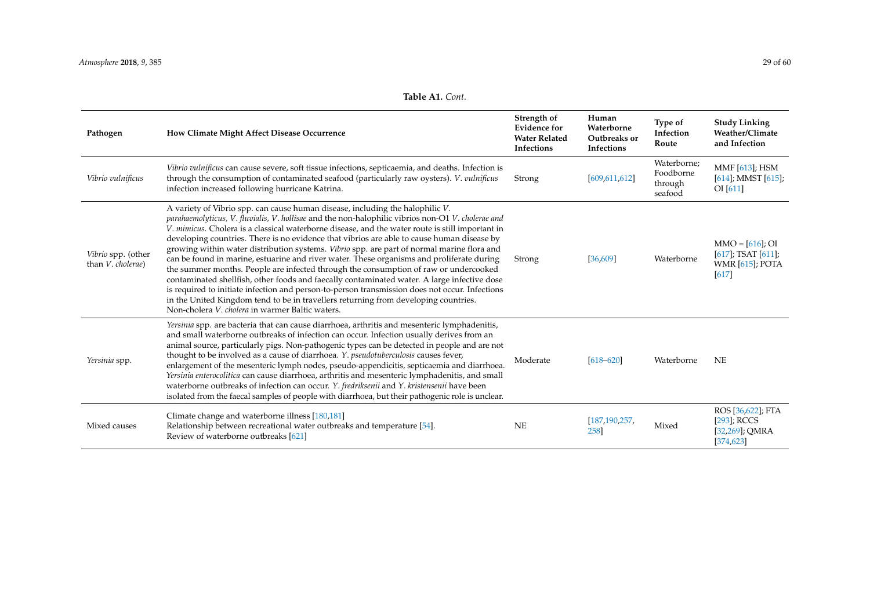<span id="page-28-0"></span>

| Pathogen                                | How Climate Might Affect Disease Occurrence                                                                                                                                                                                                                                                                                                                                                                                                                                                                                                                                                                                                                                                                                                                                                                                                                                                                                                                                                                               | Strength of<br><b>Evidence for</b><br><b>Water Related</b><br>Infections | Human<br>Waterborne<br>Outbreaks or<br>Infections | Type of<br>Infection<br>Route                  | <b>Study Linking</b><br>Weather/Climate<br>and Infection                          |
|-----------------------------------------|---------------------------------------------------------------------------------------------------------------------------------------------------------------------------------------------------------------------------------------------------------------------------------------------------------------------------------------------------------------------------------------------------------------------------------------------------------------------------------------------------------------------------------------------------------------------------------------------------------------------------------------------------------------------------------------------------------------------------------------------------------------------------------------------------------------------------------------------------------------------------------------------------------------------------------------------------------------------------------------------------------------------------|--------------------------------------------------------------------------|---------------------------------------------------|------------------------------------------------|-----------------------------------------------------------------------------------|
| Vibrio vulnificus                       | Vibrio vulnificus can cause severe, soft tissue infections, septicaemia, and deaths. Infection is<br>through the consumption of contaminated seafood (particularly raw oysters). V. vulnificus<br>infection increased following hurricane Katrina.                                                                                                                                                                                                                                                                                                                                                                                                                                                                                                                                                                                                                                                                                                                                                                        | Strong                                                                   | [609, 611, 612]                                   | Waterborne;<br>Foodborne<br>through<br>seafood | <b>MMF</b> [613]; HSM<br>$[614]$ ; MMST $[615]$ ;<br>OI[611]                      |
| Vibrio spp. (other<br>than V. cholerae) | A variety of Vibrio spp. can cause human disease, including the halophilic V.<br>parahaemolyticus, V. fluvialis, V. hollisae and the non-halophilic vibrios non-O1 V. cholerae and<br>V. mimicus. Cholera is a classical waterborne disease, and the water route is still important in<br>developing countries. There is no evidence that vibrios are able to cause human disease by<br>growing within water distribution systems. Vibrio spp. are part of normal marine flora and<br>can be found in marine, estuarine and river water. These organisms and proliferate during<br>the summer months. People are infected through the consumption of raw or undercooked<br>contaminated shellfish, other foods and faecally contaminated water. A large infective dose<br>is required to initiate infection and person-to-person transmission does not occur. Infections<br>in the United Kingdom tend to be in travellers returning from developing countries.<br>Non-cholera <i>V. cholera</i> in warmer Baltic waters. | Strong                                                                   | [36, 609]                                         | Waterborne                                     | $MMO = [616]$ ; OI<br>$[617]$ ; TSAT $[611]$ ;<br><b>WMR</b> [615]; POTA<br>[617] |
| Yersinia spp.                           | Yersinia spp. are bacteria that can cause diarrhoea, arthritis and mesenteric lymphadenitis,<br>and small waterborne outbreaks of infection can occur. Infection usually derives from an<br>animal source, particularly pigs. Non-pathogenic types can be detected in people and are not<br>thought to be involved as a cause of diarrhoea. Y. pseudotuberculosis causes fever,<br>enlargement of the mesenteric lymph nodes, pseudo-appendicitis, septicaemia and diarrhoea.<br>Yersinia enterocolitica can cause diarrhoea, arthritis and mesenteric lymphadenitis, and small<br>waterborne outbreaks of infection can occur. Y. fredriksenii and Y. kristensenii have been<br>isolated from the faecal samples of people with diarrhoea, but their pathogenic role is unclear.                                                                                                                                                                                                                                         | Moderate                                                                 | $[618 - 620]$                                     | Waterborne                                     | <b>NE</b>                                                                         |
| Mixed causes                            | Climate change and waterborne illness [180,181]<br>Relationship between recreational water outbreaks and temperature [54].<br>Review of waterborne outbreaks [621]                                                                                                                                                                                                                                                                                                                                                                                                                                                                                                                                                                                                                                                                                                                                                                                                                                                        | NE                                                                       | [187, 190, 257,<br>258]                           | Mixed                                          | ROS [36,622]; FTA<br>$[293]$ ; RCCS<br>$[32,269]$ ; QMRA<br>[374, 623]            |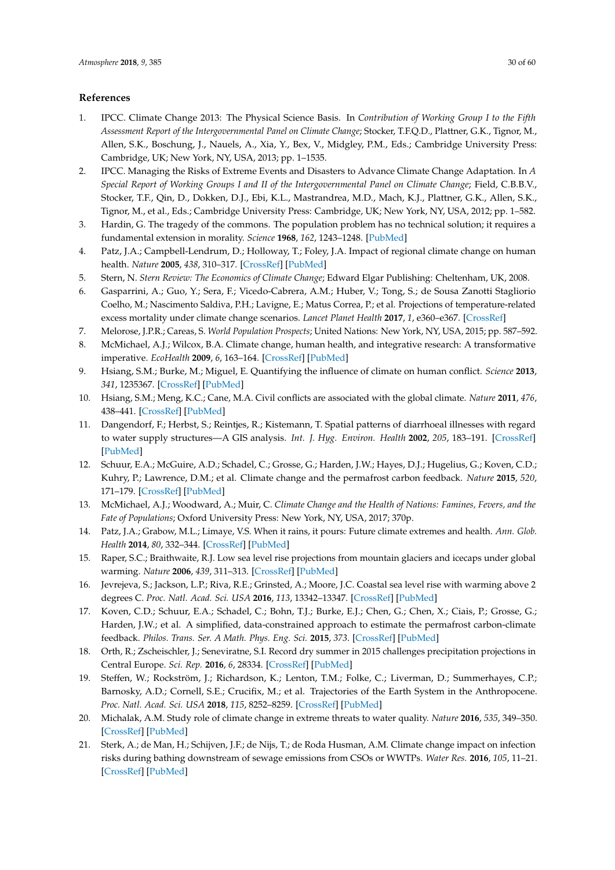# **References**

- <span id="page-29-0"></span>1. IPCC. Climate Change 2013: The Physical Science Basis. In *Contribution of Working Group I to the Fifth Assessment Report of the Intergovernmental Panel on Climate Change*; Stocker, T.F.Q.D., Plattner, G.K., Tignor, M., Allen, S.K., Boschung, J., Nauels, A., Xia, Y., Bex, V., Midgley, P.M., Eds.; Cambridge University Press: Cambridge, UK; New York, NY, USA, 2013; pp. 1–1535.
- <span id="page-29-1"></span>2. IPCC. Managing the Risks of Extreme Events and Disasters to Advance Climate Change Adaptation. In *A Special Report of Working Groups I and II of the Intergovernmental Panel on Climate Change*; Field, C.B.B.V., Stocker, T.F., Qin, D., Dokken, D.J., Ebi, K.L., Mastrandrea, M.D., Mach, K.J., Plattner, G.K., Allen, S.K., Tignor, M., et al., Eds.; Cambridge University Press: Cambridge, UK; New York, NY, USA, 2012; pp. 1–582.
- <span id="page-29-2"></span>3. Hardin, G. The tragedy of the commons. The population problem has no technical solution; it requires a fundamental extension in morality. *Science* **1968**, *162*, 1243–1248. [\[PubMed\]](http://www.ncbi.nlm.nih.gov/pubmed/5699198)
- <span id="page-29-3"></span>4. Patz, J.A.; Campbell-Lendrum, D.; Holloway, T.; Foley, J.A. Impact of regional climate change on human health. *Nature* **2005**, *438*, 310–317. [\[CrossRef\]](http://dx.doi.org/10.1038/nature04188) [\[PubMed\]](http://www.ncbi.nlm.nih.gov/pubmed/16292302)
- <span id="page-29-4"></span>5. Stern, N. *Stern Review: The Economics of Climate Change*; Edward Elgar Publishing: Cheltenham, UK, 2008.
- <span id="page-29-5"></span>6. Gasparrini, A.; Guo, Y.; Sera, F.; Vicedo-Cabrera, A.M.; Huber, V.; Tong, S.; de Sousa Zanotti Stagliorio Coelho, M.; Nascimento Saldiva, P.H.; Lavigne, E.; Matus Correa, P.; et al. Projections of temperature-related excess mortality under climate change scenarios. *Lancet Planet Health* **2017**, *1*, e360–e367. [\[CrossRef\]](http://dx.doi.org/10.1016/S2542-5196(17)30156-0)
- <span id="page-29-6"></span>7. Melorose, J.P.R.; Careas, S. *World Population Prospects*; United Nations: New York, NY, USA, 2015; pp. 587–592.
- <span id="page-29-7"></span>8. McMichael, A.J.; Wilcox, B.A. Climate change, human health, and integrative research: A transformative imperative. *EcoHealth* **2009**, *6*, 163–164. [\[CrossRef\]](http://dx.doi.org/10.1007/s10393-009-0262-9) [\[PubMed\]](http://www.ncbi.nlm.nih.gov/pubmed/20082115)
- <span id="page-29-8"></span>9. Hsiang, S.M.; Burke, M.; Miguel, E. Quantifying the influence of climate on human conflict. *Science* **2013**, *341*, 1235367. [\[CrossRef\]](http://dx.doi.org/10.1126/science.1235367) [\[PubMed\]](http://www.ncbi.nlm.nih.gov/pubmed/24031020)
- <span id="page-29-9"></span>10. Hsiang, S.M.; Meng, K.C.; Cane, M.A. Civil conflicts are associated with the global climate. *Nature* **2011**, *476*, 438–441. [\[CrossRef\]](http://dx.doi.org/10.1038/nature10311) [\[PubMed\]](http://www.ncbi.nlm.nih.gov/pubmed/21866157)
- <span id="page-29-10"></span>11. Dangendorf, F.; Herbst, S.; Reintjes, R.; Kistemann, T. Spatial patterns of diarrhoeal illnesses with regard to water supply structures—A GIS analysis. *Int. J. Hyg. Environ. Health* **2002**, *205*, 183–191. [\[CrossRef\]](http://dx.doi.org/10.1078/1438-4639-00151) [\[PubMed\]](http://www.ncbi.nlm.nih.gov/pubmed/12040916)
- <span id="page-29-11"></span>12. Schuur, E.A.; McGuire, A.D.; Schadel, C.; Grosse, G.; Harden, J.W.; Hayes, D.J.; Hugelius, G.; Koven, C.D.; Kuhry, P.; Lawrence, D.M.; et al. Climate change and the permafrost carbon feedback. *Nature* **2015**, *520*, 171–179. [\[CrossRef\]](http://dx.doi.org/10.1038/nature14338) [\[PubMed\]](http://www.ncbi.nlm.nih.gov/pubmed/25855454)
- <span id="page-29-12"></span>13. McMichael, A.J.; Woodward, A.; Muir, C. *Climate Change and the Health of Nations: Famines, Fevers, and the Fate of Populations*; Oxford University Press: New York, NY, USA, 2017; 370p.
- <span id="page-29-13"></span>14. Patz, J.A.; Grabow, M.L.; Limaye, V.S. When it rains, it pours: Future climate extremes and health. *Ann. Glob. Health* **2014**, *80*, 332–344. [\[CrossRef\]](http://dx.doi.org/10.1016/j.aogh.2014.09.007) [\[PubMed\]](http://www.ncbi.nlm.nih.gov/pubmed/25459335)
- <span id="page-29-14"></span>15. Raper, S.C.; Braithwaite, R.J. Low sea level rise projections from mountain glaciers and icecaps under global warming. *Nature* **2006**, *439*, 311–313. [\[CrossRef\]](http://dx.doi.org/10.1038/nature04448) [\[PubMed\]](http://www.ncbi.nlm.nih.gov/pubmed/16421567)
- <span id="page-29-15"></span>16. Jevrejeva, S.; Jackson, L.P.; Riva, R.E.; Grinsted, A.; Moore, J.C. Coastal sea level rise with warming above 2 degrees C. *Proc. Natl. Acad. Sci. USA* **2016**, *113*, 13342–13347. [\[CrossRef\]](http://dx.doi.org/10.1073/pnas.1605312113) [\[PubMed\]](http://www.ncbi.nlm.nih.gov/pubmed/27821743)
- <span id="page-29-16"></span>17. Koven, C.D.; Schuur, E.A.; Schadel, C.; Bohn, T.J.; Burke, E.J.; Chen, G.; Chen, X.; Ciais, P.; Grosse, G.; Harden, J.W.; et al. A simplified, data-constrained approach to estimate the permafrost carbon-climate feedback. *Philos. Trans. Ser. A Math. Phys. Eng. Sci.* **2015**, *373*. [\[CrossRef\]](http://dx.doi.org/10.1098/rsta.2014.0423) [\[PubMed\]](http://www.ncbi.nlm.nih.gov/pubmed/26438276)
- <span id="page-29-17"></span>18. Orth, R.; Zscheischler, J.; Seneviratne, S.I. Record dry summer in 2015 challenges precipitation projections in Central Europe. *Sci. Rep.* **2016**, *6*, 28334. [\[CrossRef\]](http://dx.doi.org/10.1038/srep28334) [\[PubMed\]](http://www.ncbi.nlm.nih.gov/pubmed/27323864)
- <span id="page-29-18"></span>19. Steffen, W.; Rockström, J.; Richardson, K.; Lenton, T.M.; Folke, C.; Liverman, D.; Summerhayes, C.P.; Barnosky, A.D.; Cornell, S.E.; Crucifix, M.; et al. Trajectories of the Earth System in the Anthropocene. *Proc. Natl. Acad. Sci. USA* **2018**, *115*, 8252–8259. [\[CrossRef\]](http://dx.doi.org/10.1073/pnas.1810141115) [\[PubMed\]](http://www.ncbi.nlm.nih.gov/pubmed/30082409)
- <span id="page-29-19"></span>20. Michalak, A.M. Study role of climate change in extreme threats to water quality. *Nature* **2016**, *535*, 349–350. [\[CrossRef\]](http://dx.doi.org/10.1038/535349a) [\[PubMed\]](http://www.ncbi.nlm.nih.gov/pubmed/27443725)
- <span id="page-29-20"></span>21. Sterk, A.; de Man, H.; Schijven, J.F.; de Nijs, T.; de Roda Husman, A.M. Climate change impact on infection risks during bathing downstream of sewage emissions from CSOs or WWTPs. *Water Res.* **2016**, *105*, 11–21. [\[CrossRef\]](http://dx.doi.org/10.1016/j.watres.2016.08.053) [\[PubMed\]](http://www.ncbi.nlm.nih.gov/pubmed/27591704)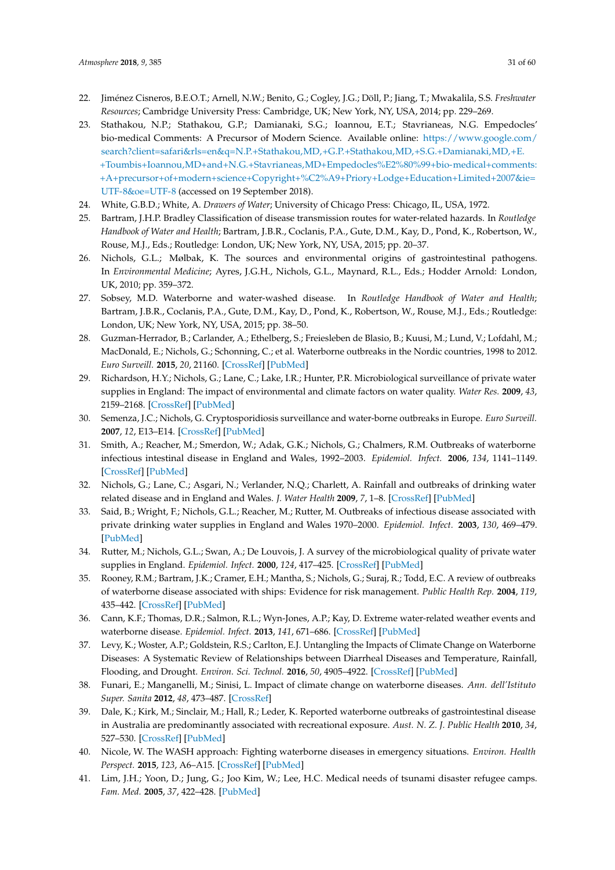- <span id="page-30-16"></span><span id="page-30-0"></span>22. Jiménez Cisneros, B.E.O.T.; Arnell, N.W.; Benito, G.; Cogley, J.G.; Döll, P.; Jiang, T.; Mwakalila, S.S. *Freshwater Resources*; Cambridge University Press: Cambridge, UK; New York, NY, USA, 2014; pp. 229–269.
- <span id="page-30-1"></span>23. Stathakou, N.P.; Stathakou, G.P.; Damianaki, S.G.; Ioannou, E.T.; Stavrianeas, N.G. Empedocles' bio-medical Comments: A Precursor of Modern Science. Available online: [https://www.google.com/](https://www.google.com/search?client=safari&rls=en&q=N.P.+Stathakou,MD,+G.P.+Stathakou,MD,+S.G.+Damianaki,MD,+E.+Toumbis+Ioannou,MD+and+N.G.+Stavrianeas,MD+Empedocles%E2%80%99+bio-medical+comments:+A+precursor+of+modern+science+Copyright+%C2%A9+Priory+Lodge+Education+Limited+2007&ie=UTF-8&oe=UTF-8) [search?client=safari&rls=en&q=N.P.+Stathakou,MD,+G.P.+Stathakou,MD,+S.G.+Damianaki,MD,+E.](https://www.google.com/search?client=safari&rls=en&q=N.P.+Stathakou,MD,+G.P.+Stathakou,MD,+S.G.+Damianaki,MD,+E.+Toumbis+Ioannou,MD+and+N.G.+Stavrianeas,MD+Empedocles%E2%80%99+bio-medical+comments:+A+precursor+of+modern+science+Copyright+%C2%A9+Priory+Lodge+Education+Limited+2007&ie=UTF-8&oe=UTF-8) [+Toumbis+Ioannou,MD+and+N.G.+Stavrianeas,MD+Empedocles%E2%80%99+bio-medical+comments:](https://www.google.com/search?client=safari&rls=en&q=N.P.+Stathakou,MD,+G.P.+Stathakou,MD,+S.G.+Damianaki,MD,+E.+Toumbis+Ioannou,MD+and+N.G.+Stavrianeas,MD+Empedocles%E2%80%99+bio-medical+comments:+A+precursor+of+modern+science+Copyright+%C2%A9+Priory+Lodge+Education+Limited+2007&ie=UTF-8&oe=UTF-8) [+A+precursor+of+modern+science+Copyright+%C2%A9+Priory+Lodge+Education+Limited+2007&ie=](https://www.google.com/search?client=safari&rls=en&q=N.P.+Stathakou,MD,+G.P.+Stathakou,MD,+S.G.+Damianaki,MD,+E.+Toumbis+Ioannou,MD+and+N.G.+Stavrianeas,MD+Empedocles%E2%80%99+bio-medical+comments:+A+precursor+of+modern+science+Copyright+%C2%A9+Priory+Lodge+Education+Limited+2007&ie=UTF-8&oe=UTF-8) [UTF-8&oe=UTF-8](https://www.google.com/search?client=safari&rls=en&q=N.P.+Stathakou,MD,+G.P.+Stathakou,MD,+S.G.+Damianaki,MD,+E.+Toumbis+Ioannou,MD+and+N.G.+Stavrianeas,MD+Empedocles%E2%80%99+bio-medical+comments:+A+precursor+of+modern+science+Copyright+%C2%A9+Priory+Lodge+Education+Limited+2007&ie=UTF-8&oe=UTF-8) (accessed on 19 September 2018).
- <span id="page-30-15"></span><span id="page-30-2"></span>24. White, G.B.D.; White, A. *Drawers of Water*; University of Chicago Press: Chicago, IL, USA, 1972.
- <span id="page-30-19"></span><span id="page-30-3"></span>25. Bartram, J.H.P. Bradley Classification of disease transmission routes for water-related hazards. In *Routledge Handbook of Water and Health*; Bartram, J.B.R., Coclanis, P.A., Gute, D.M., Kay, D., Pond, K., Robertson, W., Rouse, M.J., Eds.; Routledge: London, UK; New York, NY, USA, 2015; pp. 20–37.
- <span id="page-30-12"></span>26. Nichols, G.L.; Mølbak, K. The sources and environmental origins of gastrointestinal pathogens. In *Environmental Medicine*; Ayres, J.G.H., Nichols, G.L., Maynard, R.L., Eds.; Hodder Arnold: London, UK, 2010; pp. 359–372.
- <span id="page-30-17"></span><span id="page-30-4"></span>27. Sobsey, M.D. Waterborne and water-washed disease. In *Routledge Handbook of Water and Health*; Bartram, J.B.R., Coclanis, P.A., Gute, D.M., Kay, D., Pond, K., Robertson, W., Rouse, M.J., Eds.; Routledge: London, UK; New York, NY, USA, 2015; pp. 38–50.
- <span id="page-30-18"></span><span id="page-30-5"></span>28. Guzman-Herrador, B.; Carlander, A.; Ethelberg, S.; Freiesleben de Blasio, B.; Kuusi, M.; Lund, V.; Lofdahl, M.; MacDonald, E.; Nichols, G.; Schonning, C.; et al. Waterborne outbreaks in the Nordic countries, 1998 to 2012. *Euro Surveill.* **2015**, *20*, 21160. [\[CrossRef\]](http://dx.doi.org/10.2807/1560-7917.ES2015.20.24.21160) [\[PubMed\]](http://www.ncbi.nlm.nih.gov/pubmed/26111239)
- 29. Richardson, H.Y.; Nichols, G.; Lane, C.; Lake, I.R.; Hunter, P.R. Microbiological surveillance of private water supplies in England: The impact of environmental and climate factors on water quality. *Water Res.* **2009**, *43*, 2159–2168. [\[CrossRef\]](http://dx.doi.org/10.1016/j.watres.2009.02.035) [\[PubMed\]](http://www.ncbi.nlm.nih.gov/pubmed/19303126)
- 30. Semenza, J.C.; Nichols, G. Cryptosporidiosis surveillance and water-borne outbreaks in Europe. *Euro Surveill.* **2007**, *12*, E13–E14. [\[CrossRef\]](http://dx.doi.org/10.2807/esm.12.05.00711-en) [\[PubMed\]](http://www.ncbi.nlm.nih.gov/pubmed/17991392)
- 31. Smith, A.; Reacher, M.; Smerdon, W.; Adak, G.K.; Nichols, G.; Chalmers, R.M. Outbreaks of waterborne infectious intestinal disease in England and Wales, 1992–2003. *Epidemiol. Infect.* **2006**, *134*, 1141–1149. [\[CrossRef\]](http://dx.doi.org/10.1017/S0950268806006406) [\[PubMed\]](http://www.ncbi.nlm.nih.gov/pubmed/16690002)
- <span id="page-30-6"></span>32. Nichols, G.; Lane, C.; Asgari, N.; Verlander, N.Q.; Charlett, A. Rainfall and outbreaks of drinking water related disease and in England and Wales. *J. Water Health* **2009**, *7*, 1–8. [\[CrossRef\]](http://dx.doi.org/10.2166/wh.2009.143) [\[PubMed\]](http://www.ncbi.nlm.nih.gov/pubmed/18957770)
- <span id="page-30-7"></span>33. Said, B.; Wright, F.; Nichols, G.L.; Reacher, M.; Rutter, M. Outbreaks of infectious disease associated with private drinking water supplies in England and Wales 1970–2000. *Epidemiol. Infect.* **2003**, *130*, 469–479. [\[PubMed\]](http://www.ncbi.nlm.nih.gov/pubmed/12825731)
- <span id="page-30-8"></span>34. Rutter, M.; Nichols, G.L.; Swan, A.; De Louvois, J. A survey of the microbiological quality of private water supplies in England. *Epidemiol. Infect.* **2000**, *124*, 417–425. [\[CrossRef\]](http://dx.doi.org/10.1017/S0950268899003970) [\[PubMed\]](http://www.ncbi.nlm.nih.gov/pubmed/10982065)
- <span id="page-30-9"></span>35. Rooney, R.M.; Bartram, J.K.; Cramer, E.H.; Mantha, S.; Nichols, G.; Suraj, R.; Todd, E.C. A review of outbreaks of waterborne disease associated with ships: Evidence for risk management. *Public Health Rep.* **2004**, *119*, 435–442. [\[CrossRef\]](http://dx.doi.org/10.1016/j.phr.2004.05.008) [\[PubMed\]](http://www.ncbi.nlm.nih.gov/pubmed/15219801)
- <span id="page-30-10"></span>36. Cann, K.F.; Thomas, D.R.; Salmon, R.L.; Wyn-Jones, A.P.; Kay, D. Extreme water-related weather events and waterborne disease. *Epidemiol. Infect.* **2013**, *141*, 671–686. [\[CrossRef\]](http://dx.doi.org/10.1017/S0950268812001653) [\[PubMed\]](http://www.ncbi.nlm.nih.gov/pubmed/22877498)
- <span id="page-30-13"></span>37. Levy, K.; Woster, A.P.; Goldstein, R.S.; Carlton, E.J. Untangling the Impacts of Climate Change on Waterborne Diseases: A Systematic Review of Relationships between Diarrheal Diseases and Temperature, Rainfall, Flooding, and Drought. *Environ. Sci. Technol.* **2016**, *50*, 4905–4922. [\[CrossRef\]](http://dx.doi.org/10.1021/acs.est.5b06186) [\[PubMed\]](http://www.ncbi.nlm.nih.gov/pubmed/27058059)
- <span id="page-30-14"></span>38. Funari, E.; Manganelli, M.; Sinisi, L. Impact of climate change on waterborne diseases. *Ann. dell'Istituto Super. Sanita* **2012**, *48*, 473–487. [\[CrossRef\]](http://dx.doi.org/10.4415/ANN_12_04_13)
- 39. Dale, K.; Kirk, M.; Sinclair, M.; Hall, R.; Leder, K. Reported waterborne outbreaks of gastrointestinal disease in Australia are predominantly associated with recreational exposure. *Aust. N. Z. J. Public Health* **2010**, *34*, 527–530. [\[CrossRef\]](http://dx.doi.org/10.1111/j.1753-6405.2010.00602.x) [\[PubMed\]](http://www.ncbi.nlm.nih.gov/pubmed/21040184)
- 40. Nicole, W. The WASH approach: Fighting waterborne diseases in emergency situations. *Environ. Health Perspect.* **2015**, *123*, A6–A15. [\[CrossRef\]](http://dx.doi.org/10.1289/ehp.123-A6) [\[PubMed\]](http://www.ncbi.nlm.nih.gov/pubmed/25561611)
- <span id="page-30-11"></span>41. Lim, J.H.; Yoon, D.; Jung, G.; Joo Kim, W.; Lee, H.C. Medical needs of tsunami disaster refugee camps. *Fam. Med.* **2005**, *37*, 422–428. [\[PubMed\]](http://www.ncbi.nlm.nih.gov/pubmed/15933915)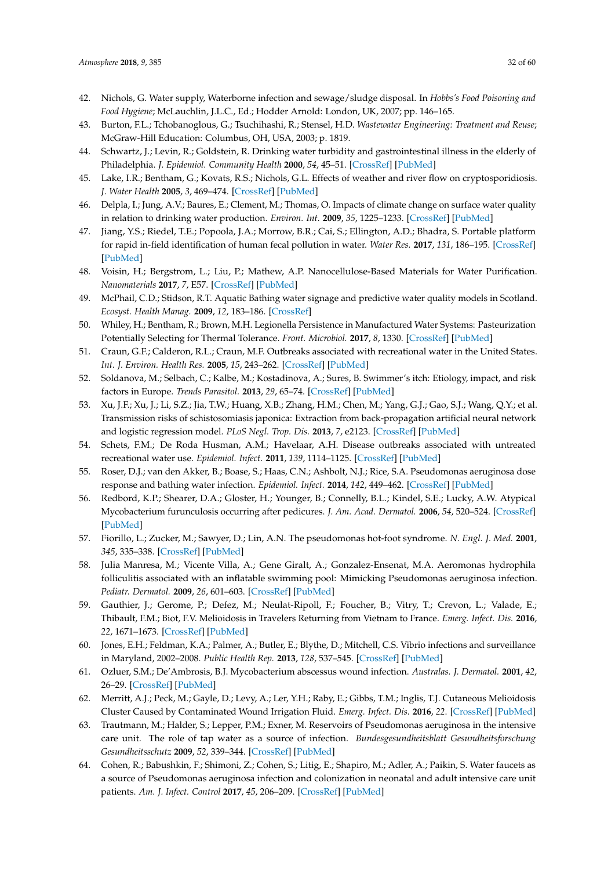- <span id="page-31-22"></span><span id="page-31-0"></span>42. Nichols, G. Water supply, Waterborne infection and sewage/sludge disposal. In *Hobbs's Food Poisoning and Food Hygiene*; McLauchlin, J.L.C., Ed.; Hodder Arnold: London, UK, 2007; pp. 146–165.
- <span id="page-31-1"></span>43. Burton, F.L.; Tchobanoglous, G.; Tsuchihashi, R.; Stensel, H.D. *Wastewater Engineering: Treatment and Reuse*; McGraw-Hill Education: Columbus, OH, USA, 2003; p. 1819.
- <span id="page-31-2"></span>44. Schwartz, J.; Levin, R.; Goldstein, R. Drinking water turbidity and gastrointestinal illness in the elderly of Philadelphia. *J. Epidemiol. Community Health* **2000**, *54*, 45–51. [\[CrossRef\]](http://dx.doi.org/10.1136/jech.54.1.45) [\[PubMed\]](http://www.ncbi.nlm.nih.gov/pubmed/10692962)
- <span id="page-31-23"></span><span id="page-31-3"></span>45. Lake, I.R.; Bentham, G.; Kovats, R.S.; Nichols, G.L. Effects of weather and river flow on cryptosporidiosis. *J. Water Health* **2005**, *3*, 469–474. [\[CrossRef\]](http://dx.doi.org/10.2166/wh.2005.048) [\[PubMed\]](http://www.ncbi.nlm.nih.gov/pubmed/16459850)
- <span id="page-31-4"></span>46. Delpla, I.; Jung, A.V.; Baures, E.; Clement, M.; Thomas, O. Impacts of climate change on surface water quality in relation to drinking water production. *Environ. Int.* **2009**, *35*, 1225–1233. [\[CrossRef\]](http://dx.doi.org/10.1016/j.envint.2009.07.001) [\[PubMed\]](http://www.ncbi.nlm.nih.gov/pubmed/19640587)
- <span id="page-31-5"></span>47. Jiang, Y.S.; Riedel, T.E.; Popoola, J.A.; Morrow, B.R.; Cai, S.; Ellington, A.D.; Bhadra, S. Portable platform for rapid in-field identification of human fecal pollution in water. *Water Res.* **2017**, *131*, 186–195. [\[CrossRef\]](http://dx.doi.org/10.1016/j.watres.2017.12.023) [\[PubMed\]](http://www.ncbi.nlm.nih.gov/pubmed/29278789)
- <span id="page-31-6"></span>48. Voisin, H.; Bergstrom, L.; Liu, P.; Mathew, A.P. Nanocellulose-Based Materials for Water Purification. *Nanomaterials* **2017**, *7*, E57. [\[CrossRef\]](http://dx.doi.org/10.3390/nano7030057) [\[PubMed\]](http://www.ncbi.nlm.nih.gov/pubmed/28336891)
- <span id="page-31-7"></span>49. McPhail, C.D.; Stidson, R.T. Aquatic Bathing water signage and predictive water quality models in Scotland. *Ecosyst. Health Manag.* **2009**, *12*, 183–186. [\[CrossRef\]](http://dx.doi.org/10.1080/14634980902907540)
- <span id="page-31-8"></span>50. Whiley, H.; Bentham, R.; Brown, M.H. Legionella Persistence in Manufactured Water Systems: Pasteurization Potentially Selecting for Thermal Tolerance. *Front. Microbiol.* **2017**, *8*, 1330. [\[CrossRef\]](http://dx.doi.org/10.3389/fmicb.2017.01330) [\[PubMed\]](http://www.ncbi.nlm.nih.gov/pubmed/28769899)
- <span id="page-31-9"></span>51. Craun, G.F.; Calderon, R.L.; Craun, M.F. Outbreaks associated with recreational water in the United States. *Int. J. Environ. Health Res.* **2005**, *15*, 243–262. [\[CrossRef\]](http://dx.doi.org/10.1080/09603120500155716) [\[PubMed\]](http://www.ncbi.nlm.nih.gov/pubmed/16175741)
- <span id="page-31-10"></span>52. Soldanova, M.; Selbach, C.; Kalbe, M.; Kostadinova, A.; Sures, B. Swimmer's itch: Etiology, impact, and risk factors in Europe. *Trends Parasitol.* **2013**, *29*, 65–74. [\[CrossRef\]](http://dx.doi.org/10.1016/j.pt.2012.12.002) [\[PubMed\]](http://www.ncbi.nlm.nih.gov/pubmed/23305618)
- <span id="page-31-11"></span>53. Xu, J.F.; Xu, J.; Li, S.Z.; Jia, T.W.; Huang, X.B.; Zhang, H.M.; Chen, M.; Yang, G.J.; Gao, S.J.; Wang, Q.Y.; et al. Transmission risks of schistosomiasis japonica: Extraction from back-propagation artificial neural network and logistic regression model. *PLoS Negl. Trop. Dis.* **2013**, *7*, e2123. [\[CrossRef\]](http://dx.doi.org/10.1371/journal.pntd.0002123) [\[PubMed\]](http://www.ncbi.nlm.nih.gov/pubmed/23556015)
- <span id="page-31-12"></span>54. Schets, F.M.; De Roda Husman, A.M.; Havelaar, A.H. Disease outbreaks associated with untreated recreational water use. *Epidemiol. Infect.* **2011**, *139*, 1114–1125. [\[CrossRef\]](http://dx.doi.org/10.1017/S0950268810002347) [\[PubMed\]](http://www.ncbi.nlm.nih.gov/pubmed/21062530)
- <span id="page-31-13"></span>55. Roser, D.J.; van den Akker, B.; Boase, S.; Haas, C.N.; Ashbolt, N.J.; Rice, S.A. Pseudomonas aeruginosa dose response and bathing water infection. *Epidemiol. Infect.* **2014**, *142*, 449–462. [\[CrossRef\]](http://dx.doi.org/10.1017/S0950268813002690) [\[PubMed\]](http://www.ncbi.nlm.nih.gov/pubmed/24229610)
- <span id="page-31-14"></span>56. Redbord, K.P.; Shearer, D.A.; Gloster, H.; Younger, B.; Connelly, B.L.; Kindel, S.E.; Lucky, A.W. Atypical Mycobacterium furunculosis occurring after pedicures. *J. Am. Acad. Dermatol.* **2006**, *54*, 520–524. [\[CrossRef\]](http://dx.doi.org/10.1016/j.jaad.2005.10.018) [\[PubMed\]](http://www.ncbi.nlm.nih.gov/pubmed/16488309)
- <span id="page-31-15"></span>57. Fiorillo, L.; Zucker, M.; Sawyer, D.; Lin, A.N. The pseudomonas hot-foot syndrome. *N. Engl. J. Med.* **2001**, *345*, 335–338. [\[CrossRef\]](http://dx.doi.org/10.1056/NEJM200108023450504) [\[PubMed\]](http://www.ncbi.nlm.nih.gov/pubmed/11484690)
- <span id="page-31-16"></span>58. Julia Manresa, M.; Vicente Villa, A.; Gene Giralt, A.; Gonzalez-Ensenat, M.A. Aeromonas hydrophila folliculitis associated with an inflatable swimming pool: Mimicking Pseudomonas aeruginosa infection. *Pediatr. Dermatol.* **2009**, *26*, 601–603. [\[CrossRef\]](http://dx.doi.org/10.1111/j.1525-1470.2009.00993.x) [\[PubMed\]](http://www.ncbi.nlm.nih.gov/pubmed/19840320)
- <span id="page-31-17"></span>59. Gauthier, J.; Gerome, P.; Defez, M.; Neulat-Ripoll, F.; Foucher, B.; Vitry, T.; Crevon, L.; Valade, E.; Thibault, F.M.; Biot, F.V. Melioidosis in Travelers Returning from Vietnam to France. *Emerg. Infect. Dis.* **2016**, *22*, 1671–1673. [\[CrossRef\]](http://dx.doi.org/10.3201/eid2209.160169) [\[PubMed\]](http://www.ncbi.nlm.nih.gov/pubmed/27532771)
- <span id="page-31-18"></span>60. Jones, E.H.; Feldman, K.A.; Palmer, A.; Butler, E.; Blythe, D.; Mitchell, C.S. Vibrio infections and surveillance in Maryland, 2002–2008. *Public Health Rep.* **2013**, *128*, 537–545. [\[CrossRef\]](http://dx.doi.org/10.1177/003335491312800613) [\[PubMed\]](http://www.ncbi.nlm.nih.gov/pubmed/24179265)
- <span id="page-31-19"></span>61. Ozluer, S.M.; De'Ambrosis, B.J. Mycobacterium abscessus wound infection. *Australas. J. Dermatol.* **2001**, *42*, 26–29. [\[CrossRef\]](http://dx.doi.org/10.1046/j.1440-0960.2001.00468.x) [\[PubMed\]](http://www.ncbi.nlm.nih.gov/pubmed/11233716)
- <span id="page-31-20"></span>62. Merritt, A.J.; Peck, M.; Gayle, D.; Levy, A.; Ler, Y.H.; Raby, E.; Gibbs, T.M.; Inglis, T.J. Cutaneous Melioidosis Cluster Caused by Contaminated Wound Irrigation Fluid. *Emerg. Infect. Dis.* **2016**, *22*. [\[CrossRef\]](http://dx.doi.org/10.3201/eid2208.151149) [\[PubMed\]](http://www.ncbi.nlm.nih.gov/pubmed/27438887)
- <span id="page-31-21"></span>63. Trautmann, M.; Halder, S.; Lepper, P.M.; Exner, M. Reservoirs of Pseudomonas aeruginosa in the intensive care unit. The role of tap water as a source of infection. *Bundesgesundheitsblatt Gesundheitsforschung Gesundheitsschutz* **2009**, *52*, 339–344. [\[CrossRef\]](http://dx.doi.org/10.1007/s00103-009-0796-6) [\[PubMed\]](http://www.ncbi.nlm.nih.gov/pubmed/19259632)
- 64. Cohen, R.; Babushkin, F.; Shimoni, Z.; Cohen, S.; Litig, E.; Shapiro, M.; Adler, A.; Paikin, S. Water faucets as a source of Pseudomonas aeruginosa infection and colonization in neonatal and adult intensive care unit patients. *Am. J. Infect. Control* **2017**, *45*, 206–209. [\[CrossRef\]](http://dx.doi.org/10.1016/j.ajic.2016.05.029) [\[PubMed\]](http://www.ncbi.nlm.nih.gov/pubmed/27566870)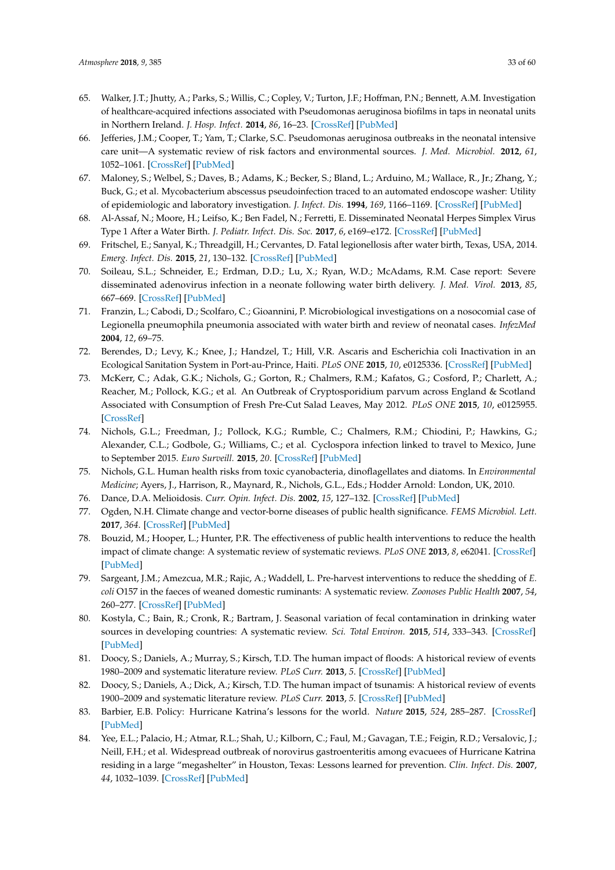- 65. Walker, J.T.; Jhutty, A.; Parks, S.; Willis, C.; Copley, V.; Turton, J.F.; Hoffman, P.N.; Bennett, A.M. Investigation of healthcare-acquired infections associated with Pseudomonas aeruginosa biofilms in taps in neonatal units in Northern Ireland. *J. Hosp. Infect.* **2014**, *86*, 16–23. [\[CrossRef\]](http://dx.doi.org/10.1016/j.jhin.2013.10.003) [\[PubMed\]](http://www.ncbi.nlm.nih.gov/pubmed/24284020)
- <span id="page-32-0"></span>66. Jefferies, J.M.; Cooper, T.; Yam, T.; Clarke, S.C. Pseudomonas aeruginosa outbreaks in the neonatal intensive care unit—A systematic review of risk factors and environmental sources. *J. Med. Microbiol.* **2012**, *61*, 1052–1061. [\[CrossRef\]](http://dx.doi.org/10.1099/jmm.0.044818-0) [\[PubMed\]](http://www.ncbi.nlm.nih.gov/pubmed/22683659)
- <span id="page-32-1"></span>67. Maloney, S.; Welbel, S.; Daves, B.; Adams, K.; Becker, S.; Bland, L.; Arduino, M.; Wallace, R., Jr.; Zhang, Y.; Buck, G.; et al. Mycobacterium abscessus pseudoinfection traced to an automated endoscope washer: Utility of epidemiologic and laboratory investigation. *J. Infect. Dis.* **1994**, *169*, 1166–1169. [\[CrossRef\]](http://dx.doi.org/10.1093/infdis/169.5.1166) [\[PubMed\]](http://www.ncbi.nlm.nih.gov/pubmed/8169416)
- <span id="page-32-2"></span>68. Al-Assaf, N.; Moore, H.; Leifso, K.; Ben Fadel, N.; Ferretti, E. Disseminated Neonatal Herpes Simplex Virus Type 1 After a Water Birth. *J. Pediatr. Infect. Dis. Soc.* **2017**, *6*, e169–e172. [\[CrossRef\]](http://dx.doi.org/10.1093/jpids/pix035) [\[PubMed\]](http://www.ncbi.nlm.nih.gov/pubmed/28510692)
- 69. Fritschel, E.; Sanyal, K.; Threadgill, H.; Cervantes, D. Fatal legionellosis after water birth, Texas, USA, 2014. *Emerg. Infect. Dis.* **2015**, *21*, 130–132. [\[CrossRef\]](http://dx.doi.org/10.3201/eid2101.140846) [\[PubMed\]](http://www.ncbi.nlm.nih.gov/pubmed/25531804)
- 70. Soileau, S.L.; Schneider, E.; Erdman, D.D.; Lu, X.; Ryan, W.D.; McAdams, R.M. Case report: Severe disseminated adenovirus infection in a neonate following water birth delivery. *J. Med. Virol.* **2013**, *85*, 667–669. [\[CrossRef\]](http://dx.doi.org/10.1002/jmv.23517) [\[PubMed\]](http://www.ncbi.nlm.nih.gov/pubmed/23417617)
- <span id="page-32-3"></span>71. Franzin, L.; Cabodi, D.; Scolfaro, C.; Gioannini, P. Microbiological investigations on a nosocomial case of Legionella pneumophila pneumonia associated with water birth and review of neonatal cases. *InfezMed* **2004**, *12*, 69–75.
- <span id="page-32-4"></span>72. Berendes, D.; Levy, K.; Knee, J.; Handzel, T.; Hill, V.R. Ascaris and Escherichia coli Inactivation in an Ecological Sanitation System in Port-au-Prince, Haiti. *PLoS ONE* **2015**, *10*, e0125336. [\[CrossRef\]](http://dx.doi.org/10.1371/journal.pone.0125336) [\[PubMed\]](http://www.ncbi.nlm.nih.gov/pubmed/25932948)
- <span id="page-32-5"></span>73. McKerr, C.; Adak, G.K.; Nichols, G.; Gorton, R.; Chalmers, R.M.; Kafatos, G.; Cosford, P.; Charlett, A.; Reacher, M.; Pollock, K.G.; et al. An Outbreak of Cryptosporidium parvum across England & Scotland Associated with Consumption of Fresh Pre-Cut Salad Leaves, May 2012. *PLoS ONE* **2015**, *10*, e0125955. [\[CrossRef\]](http://dx.doi.org/10.1371/journal.pone.0125955)
- <span id="page-32-6"></span>74. Nichols, G.L.; Freedman, J.; Pollock, K.G.; Rumble, C.; Chalmers, R.M.; Chiodini, P.; Hawkins, G.; Alexander, C.L.; Godbole, G.; Williams, C.; et al. Cyclospora infection linked to travel to Mexico, June to September 2015. *Euro Surveill.* **2015**, *20*. [\[CrossRef\]](http://dx.doi.org/10.2807/1560-7917.ES.2015.20.43.30048) [\[PubMed\]](http://www.ncbi.nlm.nih.gov/pubmed/26536814)
- <span id="page-32-7"></span>75. Nichols, G.L. Human health risks from toxic cyanobacteria, dinoflagellates and diatoms. In *Environmental Medicine*; Ayers, J., Harrison, R., Maynard, R., Nichols, G.L., Eds.; Hodder Arnold: London, UK, 2010.
- <span id="page-32-8"></span>76. Dance, D.A. Melioidosis. *Curr. Opin. Infect. Dis.* **2002**, *15*, 127–132. [\[CrossRef\]](http://dx.doi.org/10.1097/00001432-200204000-00005) [\[PubMed\]](http://www.ncbi.nlm.nih.gov/pubmed/11964912)
- <span id="page-32-9"></span>77. Ogden, N.H. Climate change and vector-borne diseases of public health significance. *FEMS Microbiol. Lett.* **2017**, *364*. [\[CrossRef\]](http://dx.doi.org/10.1093/femsle/fnx186) [\[PubMed\]](http://www.ncbi.nlm.nih.gov/pubmed/28957457)
- <span id="page-32-10"></span>78. Bouzid, M.; Hooper, L.; Hunter, P.R. The effectiveness of public health interventions to reduce the health impact of climate change: A systematic review of systematic reviews. *PLoS ONE* **2013**, *8*, e62041. [\[CrossRef\]](http://dx.doi.org/10.1371/journal.pone.0062041) [\[PubMed\]](http://www.ncbi.nlm.nih.gov/pubmed/23634220)
- <span id="page-32-11"></span>79. Sargeant, J.M.; Amezcua, M.R.; Rajic, A.; Waddell, L. Pre-harvest interventions to reduce the shedding of *E. coli* O157 in the faeces of weaned domestic ruminants: A systematic review. *Zoonoses Public Health* **2007**, *54*, 260–277. [\[CrossRef\]](http://dx.doi.org/10.1111/j.1863-2378.2007.01059.x) [\[PubMed\]](http://www.ncbi.nlm.nih.gov/pubmed/17803515)
- <span id="page-32-12"></span>80. Kostyla, C.; Bain, R.; Cronk, R.; Bartram, J. Seasonal variation of fecal contamination in drinking water sources in developing countries: A systematic review. *Sci. Total Environ.* **2015**, *514*, 333–343. [\[CrossRef\]](http://dx.doi.org/10.1016/j.scitotenv.2015.01.018) [\[PubMed\]](http://www.ncbi.nlm.nih.gov/pubmed/25676921)
- <span id="page-32-13"></span>81. Doocy, S.; Daniels, A.; Murray, S.; Kirsch, T.D. The human impact of floods: A historical review of events 1980–2009 and systematic literature review. *PLoS Curr.* **2013**, *5*. [\[CrossRef\]](http://dx.doi.org/10.1371/currents.dis.f4deb457904936b07c09daa98ee8171a) [\[PubMed\]](http://www.ncbi.nlm.nih.gov/pubmed/23857425)
- <span id="page-32-14"></span>82. Doocy, S.; Daniels, A.; Dick, A.; Kirsch, T.D. The human impact of tsunamis: A historical review of events 1900–2009 and systematic literature review. *PLoS Curr.* **2013**, *5*. [\[CrossRef\]](http://dx.doi.org/10.1371/currents.dis.40f3c5cf61110a0fef2f9a25908cd795) [\[PubMed\]](http://www.ncbi.nlm.nih.gov/pubmed/23857277)
- <span id="page-32-15"></span>83. Barbier, E.B. Policy: Hurricane Katrina's lessons for the world. *Nature* **2015**, *524*, 285–287. [\[CrossRef\]](http://dx.doi.org/10.1038/524285a) [\[PubMed\]](http://www.ncbi.nlm.nih.gov/pubmed/26289191)
- <span id="page-32-16"></span>84. Yee, E.L.; Palacio, H.; Atmar, R.L.; Shah, U.; Kilborn, C.; Faul, M.; Gavagan, T.E.; Feigin, R.D.; Versalovic, J.; Neill, F.H.; et al. Widespread outbreak of norovirus gastroenteritis among evacuees of Hurricane Katrina residing in a large "megashelter" in Houston, Texas: Lessons learned for prevention. *Clin. Infect. Dis.* **2007**, *44*, 1032–1039. [\[CrossRef\]](http://dx.doi.org/10.1086/512195) [\[PubMed\]](http://www.ncbi.nlm.nih.gov/pubmed/17366445)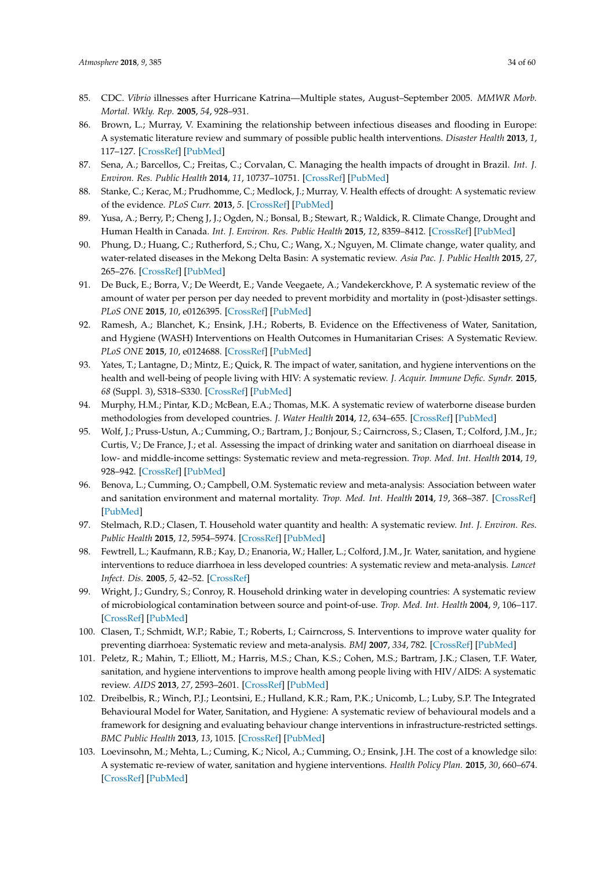- <span id="page-33-0"></span>85. CDC. *Vibrio* illnesses after Hurricane Katrina—Multiple states, August–September 2005. *MMWR Morb. Mortal. Wkly. Rep.* **2005**, *54*, 928–931.
- <span id="page-33-1"></span>86. Brown, L.; Murray, V. Examining the relationship between infectious diseases and flooding in Europe: A systematic literature review and summary of possible public health interventions. *Disaster Health* **2013**, *1*, 117–127. [\[CrossRef\]](http://dx.doi.org/10.4161/dish.25216) [\[PubMed\]](http://www.ncbi.nlm.nih.gov/pubmed/28228994)
- <span id="page-33-2"></span>87. Sena, A.; Barcellos, C.; Freitas, C.; Corvalan, C. Managing the health impacts of drought in Brazil. *Int. J. Environ. Res. Public Health* **2014**, *11*, 10737–10751. [\[CrossRef\]](http://dx.doi.org/10.3390/ijerph111010737) [\[PubMed\]](http://www.ncbi.nlm.nih.gov/pubmed/25325358)
- <span id="page-33-3"></span>88. Stanke, C.; Kerac, M.; Prudhomme, C.; Medlock, J.; Murray, V. Health effects of drought: A systematic review of the evidence. *PLoS Curr.* **2013**, *5*. [\[CrossRef\]](http://dx.doi.org/10.1371/currents.dis.7a2cee9e980f91ad7697b570bcc4b004) [\[PubMed\]](http://www.ncbi.nlm.nih.gov/pubmed/23787891)
- <span id="page-33-4"></span>89. Yusa, A.; Berry, P.; Cheng J, J.; Ogden, N.; Bonsal, B.; Stewart, R.; Waldick, R. Climate Change, Drought and Human Health in Canada. *Int. J. Environ. Res. Public Health* **2015**, *12*, 8359–8412. [\[CrossRef\]](http://dx.doi.org/10.3390/ijerph120708359) [\[PubMed\]](http://www.ncbi.nlm.nih.gov/pubmed/26193300)
- <span id="page-33-5"></span>90. Phung, D.; Huang, C.; Rutherford, S.; Chu, C.; Wang, X.; Nguyen, M. Climate change, water quality, and water-related diseases in the Mekong Delta Basin: A systematic review. *Asia Pac. J. Public Health* **2015**, *27*, 265–276. [\[CrossRef\]](http://dx.doi.org/10.1177/1010539514565448) [\[PubMed\]](http://www.ncbi.nlm.nih.gov/pubmed/25563349)
- <span id="page-33-6"></span>91. De Buck, E.; Borra, V.; De Weerdt, E.; Vande Veegaete, A.; Vandekerckhove, P. A systematic review of the amount of water per person per day needed to prevent morbidity and mortality in (post-)disaster settings. *PLoS ONE* **2015**, *10*, e0126395. [\[CrossRef\]](http://dx.doi.org/10.1371/journal.pone.0126395) [\[PubMed\]](http://www.ncbi.nlm.nih.gov/pubmed/25961720)
- <span id="page-33-7"></span>92. Ramesh, A.; Blanchet, K.; Ensink, J.H.; Roberts, B. Evidence on the Effectiveness of Water, Sanitation, and Hygiene (WASH) Interventions on Health Outcomes in Humanitarian Crises: A Systematic Review. *PLoS ONE* **2015**, *10*, e0124688. [\[CrossRef\]](http://dx.doi.org/10.1371/journal.pone.0124688) [\[PubMed\]](http://www.ncbi.nlm.nih.gov/pubmed/26398228)
- <span id="page-33-8"></span>93. Yates, T.; Lantagne, D.; Mintz, E.; Quick, R. The impact of water, sanitation, and hygiene interventions on the health and well-being of people living with HIV: A systematic review. *J. Acquir. Immune Defic. Syndr.* **2015**, *68* (Suppl. 3), S318–S330. [\[CrossRef\]](http://dx.doi.org/10.1097/QAI.0000000000000487) [\[PubMed\]](http://www.ncbi.nlm.nih.gov/pubmed/25768871)
- <span id="page-33-9"></span>94. Murphy, H.M.; Pintar, K.D.; McBean, E.A.; Thomas, M.K. A systematic review of waterborne disease burden methodologies from developed countries. *J. Water Health* **2014**, *12*, 634–655. [\[CrossRef\]](http://dx.doi.org/10.2166/wh.2014.049) [\[PubMed\]](http://www.ncbi.nlm.nih.gov/pubmed/25473972)
- <span id="page-33-10"></span>95. Wolf, J.; Pruss-Ustun, A.; Cumming, O.; Bartram, J.; Bonjour, S.; Cairncross, S.; Clasen, T.; Colford, J.M., Jr.; Curtis, V.; De France, J.; et al. Assessing the impact of drinking water and sanitation on diarrhoeal disease in low- and middle-income settings: Systematic review and meta-regression. *Trop. Med. Int. Health* **2014**, *19*, 928–942. [\[CrossRef\]](http://dx.doi.org/10.1111/tmi.12331) [\[PubMed\]](http://www.ncbi.nlm.nih.gov/pubmed/24811732)
- <span id="page-33-11"></span>96. Benova, L.; Cumming, O.; Campbell, O.M. Systematic review and meta-analysis: Association between water and sanitation environment and maternal mortality. *Trop. Med. Int. Health* **2014**, *19*, 368–387. [\[CrossRef\]](http://dx.doi.org/10.1111/tmi.12275) [\[PubMed\]](http://www.ncbi.nlm.nih.gov/pubmed/24506558)
- <span id="page-33-12"></span>97. Stelmach, R.D.; Clasen, T. Household water quantity and health: A systematic review. *Int. J. Environ. Res. Public Health* **2015**, *12*, 5954–5974. [\[CrossRef\]](http://dx.doi.org/10.3390/ijerph120605954) [\[PubMed\]](http://www.ncbi.nlm.nih.gov/pubmed/26030467)
- <span id="page-33-13"></span>98. Fewtrell, L.; Kaufmann, R.B.; Kay, D.; Enanoria, W.; Haller, L.; Colford, J.M., Jr. Water, sanitation, and hygiene interventions to reduce diarrhoea in less developed countries: A systematic review and meta-analysis. *Lancet Infect. Dis.* **2005**, *5*, 42–52. [\[CrossRef\]](http://dx.doi.org/10.1016/S1473-3099(04)01253-8)
- <span id="page-33-14"></span>99. Wright, J.; Gundry, S.; Conroy, R. Household drinking water in developing countries: A systematic review of microbiological contamination between source and point-of-use. *Trop. Med. Int. Health* **2004**, *9*, 106–117. [\[CrossRef\]](http://dx.doi.org/10.1046/j.1365-3156.2003.01160.x) [\[PubMed\]](http://www.ncbi.nlm.nih.gov/pubmed/14728614)
- <span id="page-33-15"></span>100. Clasen, T.; Schmidt, W.P.; Rabie, T.; Roberts, I.; Cairncross, S. Interventions to improve water quality for preventing diarrhoea: Systematic review and meta-analysis. *BMJ* **2007**, *334*, 782. [\[CrossRef\]](http://dx.doi.org/10.1136/bmj.39118.489931.BE) [\[PubMed\]](http://www.ncbi.nlm.nih.gov/pubmed/17353208)
- <span id="page-33-16"></span>101. Peletz, R.; Mahin, T.; Elliott, M.; Harris, M.S.; Chan, K.S.; Cohen, M.S.; Bartram, J.K.; Clasen, T.F. Water, sanitation, and hygiene interventions to improve health among people living with HIV/AIDS: A systematic review. *AIDS* **2013**, *27*, 2593–2601. [\[CrossRef\]](http://dx.doi.org/10.1097/QAD.0b013e3283633a5f) [\[PubMed\]](http://www.ncbi.nlm.nih.gov/pubmed/24100712)
- <span id="page-33-17"></span>102. Dreibelbis, R.; Winch, P.J.; Leontsini, E.; Hulland, K.R.; Ram, P.K.; Unicomb, L.; Luby, S.P. The Integrated Behavioural Model for Water, Sanitation, and Hygiene: A systematic review of behavioural models and a framework for designing and evaluating behaviour change interventions in infrastructure-restricted settings. *BMC Public Health* **2013**, *13*, 1015. [\[CrossRef\]](http://dx.doi.org/10.1186/1471-2458-13-1015) [\[PubMed\]](http://www.ncbi.nlm.nih.gov/pubmed/24160869)
- <span id="page-33-18"></span>103. Loevinsohn, M.; Mehta, L.; Cuming, K.; Nicol, A.; Cumming, O.; Ensink, J.H. The cost of a knowledge silo: A systematic re-review of water, sanitation and hygiene interventions. *Health Policy Plan.* **2015**, *30*, 660–674. [\[CrossRef\]](http://dx.doi.org/10.1093/heapol/czu039) [\[PubMed\]](http://www.ncbi.nlm.nih.gov/pubmed/24876076)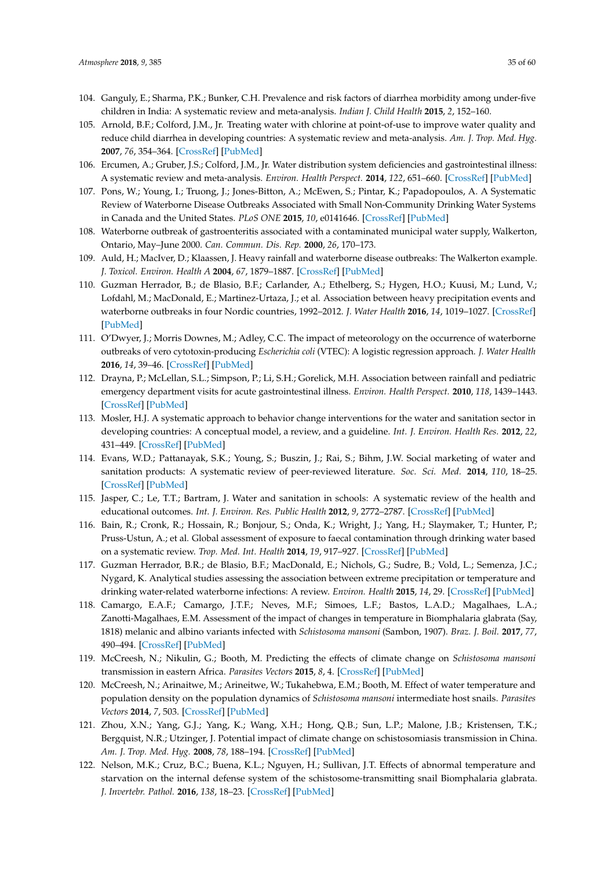- <span id="page-34-16"></span><span id="page-34-0"></span>104. Ganguly, E.; Sharma, P.K.; Bunker, C.H. Prevalence and risk factors of diarrhea morbidity among under-five children in India: A systematic review and meta-analysis. *Indian J. Child Health* **2015**, *2*, 152–160.
- <span id="page-34-1"></span>105. Arnold, B.F.; Colford, J.M., Jr. Treating water with chlorine at point-of-use to improve water quality and reduce child diarrhea in developing countries: A systematic review and meta-analysis. *Am. J. Trop. Med. Hyg.* **2007**, *76*, 354–364. [\[CrossRef\]](http://dx.doi.org/10.4269/ajtmh.2007.76.354) [\[PubMed\]](http://www.ncbi.nlm.nih.gov/pubmed/17297049)
- <span id="page-34-2"></span>106. Ercumen, A.; Gruber, J.S.; Colford, J.M., Jr. Water distribution system deficiencies and gastrointestinal illness: A systematic review and meta-analysis. *Environ. Health Perspect.* **2014**, *122*, 651–660. [\[CrossRef\]](http://dx.doi.org/10.1289/ehp.1306912) [\[PubMed\]](http://www.ncbi.nlm.nih.gov/pubmed/24659576)
- <span id="page-34-3"></span>107. Pons, W.; Young, I.; Truong, J.; Jones-Bitton, A.; McEwen, S.; Pintar, K.; Papadopoulos, A. A Systematic Review of Waterborne Disease Outbreaks Associated with Small Non-Community Drinking Water Systems in Canada and the United States. *PLoS ONE* **2015**, *10*, e0141646. [\[CrossRef\]](http://dx.doi.org/10.1371/journal.pone.0141646) [\[PubMed\]](http://www.ncbi.nlm.nih.gov/pubmed/26513152)
- <span id="page-34-4"></span>108. Waterborne outbreak of gastroenteritis associated with a contaminated municipal water supply, Walkerton, Ontario, May–June 2000. *Can. Commun. Dis. Rep.* **2000**, *26*, 170–173.
- <span id="page-34-5"></span>109. Auld, H.; MacIver, D.; Klaassen, J. Heavy rainfall and waterborne disease outbreaks: The Walkerton example. *J. Toxicol. Environ. Health A* **2004**, *67*, 1879–1887. [\[CrossRef\]](http://dx.doi.org/10.1080/15287390490493475) [\[PubMed\]](http://www.ncbi.nlm.nih.gov/pubmed/15371222)
- <span id="page-34-6"></span>110. Guzman Herrador, B.; de Blasio, B.F.; Carlander, A.; Ethelberg, S.; Hygen, H.O.; Kuusi, M.; Lund, V.; Lofdahl, M.; MacDonald, E.; Martinez-Urtaza, J.; et al. Association between heavy precipitation events and waterborne outbreaks in four Nordic countries, 1992–2012. *J. Water Health* **2016**, *14*, 1019–1027. [\[CrossRef\]](http://dx.doi.org/10.2166/wh.2016.071) [\[PubMed\]](http://www.ncbi.nlm.nih.gov/pubmed/27959880)
- 111. O'Dwyer, J.; Morris Downes, M.; Adley, C.C. The impact of meteorology on the occurrence of waterborne outbreaks of vero cytotoxin-producing *Escherichia coli* (VTEC): A logistic regression approach. *J. Water Health* **2016**, *14*, 39–46. [\[CrossRef\]](http://dx.doi.org/10.2166/wh.2015.016) [\[PubMed\]](http://www.ncbi.nlm.nih.gov/pubmed/26837828)
- <span id="page-34-7"></span>112. Drayna, P.; McLellan, S.L.; Simpson, P.; Li, S.H.; Gorelick, M.H. Association between rainfall and pediatric emergency department visits for acute gastrointestinal illness. *Environ. Health Perspect.* **2010**, *118*, 1439–1443. [\[CrossRef\]](http://dx.doi.org/10.1289/ehp.0901671) [\[PubMed\]](http://www.ncbi.nlm.nih.gov/pubmed/20515725)
- <span id="page-34-8"></span>113. Mosler, H.J. A systematic approach to behavior change interventions for the water and sanitation sector in developing countries: A conceptual model, a review, and a guideline. *Int. J. Environ. Health Res.* **2012**, *22*, 431–449. [\[CrossRef\]](http://dx.doi.org/10.1080/09603123.2011.650156) [\[PubMed\]](http://www.ncbi.nlm.nih.gov/pubmed/22292899)
- <span id="page-34-9"></span>114. Evans, W.D.; Pattanayak, S.K.; Young, S.; Buszin, J.; Rai, S.; Bihm, J.W. Social marketing of water and sanitation products: A systematic review of peer-reviewed literature. *Soc. Sci. Med.* **2014**, *110*, 18–25. [\[CrossRef\]](http://dx.doi.org/10.1016/j.socscimed.2014.03.011) [\[PubMed\]](http://www.ncbi.nlm.nih.gov/pubmed/24704890)
- <span id="page-34-10"></span>115. Jasper, C.; Le, T.T.; Bartram, J. Water and sanitation in schools: A systematic review of the health and educational outcomes. *Int. J. Environ. Res. Public Health* **2012**, *9*, 2772–2787. [\[CrossRef\]](http://dx.doi.org/10.3390/ijerph9082772) [\[PubMed\]](http://www.ncbi.nlm.nih.gov/pubmed/23066396)
- <span id="page-34-11"></span>116. Bain, R.; Cronk, R.; Hossain, R.; Bonjour, S.; Onda, K.; Wright, J.; Yang, H.; Slaymaker, T.; Hunter, P.; Pruss-Ustun, A.; et al. Global assessment of exposure to faecal contamination through drinking water based on a systematic review. *Trop. Med. Int. Health* **2014**, *19*, 917–927. [\[CrossRef\]](http://dx.doi.org/10.1111/tmi.12334) [\[PubMed\]](http://www.ncbi.nlm.nih.gov/pubmed/24811893)
- <span id="page-34-12"></span>117. Guzman Herrador, B.R.; de Blasio, B.F.; MacDonald, E.; Nichols, G.; Sudre, B.; Vold, L.; Semenza, J.C.; Nygard, K. Analytical studies assessing the association between extreme precipitation or temperature and drinking water-related waterborne infections: A review. *Environ. Health* **2015**, *14*, 29. [\[CrossRef\]](http://dx.doi.org/10.1186/s12940-015-0014-y) [\[PubMed\]](http://www.ncbi.nlm.nih.gov/pubmed/25885050)
- <span id="page-34-13"></span>118. Camargo, E.A.F.; Camargo, J.T.F.; Neves, M.F.; Simoes, L.F.; Bastos, L.A.D.; Magalhaes, L.A.; Zanotti-Magalhaes, E.M. Assessment of the impact of changes in temperature in Biomphalaria glabrata (Say, 1818) melanic and albino variants infected with *Schistosoma mansoni* (Sambon, 1907). *Braz. J. Boil.* **2017**, *77*, 490–494. [\[CrossRef\]](http://dx.doi.org/10.1590/1519-6984.16715) [\[PubMed\]](http://www.ncbi.nlm.nih.gov/pubmed/27683811)
- 119. McCreesh, N.; Nikulin, G.; Booth, M. Predicting the effects of climate change on *Schistosoma mansoni* transmission in eastern Africa. *Parasites Vectors* **2015**, *8*, 4. [\[CrossRef\]](http://dx.doi.org/10.1186/s13071-014-0617-0) [\[PubMed\]](http://www.ncbi.nlm.nih.gov/pubmed/25558917)
- 120. McCreesh, N.; Arinaitwe, M.; Arineitwe, W.; Tukahebwa, E.M.; Booth, M. Effect of water temperature and population density on the population dynamics of *Schistosoma mansoni* intermediate host snails. *Parasites Vectors* **2014**, *7*, 503. [\[CrossRef\]](http://dx.doi.org/10.1186/s13071-014-0503-9) [\[PubMed\]](http://www.ncbi.nlm.nih.gov/pubmed/25388819)
- <span id="page-34-14"></span>121. Zhou, X.N.; Yang, G.J.; Yang, K.; Wang, X.H.; Hong, Q.B.; Sun, L.P.; Malone, J.B.; Kristensen, T.K.; Bergquist, N.R.; Utzinger, J. Potential impact of climate change on schistosomiasis transmission in China. *Am. J. Trop. Med. Hyg.* **2008**, *78*, 188–194. [\[CrossRef\]](http://dx.doi.org/10.4269/ajtmh.2008.78.188) [\[PubMed\]](http://www.ncbi.nlm.nih.gov/pubmed/18256410)
- <span id="page-34-15"></span>122. Nelson, M.K.; Cruz, B.C.; Buena, K.L.; Nguyen, H.; Sullivan, J.T. Effects of abnormal temperature and starvation on the internal defense system of the schistosome-transmitting snail Biomphalaria glabrata. *J. Invertebr. Pathol.* **2016**, *138*, 18–23. [\[CrossRef\]](http://dx.doi.org/10.1016/j.jip.2016.05.009) [\[PubMed\]](http://www.ncbi.nlm.nih.gov/pubmed/27261059)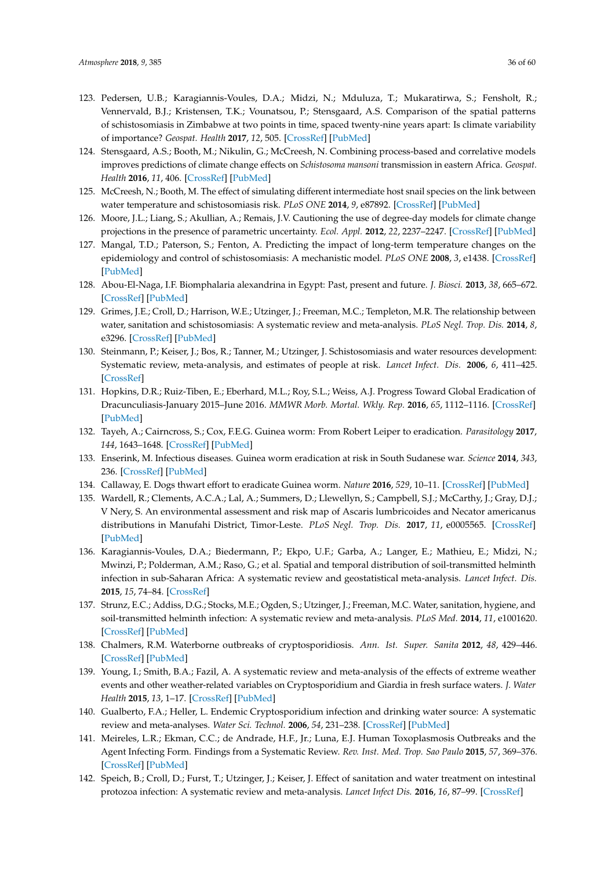- <span id="page-35-0"></span>123. Pedersen, U.B.; Karagiannis-Voules, D.A.; Midzi, N.; Mduluza, T.; Mukaratirwa, S.; Fensholt, R.; Vennervald, B.J.; Kristensen, T.K.; Vounatsou, P.; Stensgaard, A.S. Comparison of the spatial patterns of schistosomiasis in Zimbabwe at two points in time, spaced twenty-nine years apart: Is climate variability of importance? *Geospat. Health* **2017**, *12*, 505. [\[CrossRef\]](http://dx.doi.org/10.4081/gh.2017.505) [\[PubMed\]](http://www.ncbi.nlm.nih.gov/pubmed/28555471)
- <span id="page-35-1"></span>124. Stensgaard, A.S.; Booth, M.; Nikulin, G.; McCreesh, N. Combining process-based and correlative models improves predictions of climate change effects on *Schistosoma mansoni* transmission in eastern Africa. *Geospat. Health* **2016**, *11*, 406. [\[CrossRef\]](http://dx.doi.org/10.4081/gh.2016.406) [\[PubMed\]](http://www.ncbi.nlm.nih.gov/pubmed/27063739)
- <span id="page-35-2"></span>125. McCreesh, N.; Booth, M. The effect of simulating different intermediate host snail species on the link between water temperature and schistosomiasis risk. *PLoS ONE* **2014**, *9*, e87892. [\[CrossRef\]](http://dx.doi.org/10.1371/journal.pone.0087892) [\[PubMed\]](http://www.ncbi.nlm.nih.gov/pubmed/24988377)
- <span id="page-35-3"></span>126. Moore, J.L.; Liang, S.; Akullian, A.; Remais, J.V. Cautioning the use of degree-day models for climate change projections in the presence of parametric uncertainty. *Ecol. Appl.* **2012**, *22*, 2237–2247. [\[CrossRef\]](http://dx.doi.org/10.1890/12-0127.1) [\[PubMed\]](http://www.ncbi.nlm.nih.gov/pubmed/23387122)
- <span id="page-35-4"></span>127. Mangal, T.D.; Paterson, S.; Fenton, A. Predicting the impact of long-term temperature changes on the epidemiology and control of schistosomiasis: A mechanistic model. *PLoS ONE* **2008**, *3*, e1438. [\[CrossRef\]](http://dx.doi.org/10.1371/journal.pone.0001438) [\[PubMed\]](http://www.ncbi.nlm.nih.gov/pubmed/18197249)
- <span id="page-35-5"></span>128. Abou-El-Naga, I.F. Biomphalaria alexandrina in Egypt: Past, present and future. *J. Biosci.* **2013**, *38*, 665–672. [\[CrossRef\]](http://dx.doi.org/10.1007/s12038-013-9329-4) [\[PubMed\]](http://www.ncbi.nlm.nih.gov/pubmed/23938396)
- <span id="page-35-6"></span>129. Grimes, J.E.; Croll, D.; Harrison, W.E.; Utzinger, J.; Freeman, M.C.; Templeton, M.R. The relationship between water, sanitation and schistosomiasis: A systematic review and meta-analysis. *PLoS Negl. Trop. Dis.* **2014**, *8*, e3296. [\[CrossRef\]](http://dx.doi.org/10.1371/journal.pntd.0003296) [\[PubMed\]](http://www.ncbi.nlm.nih.gov/pubmed/25474705)
- <span id="page-35-7"></span>130. Steinmann, P.; Keiser, J.; Bos, R.; Tanner, M.; Utzinger, J. Schistosomiasis and water resources development: Systematic review, meta-analysis, and estimates of people at risk. *Lancet Infect. Dis.* **2006**, *6*, 411–425. [\[CrossRef\]](http://dx.doi.org/10.1016/S1473-3099(06)70521-7)
- <span id="page-35-20"></span><span id="page-35-8"></span>131. Hopkins, D.R.; Ruiz-Tiben, E.; Eberhard, M.L.; Roy, S.L.; Weiss, A.J. Progress Toward Global Eradication of Dracunculiasis-January 2015–June 2016. *MMWR Morb. Mortal. Wkly. Rep.* **2016**, *65*, 1112–1116. [\[CrossRef\]](http://dx.doi.org/10.15585/mmwr.mm6540a5) [\[PubMed\]](http://www.ncbi.nlm.nih.gov/pubmed/27736840)
- <span id="page-35-9"></span>132. Tayeh, A.; Cairncross, S.; Cox, F.E.G. Guinea worm: From Robert Leiper to eradication. *Parasitology* **2017**, *144*, 1643–1648. [\[CrossRef\]](http://dx.doi.org/10.1017/S0031182017000683) [\[PubMed\]](http://www.ncbi.nlm.nih.gov/pubmed/28653590)
- <span id="page-35-10"></span>133. Enserink, M. Infectious diseases. Guinea worm eradication at risk in South Sudanese war. *Science* **2014**, *343*, 236. [\[CrossRef\]](http://dx.doi.org/10.1126/science.343.6168.236) [\[PubMed\]](http://www.ncbi.nlm.nih.gov/pubmed/24436396)
- <span id="page-35-11"></span>134. Callaway, E. Dogs thwart effort to eradicate Guinea worm. *Nature* **2016**, *529*, 10–11. [\[CrossRef\]](http://dx.doi.org/10.1038/529010a) [\[PubMed\]](http://www.ncbi.nlm.nih.gov/pubmed/26738575)
- <span id="page-35-12"></span>135. Wardell, R.; Clements, A.C.A.; Lal, A.; Summers, D.; Llewellyn, S.; Campbell, S.J.; McCarthy, J.; Gray, D.J.; V Nery, S. An environmental assessment and risk map of Ascaris lumbricoides and Necator americanus distributions in Manufahi District, Timor-Leste. *PLoS Negl. Trop. Dis.* **2017**, *11*, e0005565. [\[CrossRef\]](http://dx.doi.org/10.1371/journal.pntd.0005565) [\[PubMed\]](http://www.ncbi.nlm.nih.gov/pubmed/28489889)
- <span id="page-35-13"></span>136. Karagiannis-Voules, D.A.; Biedermann, P.; Ekpo, U.F.; Garba, A.; Langer, E.; Mathieu, E.; Midzi, N.; Mwinzi, P.; Polderman, A.M.; Raso, G.; et al. Spatial and temporal distribution of soil-transmitted helminth infection in sub-Saharan Africa: A systematic review and geostatistical meta-analysis. *Lancet Infect. Dis.* **2015**, *15*, 74–84. [\[CrossRef\]](http://dx.doi.org/10.1016/S1473-3099(14)71004-7)
- <span id="page-35-14"></span>137. Strunz, E.C.; Addiss, D.G.; Stocks, M.E.; Ogden, S.; Utzinger, J.; Freeman, M.C. Water, sanitation, hygiene, and soil-transmitted helminth infection: A systematic review and meta-analysis. *PLoS Med.* **2014**, *11*, e1001620. [\[CrossRef\]](http://dx.doi.org/10.1371/journal.pmed.1001620) [\[PubMed\]](http://www.ncbi.nlm.nih.gov/pubmed/24667810)
- <span id="page-35-15"></span>138. Chalmers, R.M. Waterborne outbreaks of cryptosporidiosis. *Ann. Ist. Super. Sanita* **2012**, *48*, 429–446. [\[CrossRef\]](http://dx.doi.org/10.4415/ANN_12_04_10) [\[PubMed\]](http://www.ncbi.nlm.nih.gov/pubmed/23247139)
- <span id="page-35-16"></span>139. Young, I.; Smith, B.A.; Fazil, A. A systematic review and meta-analysis of the effects of extreme weather events and other weather-related variables on Cryptosporidium and Giardia in fresh surface waters. *J. Water Health* **2015**, *13*, 1–17. [\[CrossRef\]](http://dx.doi.org/10.2166/wh.2014.079) [\[PubMed\]](http://www.ncbi.nlm.nih.gov/pubmed/25719461)
- <span id="page-35-17"></span>140. Gualberto, F.A.; Heller, L. Endemic Cryptosporidium infection and drinking water source: A systematic review and meta-analyses. *Water Sci. Technol.* **2006**, *54*, 231–238. [\[CrossRef\]](http://dx.doi.org/10.2166/wst.2006.474) [\[PubMed\]](http://www.ncbi.nlm.nih.gov/pubmed/17037158)
- <span id="page-35-18"></span>141. Meireles, L.R.; Ekman, C.C.; de Andrade, H.F., Jr.; Luna, E.J. Human Toxoplasmosis Outbreaks and the Agent Infecting Form. Findings from a Systematic Review. *Rev. Inst. Med. Trop. Sao Paulo* **2015**, *57*, 369–376. [\[CrossRef\]](http://dx.doi.org/10.1590/S0036-46652015000500001) [\[PubMed\]](http://www.ncbi.nlm.nih.gov/pubmed/26603222)
- <span id="page-35-19"></span>142. Speich, B.; Croll, D.; Furst, T.; Utzinger, J.; Keiser, J. Effect of sanitation and water treatment on intestinal protozoa infection: A systematic review and meta-analysis. *Lancet Infect Dis.* **2016**, *16*, 87–99. [\[CrossRef\]](http://dx.doi.org/10.1016/S1473-3099(15)00349-7)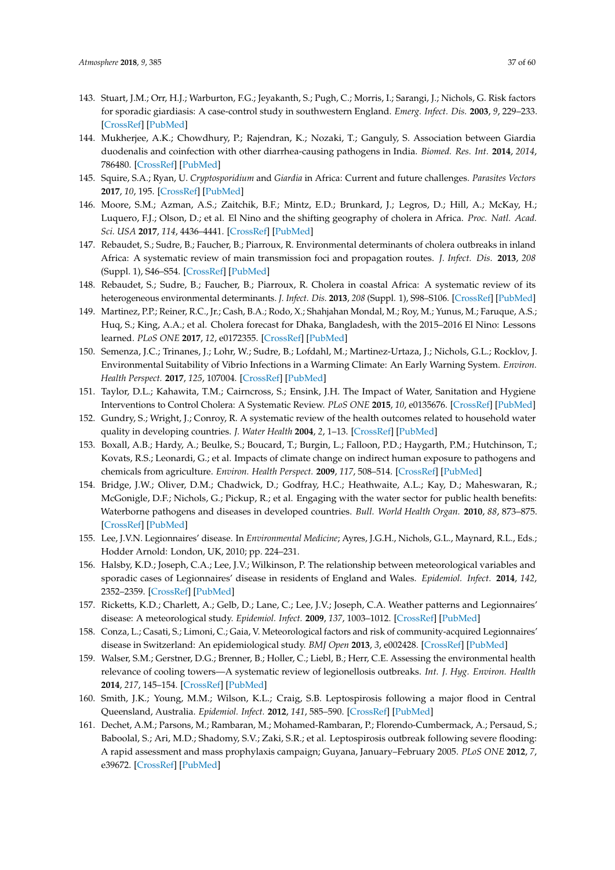- <span id="page-36-18"></span><span id="page-36-0"></span>143. Stuart, J.M.; Orr, H.J.; Warburton, F.G.; Jeyakanth, S.; Pugh, C.; Morris, I.; Sarangi, J.; Nichols, G. Risk factors for sporadic giardiasis: A case-control study in southwestern England. *Emerg. Infect. Dis.* **2003**, *9*, 229–233. [\[CrossRef\]](http://dx.doi.org/10.3201/eid0902.010488) [\[PubMed\]](http://www.ncbi.nlm.nih.gov/pubmed/12603995)
- <span id="page-36-1"></span>144. Mukherjee, A.K.; Chowdhury, P.; Rajendran, K.; Nozaki, T.; Ganguly, S. Association between Giardia duodenalis and coinfection with other diarrhea-causing pathogens in India. *Biomed. Res. Int.* **2014**, *2014*, 786480. [\[CrossRef\]](http://dx.doi.org/10.1155/2014/786480) [\[PubMed\]](http://www.ncbi.nlm.nih.gov/pubmed/25009820)
- <span id="page-36-2"></span>145. Squire, S.A.; Ryan, U. *Cryptosporidium* and *Giardia* in Africa: Current and future challenges. *Parasites Vectors* **2017**, *10*, 195. [\[CrossRef\]](http://dx.doi.org/10.1186/s13071-017-2111-y) [\[PubMed\]](http://www.ncbi.nlm.nih.gov/pubmed/28427454)
- <span id="page-36-3"></span>146. Moore, S.M.; Azman, A.S.; Zaitchik, B.F.; Mintz, E.D.; Brunkard, J.; Legros, D.; Hill, A.; McKay, H.; Luquero, F.J.; Olson, D.; et al. El Nino and the shifting geography of cholera in Africa. *Proc. Natl. Acad. Sci. USA* **2017**, *114*, 4436–4441. [\[CrossRef\]](http://dx.doi.org/10.1073/pnas.1617218114) [\[PubMed\]](http://www.ncbi.nlm.nih.gov/pubmed/28396423)
- <span id="page-36-4"></span>147. Rebaudet, S.; Sudre, B.; Faucher, B.; Piarroux, R. Environmental determinants of cholera outbreaks in inland Africa: A systematic review of main transmission foci and propagation routes. *J. Infect. Dis.* **2013**, *208* (Suppl. 1), S46–S54. [\[CrossRef\]](http://dx.doi.org/10.1093/infdis/jit195) [\[PubMed\]](http://www.ncbi.nlm.nih.gov/pubmed/24101645)
- <span id="page-36-9"></span>148. Rebaudet, S.; Sudre, B.; Faucher, B.; Piarroux, R. Cholera in coastal Africa: A systematic review of its heterogeneous environmental determinants. *J. Infect. Dis.* **2013**, *208* (Suppl. 1), S98–S106. [\[CrossRef\]](http://dx.doi.org/10.1093/infdis/jit202) [\[PubMed\]](http://www.ncbi.nlm.nih.gov/pubmed/24101653)
- <span id="page-36-5"></span>149. Martinez, P.P.; Reiner, R.C., Jr.; Cash, B.A.; Rodo, X.; Shahjahan Mondal, M.; Roy, M.; Yunus, M.; Faruque, A.S.; Huq, S.; King, A.A.; et al. Cholera forecast for Dhaka, Bangladesh, with the 2015–2016 El Nino: Lessons learned. *PLoS ONE* **2017**, *12*, e0172355. [\[CrossRef\]](http://dx.doi.org/10.1371/journal.pone.0172355) [\[PubMed\]](http://www.ncbi.nlm.nih.gov/pubmed/28253325)
- <span id="page-36-6"></span>150. Semenza, J.C.; Trinanes, J.; Lohr, W.; Sudre, B.; Lofdahl, M.; Martinez-Urtaza, J.; Nichols, G.L.; Rocklov, J. Environmental Suitability of Vibrio Infections in a Warming Climate: An Early Warning System. *Environ. Health Perspect.* **2017**, *125*, 107004. [\[CrossRef\]](http://dx.doi.org/10.1289/EHP2198) [\[PubMed\]](http://www.ncbi.nlm.nih.gov/pubmed/29017986)
- <span id="page-36-19"></span><span id="page-36-7"></span>151. Taylor, D.L.; Kahawita, T.M.; Cairncross, S.; Ensink, J.H. The Impact of Water, Sanitation and Hygiene Interventions to Control Cholera: A Systematic Review. *PLoS ONE* **2015**, *10*, e0135676. [\[CrossRef\]](http://dx.doi.org/10.1371/journal.pone.0135676) [\[PubMed\]](http://www.ncbi.nlm.nih.gov/pubmed/26284367)
- <span id="page-36-8"></span>152. Gundry, S.; Wright, J.; Conroy, R. A systematic review of the health outcomes related to household water quality in developing countries. *J. Water Health* **2004**, *2*, 1–13. [\[CrossRef\]](http://dx.doi.org/10.2166/wh.2004.0001) [\[PubMed\]](http://www.ncbi.nlm.nih.gov/pubmed/15384725)
- <span id="page-36-20"></span><span id="page-36-10"></span>153. Boxall, A.B.; Hardy, A.; Beulke, S.; Boucard, T.; Burgin, L.; Falloon, P.D.; Haygarth, P.M.; Hutchinson, T.; Kovats, R.S.; Leonardi, G.; et al. Impacts of climate change on indirect human exposure to pathogens and chemicals from agriculture. *Environ. Health Perspect.* **2009**, *117*, 508–514. [\[CrossRef\]](http://dx.doi.org/10.1289/ehp.0800084) [\[PubMed\]](http://www.ncbi.nlm.nih.gov/pubmed/19440487)
- <span id="page-36-11"></span>154. Bridge, J.W.; Oliver, D.M.; Chadwick, D.; Godfray, H.C.; Heathwaite, A.L.; Kay, D.; Maheswaran, R.; McGonigle, D.F.; Nichols, G.; Pickup, R.; et al. Engaging with the water sector for public health benefits: Waterborne pathogens and diseases in developed countries. *Bull. World Health Organ.* **2010**, *88*, 873–875. [\[CrossRef\]](http://dx.doi.org/10.2471/BLT.09.072512) [\[PubMed\]](http://www.ncbi.nlm.nih.gov/pubmed/21076571)
- <span id="page-36-12"></span>155. Lee, J.V.N. Legionnaires' disease. In *Environmental Medicine*; Ayres, J.G.H., Nichols, G.L., Maynard, R.L., Eds.; Hodder Arnold: London, UK, 2010; pp. 224–231.
- <span id="page-36-13"></span>156. Halsby, K.D.; Joseph, C.A.; Lee, J.V.; Wilkinson, P. The relationship between meteorological variables and sporadic cases of Legionnaires' disease in residents of England and Wales. *Epidemiol. Infect.* **2014**, *142*, 2352–2359. [\[CrossRef\]](http://dx.doi.org/10.1017/S0950268813003294) [\[PubMed\]](http://www.ncbi.nlm.nih.gov/pubmed/24406306)
- <span id="page-36-14"></span>157. Ricketts, K.D.; Charlett, A.; Gelb, D.; Lane, C.; Lee, J.V.; Joseph, C.A. Weather patterns and Legionnaires' disease: A meteorological study. *Epidemiol. Infect.* **2009**, *137*, 1003–1012. [\[CrossRef\]](http://dx.doi.org/10.1017/S095026880800157X) [\[PubMed\]](http://www.ncbi.nlm.nih.gov/pubmed/19017428)
- <span id="page-36-15"></span>158. Conza, L.; Casati, S.; Limoni, C.; Gaia, V. Meteorological factors and risk of community-acquired Legionnaires' disease in Switzerland: An epidemiological study. *BMJ Open* **2013**, *3*, e002428. [\[CrossRef\]](http://dx.doi.org/10.1136/bmjopen-2012-002428) [\[PubMed\]](http://www.ncbi.nlm.nih.gov/pubmed/23468470)
- <span id="page-36-16"></span>159. Walser, S.M.; Gerstner, D.G.; Brenner, B.; Holler, C.; Liebl, B.; Herr, C.E. Assessing the environmental health relevance of cooling towers—A systematic review of legionellosis outbreaks. *Int. J. Hyg. Environ. Health* **2014**, *217*, 145–154. [\[CrossRef\]](http://dx.doi.org/10.1016/j.ijheh.2013.08.002) [\[PubMed\]](http://www.ncbi.nlm.nih.gov/pubmed/24100053)
- <span id="page-36-17"></span>160. Smith, J.K.; Young, M.M.; Wilson, K.L.; Craig, S.B. Leptospirosis following a major flood in Central Queensland, Australia. *Epidemiol. Infect.* **2012**, *141*, 585–590. [\[CrossRef\]](http://dx.doi.org/10.1017/S0950268812001021) [\[PubMed\]](http://www.ncbi.nlm.nih.gov/pubmed/22625176)
- 161. Dechet, A.M.; Parsons, M.; Rambaran, M.; Mohamed-Rambaran, P.; Florendo-Cumbermack, A.; Persaud, S.; Baboolal, S.; Ari, M.D.; Shadomy, S.V.; Zaki, S.R.; et al. Leptospirosis outbreak following severe flooding: A rapid assessment and mass prophylaxis campaign; Guyana, January–February 2005. *PLoS ONE* **2012**, *7*, e39672. [\[CrossRef\]](http://dx.doi.org/10.1371/journal.pone.0039672) [\[PubMed\]](http://www.ncbi.nlm.nih.gov/pubmed/22808049)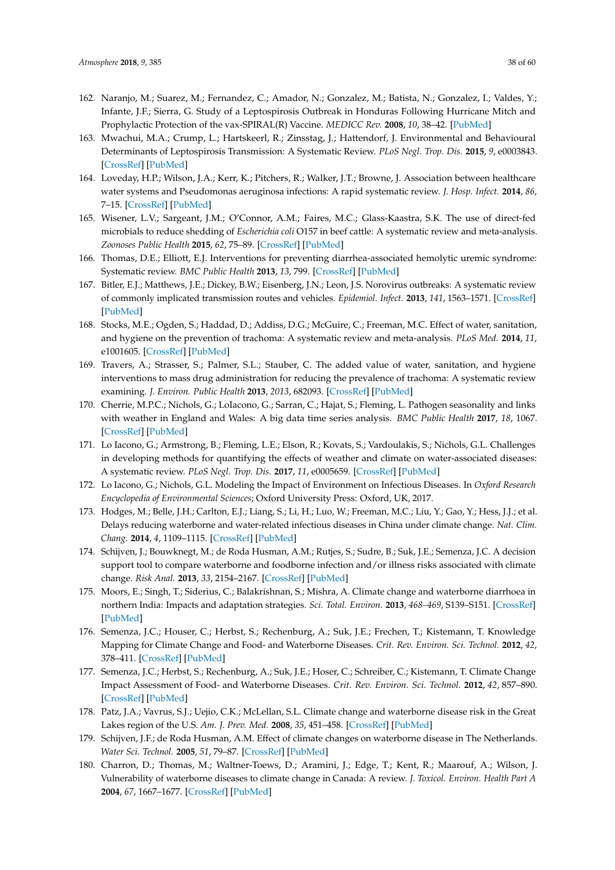- <span id="page-37-16"></span><span id="page-37-0"></span>162. Naranjo, M.; Suarez, M.; Fernandez, C.; Amador, N.; Gonzalez, M.; Batista, N.; Gonzalez, I.; Valdes, Y.; Infante, J.F.; Sierra, G. Study of a Leptospirosis Outbreak in Honduras Following Hurricane Mitch and Prophylactic Protection of the vax-SPIRAL(R) Vaccine. *MEDICC Rev.* **2008**, *10*, 38–42. [\[PubMed\]](http://www.ncbi.nlm.nih.gov/pubmed/21487367)
- <span id="page-37-1"></span>163. Mwachui, M.A.; Crump, L.; Hartskeerl, R.; Zinsstag, J.; Hattendorf, J. Environmental and Behavioural Determinants of Leptospirosis Transmission: A Systematic Review. *PLoS Negl. Trop. Dis.* **2015**, *9*, e0003843. [\[CrossRef\]](http://dx.doi.org/10.1371/journal.pntd.0003843) [\[PubMed\]](http://www.ncbi.nlm.nih.gov/pubmed/26379035)
- <span id="page-37-2"></span>164. Loveday, H.P.; Wilson, J.A.; Kerr, K.; Pitchers, R.; Walker, J.T.; Browne, J. Association between healthcare water systems and Pseudomonas aeruginosa infections: A rapid systematic review. *J. Hosp. Infect.* **2014**, *86*, 7–15. [\[CrossRef\]](http://dx.doi.org/10.1016/j.jhin.2013.09.010) [\[PubMed\]](http://www.ncbi.nlm.nih.gov/pubmed/24289866)
- <span id="page-37-3"></span>165. Wisener, L.V.; Sargeant, J.M.; O'Connor, A.M.; Faires, M.C.; Glass-Kaastra, S.K. The use of direct-fed microbials to reduce shedding of *Escherichia coli* O157 in beef cattle: A systematic review and meta-analysis. *Zoonoses Public Health* **2015**, *62*, 75–89. [\[CrossRef\]](http://dx.doi.org/10.1111/zph.12112) [\[PubMed\]](http://www.ncbi.nlm.nih.gov/pubmed/24751204)
- <span id="page-37-4"></span>166. Thomas, D.E.; Elliott, E.J. Interventions for preventing diarrhea-associated hemolytic uremic syndrome: Systematic review. *BMC Public Health* **2013**, *13*, 799. [\[CrossRef\]](http://dx.doi.org/10.1186/1471-2458-13-799) [\[PubMed\]](http://www.ncbi.nlm.nih.gov/pubmed/24007265)
- <span id="page-37-5"></span>167. Bitler, E.J.; Matthews, J.E.; Dickey, B.W.; Eisenberg, J.N.; Leon, J.S. Norovirus outbreaks: A systematic review of commonly implicated transmission routes and vehicles. *Epidemiol. Infect.* **2013**, *141*, 1563–1571. [\[CrossRef\]](http://dx.doi.org/10.1017/S095026881300006X) [\[PubMed\]](http://www.ncbi.nlm.nih.gov/pubmed/23433247)
- <span id="page-37-6"></span>168. Stocks, M.E.; Ogden, S.; Haddad, D.; Addiss, D.G.; McGuire, C.; Freeman, M.C. Effect of water, sanitation, and hygiene on the prevention of trachoma: A systematic review and meta-analysis. *PLoS Med.* **2014**, *11*, e1001605. [\[CrossRef\]](http://dx.doi.org/10.1371/journal.pmed.1001605) [\[PubMed\]](http://www.ncbi.nlm.nih.gov/pubmed/24586120)
- <span id="page-37-7"></span>169. Travers, A.; Strasser, S.; Palmer, S.L.; Stauber, C. The added value of water, sanitation, and hygiene interventions to mass drug administration for reducing the prevalence of trachoma: A systematic review examining. *J. Environ. Public Health* **2013**, *2013*, 682093. [\[CrossRef\]](http://dx.doi.org/10.1155/2013/682093) [\[PubMed\]](http://www.ncbi.nlm.nih.gov/pubmed/23990843)
- <span id="page-37-8"></span>170. Cherrie, M.P.C.; Nichols, G.; LoIacono, G.; Sarran, C.; Hajat, S.; Fleming, L. Pathogen seasonality and links with weather in England and Wales: A big data time series analysis. *BMC Public Health* **2017**, *18*, 1067. [\[CrossRef\]](http://dx.doi.org/10.1186/s12889-018-5931-6) [\[PubMed\]](http://www.ncbi.nlm.nih.gov/pubmed/30153803)
- <span id="page-37-9"></span>171. Lo Iacono, G.; Armstrong, B.; Fleming, L.E.; Elson, R.; Kovats, S.; Vardoulakis, S.; Nichols, G.L. Challenges in developing methods for quantifying the effects of weather and climate on water-associated diseases: A systematic review. *PLoS Negl. Trop. Dis.* **2017**, *11*, e0005659. [\[CrossRef\]](http://dx.doi.org/10.1371/journal.pntd.0005659) [\[PubMed\]](http://www.ncbi.nlm.nih.gov/pubmed/28604791)
- <span id="page-37-10"></span>172. Lo Iacono, G.; Nichols, G.L. Modeling the Impact of Environment on Infectious Diseases. In *Oxford Research Encyclopedia of Environmental Sciences*; Oxford University Press: Oxford, UK, 2017.
- <span id="page-37-17"></span>173. Hodges, M.; Belle, J.H.; Carlton, E.J.; Liang, S.; Li, H.; Luo, W.; Freeman, M.C.; Liu, Y.; Gao, Y.; Hess, J.J.; et al. Delays reducing waterborne and water-related infectious diseases in China under climate change. *Nat. Clim. Chang.* **2014**, *4*, 1109–1115. [\[CrossRef\]](http://dx.doi.org/10.1038/nclimate2428) [\[PubMed\]](http://www.ncbi.nlm.nih.gov/pubmed/25530812)
- <span id="page-37-14"></span>174. Schijven, J.; Bouwknegt, M.; de Roda Husman, A.M.; Rutjes, S.; Sudre, B.; Suk, J.E.; Semenza, J.C. A decision support tool to compare waterborne and foodborne infection and/or illness risks associated with climate change. *Risk Anal.* **2013**, *33*, 2154–2167. [\[CrossRef\]](http://dx.doi.org/10.1111/risa.12077) [\[PubMed\]](http://www.ncbi.nlm.nih.gov/pubmed/23781944)
- <span id="page-37-11"></span>175. Moors, E.; Singh, T.; Siderius, C.; Balakrishnan, S.; Mishra, A. Climate change and waterborne diarrhoea in northern India: Impacts and adaptation strategies. *Sci. Total. Environ.* **2013**, *468–469*, S139–S151. [\[CrossRef\]](http://dx.doi.org/10.1016/j.scitotenv.2013.07.021) [\[PubMed\]](http://www.ncbi.nlm.nih.gov/pubmed/23972324)
- 176. Semenza, J.C.; Houser, C.; Herbst, S.; Rechenburg, A.; Suk, J.E.; Frechen, T.; Kistemann, T. Knowledge Mapping for Climate Change and Food- and Waterborne Diseases. *Crit. Rev. Environ. Sci. Technol.* **2012**, *42*, 378–411. [\[CrossRef\]](http://dx.doi.org/10.1080/10643389.2010.518520) [\[PubMed\]](http://www.ncbi.nlm.nih.gov/pubmed/24771989)
- <span id="page-37-12"></span>177. Semenza, J.C.; Herbst, S.; Rechenburg, A.; Suk, J.E.; Hoser, C.; Schreiber, C.; Kistemann, T. Climate Change Impact Assessment of Food- and Waterborne Diseases. *Crit. Rev. Environ. Sci. Technol.* **2012**, *42*, 857–890. [\[CrossRef\]](http://dx.doi.org/10.1080/10643389.2010.534706) [\[PubMed\]](http://www.ncbi.nlm.nih.gov/pubmed/24808720)
- <span id="page-37-13"></span>178. Patz, J.A.; Vavrus, S.J.; Uejio, C.K.; McLellan, S.L. Climate change and waterborne disease risk in the Great Lakes region of the U.S. *Am. J. Prev. Med.* **2008**, *35*, 451–458. [\[CrossRef\]](http://dx.doi.org/10.1016/j.amepre.2008.08.026) [\[PubMed\]](http://www.ncbi.nlm.nih.gov/pubmed/18929971)
- <span id="page-37-15"></span>179. Schijven, J.F.; de Roda Husman, A.M. Effect of climate changes on waterborne disease in The Netherlands. *Water Sci. Technol.* **2005**, *51*, 79–87. [\[CrossRef\]](http://dx.doi.org/10.2166/wst.2005.0114) [\[PubMed\]](http://www.ncbi.nlm.nih.gov/pubmed/15918361)
- 180. Charron, D.; Thomas, M.; Waltner-Toews, D.; Aramini, J.; Edge, T.; Kent, R.; Maarouf, A.; Wilson, J. Vulnerability of waterborne diseases to climate change in Canada: A review. *J. Toxicol. Environ. Health Part A* **2004**, *67*, 1667–1677. [\[CrossRef\]](http://dx.doi.org/10.1080/15287390490492313) [\[PubMed\]](http://www.ncbi.nlm.nih.gov/pubmed/15371208)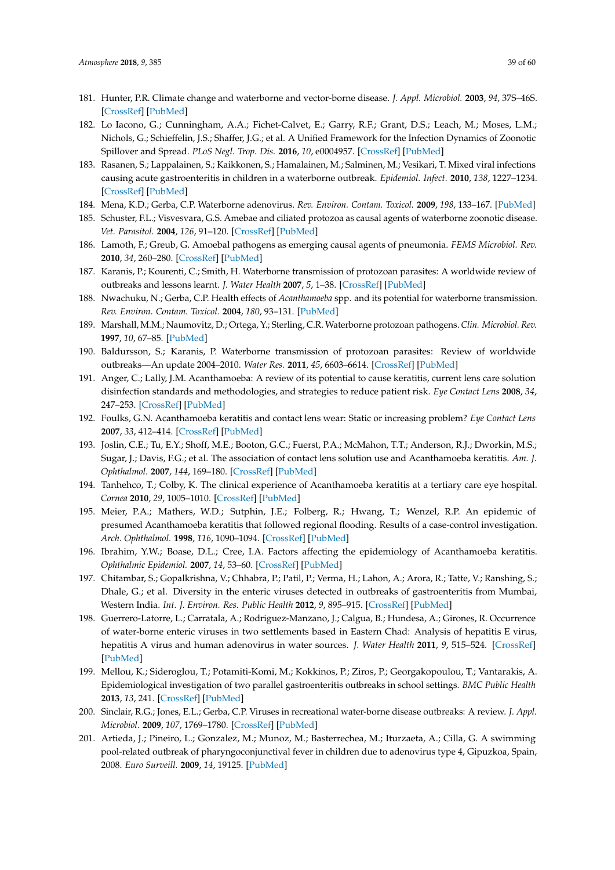- <span id="page-38-15"></span><span id="page-38-12"></span><span id="page-38-11"></span><span id="page-38-10"></span><span id="page-38-9"></span><span id="page-38-6"></span><span id="page-38-2"></span>181. Hunter, P.R. Climate change and waterborne and vector-borne disease. *J. Appl. Microbiol.* **2003**, *94*, 37S–46S. [\[CrossRef\]](http://dx.doi.org/10.1046/j.1365-2672.94.s1.5.x) [\[PubMed\]](http://www.ncbi.nlm.nih.gov/pubmed/12675935)
- <span id="page-38-0"></span>182. Lo Iacono, G.; Cunningham, A.A.; Fichet-Calvet, E.; Garry, R.F.; Grant, D.S.; Leach, M.; Moses, L.M.; Nichols, G.; Schieffelin, J.S.; Shaffer, J.G.; et al. A Unified Framework for the Infection Dynamics of Zoonotic Spillover and Spread. *PLoS Negl. Trop. Dis.* **2016**, *10*, e0004957. [\[CrossRef\]](http://dx.doi.org/10.1371/journal.pntd.0004957) [\[PubMed\]](http://www.ncbi.nlm.nih.gov/pubmed/27588425)
- <span id="page-38-1"></span>183. Rasanen, S.; Lappalainen, S.; Kaikkonen, S.; Hamalainen, M.; Salminen, M.; Vesikari, T. Mixed viral infections causing acute gastroenteritis in children in a waterborne outbreak. *Epidemiol. Infect.* **2010**, *138*, 1227–1234. [\[CrossRef\]](http://dx.doi.org/10.1017/S0950268809991671) [\[PubMed\]](http://www.ncbi.nlm.nih.gov/pubmed/20092670)
- 184. Mena, K.D.; Gerba, C.P. Waterborne adenovirus. *Rev. Environ. Contam. Toxicol.* **2009**, *198*, 133–167. [\[PubMed\]](http://www.ncbi.nlm.nih.gov/pubmed/19253037)
- <span id="page-38-3"></span>185. Schuster, F.L.; Visvesvara, G.S. Amebae and ciliated protozoa as causal agents of waterborne zoonotic disease. *Vet. Parasitol.* **2004**, *126*, 91–120. [\[CrossRef\]](http://dx.doi.org/10.1016/j.vetpar.2004.09.019) [\[PubMed\]](http://www.ncbi.nlm.nih.gov/pubmed/15567581)
- <span id="page-38-4"></span>186. Lamoth, F.; Greub, G. Amoebal pathogens as emerging causal agents of pneumonia. *FEMS Microbiol. Rev.* **2010**, *34*, 260–280. [\[CrossRef\]](http://dx.doi.org/10.1111/j.1574-6976.2009.00207.x) [\[PubMed\]](http://www.ncbi.nlm.nih.gov/pubmed/20113355)
- 187. Karanis, P.; Kourenti, C.; Smith, H. Waterborne transmission of protozoan parasites: A worldwide review of outbreaks and lessons learnt. *J. Water Health* **2007**, *5*, 1–38. [\[CrossRef\]](http://dx.doi.org/10.2166/wh.2006.002) [\[PubMed\]](http://www.ncbi.nlm.nih.gov/pubmed/17402277)
- <span id="page-38-5"></span>188. Nwachuku, N.; Gerba, C.P. Health effects of *Acanthamoeba* spp. and its potential for waterborne transmission. *Rev. Environ. Contam. Toxicol.* **2004**, *180*, 93–131. [\[PubMed\]](http://www.ncbi.nlm.nih.gov/pubmed/14561077)
- <span id="page-38-7"></span>189. Marshall, M.M.; Naumovitz, D.; Ortega, Y.; Sterling, C.R. Waterborne protozoan pathogens. *Clin. Microbiol. Rev.* **1997**, *10*, 67–85. [\[PubMed\]](http://www.ncbi.nlm.nih.gov/pubmed/8993859)
- <span id="page-38-13"></span>190. Baldursson, S.; Karanis, P. Waterborne transmission of protozoan parasites: Review of worldwide outbreaks—An update 2004–2010. *Water Res.* **2011**, *45*, 6603–6614. [\[CrossRef\]](http://dx.doi.org/10.1016/j.watres.2011.10.013) [\[PubMed\]](http://www.ncbi.nlm.nih.gov/pubmed/22048017)
- 191. Anger, C.; Lally, J.M. Acanthamoeba: A review of its potential to cause keratitis, current lens care solution disinfection standards and methodologies, and strategies to reduce patient risk. *Eye Contact Lens* **2008**, *34*, 247–253. [\[CrossRef\]](http://dx.doi.org/10.1097/ICL.0b013e31817e7d83) [\[PubMed\]](http://www.ncbi.nlm.nih.gov/pubmed/18779663)
- 192. Foulks, G.N. Acanthamoeba keratitis and contact lens wear: Static or increasing problem? *Eye Contact Lens* **2007**, *33*, 412–414. [\[CrossRef\]](http://dx.doi.org/10.1097/ICL.0b013e318157e8be) [\[PubMed\]](http://www.ncbi.nlm.nih.gov/pubmed/17975435)
- <span id="page-38-14"></span>193. Joslin, C.E.; Tu, E.Y.; Shoff, M.E.; Booton, G.C.; Fuerst, P.A.; McMahon, T.T.; Anderson, R.J.; Dworkin, M.S.; Sugar, J.; Davis, F.G.; et al. The association of contact lens solution use and Acanthamoeba keratitis. *Am. J. Ophthalmol.* **2007**, *144*, 169–180. [\[CrossRef\]](http://dx.doi.org/10.1016/j.ajo.2007.05.029) [\[PubMed\]](http://www.ncbi.nlm.nih.gov/pubmed/17588524)
- <span id="page-38-8"></span>194. Tanhehco, T.; Colby, K. The clinical experience of Acanthamoeba keratitis at a tertiary care eye hospital. *Cornea* **2010**, *29*, 1005–1010. [\[CrossRef\]](http://dx.doi.org/10.1097/ICO.0b013e3181cf9949) [\[PubMed\]](http://www.ncbi.nlm.nih.gov/pubmed/20539211)
- 195. Meier, P.A.; Mathers, W.D.; Sutphin, J.E.; Folberg, R.; Hwang, T.; Wenzel, R.P. An epidemic of presumed Acanthamoeba keratitis that followed regional flooding. Results of a case-control investigation. *Arch. Ophthalmol.* **1998**, *116*, 1090–1094. [\[CrossRef\]](http://dx.doi.org/10.1001/archopht.116.8.1090) [\[PubMed\]](http://www.ncbi.nlm.nih.gov/pubmed/9715690)
- 196. Ibrahim, Y.W.; Boase, D.L.; Cree, I.A. Factors affecting the epidemiology of Acanthamoeba keratitis. *Ophthalmic Epidemiol.* **2007**, *14*, 53–60. [\[CrossRef\]](http://dx.doi.org/10.1080/09286580600920281) [\[PubMed\]](http://www.ncbi.nlm.nih.gov/pubmed/17464851)
- 197. Chitambar, S.; Gopalkrishna, V.; Chhabra, P.; Patil, P.; Verma, H.; Lahon, A.; Arora, R.; Tatte, V.; Ranshing, S.; Dhale, G.; et al. Diversity in the enteric viruses detected in outbreaks of gastroenteritis from Mumbai, Western India. *Int. J. Environ. Res. Public Health* **2012**, *9*, 895–915. [\[CrossRef\]](http://dx.doi.org/10.3390/ijerph9030895) [\[PubMed\]](http://www.ncbi.nlm.nih.gov/pubmed/22690171)
- 198. Guerrero-Latorre, L.; Carratala, A.; Rodriguez-Manzano, J.; Calgua, B.; Hundesa, A.; Girones, R. Occurrence of water-borne enteric viruses in two settlements based in Eastern Chad: Analysis of hepatitis E virus, hepatitis A virus and human adenovirus in water sources. *J. Water Health* **2011**, *9*, 515–524. [\[CrossRef\]](http://dx.doi.org/10.2166/wh.2011.126) [\[PubMed\]](http://www.ncbi.nlm.nih.gov/pubmed/21976198)
- 199. Mellou, K.; Sideroglou, T.; Potamiti-Komi, M.; Kokkinos, P.; Ziros, P.; Georgakopoulou, T.; Vantarakis, A. Epidemiological investigation of two parallel gastroenteritis outbreaks in school settings. *BMC Public Health* **2013**, *13*, 241. [\[CrossRef\]](http://dx.doi.org/10.1186/1471-2458-13-241) [\[PubMed\]](http://www.ncbi.nlm.nih.gov/pubmed/23510408)
- 200. Sinclair, R.G.; Jones, E.L.; Gerba, C.P. Viruses in recreational water-borne disease outbreaks: A review. *J. Appl. Microbiol.* **2009**, *107*, 1769–1780. [\[CrossRef\]](http://dx.doi.org/10.1111/j.1365-2672.2009.04367.x) [\[PubMed\]](http://www.ncbi.nlm.nih.gov/pubmed/19486213)
- 201. Artieda, J.; Pineiro, L.; Gonzalez, M.; Munoz, M.; Basterrechea, M.; Iturzaeta, A.; Cilla, G. A swimming pool-related outbreak of pharyngoconjunctival fever in children due to adenovirus type 4, Gipuzkoa, Spain, 2008. *Euro Surveill.* **2009**, *14*, 19125. [\[PubMed\]](http://www.ncbi.nlm.nih.gov/pubmed/19250625)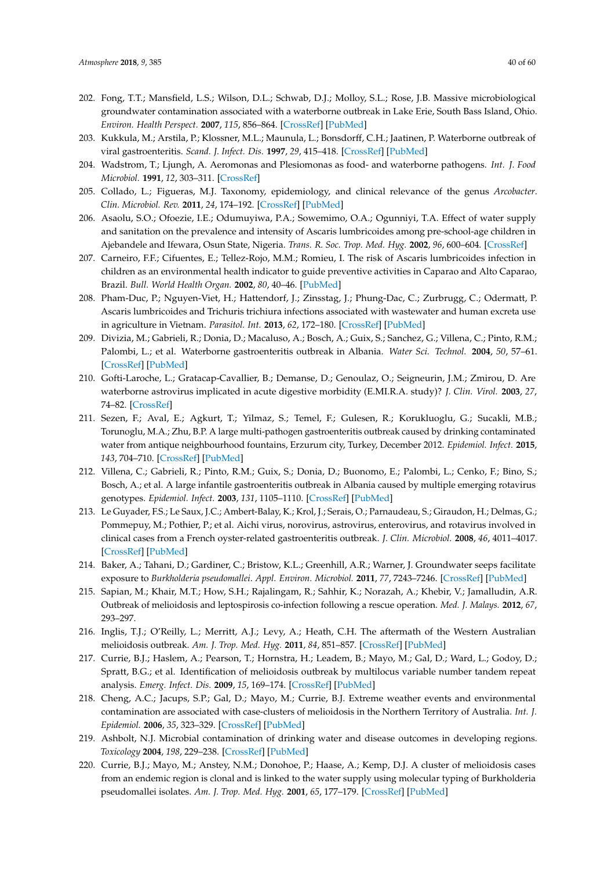- <span id="page-39-6"></span><span id="page-39-5"></span><span id="page-39-4"></span><span id="page-39-3"></span><span id="page-39-2"></span><span id="page-39-1"></span><span id="page-39-0"></span>202. Fong, T.T.; Mansfield, L.S.; Wilson, D.L.; Schwab, D.J.; Molloy, S.L.; Rose, J.B. Massive microbiological groundwater contamination associated with a waterborne outbreak in Lake Erie, South Bass Island, Ohio. *Environ. Health Perspect.* **2007**, *115*, 856–864. [\[CrossRef\]](http://dx.doi.org/10.1289/ehp.9430) [\[PubMed\]](http://www.ncbi.nlm.nih.gov/pubmed/17589591)
- 203. Kukkula, M.; Arstila, P.; Klossner, M.L.; Maunula, L.; Bonsdorff, C.H.; Jaatinen, P. Waterborne outbreak of viral gastroenteritis. *Scand. J. Infect. Dis.* **1997**, *29*, 415–418. [\[CrossRef\]](http://dx.doi.org/10.3109/00365549709011840) [\[PubMed\]](http://www.ncbi.nlm.nih.gov/pubmed/9360259)
- 204. Wadstrom, T.; Ljungh, A. Aeromonas and Plesiomonas as food- and waterborne pathogens. *Int. J. Food Microbiol.* **1991**, *12*, 303–311. [\[CrossRef\]](http://dx.doi.org/10.1016/0168-1605(91)90144-E)
- 205. Collado, L.; Figueras, M.J. Taxonomy, epidemiology, and clinical relevance of the genus *Arcobacter*. *Clin. Microbiol. Rev.* **2011**, *24*, 174–192. [\[CrossRef\]](http://dx.doi.org/10.1128/CMR.00034-10) [\[PubMed\]](http://www.ncbi.nlm.nih.gov/pubmed/21233511)
- <span id="page-39-7"></span>206. Asaolu, S.O.; Ofoezie, I.E.; Odumuyiwa, P.A.; Sowemimo, O.A.; Ogunniyi, T.A. Effect of water supply and sanitation on the prevalence and intensity of Ascaris lumbricoides among pre-school-age children in Ajebandele and Ifewara, Osun State, Nigeria. *Trans. R. Soc. Trop. Med. Hyg.* **2002**, *96*, 600–604. [\[CrossRef\]](http://dx.doi.org/10.1016/S0035-9203(02)90323-8)
- <span id="page-39-8"></span>207. Carneiro, F.F.; Cifuentes, E.; Tellez-Rojo, M.M.; Romieu, I. The risk of Ascaris lumbricoides infection in children as an environmental health indicator to guide preventive activities in Caparao and Alto Caparao, Brazil. *Bull. World Health Organ.* **2002**, *80*, 40–46. [\[PubMed\]](http://www.ncbi.nlm.nih.gov/pubmed/11884972)
- <span id="page-39-9"></span>208. Pham-Duc, P.; Nguyen-Viet, H.; Hattendorf, J.; Zinsstag, J.; Phung-Dac, C.; Zurbrugg, C.; Odermatt, P. Ascaris lumbricoides and Trichuris trichiura infections associated with wastewater and human excreta use in agriculture in Vietnam. *Parasitol. Int.* **2013**, *62*, 172–180. [\[CrossRef\]](http://dx.doi.org/10.1016/j.parint.2012.12.007) [\[PubMed\]](http://www.ncbi.nlm.nih.gov/pubmed/23305757)
- 209. Divizia, M.; Gabrieli, R.; Donia, D.; Macaluso, A.; Bosch, A.; Guix, S.; Sanchez, G.; Villena, C.; Pinto, R.M.; Palombi, L.; et al. Waterborne gastroenteritis outbreak in Albania. *Water Sci. Technol.* **2004**, *50*, 57–61. [\[CrossRef\]](http://dx.doi.org/10.2166/wst.2004.0018) [\[PubMed\]](http://www.ncbi.nlm.nih.gov/pubmed/15318487)
- <span id="page-39-10"></span>210. Gofti-Laroche, L.; Gratacap-Cavallier, B.; Demanse, D.; Genoulaz, O.; Seigneurin, J.M.; Zmirou, D. Are waterborne astrovirus implicated in acute digestive morbidity (E.MI.R.A. study)? *J. Clin. Virol.* **2003**, *27*, 74–82. [\[CrossRef\]](http://dx.doi.org/10.1016/S1386-6532(02)00130-0)
- 211. Sezen, F.; Aval, E.; Agkurt, T.; Yilmaz, S.; Temel, F.; Gulesen, R.; Korukluoglu, G.; Sucakli, M.B.; Torunoglu, M.A.; Zhu, B.P. A large multi-pathogen gastroenteritis outbreak caused by drinking contaminated water from antique neighbourhood fountains, Erzurum city, Turkey, December 2012. *Epidemiol. Infect.* **2015**, *143*, 704–710. [\[CrossRef\]](http://dx.doi.org/10.1017/S0950268814001459) [\[PubMed\]](http://www.ncbi.nlm.nih.gov/pubmed/24945365)
- 212. Villena, C.; Gabrieli, R.; Pinto, R.M.; Guix, S.; Donia, D.; Buonomo, E.; Palombi, L.; Cenko, F.; Bino, S.; Bosch, A.; et al. A large infantile gastroenteritis outbreak in Albania caused by multiple emerging rotavirus genotypes. *Epidemiol. Infect.* **2003**, *131*, 1105–1110. [\[CrossRef\]](http://dx.doi.org/10.1017/S0950268803001353) [\[PubMed\]](http://www.ncbi.nlm.nih.gov/pubmed/14959777)
- 213. Le Guyader, F.S.; Le Saux, J.C.; Ambert-Balay, K.; Krol, J.; Serais, O.; Parnaudeau, S.; Giraudon, H.; Delmas, G.; Pommepuy, M.; Pothier, P.; et al. Aichi virus, norovirus, astrovirus, enterovirus, and rotavirus involved in clinical cases from a French oyster-related gastroenteritis outbreak. *J. Clin. Microbiol.* **2008**, *46*, 4011–4017. [\[CrossRef\]](http://dx.doi.org/10.1128/JCM.01044-08) [\[PubMed\]](http://www.ncbi.nlm.nih.gov/pubmed/18842942)
- 214. Baker, A.; Tahani, D.; Gardiner, C.; Bristow, K.L.; Greenhill, A.R.; Warner, J. Groundwater seeps facilitate exposure to *Burkholderia pseudomallei*. *Appl. Environ. Microbiol.* **2011**, *77*, 7243–7246. [\[CrossRef\]](http://dx.doi.org/10.1128/AEM.05048-11) [\[PubMed\]](http://www.ncbi.nlm.nih.gov/pubmed/21873480)
- 215. Sapian, M.; Khair, M.T.; How, S.H.; Rajalingam, R.; Sahhir, K.; Norazah, A.; Khebir, V.; Jamalludin, A.R. Outbreak of melioidosis and leptospirosis co-infection following a rescue operation. *Med. J. Malays.* **2012**, *67*, 293–297.
- 216. Inglis, T.J.; O'Reilly, L.; Merritt, A.J.; Levy, A.; Heath, C.H. The aftermath of the Western Australian melioidosis outbreak. *Am. J. Trop. Med. Hyg.* **2011**, *84*, 851–857. [\[CrossRef\]](http://dx.doi.org/10.4269/ajtmh.2011.10-0480) [\[PubMed\]](http://www.ncbi.nlm.nih.gov/pubmed/21633018)
- 217. Currie, B.J.; Haslem, A.; Pearson, T.; Hornstra, H.; Leadem, B.; Mayo, M.; Gal, D.; Ward, L.; Godoy, D.; Spratt, B.G.; et al. Identification of melioidosis outbreak by multilocus variable number tandem repeat analysis. *Emerg. Infect. Dis.* **2009**, *15*, 169–174. [\[CrossRef\]](http://dx.doi.org/10.3201/eid1502.081036) [\[PubMed\]](http://www.ncbi.nlm.nih.gov/pubmed/19193259)
- 218. Cheng, A.C.; Jacups, S.P.; Gal, D.; Mayo, M.; Currie, B.J. Extreme weather events and environmental contamination are associated with case-clusters of melioidosis in the Northern Territory of Australia. *Int. J. Epidemiol.* **2006**, *35*, 323–329. [\[CrossRef\]](http://dx.doi.org/10.1093/ije/dyi271) [\[PubMed\]](http://www.ncbi.nlm.nih.gov/pubmed/16326823)
- 219. Ashbolt, N.J. Microbial contamination of drinking water and disease outcomes in developing regions. *Toxicology* **2004**, *198*, 229–238. [\[CrossRef\]](http://dx.doi.org/10.1016/j.tox.2004.01.030) [\[PubMed\]](http://www.ncbi.nlm.nih.gov/pubmed/15138046)
- 220. Currie, B.J.; Mayo, M.; Anstey, N.M.; Donohoe, P.; Haase, A.; Kemp, D.J. A cluster of melioidosis cases from an endemic region is clonal and is linked to the water supply using molecular typing of Burkholderia pseudomallei isolates. *Am. J. Trop. Med. Hyg.* **2001**, *65*, 177–179. [\[CrossRef\]](http://dx.doi.org/10.4269/ajtmh.2001.65.177) [\[PubMed\]](http://www.ncbi.nlm.nih.gov/pubmed/11561699)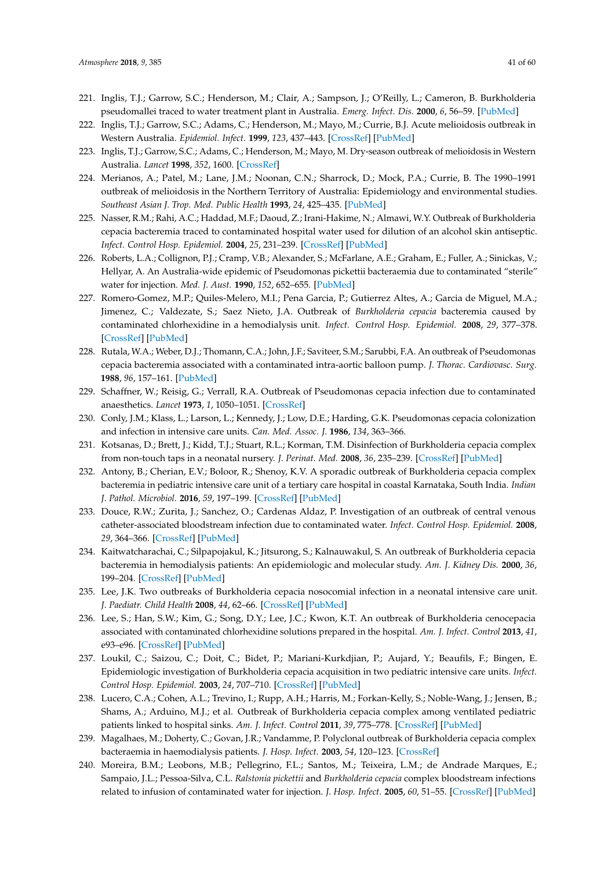- <span id="page-40-4"></span><span id="page-40-2"></span><span id="page-40-1"></span><span id="page-40-0"></span>221. Inglis, T.J.; Garrow, S.C.; Henderson, M.; Clair, A.; Sampson, J.; O'Reilly, L.; Cameron, B. Burkholderia pseudomallei traced to water treatment plant in Australia. *Emerg. Infect. Dis.* **2000**, *6*, 56–59. [\[PubMed\]](http://www.ncbi.nlm.nih.gov/pubmed/10653571)
- <span id="page-40-3"></span>222. Inglis, T.J.; Garrow, S.C.; Adams, C.; Henderson, M.; Mayo, M.; Currie, B.J. Acute melioidosis outbreak in Western Australia. *Epidemiol. Infect.* **1999**, *123*, 437–443. [\[CrossRef\]](http://dx.doi.org/10.1017/S0950268899002964) [\[PubMed\]](http://www.ncbi.nlm.nih.gov/pubmed/10694154)
- <span id="page-40-5"></span>223. Inglis, T.J.; Garrow, S.C.; Adams, C.; Henderson, M.; Mayo, M. Dry-season outbreak of melioidosis in Western Australia. *Lancet* **1998**, *352*, 1600. [\[CrossRef\]](http://dx.doi.org/10.1016/S0140-6736(05)61047-1)
- 224. Merianos, A.; Patel, M.; Lane, J.M.; Noonan, C.N.; Sharrock, D.; Mock, P.A.; Currie, B. The 1990–1991 outbreak of melioidosis in the Northern Territory of Australia: Epidemiology and environmental studies. *Southeast Asian J. Trop. Med. Public Health* **1993**, *24*, 425–435. [\[PubMed\]](http://www.ncbi.nlm.nih.gov/pubmed/7512752)
- 225. Nasser, R.M.; Rahi, A.C.; Haddad, M.F.; Daoud, Z.; Irani-Hakime, N.; Almawi, W.Y. Outbreak of Burkholderia cepacia bacteremia traced to contaminated hospital water used for dilution of an alcohol skin antiseptic. *Infect. Control Hosp. Epidemiol.* **2004**, *25*, 231–239. [\[CrossRef\]](http://dx.doi.org/10.1086/502384) [\[PubMed\]](http://www.ncbi.nlm.nih.gov/pubmed/15061416)
- 226. Roberts, L.A.; Collignon, P.J.; Cramp, V.B.; Alexander, S.; McFarlane, A.E.; Graham, E.; Fuller, A.; Sinickas, V.; Hellyar, A. An Australia-wide epidemic of Pseudomonas pickettii bacteraemia due to contaminated "sterile" water for injection. *Med. J. Aust.* **1990**, *152*, 652–655. [\[PubMed\]](http://www.ncbi.nlm.nih.gov/pubmed/2198444)
- 227. Romero-Gomez, M.P.; Quiles-Melero, M.I.; Pena Garcia, P.; Gutierrez Altes, A.; Garcia de Miguel, M.A.; Jimenez, C.; Valdezate, S.; Saez Nieto, J.A. Outbreak of *Burkholderia cepacia* bacteremia caused by contaminated chlorhexidine in a hemodialysis unit. *Infect. Control Hosp. Epidemiol.* **2008**, *29*, 377–378. [\[CrossRef\]](http://dx.doi.org/10.1086/529032) [\[PubMed\]](http://www.ncbi.nlm.nih.gov/pubmed/18462153)
- 228. Rutala, W.A.; Weber, D.J.; Thomann, C.A.; John, J.F.; Saviteer, S.M.; Sarubbi, F.A. An outbreak of Pseudomonas cepacia bacteremia associated with a contaminated intra-aortic balloon pump. *J. Thorac. Cardiovasc. Surg.* **1988**, *96*, 157–161. [\[PubMed\]](http://www.ncbi.nlm.nih.gov/pubmed/3386290)
- 229. Schaffner, W.; Reisig, G.; Verrall, R.A. Outbreak of Pseudomonas cepacia infection due to contaminated anaesthetics. *Lancet* **1973**, *1*, 1050–1051. [\[CrossRef\]](http://dx.doi.org/10.1016/S0140-6736(73)90680-6)
- 230. Conly, J.M.; Klass, L.; Larson, L.; Kennedy, J.; Low, D.E.; Harding, G.K. Pseudomonas cepacia colonization and infection in intensive care units. *Can. Med. Assoc. J.* **1986**, *134*, 363–366.
- 231. Kotsanas, D.; Brett, J.; Kidd, T.J.; Stuart, R.L.; Korman, T.M. Disinfection of Burkholderia cepacia complex from non-touch taps in a neonatal nursery. *J. Perinat. Med.* **2008**, *36*, 235–239. [\[CrossRef\]](http://dx.doi.org/10.1515/JPM.2008.038) [\[PubMed\]](http://www.ncbi.nlm.nih.gov/pubmed/18576933)
- 232. Antony, B.; Cherian, E.V.; Boloor, R.; Shenoy, K.V. A sporadic outbreak of Burkholderia cepacia complex bacteremia in pediatric intensive care unit of a tertiary care hospital in coastal Karnataka, South India. *Indian J. Pathol. Microbiol.* **2016**, *59*, 197–199. [\[CrossRef\]](http://dx.doi.org/10.4103/0377-4929.182010) [\[PubMed\]](http://www.ncbi.nlm.nih.gov/pubmed/27166040)
- 233. Douce, R.W.; Zurita, J.; Sanchez, O.; Cardenas Aldaz, P. Investigation of an outbreak of central venous catheter-associated bloodstream infection due to contaminated water. *Infect. Control Hosp. Epidemiol.* **2008**, *29*, 364–366. [\[CrossRef\]](http://dx.doi.org/10.1086/533543) [\[PubMed\]](http://www.ncbi.nlm.nih.gov/pubmed/18462150)
- 234. Kaitwatcharachai, C.; Silpapojakul, K.; Jitsurong, S.; Kalnauwakul, S. An outbreak of Burkholderia cepacia bacteremia in hemodialysis patients: An epidemiologic and molecular study. *Am. J. Kidney Dis.* **2000**, *36*, 199–204. [\[CrossRef\]](http://dx.doi.org/10.1053/ajkd.2000.8295) [\[PubMed\]](http://www.ncbi.nlm.nih.gov/pubmed/10873892)
- 235. Lee, J.K. Two outbreaks of Burkholderia cepacia nosocomial infection in a neonatal intensive care unit. *J. Paediatr. Child Health* **2008**, *44*, 62–66. [\[CrossRef\]](http://dx.doi.org/10.1111/j.1440-1754.2007.01173.x) [\[PubMed\]](http://www.ncbi.nlm.nih.gov/pubmed/17640280)
- 236. Lee, S.; Han, S.W.; Kim, G.; Song, D.Y.; Lee, J.C.; Kwon, K.T. An outbreak of Burkholderia cenocepacia associated with contaminated chlorhexidine solutions prepared in the hospital. *Am. J. Infect. Control* **2013**, *41*, e93–e96. [\[CrossRef\]](http://dx.doi.org/10.1016/j.ajic.2013.01.024) [\[PubMed\]](http://www.ncbi.nlm.nih.gov/pubmed/23608047)
- 237. Loukil, C.; Saizou, C.; Doit, C.; Bidet, P.; Mariani-Kurkdjian, P.; Aujard, Y.; Beaufils, F.; Bingen, E. Epidemiologic investigation of Burkholderia cepacia acquisition in two pediatric intensive care units. *Infect. Control Hosp. Epidemiol.* **2003**, *24*, 707–710. [\[CrossRef\]](http://dx.doi.org/10.1086/502272) [\[PubMed\]](http://www.ncbi.nlm.nih.gov/pubmed/14510255)
- 238. Lucero, C.A.; Cohen, A.L.; Trevino, I.; Rupp, A.H.; Harris, M.; Forkan-Kelly, S.; Noble-Wang, J.; Jensen, B.; Shams, A.; Arduino, M.J.; et al. Outbreak of Burkholderia cepacia complex among ventilated pediatric patients linked to hospital sinks. *Am. J. Infect. Control* **2011**, *39*, 775–778. [\[CrossRef\]](http://dx.doi.org/10.1016/j.ajic.2010.12.005) [\[PubMed\]](http://www.ncbi.nlm.nih.gov/pubmed/21664002)
- 239. Magalhaes, M.; Doherty, C.; Govan, J.R.; Vandamme, P. Polyclonal outbreak of Burkholderia cepacia complex bacteraemia in haemodialysis patients. *J. Hosp. Infect.* **2003**, *54*, 120–123. [\[CrossRef\]](http://dx.doi.org/10.1016/S0195-6701(03)00118-X)
- 240. Moreira, B.M.; Leobons, M.B.; Pellegrino, F.L.; Santos, M.; Teixeira, L.M.; de Andrade Marques, E.; Sampaio, J.L.; Pessoa-Silva, C.L. *Ralstonia pickettii* and *Burkholderia cepacia* complex bloodstream infections related to infusion of contaminated water for injection. *J. Hosp. Infect.* **2005**, *60*, 51–55. [\[CrossRef\]](http://dx.doi.org/10.1016/j.jhin.2004.09.036) [\[PubMed\]](http://www.ncbi.nlm.nih.gov/pubmed/15823657)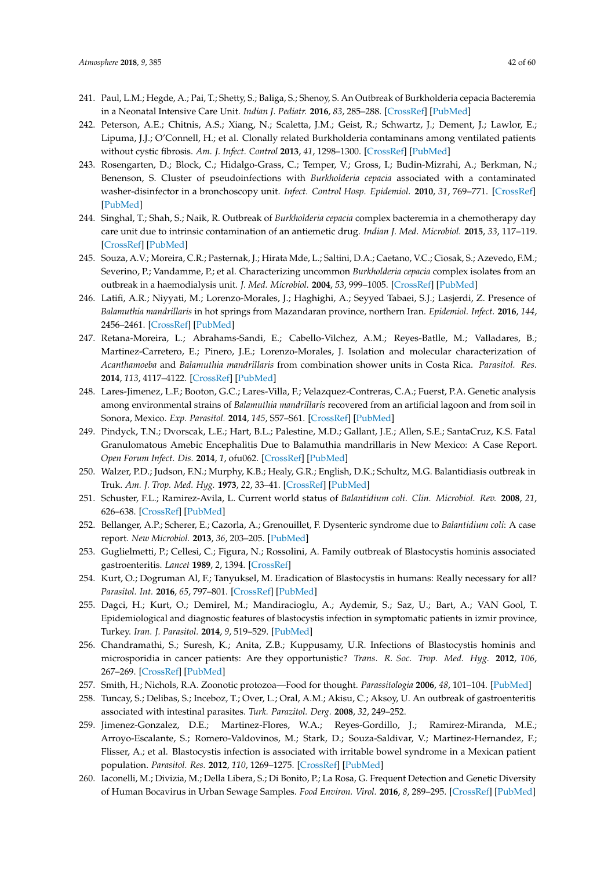- <span id="page-41-1"></span><span id="page-41-0"></span>241. Paul, L.M.; Hegde, A.; Pai, T.; Shetty, S.; Baliga, S.; Shenoy, S. An Outbreak of Burkholderia cepacia Bacteremia in a Neonatal Intensive Care Unit. *Indian J. Pediatr.* **2016**, *83*, 285–288. [\[CrossRef\]](http://dx.doi.org/10.1007/s12098-015-1855-7) [\[PubMed\]](http://www.ncbi.nlm.nih.gov/pubmed/26264633)
- <span id="page-41-2"></span>242. Peterson, A.E.; Chitnis, A.S.; Xiang, N.; Scaletta, J.M.; Geist, R.; Schwartz, J.; Dement, J.; Lawlor, E.; Lipuma, J.J.; O'Connell, H.; et al. Clonally related Burkholderia contaminans among ventilated patients without cystic fibrosis. *Am. J. Infect. Control* **2013**, *41*, 1298–1300. [\[CrossRef\]](http://dx.doi.org/10.1016/j.ajic.2013.05.015) [\[PubMed\]](http://www.ncbi.nlm.nih.gov/pubmed/23973426)
- <span id="page-41-3"></span>243. Rosengarten, D.; Block, C.; Hidalgo-Grass, C.; Temper, V.; Gross, I.; Budin-Mizrahi, A.; Berkman, N.; Benenson, S. Cluster of pseudoinfections with *Burkholderia cepacia* associated with a contaminated washer-disinfector in a bronchoscopy unit. *Infect. Control Hosp. Epidemiol.* **2010**, *31*, 769–771. [\[CrossRef\]](http://dx.doi.org/10.1086/653611) [\[PubMed\]](http://www.ncbi.nlm.nih.gov/pubmed/20470036)
- <span id="page-41-4"></span>244. Singhal, T.; Shah, S.; Naik, R. Outbreak of *Burkholderia cepacia* complex bacteremia in a chemotherapy day care unit due to intrinsic contamination of an antiemetic drug. *Indian J. Med. Microbiol.* **2015**, *33*, 117–119. [\[CrossRef\]](http://dx.doi.org/10.4103/0255-0857.148405) [\[PubMed\]](http://www.ncbi.nlm.nih.gov/pubmed/25560013)
- <span id="page-41-5"></span>245. Souza, A.V.; Moreira, C.R.; Pasternak, J.; Hirata Mde, L.; Saltini, D.A.; Caetano, V.C.; Ciosak, S.; Azevedo, F.M.; Severino, P.; Vandamme, P.; et al. Characterizing uncommon *Burkholderia cepacia* complex isolates from an outbreak in a haemodialysis unit. *J. Med. Microbiol.* **2004**, *53*, 999–1005. [\[CrossRef\]](http://dx.doi.org/10.1099/jmm.0.45702-0) [\[PubMed\]](http://www.ncbi.nlm.nih.gov/pubmed/15358822)
- <span id="page-41-7"></span><span id="page-41-6"></span>246. Latifi, A.R.; Niyyati, M.; Lorenzo-Morales, J.; Haghighi, A.; Seyyed Tabaei, S.J.; Lasjerdi, Z. Presence of *Balamuthia mandrillaris* in hot springs from Mazandaran province, northern Iran. *Epidemiol. Infect.* **2016**, *144*, 2456–2461. [\[CrossRef\]](http://dx.doi.org/10.1017/S095026881600073X) [\[PubMed\]](http://www.ncbi.nlm.nih.gov/pubmed/27086943)
- 247. Retana-Moreira, L.; Abrahams-Sandi, E.; Cabello-Vilchez, A.M.; Reyes-Batlle, M.; Valladares, B.; Martinez-Carretero, E.; Pinero, J.E.; Lorenzo-Morales, J. Isolation and molecular characterization of *Acanthamoeba* and *Balamuthia mandrillaris* from combination shower units in Costa Rica. *Parasitol. Res.* **2014**, *113*, 4117–4122. [\[CrossRef\]](http://dx.doi.org/10.1007/s00436-014-4083-6) [\[PubMed\]](http://www.ncbi.nlm.nih.gov/pubmed/25134946)
- <span id="page-41-8"></span>248. Lares-Jimenez, L.F.; Booton, G.C.; Lares-Villa, F.; Velazquez-Contreras, C.A.; Fuerst, P.A. Genetic analysis among environmental strains of *Balamuthia mandrillaris* recovered from an artificial lagoon and from soil in Sonora, Mexico. *Exp. Parasitol.* **2014**, *145*, S57–S61. [\[CrossRef\]](http://dx.doi.org/10.1016/j.exppara.2014.07.007) [\[PubMed\]](http://www.ncbi.nlm.nih.gov/pubmed/25076486)
- <span id="page-41-12"></span><span id="page-41-9"></span>249. Pindyck, T.N.; Dvorscak, L.E.; Hart, B.L.; Palestine, M.D.; Gallant, J.E.; Allen, S.E.; SantaCruz, K.S. Fatal Granulomatous Amebic Encephalitis Due to Balamuthia mandrillaris in New Mexico: A Case Report. *Open Forum Infect. Dis.* **2014**, *1*, ofu062. [\[CrossRef\]](http://dx.doi.org/10.1093/ofid/ofu062) [\[PubMed\]](http://www.ncbi.nlm.nih.gov/pubmed/25734132)
- <span id="page-41-10"></span>250. Walzer, P.D.; Judson, F.N.; Murphy, K.B.; Healy, G.R.; English, D.K.; Schultz, M.G. Balantidiasis outbreak in Truk. *Am. J. Trop. Med. Hyg.* **1973**, *22*, 33–41. [\[CrossRef\]](http://dx.doi.org/10.4269/ajtmh.1973.22.33) [\[PubMed\]](http://www.ncbi.nlm.nih.gov/pubmed/4684887)
- 251. Schuster, F.L.; Ramirez-Avila, L. Current world status of *Balantidium coli*. *Clin. Microbiol. Rev.* **2008**, *21*, 626–638. [\[CrossRef\]](http://dx.doi.org/10.1128/CMR.00021-08) [\[PubMed\]](http://www.ncbi.nlm.nih.gov/pubmed/18854484)
- <span id="page-41-11"></span>252. Bellanger, A.P.; Scherer, E.; Cazorla, A.; Grenouillet, F. Dysenteric syndrome due to *Balantidium coli*: A case report. *New Microbiol.* **2013**, *36*, 203–205. [\[PubMed\]](http://www.ncbi.nlm.nih.gov/pubmed/23686128)
- 253. Guglielmetti, P.; Cellesi, C.; Figura, N.; Rossolini, A. Family outbreak of Blastocystis hominis associated gastroenteritis. *Lancet* **1989**, *2*, 1394. [\[CrossRef\]](http://dx.doi.org/10.1016/S0140-6736(89)92000-X)
- 254. Kurt, O.; Dogruman Al, F.; Tanyuksel, M. Eradication of Blastocystis in humans: Really necessary for all? *Parasitol. Int.* **2016**, *65*, 797–801. [\[CrossRef\]](http://dx.doi.org/10.1016/j.parint.2016.01.010) [\[PubMed\]](http://www.ncbi.nlm.nih.gov/pubmed/26780545)
- 255. Dagci, H.; Kurt, O.; Demirel, M.; Mandiracioglu, A.; Aydemir, S.; Saz, U.; Bart, A.; VAN Gool, T. Epidemiological and diagnostic features of blastocystis infection in symptomatic patients in izmir province, Turkey. *Iran. J. Parasitol.* **2014**, *9*, 519–529. [\[PubMed\]](http://www.ncbi.nlm.nih.gov/pubmed/25759733)
- 256. Chandramathi, S.; Suresh, K.; Anita, Z.B.; Kuppusamy, U.R. Infections of Blastocystis hominis and microsporidia in cancer patients: Are they opportunistic? *Trans. R. Soc. Trop. Med. Hyg.* **2012**, *106*, 267–269. [\[CrossRef\]](http://dx.doi.org/10.1016/j.trstmh.2011.12.008) [\[PubMed\]](http://www.ncbi.nlm.nih.gov/pubmed/22340948)
- 257. Smith, H.; Nichols, R.A. Zoonotic protozoa—Food for thought. *Parassitologia* **2006**, *48*, 101–104. [\[PubMed\]](http://www.ncbi.nlm.nih.gov/pubmed/16881407)
- 258. Tuncay, S.; Delibas, S.; Inceboz, T.; Over, L.; Oral, A.M.; Akisu, C.; Aksoy, U. An outbreak of gastroenteritis associated with intestinal parasites. *Turk. Parazitol. Derg.* **2008**, *32*, 249–252.
- 259. Jimenez-Gonzalez, D.E.; Martinez-Flores, W.A.; Reyes-Gordillo, J.; Ramirez-Miranda, M.E.; Arroyo-Escalante, S.; Romero-Valdovinos, M.; Stark, D.; Souza-Saldivar, V.; Martinez-Hernandez, F.; Flisser, A.; et al. Blastocystis infection is associated with irritable bowel syndrome in a Mexican patient population. *Parasitol. Res.* **2012**, *110*, 1269–1275. [\[CrossRef\]](http://dx.doi.org/10.1007/s00436-011-2626-7) [\[PubMed\]](http://www.ncbi.nlm.nih.gov/pubmed/21870243)
- 260. Iaconelli, M.; Divizia, M.; Della Libera, S.; Di Bonito, P.; La Rosa, G. Frequent Detection and Genetic Diversity of Human Bocavirus in Urban Sewage Samples. *Food Environ. Virol.* **2016**, *8*, 289–295. [\[CrossRef\]](http://dx.doi.org/10.1007/s12560-016-9251-7) [\[PubMed\]](http://www.ncbi.nlm.nih.gov/pubmed/27311692)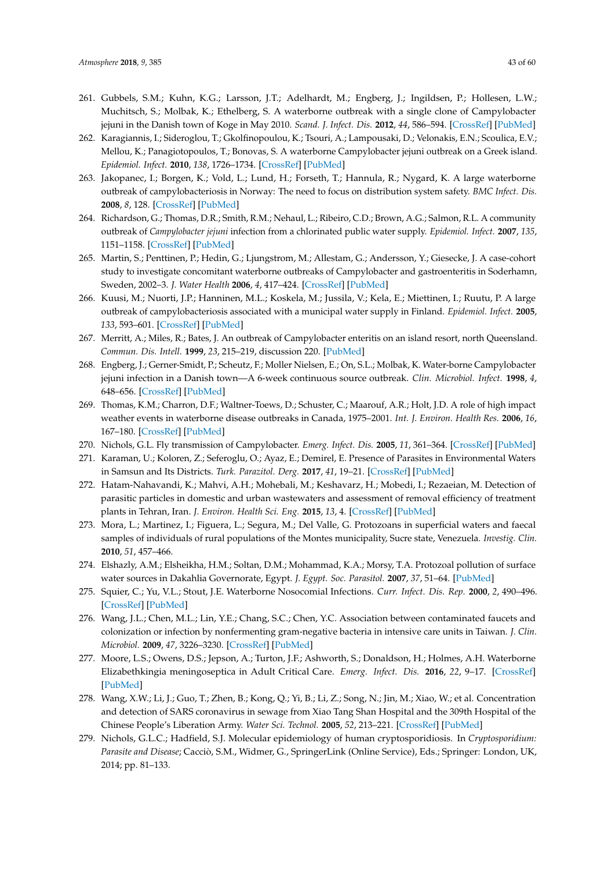- <span id="page-42-1"></span><span id="page-42-0"></span>261. Gubbels, S.M.; Kuhn, K.G.; Larsson, J.T.; Adelhardt, M.; Engberg, J.; Ingildsen, P.; Hollesen, L.W.; Muchitsch, S.; Molbak, K.; Ethelberg, S. A waterborne outbreak with a single clone of Campylobacter jejuni in the Danish town of Koge in May 2010. *Scand. J. Infect. Dis.* **2012**, *44*, 586–594. [\[CrossRef\]](http://dx.doi.org/10.3109/00365548.2012.655773) [\[PubMed\]](http://www.ncbi.nlm.nih.gov/pubmed/22385125)
- <span id="page-42-2"></span>262. Karagiannis, I.; Sideroglou, T.; Gkolfinopoulou, K.; Tsouri, A.; Lampousaki, D.; Velonakis, E.N.; Scoulica, E.V.; Mellou, K.; Panagiotopoulos, T.; Bonovas, S. A waterborne Campylobacter jejuni outbreak on a Greek island. *Epidemiol. Infect.* **2010**, *138*, 1726–1734. [\[CrossRef\]](http://dx.doi.org/10.1017/S0950268810002116) [\[PubMed\]](http://www.ncbi.nlm.nih.gov/pubmed/20836911)
- <span id="page-42-4"></span><span id="page-42-3"></span>263. Jakopanec, I.; Borgen, K.; Vold, L.; Lund, H.; Forseth, T.; Hannula, R.; Nygard, K. A large waterborne outbreak of campylobacteriosis in Norway: The need to focus on distribution system safety. *BMC Infect. Dis.* **2008**, *8*, 128. [\[CrossRef\]](http://dx.doi.org/10.1186/1471-2334-8-128) [\[PubMed\]](http://www.ncbi.nlm.nih.gov/pubmed/18816387)
- 264. Richardson, G.; Thomas, D.R.; Smith, R.M.; Nehaul, L.; Ribeiro, C.D.; Brown, A.G.; Salmon, R.L. A community outbreak of *Campylobacter jejuni* infection from a chlorinated public water supply. *Epidemiol. Infect.* **2007**, *135*, 1151–1158. [\[CrossRef\]](http://dx.doi.org/10.1017/S0950268807007960) [\[PubMed\]](http://www.ncbi.nlm.nih.gov/pubmed/17288640)
- 265. Martin, S.; Penttinen, P.; Hedin, G.; Ljungstrom, M.; Allestam, G.; Andersson, Y.; Giesecke, J. A case-cohort study to investigate concomitant waterborne outbreaks of Campylobacter and gastroenteritis in Soderhamn, Sweden, 2002–3. *J. Water Health* **2006**, *4*, 417–424. [\[CrossRef\]](http://dx.doi.org/10.2166/wh.2006.0025) [\[PubMed\]](http://www.ncbi.nlm.nih.gov/pubmed/17176812)
- <span id="page-42-5"></span>266. Kuusi, M.; Nuorti, J.P.; Hanninen, M.L.; Koskela, M.; Jussila, V.; Kela, E.; Miettinen, I.; Ruutu, P. A large outbreak of campylobacteriosis associated with a municipal water supply in Finland. *Epidemiol. Infect.* **2005**, *133*, 593–601. [\[CrossRef\]](http://dx.doi.org/10.1017/S0950268805003808) [\[PubMed\]](http://www.ncbi.nlm.nih.gov/pubmed/16050503)
- <span id="page-42-6"></span>267. Merritt, A.; Miles, R.; Bates, J. An outbreak of Campylobacter enteritis on an island resort, north Queensland. *Commun. Dis. Intell.* **1999**, *23*, 215–219, discussion 220. [\[PubMed\]](http://www.ncbi.nlm.nih.gov/pubmed/10497833)
- 268. Engberg, J.; Gerner-Smidt, P.; Scheutz, F.; Moller Nielsen, E.; On, S.L.; Molbak, K. Water-borne Campylobacter jejuni infection in a Danish town—A 6-week continuous source outbreak. *Clin. Microbiol. Infect.* **1998**, *4*, 648–656. [\[CrossRef\]](http://dx.doi.org/10.1111/j.1469-0691.1998.tb00348.x) [\[PubMed\]](http://www.ncbi.nlm.nih.gov/pubmed/11864264)
- <span id="page-42-7"></span>269. Thomas, K.M.; Charron, D.F.; Waltner-Toews, D.; Schuster, C.; Maarouf, A.R.; Holt, J.D. A role of high impact weather events in waterborne disease outbreaks in Canada, 1975–2001. *Int. J. Environ. Health Res.* **2006**, *16*, 167–180. [\[CrossRef\]](http://dx.doi.org/10.1080/09603120600641326) [\[PubMed\]](http://www.ncbi.nlm.nih.gov/pubmed/16611562)
- <span id="page-42-8"></span>270. Nichols, G.L. Fly transmission of Campylobacter. *Emerg. Infect. Dis.* **2005**, *11*, 361–364. [\[CrossRef\]](http://dx.doi.org/10.3201/eid1103.040460) [\[PubMed\]](http://www.ncbi.nlm.nih.gov/pubmed/15757548)
- 271. Karaman, U.; Koloren, Z.; Seferoglu, O.; Ayaz, E.; Demirel, E. Presence of Parasites in Environmental Waters in Samsun and Its Districts. *Turk. Parazitol. Derg.* **2017**, *41*, 19–21. [\[CrossRef\]](http://dx.doi.org/10.5152/tpd.2017.3574) [\[PubMed\]](http://www.ncbi.nlm.nih.gov/pubmed/28483729)
- <span id="page-42-9"></span>272. Hatam-Nahavandi, K.; Mahvi, A.H.; Mohebali, M.; Keshavarz, H.; Mobedi, I.; Rezaeian, M. Detection of parasitic particles in domestic and urban wastewaters and assessment of removal efficiency of treatment plants in Tehran, Iran. *J. Environ. Health Sci. Eng.* **2015**, *13*, 4. [\[CrossRef\]](http://dx.doi.org/10.1186/s40201-015-0155-5) [\[PubMed\]](http://www.ncbi.nlm.nih.gov/pubmed/25653867)
- 273. Mora, L.; Martinez, I.; Figuera, L.; Segura, M.; Del Valle, G. Protozoans in superficial waters and faecal samples of individuals of rural populations of the Montes municipality, Sucre state, Venezuela. *Investig. Clin.* **2010**, *51*, 457–466.
- 274. Elshazly, A.M.; Elsheikha, H.M.; Soltan, D.M.; Mohammad, K.A.; Morsy, T.A. Protozoal pollution of surface water sources in Dakahlia Governorate, Egypt. *J. Egypt. Soc. Parasitol.* **2007**, *37*, 51–64. [\[PubMed\]](http://www.ncbi.nlm.nih.gov/pubmed/17580568)
- 275. Squier, C.; Yu, V.L.; Stout, J.E. Waterborne Nosocomial Infections. *Curr. Infect. Dis. Rep.* **2000**, *2*, 490–496. [\[CrossRef\]](http://dx.doi.org/10.1007/s11908-000-0049-1) [\[PubMed\]](http://www.ncbi.nlm.nih.gov/pubmed/11095897)
- 276. Wang, J.L.; Chen, M.L.; Lin, Y.E.; Chang, S.C.; Chen, Y.C. Association between contaminated faucets and colonization or infection by nonfermenting gram-negative bacteria in intensive care units in Taiwan. *J. Clin. Microbiol.* **2009**, *47*, 3226–3230. [\[CrossRef\]](http://dx.doi.org/10.1128/JCM.00034-09) [\[PubMed\]](http://www.ncbi.nlm.nih.gov/pubmed/19587299)
- 277. Moore, L.S.; Owens, D.S.; Jepson, A.; Turton, J.F.; Ashworth, S.; Donaldson, H.; Holmes, A.H. Waterborne Elizabethkingia meningoseptica in Adult Critical Care. *Emerg. Infect. Dis.* **2016**, *22*, 9–17. [\[CrossRef\]](http://dx.doi.org/10.3201/eid2201.150139) [\[PubMed\]](http://www.ncbi.nlm.nih.gov/pubmed/26690562)
- 278. Wang, X.W.; Li, J.; Guo, T.; Zhen, B.; Kong, Q.; Yi, B.; Li, Z.; Song, N.; Jin, M.; Xiao, W.; et al. Concentration and detection of SARS coronavirus in sewage from Xiao Tang Shan Hospital and the 309th Hospital of the Chinese People's Liberation Army. *Water Sci. Technol.* **2005**, *52*, 213–221. [\[CrossRef\]](http://dx.doi.org/10.2166/wst.2005.0266) [\[PubMed\]](http://www.ncbi.nlm.nih.gov/pubmed/16312970)
- 279. Nichols, G.L.C.; Hadfield, S.J. Molecular epidemiology of human cryptosporidiosis. In *Cryptosporidium: Parasite and Disease*; Cacciò, S.M., Widmer, G., SpringerLink (Online Service), Eds.; Springer: London, UK, 2014; pp. 81–133.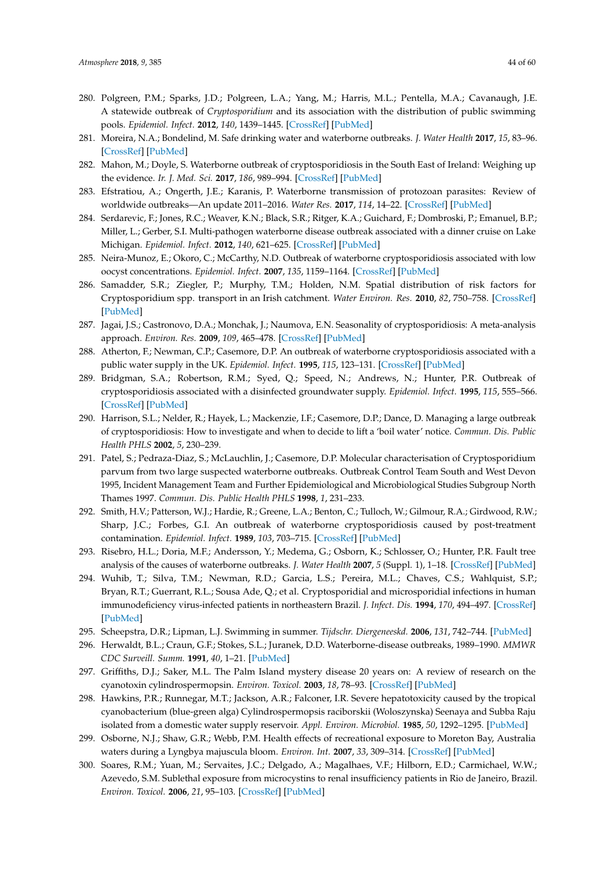- <span id="page-43-16"></span><span id="page-43-15"></span><span id="page-43-14"></span><span id="page-43-4"></span><span id="page-43-3"></span><span id="page-43-2"></span><span id="page-43-1"></span><span id="page-43-0"></span>280. Polgreen, P.M.; Sparks, J.D.; Polgreen, L.A.; Yang, M.; Harris, M.L.; Pentella, M.A.; Cavanaugh, J.E. A statewide outbreak of *Cryptosporidium* and its association with the distribution of public swimming pools. *Epidemiol. Infect.* **2012**, *140*, 1439–1445. [\[CrossRef\]](http://dx.doi.org/10.1017/S0950268811000987) [\[PubMed\]](http://www.ncbi.nlm.nih.gov/pubmed/21943664)
- 281. Moreira, N.A.; Bondelind, M. Safe drinking water and waterborne outbreaks. *J. Water Health* **2017**, *15*, 83–96. [\[CrossRef\]](http://dx.doi.org/10.2166/wh.2016.103) [\[PubMed\]](http://www.ncbi.nlm.nih.gov/pubmed/28151442)
- 282. Mahon, M.; Doyle, S. Waterborne outbreak of cryptosporidiosis in the South East of Ireland: Weighing up the evidence. *Ir. J. Med. Sci.* **2017**, *186*, 989–994. [\[CrossRef\]](http://dx.doi.org/10.1007/s11845-016-1552-1) [\[PubMed\]](http://www.ncbi.nlm.nih.gov/pubmed/28084584)
- 283. Efstratiou, A.; Ongerth, J.E.; Karanis, P. Waterborne transmission of protozoan parasites: Review of worldwide outbreaks—An update 2011–2016. *Water Res.* **2017**, *114*, 14–22. [\[CrossRef\]](http://dx.doi.org/10.1016/j.watres.2017.01.036) [\[PubMed\]](http://www.ncbi.nlm.nih.gov/pubmed/28214721)
- 284. Serdarevic, F.; Jones, R.C.; Weaver, K.N.; Black, S.R.; Ritger, K.A.; Guichard, F.; Dombroski, P.; Emanuel, B.P.; Miller, L.; Gerber, S.I. Multi-pathogen waterborne disease outbreak associated with a dinner cruise on Lake Michigan. *Epidemiol. Infect.* **2012**, *140*, 621–625. [\[CrossRef\]](http://dx.doi.org/10.1017/S0950268811000896) [\[PubMed\]](http://www.ncbi.nlm.nih.gov/pubmed/21676362)
- <span id="page-43-5"></span>285. Neira-Munoz, E.; Okoro, C.; McCarthy, N.D. Outbreak of waterborne cryptosporidiosis associated with low oocyst concentrations. *Epidemiol. Infect.* **2007**, *135*, 1159–1164. [\[CrossRef\]](http://dx.doi.org/10.1017/S0950268807008503) [\[PubMed\]](http://www.ncbi.nlm.nih.gov/pubmed/17445321)
- <span id="page-43-6"></span>286. Samadder, S.R.; Ziegler, P.; Murphy, T.M.; Holden, N.M. Spatial distribution of risk factors for Cryptosporidium spp. transport in an Irish catchment. *Water Environ. Res.* **2010**, *82*, 750–758. [\[CrossRef\]](http://dx.doi.org/10.2175/106143010X12609736966649) [\[PubMed\]](http://www.ncbi.nlm.nih.gov/pubmed/20853754)
- <span id="page-43-7"></span>287. Jagai, J.S.; Castronovo, D.A.; Monchak, J.; Naumova, E.N. Seasonality of cryptosporidiosis: A meta-analysis approach. *Environ. Res.* **2009**, *109*, 465–478. [\[CrossRef\]](http://dx.doi.org/10.1016/j.envres.2009.02.008) [\[PubMed\]](http://www.ncbi.nlm.nih.gov/pubmed/19328462)
- 288. Atherton, F.; Newman, C.P.; Casemore, D.P. An outbreak of waterborne cryptosporidiosis associated with a public water supply in the UK. *Epidemiol. Infect.* **1995**, *115*, 123–131. [\[CrossRef\]](http://dx.doi.org/10.1017/S0950268800058180) [\[PubMed\]](http://www.ncbi.nlm.nih.gov/pubmed/7641825)
- <span id="page-43-9"></span><span id="page-43-8"></span>289. Bridgman, S.A.; Robertson, R.M.; Syed, Q.; Speed, N.; Andrews, N.; Hunter, P.R. Outbreak of cryptosporidiosis associated with a disinfected groundwater supply. *Epidemiol. Infect.* **1995**, *115*, 555–566. [\[CrossRef\]](http://dx.doi.org/10.1017/S0950268800058726) [\[PubMed\]](http://www.ncbi.nlm.nih.gov/pubmed/8557088)
- <span id="page-43-11"></span><span id="page-43-10"></span>290. Harrison, S.L.; Nelder, R.; Hayek, L.; Mackenzie, I.F.; Casemore, D.P.; Dance, D. Managing a large outbreak of cryptosporidiosis: How to investigate and when to decide to lift a 'boil water' notice. *Commun. Dis. Public Health PHLS* **2002**, *5*, 230–239.
- <span id="page-43-12"></span>291. Patel, S.; Pedraza-Diaz, S.; McLauchlin, J.; Casemore, D.P. Molecular characterisation of Cryptosporidium parvum from two large suspected waterborne outbreaks. Outbreak Control Team South and West Devon 1995, Incident Management Team and Further Epidemiological and Microbiological Studies Subgroup North Thames 1997. *Commun. Dis. Public Health PHLS* **1998**, *1*, 231–233.
- <span id="page-43-13"></span>292. Smith, H.V.; Patterson, W.J.; Hardie, R.; Greene, L.A.; Benton, C.; Tulloch, W.; Gilmour, R.A.; Girdwood, R.W.; Sharp, J.C.; Forbes, G.I. An outbreak of waterborne cryptosporidiosis caused by post-treatment contamination. *Epidemiol. Infect.* **1989**, *103*, 703–715. [\[CrossRef\]](http://dx.doi.org/10.1017/S0950268800031101) [\[PubMed\]](http://www.ncbi.nlm.nih.gov/pubmed/2606168)
- 293. Risebro, H.L.; Doria, M.F.; Andersson, Y.; Medema, G.; Osborn, K.; Schlosser, O.; Hunter, P.R. Fault tree analysis of the causes of waterborne outbreaks. *J. Water Health* **2007**, *5* (Suppl. 1), 1–18. [\[CrossRef\]](http://dx.doi.org/10.2166/wh.2007.136) [\[PubMed\]](http://www.ncbi.nlm.nih.gov/pubmed/17890833)
- 294. Wuhib, T.; Silva, T.M.; Newman, R.D.; Garcia, L.S.; Pereira, M.L.; Chaves, C.S.; Wahlquist, S.P.; Bryan, R.T.; Guerrant, R.L.; Sousa Ade, Q.; et al. Cryptosporidial and microsporidial infections in human immunodeficiency virus-infected patients in northeastern Brazil. *J. Infect. Dis.* **1994**, *170*, 494–497. [\[CrossRef\]](http://dx.doi.org/10.1093/infdis/170.2.494) [\[PubMed\]](http://www.ncbi.nlm.nih.gov/pubmed/8035045)
- 295. Scheepstra, D.R.; Lipman, L.J. Swimming in summer. *Tijdschr. Diergeneeskd.* **2006**, *131*, 742–744. [\[PubMed\]](http://www.ncbi.nlm.nih.gov/pubmed/17073383)
- 296. Herwaldt, B.L.; Craun, G.F.; Stokes, S.L.; Juranek, D.D. Waterborne-disease outbreaks, 1989–1990. *MMWR CDC Surveill. Summ.* **1991**, *40*, 1–21. [\[PubMed\]](http://www.ncbi.nlm.nih.gov/pubmed/1770924)
- 297. Griffiths, D.J.; Saker, M.L. The Palm Island mystery disease 20 years on: A review of research on the cyanotoxin cylindrospermopsin. *Environ. Toxicol.* **2003**, *18*, 78–93. [\[CrossRef\]](http://dx.doi.org/10.1002/tox.10103) [\[PubMed\]](http://www.ncbi.nlm.nih.gov/pubmed/12635096)
- 298. Hawkins, P.R.; Runnegar, M.T.; Jackson, A.R.; Falconer, I.R. Severe hepatotoxicity caused by the tropical cyanobacterium (blue-green alga) Cylindrospermopsis raciborskii (Woloszynska) Seenaya and Subba Raju isolated from a domestic water supply reservoir. *Appl. Environ. Microbiol.* **1985**, *50*, 1292–1295. [\[PubMed\]](http://www.ncbi.nlm.nih.gov/pubmed/3937492)
- 299. Osborne, N.J.; Shaw, G.R.; Webb, P.M. Health effects of recreational exposure to Moreton Bay, Australia waters during a Lyngbya majuscula bloom. *Environ. Int.* **2007**, *33*, 309–314. [\[CrossRef\]](http://dx.doi.org/10.1016/j.envint.2006.10.011) [\[PubMed\]](http://www.ncbi.nlm.nih.gov/pubmed/17169427)
- 300. Soares, R.M.; Yuan, M.; Servaites, J.C.; Delgado, A.; Magalhaes, V.F.; Hilborn, E.D.; Carmichael, W.W.; Azevedo, S.M. Sublethal exposure from microcystins to renal insufficiency patients in Rio de Janeiro, Brazil. *Environ. Toxicol.* **2006**, *21*, 95–103. [\[CrossRef\]](http://dx.doi.org/10.1002/tox.20160) [\[PubMed\]](http://www.ncbi.nlm.nih.gov/pubmed/16528683)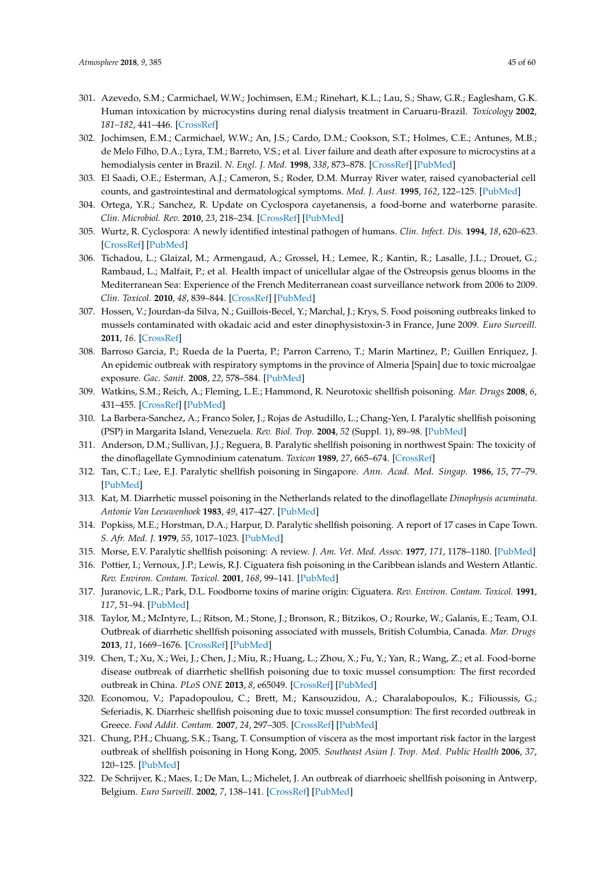- <span id="page-44-8"></span><span id="page-44-4"></span><span id="page-44-3"></span><span id="page-44-2"></span><span id="page-44-1"></span><span id="page-44-0"></span>301. Azevedo, S.M.; Carmichael, W.W.; Jochimsen, E.M.; Rinehart, K.L.; Lau, S.; Shaw, G.R.; Eaglesham, G.K. Human intoxication by microcystins during renal dialysis treatment in Caruaru-Brazil. *Toxicology* **2002**, *181–182*, 441–446. [\[CrossRef\]](http://dx.doi.org/10.1016/S0300-483X(02)00491-2)
- <span id="page-44-7"></span>302. Jochimsen, E.M.; Carmichael, W.W.; An, J.S.; Cardo, D.M.; Cookson, S.T.; Holmes, C.E.; Antunes, M.B.; de Melo Filho, D.A.; Lyra, T.M.; Barreto, V.S.; et al. Liver failure and death after exposure to microcystins at a hemodialysis center in Brazil. *N. Engl. J. Med.* **1998**, *338*, 873–878. [\[CrossRef\]](http://dx.doi.org/10.1056/NEJM199803263381304) [\[PubMed\]](http://www.ncbi.nlm.nih.gov/pubmed/9516222)
- 303. El Saadi, O.E.; Esterman, A.J.; Cameron, S.; Roder, D.M. Murray River water, raised cyanobacterial cell counts, and gastrointestinal and dermatological symptoms. *Med. J. Aust.* **1995**, *162*, 122–125. [\[PubMed\]](http://www.ncbi.nlm.nih.gov/pubmed/7854221)
- 304. Ortega, Y.R.; Sanchez, R. Update on Cyclospora cayetanensis, a food-borne and waterborne parasite. *Clin. Microbiol. Rev.* **2010**, *23*, 218–234. [\[CrossRef\]](http://dx.doi.org/10.1128/CMR.00026-09) [\[PubMed\]](http://www.ncbi.nlm.nih.gov/pubmed/20065331)
- 305. Wurtz, R. Cyclospora: A newly identified intestinal pathogen of humans. *Clin. Infect. Dis.* **1994**, *18*, 620–623. [\[CrossRef\]](http://dx.doi.org/10.1093/clinids/18.4.620) [\[PubMed\]](http://www.ncbi.nlm.nih.gov/pubmed/8038319)
- 306. Tichadou, L.; Glaizal, M.; Armengaud, A.; Grossel, H.; Lemee, R.; Kantin, R.; Lasalle, J.L.; Drouet, G.; Rambaud, L.; Malfait, P.; et al. Health impact of unicellular algae of the Ostreopsis genus blooms in the Mediterranean Sea: Experience of the French Mediterranean coast surveillance network from 2006 to 2009. *Clin. Toxicol.* **2010**, *48*, 839–844. [\[CrossRef\]](http://dx.doi.org/10.3109/15563650.2010.513687) [\[PubMed\]](http://www.ncbi.nlm.nih.gov/pubmed/20923395)
- 307. Hossen, V.; Jourdan-da Silva, N.; Guillois-Becel, Y.; Marchal, J.; Krys, S. Food poisoning outbreaks linked to mussels contaminated with okadaic acid and ester dinophysistoxin-3 in France, June 2009. *Euro Surveill.* **2011**, *16*. [\[CrossRef\]](http://dx.doi.org/10.2807/ese.16.46.20020-en)
- <span id="page-44-5"></span>308. Barroso Garcia, P.; Rueda de la Puerta, P.; Parron Carreno, T.; Marin Martinez, P.; Guillen Enriquez, J. An epidemic outbreak with respiratory symptoms in the province of Almeria [Spain] due to toxic microalgae exposure. *Gac. Sanit.* **2008**, *22*, 578–584. [\[PubMed\]](http://www.ncbi.nlm.nih.gov/pubmed/19080935)
- <span id="page-44-6"></span>309. Watkins, S.M.; Reich, A.; Fleming, L.E.; Hammond, R. Neurotoxic shellfish poisoning. *Mar. Drugs* **2008**, *6*, 431–455. [\[CrossRef\]](http://dx.doi.org/10.3390/md6030431) [\[PubMed\]](http://www.ncbi.nlm.nih.gov/pubmed/19005578)
- 310. La Barbera-Sanchez, A.; Franco Soler, J.; Rojas de Astudillo, L.; Chang-Yen, I. Paralytic shellfish poisoning (PSP) in Margarita Island, Venezuela. *Rev. Biol. Trop.* **2004**, *52* (Suppl. 1), 89–98. [\[PubMed\]](http://www.ncbi.nlm.nih.gov/pubmed/17465121)
- 311. Anderson, D.M.; Sullivan, J.J.; Reguera, B. Paralytic shellfish poisoning in northwest Spain: The toxicity of the dinoflagellate Gymnodinium catenatum. *Toxicon* **1989**, *27*, 665–674. [\[CrossRef\]](http://dx.doi.org/10.1016/0041-0101(89)90017-2)
- 312. Tan, C.T.; Lee, E.J. Paralytic shellfish poisoning in Singapore. *Ann. Acad. Med. Singap.* **1986**, *15*, 77–79. [\[PubMed\]](http://www.ncbi.nlm.nih.gov/pubmed/3707038)
- 313. Kat, M. Diarrhetic mussel poisoning in the Netherlands related to the dinoflagellate *Dinophysis acuminata*. *Antonie Van Leeuwenhoek* **1983**, *49*, 417–427. [\[PubMed\]](http://www.ncbi.nlm.nih.gov/pubmed/6685995)
- 314. Popkiss, M.E.; Horstman, D.A.; Harpur, D. Paralytic shellfish poisoning. A report of 17 cases in Cape Town. *S. Afr. Med. J.* **1979**, *55*, 1017–1023. [\[PubMed\]](http://www.ncbi.nlm.nih.gov/pubmed/573505)
- 315. Morse, E.V. Paralytic shellfish poisoning: A review. *J. Am. Vet. Med. Assoc.* **1977**, *171*, 1178–1180. [\[PubMed\]](http://www.ncbi.nlm.nih.gov/pubmed/924835)
- 316. Pottier, I.; Vernoux, J.P.; Lewis, R.J. Ciguatera fish poisoning in the Caribbean islands and Western Atlantic. *Rev. Environ. Contam. Toxicol.* **2001**, *168*, 99–141. [\[PubMed\]](http://www.ncbi.nlm.nih.gov/pubmed/12882228)
- 317. Juranovic, L.R.; Park, D.L. Foodborne toxins of marine origin: Ciguatera. *Rev. Environ. Contam. Toxicol.* **1991**, *117*, 51–94. [\[PubMed\]](http://www.ncbi.nlm.nih.gov/pubmed/1994459)
- 318. Taylor, M.; McIntyre, L.; Ritson, M.; Stone, J.; Bronson, R.; Bitzikos, O.; Rourke, W.; Galanis, E.; Team, O.I. Outbreak of diarrhetic shellfish poisoning associated with mussels, British Columbia, Canada. *Mar. Drugs* **2013**, *11*, 1669–1676. [\[CrossRef\]](http://dx.doi.org/10.3390/md11051669) [\[PubMed\]](http://www.ncbi.nlm.nih.gov/pubmed/23697950)
- 319. Chen, T.; Xu, X.; Wei, J.; Chen, J.; Miu, R.; Huang, L.; Zhou, X.; Fu, Y.; Yan, R.; Wang, Z.; et al. Food-borne disease outbreak of diarrhetic shellfish poisoning due to toxic mussel consumption: The first recorded outbreak in China. *PLoS ONE* **2013**, *8*, e65049. [\[CrossRef\]](http://dx.doi.org/10.1371/journal.pone.0065049) [\[PubMed\]](http://www.ncbi.nlm.nih.gov/pubmed/23724121)
- 320. Economou, V.; Papadopoulou, C.; Brett, M.; Kansouzidou, A.; Charalabopoulos, K.; Filioussis, G.; Seferiadis, K. Diarrheic shellfish poisoning due to toxic mussel consumption: The first recorded outbreak in Greece. *Food Addit. Contam.* **2007**, *24*, 297–305. [\[CrossRef\]](http://dx.doi.org/10.1080/02652030601053139) [\[PubMed\]](http://www.ncbi.nlm.nih.gov/pubmed/17364933)
- 321. Chung, P.H.; Chuang, S.K.; Tsang, T. Consumption of viscera as the most important risk factor in the largest outbreak of shellfish poisoning in Hong Kong, 2005. *Southeast Asian J. Trop. Med. Public Health* **2006**, *37*, 120–125. [\[PubMed\]](http://www.ncbi.nlm.nih.gov/pubmed/16771223)
- 322. De Schrijver, K.; Maes, I.; De Man, L.; Michelet, J. An outbreak of diarrhoeic shellfish poisoning in Antwerp, Belgium. *Euro Surveill.* **2002**, *7*, 138–141. [\[CrossRef\]](http://dx.doi.org/10.2807/esm.07.10.00363-en) [\[PubMed\]](http://www.ncbi.nlm.nih.gov/pubmed/12631993)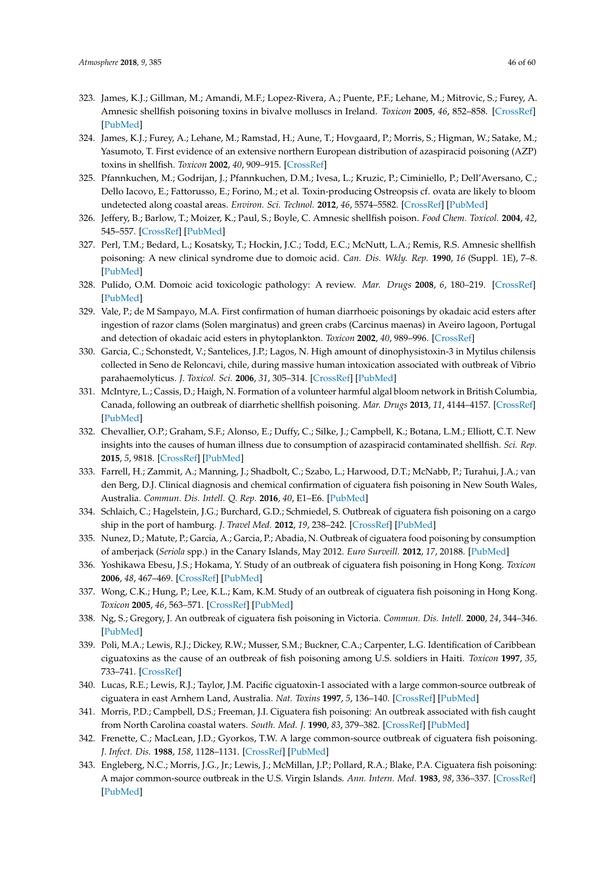- <span id="page-45-4"></span><span id="page-45-3"></span><span id="page-45-2"></span><span id="page-45-1"></span><span id="page-45-0"></span>323. James, K.J.; Gillman, M.; Amandi, M.F.; Lopez-Rivera, A.; Puente, P.F.; Lehane, M.; Mitrovic, S.; Furey, A. Amnesic shellfish poisoning toxins in bivalve molluscs in Ireland. *Toxicon* **2005**, *46*, 852–858. [\[CrossRef\]](http://dx.doi.org/10.1016/j.toxicon.2005.02.009) [\[PubMed\]](http://www.ncbi.nlm.nih.gov/pubmed/16289180)
- <span id="page-45-5"></span>324. James, K.J.; Furey, A.; Lehane, M.; Ramstad, H.; Aune, T.; Hovgaard, P.; Morris, S.; Higman, W.; Satake, M.; Yasumoto, T. First evidence of an extensive northern European distribution of azaspiracid poisoning (AZP) toxins in shellfish. *Toxicon* **2002**, *40*, 909–915. [\[CrossRef\]](http://dx.doi.org/10.1016/S0041-0101(02)00082-X)
- <span id="page-45-6"></span>325. Pfannkuchen, M.; Godrijan, J.; Pfannkuchen, D.M.; Ivesa, L.; Kruzic, P.; Ciminiello, P.; Dell'Aversano, C.; Dello Iacovo, E.; Fattorusso, E.; Forino, M.; et al. Toxin-producing Ostreopsis cf. ovata are likely to bloom undetected along coastal areas. *Environ. Sci. Technol.* **2012**, *46*, 5574–5582. [\[CrossRef\]](http://dx.doi.org/10.1021/es300189h) [\[PubMed\]](http://www.ncbi.nlm.nih.gov/pubmed/22530744)
- <span id="page-45-7"></span>326. Jeffery, B.; Barlow, T.; Moizer, K.; Paul, S.; Boyle, C. Amnesic shellfish poison. *Food Chem. Toxicol.* **2004**, *42*, 545–557. [\[CrossRef\]](http://dx.doi.org/10.1016/j.fct.2003.11.010) [\[PubMed\]](http://www.ncbi.nlm.nih.gov/pubmed/15019178)
- 327. Perl, T.M.; Bedard, L.; Kosatsky, T.; Hockin, J.C.; Todd, E.C.; McNutt, L.A.; Remis, R.S. Amnesic shellfish poisoning: A new clinical syndrome due to domoic acid. *Can. Dis. Wkly. Rep.* **1990**, *16* (Suppl. 1E), 7–8. [\[PubMed\]](http://www.ncbi.nlm.nih.gov/pubmed/2101742)
- 328. Pulido, O.M. Domoic acid toxicologic pathology: A review. *Mar. Drugs* **2008**, *6*, 180–219. [\[CrossRef\]](http://dx.doi.org/10.3390/md6020180) [\[PubMed\]](http://www.ncbi.nlm.nih.gov/pubmed/18728725)
- 329. Vale, P.; de M Sampayo, M.A. First confirmation of human diarrhoeic poisonings by okadaic acid esters after ingestion of razor clams (Solen marginatus) and green crabs (Carcinus maenas) in Aveiro lagoon, Portugal and detection of okadaic acid esters in phytoplankton. *Toxicon* **2002**, *40*, 989–996. [\[CrossRef\]](http://dx.doi.org/10.1016/S0041-0101(02)00095-8)
- 330. Garcia, C.; Schonstedt, V.; Santelices, J.P.; Lagos, N. High amount of dinophysistoxin-3 in Mytilus chilensis collected in Seno de Reloncavi, chile, during massive human intoxication associated with outbreak of Vibrio parahaemolyticus. *J. Toxicol. Sci.* **2006**, *31*, 305–314. [\[CrossRef\]](http://dx.doi.org/10.2131/jts.31.305) [\[PubMed\]](http://www.ncbi.nlm.nih.gov/pubmed/17077585)
- 331. McIntyre, L.; Cassis, D.; Haigh, N. Formation of a volunteer harmful algal bloom network in British Columbia, Canada, following an outbreak of diarrhetic shellfish poisoning. *Mar. Drugs* **2013**, *11*, 4144–4157. [\[CrossRef\]](http://dx.doi.org/10.3390/md11114144) [\[PubMed\]](http://www.ncbi.nlm.nih.gov/pubmed/24172211)
- 332. Chevallier, O.P.; Graham, S.F.; Alonso, E.; Duffy, C.; Silke, J.; Campbell, K.; Botana, L.M.; Elliott, C.T. New insights into the causes of human illness due to consumption of azaspiracid contaminated shellfish. *Sci. Rep.* **2015**, *5*, 9818. [\[CrossRef\]](http://dx.doi.org/10.1038/srep09818) [\[PubMed\]](http://www.ncbi.nlm.nih.gov/pubmed/25928256)
- 333. Farrell, H.; Zammit, A.; Manning, J.; Shadbolt, C.; Szabo, L.; Harwood, D.T.; McNabb, P.; Turahui, J.A.; van den Berg, D.J. Clinical diagnosis and chemical confirmation of ciguatera fish poisoning in New South Wales, Australia. *Commun. Dis. Intell. Q. Rep.* **2016**, *40*, E1–E6. [\[PubMed\]](http://www.ncbi.nlm.nih.gov/pubmed/27080020)
- 334. Schlaich, C.; Hagelstein, J.G.; Burchard, G.D.; Schmiedel, S. Outbreak of ciguatera fish poisoning on a cargo ship in the port of hamburg. *J. Travel Med.* **2012**, *19*, 238–242. [\[CrossRef\]](http://dx.doi.org/10.1111/j.1708-8305.2012.00619.x) [\[PubMed\]](http://www.ncbi.nlm.nih.gov/pubmed/22776385)
- 335. Nunez, D.; Matute, P.; Garcia, A.; Garcia, P.; Abadia, N. Outbreak of ciguatera food poisoning by consumption of amberjack (*Seriola* spp.) in the Canary Islands, May 2012. *Euro Surveill.* **2012**, *17*, 20188. [\[PubMed\]](http://www.ncbi.nlm.nih.gov/pubmed/22720739)
- 336. Yoshikawa Ebesu, J.S.; Hokama, Y. Study of an outbreak of ciguatera fish poisoning in Hong Kong. *Toxicon* **2006**, *48*, 467–469. [\[CrossRef\]](http://dx.doi.org/10.1016/j.toxicon.2006.06.006) [\[PubMed\]](http://www.ncbi.nlm.nih.gov/pubmed/16919698)
- 337. Wong, C.K.; Hung, P.; Lee, K.L.; Kam, K.M. Study of an outbreak of ciguatera fish poisoning in Hong Kong. *Toxicon* **2005**, *46*, 563–571. [\[CrossRef\]](http://dx.doi.org/10.1016/j.toxicon.2005.06.023) [\[PubMed\]](http://www.ncbi.nlm.nih.gov/pubmed/16085209)
- 338. Ng, S.; Gregory, J. An outbreak of ciguatera fish poisoning in Victoria. *Commun. Dis. Intell.* **2000**, *24*, 344–346. [\[PubMed\]](http://www.ncbi.nlm.nih.gov/pubmed/11190817)
- 339. Poli, M.A.; Lewis, R.J.; Dickey, R.W.; Musser, S.M.; Buckner, C.A.; Carpenter, L.G. Identification of Caribbean ciguatoxins as the cause of an outbreak of fish poisoning among U.S. soldiers in Haiti. *Toxicon* **1997**, *35*, 733–741. [\[CrossRef\]](http://dx.doi.org/10.1016/S0041-0101(96)00166-3)
- 340. Lucas, R.E.; Lewis, R.J.; Taylor, J.M. Pacific ciguatoxin-1 associated with a large common-source outbreak of ciguatera in east Arnhem Land, Australia. *Nat. Toxins* **1997**, *5*, 136–140. [\[CrossRef\]](http://dx.doi.org/10.1002/19970504NT2) [\[PubMed\]](http://www.ncbi.nlm.nih.gov/pubmed/9407555)
- 341. Morris, P.D.; Campbell, D.S.; Freeman, J.I. Ciguatera fish poisoning: An outbreak associated with fish caught from North Carolina coastal waters. *South. Med. J.* **1990**, *83*, 379–382. [\[CrossRef\]](http://dx.doi.org/10.1097/00007611-199004000-00005) [\[PubMed\]](http://www.ncbi.nlm.nih.gov/pubmed/2321066)
- 342. Frenette, C.; MacLean, J.D.; Gyorkos, T.W. A large common-source outbreak of ciguatera fish poisoning. *J. Infect. Dis.* **1988**, *158*, 1128–1131. [\[CrossRef\]](http://dx.doi.org/10.1093/infdis/158.5.1128) [\[PubMed\]](http://www.ncbi.nlm.nih.gov/pubmed/3183423)
- 343. Engleberg, N.C.; Morris, J.G., Jr.; Lewis, J.; McMillan, J.P.; Pollard, R.A.; Blake, P.A. Ciguatera fish poisoning: A major common-source outbreak in the U.S. Virgin Islands. *Ann. Intern. Med.* **1983**, *98*, 336–337. [\[CrossRef\]](http://dx.doi.org/10.7326/0003-4819-98-3-336) [\[PubMed\]](http://www.ncbi.nlm.nih.gov/pubmed/6830078)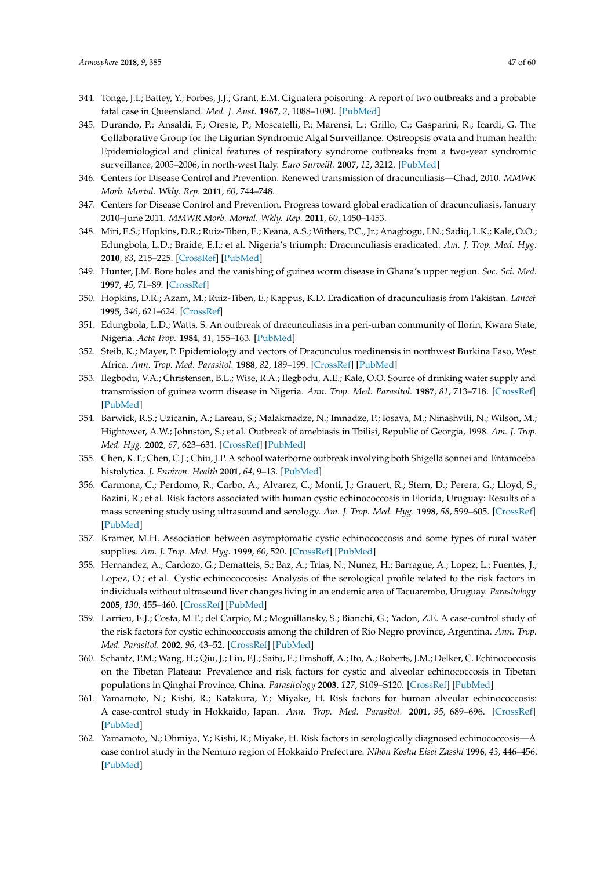- <span id="page-46-4"></span><span id="page-46-3"></span><span id="page-46-2"></span><span id="page-46-1"></span><span id="page-46-0"></span>344. Tonge, J.I.; Battey, Y.; Forbes, J.J.; Grant, E.M. Ciguatera poisoning: A report of two outbreaks and a probable fatal case in Queensland. *Med. J. Aust.* **1967**, *2*, 1088–1090. [\[PubMed\]](http://www.ncbi.nlm.nih.gov/pubmed/6074504)
- <span id="page-46-5"></span>345. Durando, P.; Ansaldi, F.; Oreste, P.; Moscatelli, P.; Marensi, L.; Grillo, C.; Gasparini, R.; Icardi, G. The Collaborative Group for the Ligurian Syndromic Algal Surveillance. Ostreopsis ovata and human health: Epidemiological and clinical features of respiratory syndrome outbreaks from a two-year syndromic surveillance, 2005–2006, in north-west Italy. *Euro Surveill.* **2007**, *12*, 3212. [\[PubMed\]](http://www.ncbi.nlm.nih.gov/pubmed/17868580)
- <span id="page-46-6"></span>346. Centers for Disease Control and Prevention. Renewed transmission of dracunculiasis—Chad, 2010. *MMWR Morb. Mortal. Wkly. Rep.* **2011**, *60*, 744–748.
- <span id="page-46-7"></span>347. Centers for Disease Control and Prevention. Progress toward global eradication of dracunculiasis, January 2010–June 2011. *MMWR Morb. Mortal. Wkly. Rep.* **2011**, *60*, 1450–1453.
- <span id="page-46-8"></span>348. Miri, E.S.; Hopkins, D.R.; Ruiz-Tiben, E.; Keana, A.S.; Withers, P.C., Jr.; Anagbogu, I.N.; Sadiq, L.K.; Kale, O.O.; Edungbola, L.D.; Braide, E.I.; et al. Nigeria's triumph: Dracunculiasis eradicated. *Am. J. Trop. Med. Hyg.* **2010**, *83*, 215–225. [\[CrossRef\]](http://dx.doi.org/10.4269/ajtmh.2010.10-0140) [\[PubMed\]](http://www.ncbi.nlm.nih.gov/pubmed/20682859)
- 349. Hunter, J.M. Bore holes and the vanishing of guinea worm disease in Ghana's upper region. *Soc. Sci. Med.* **1997**, *45*, 71–89. [\[CrossRef\]](http://dx.doi.org/10.1016/S0277-9536(96)00317-6)
- 350. Hopkins, D.R.; Azam, M.; Ruiz-Tiben, E.; Kappus, K.D. Eradication of dracunculiasis from Pakistan. *Lancet* **1995**, *346*, 621–624. [\[CrossRef\]](http://dx.doi.org/10.1016/S0140-6736(95)91442-0)
- 351. Edungbola, L.D.; Watts, S. An outbreak of dracunculiasis in a peri-urban community of Ilorin, Kwara State, Nigeria. *Acta Trop.* **1984**, *41*, 155–163. [\[PubMed\]](http://www.ncbi.nlm.nih.gov/pubmed/6147987)
- 352. Steib, K.; Mayer, P. Epidemiology and vectors of Dracunculus medinensis in northwest Burkina Faso, West Africa. *Ann. Trop. Med. Parasitol.* **1988**, *82*, 189–199. [\[CrossRef\]](http://dx.doi.org/10.1080/00034983.1988.11812228) [\[PubMed\]](http://www.ncbi.nlm.nih.gov/pubmed/2972263)
- 353. Ilegbodu, V.A.; Christensen, B.L.; Wise, R.A.; Ilegbodu, A.E.; Kale, O.O. Source of drinking water supply and transmission of guinea worm disease in Nigeria. *Ann. Trop. Med. Parasitol.* **1987**, *81*, 713–718. [\[CrossRef\]](http://dx.doi.org/10.1080/00034983.1987.11812174) [\[PubMed\]](http://www.ncbi.nlm.nih.gov/pubmed/2972262)
- 354. Barwick, R.S.; Uzicanin, A.; Lareau, S.; Malakmadze, N.; Imnadze, P.; Iosava, M.; Ninashvili, N.; Wilson, M.; Hightower, A.W.; Johnston, S.; et al. Outbreak of amebiasis in Tbilisi, Republic of Georgia, 1998. *Am. J. Trop. Med. Hyg.* **2002**, *67*, 623–631. [\[CrossRef\]](http://dx.doi.org/10.4269/ajtmh.2002.67.623) [\[PubMed\]](http://www.ncbi.nlm.nih.gov/pubmed/12518853)
- 355. Chen, K.T.; Chen, C.J.; Chiu, J.P. A school waterborne outbreak involving both Shigella sonnei and Entamoeba histolytica. *J. Environ. Health* **2001**, *64*, 9–13. [\[PubMed\]](http://www.ncbi.nlm.nih.gov/pubmed/11936033)
- 356. Carmona, C.; Perdomo, R.; Carbo, A.; Alvarez, C.; Monti, J.; Grauert, R.; Stern, D.; Perera, G.; Lloyd, S.; Bazini, R.; et al. Risk factors associated with human cystic echinococcosis in Florida, Uruguay: Results of a mass screening study using ultrasound and serology. *Am. J. Trop. Med. Hyg.* **1998**, *58*, 599–605. [\[CrossRef\]](http://dx.doi.org/10.4269/ajtmh.1998.58.599) [\[PubMed\]](http://www.ncbi.nlm.nih.gov/pubmed/9598448)
- 357. Kramer, M.H. Association between asymptomatic cystic echinococcosis and some types of rural water supplies. *Am. J. Trop. Med. Hyg.* **1999**, *60*, 520. [\[CrossRef\]](http://dx.doi.org/10.4269/ajtmh.1999.60.520) [\[PubMed\]](http://www.ncbi.nlm.nih.gov/pubmed/10348222)
- 358. Hernandez, A.; Cardozo, G.; Dematteis, S.; Baz, A.; Trias, N.; Nunez, H.; Barrague, A.; Lopez, L.; Fuentes, J.; Lopez, O.; et al. Cystic echinococcosis: Analysis of the serological profile related to the risk factors in individuals without ultrasound liver changes living in an endemic area of Tacuarembo, Uruguay. *Parasitology* **2005**, *130*, 455–460. [\[CrossRef\]](http://dx.doi.org/10.1017/S0031182004006717) [\[PubMed\]](http://www.ncbi.nlm.nih.gov/pubmed/15830820)
- 359. Larrieu, E.J.; Costa, M.T.; del Carpio, M.; Moguillansky, S.; Bianchi, G.; Yadon, Z.E. A case-control study of the risk factors for cystic echinococcosis among the children of Rio Negro province, Argentina. *Ann. Trop. Med. Parasitol.* **2002**, *96*, 43–52. [\[CrossRef\]](http://dx.doi.org/10.1179/000349802125000501) [\[PubMed\]](http://www.ncbi.nlm.nih.gov/pubmed/11989533)
- 360. Schantz, P.M.; Wang, H.; Qiu, J.; Liu, F.J.; Saito, E.; Emshoff, A.; Ito, A.; Roberts, J.M.; Delker, C. Echinococcosis on the Tibetan Plateau: Prevalence and risk factors for cystic and alveolar echinococcosis in Tibetan populations in Qinghai Province, China. *Parasitology* **2003**, *127*, S109–S120. [\[CrossRef\]](http://dx.doi.org/10.1017/S0031182003004165) [\[PubMed\]](http://www.ncbi.nlm.nih.gov/pubmed/15027608)
- 361. Yamamoto, N.; Kishi, R.; Katakura, Y.; Miyake, H. Risk factors for human alveolar echinococcosis: A case-control study in Hokkaido, Japan. *Ann. Trop. Med. Parasitol.* **2001**, *95*, 689–696. [\[CrossRef\]](http://dx.doi.org/10.1080/00034983.2001.11813686) [\[PubMed\]](http://www.ncbi.nlm.nih.gov/pubmed/11784422)
- 362. Yamamoto, N.; Ohmiya, Y.; Kishi, R.; Miyake, H. Risk factors in serologically diagnosed echinococcosis—A case control study in the Nemuro region of Hokkaido Prefecture. *Nihon Koshu Eisei Zasshi* **1996**, *43*, 446–456. [\[PubMed\]](http://www.ncbi.nlm.nih.gov/pubmed/8755678)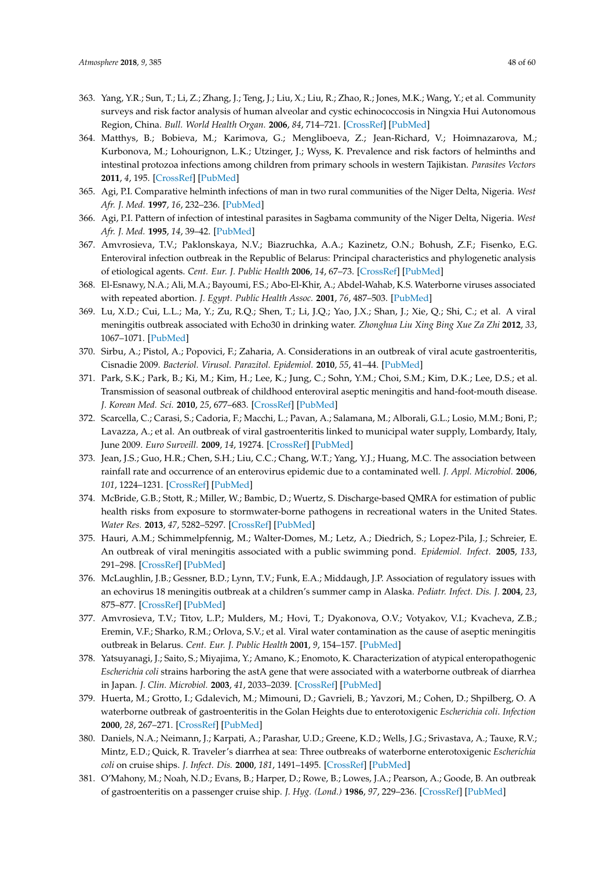- <span id="page-47-3"></span><span id="page-47-2"></span><span id="page-47-1"></span><span id="page-47-0"></span>363. Yang, Y.R.; Sun, T.; Li, Z.; Zhang, J.; Teng, J.; Liu, X.; Liu, R.; Zhao, R.; Jones, M.K.; Wang, Y.; et al. Community surveys and risk factor analysis of human alveolar and cystic echinococcosis in Ningxia Hui Autonomous Region, China. *Bull. World Health Organ.* **2006**, *84*, 714–721. [\[CrossRef\]](http://dx.doi.org/10.2471/BLT.05.025718) [\[PubMed\]](http://www.ncbi.nlm.nih.gov/pubmed/17128341)
- 364. Matthys, B.; Bobieva, M.; Karimova, G.; Mengliboeva, Z.; Jean-Richard, V.; Hoimnazarova, M.; Kurbonova, M.; Lohourignon, L.K.; Utzinger, J.; Wyss, K. Prevalence and risk factors of helminths and intestinal protozoa infections among children from primary schools in western Tajikistan. *Parasites Vectors* **2011**, *4*, 195. [\[CrossRef\]](http://dx.doi.org/10.1186/1756-3305-4-195) [\[PubMed\]](http://www.ncbi.nlm.nih.gov/pubmed/21981979)
- <span id="page-47-4"></span>365. Agi, P.I. Comparative helminth infections of man in two rural communities of the Niger Delta, Nigeria. *West Afr. J. Med.* **1997**, *16*, 232–236. [\[PubMed\]](http://www.ncbi.nlm.nih.gov/pubmed/9473959)
- 366. Agi, P.I. Pattern of infection of intestinal parasites in Sagbama community of the Niger Delta, Nigeria. *West Afr. J. Med.* **1995**, *14*, 39–42. [\[PubMed\]](http://www.ncbi.nlm.nih.gov/pubmed/7626531)
- <span id="page-47-5"></span>367. Amvrosieva, T.V.; Paklonskaya, N.V.; Biazruchka, A.A.; Kazinetz, O.N.; Bohush, Z.F.; Fisenko, E.G. Enteroviral infection outbreak in the Republic of Belarus: Principal characteristics and phylogenetic analysis of etiological agents. *Cent. Eur. J. Public Health* **2006**, *14*, 67–73. [\[CrossRef\]](http://dx.doi.org/10.21101/cejph.a3369) [\[PubMed\]](http://www.ncbi.nlm.nih.gov/pubmed/16830607)
- <span id="page-47-6"></span>368. El-Esnawy, N.A.; Ali, M.A.; Bayoumi, F.S.; Abo-El-Khir, A.; Abdel-Wahab, K.S. Waterborne viruses associated with repeated abortion. *J. Egypt. Public Health Assoc.* **2001**, *76*, 487–503. [\[PubMed\]](http://www.ncbi.nlm.nih.gov/pubmed/17216939)
- 369. Lu, X.D.; Cui, L.L.; Ma, Y.; Zu, R.Q.; Shen, T.; Li, J.Q.; Yao, J.X.; Shan, J.; Xie, Q.; Shi, C.; et al. A viral meningitis outbreak associated with Echo30 in drinking water. *Zhonghua Liu Xing Bing Xue Za Zhi* **2012**, *33*, 1067–1071. [\[PubMed\]](http://www.ncbi.nlm.nih.gov/pubmed/23290854)
- <span id="page-47-7"></span>370. Sirbu, A.; Pistol, A.; Popovici, F.; Zaharia, A. Considerations in an outbreak of viral acute gastroenteritis, Cisnadie 2009. *Bacteriol. Virusol. Parazitol. Epidemiol.* **2010**, *55*, 41–44. [\[PubMed\]](http://www.ncbi.nlm.nih.gov/pubmed/21038704)
- <span id="page-47-8"></span>371. Park, S.K.; Park, B.; Ki, M.; Kim, H.; Lee, K.; Jung, C.; Sohn, Y.M.; Choi, S.M.; Kim, D.K.; Lee, D.S.; et al. Transmission of seasonal outbreak of childhood enteroviral aseptic meningitis and hand-foot-mouth disease. *J. Korean Med. Sci.* **2010**, *25*, 677–683. [\[CrossRef\]](http://dx.doi.org/10.3346/jkms.2010.25.5.677) [\[PubMed\]](http://www.ncbi.nlm.nih.gov/pubmed/20436701)
- <span id="page-47-9"></span>372. Scarcella, C.; Carasi, S.; Cadoria, F.; Macchi, L.; Pavan, A.; Salamana, M.; Alborali, G.L.; Losio, M.M.; Boni, P.; Lavazza, A.; et al. An outbreak of viral gastroenteritis linked to municipal water supply, Lombardy, Italy, June 2009. *Euro Surveill.* **2009**, *14*, 19274. [\[CrossRef\]](http://dx.doi.org/10.2807/ese.14.29.19274-en) [\[PubMed\]](http://www.ncbi.nlm.nih.gov/pubmed/19643050)
- 373. Jean, J.S.; Guo, H.R.; Chen, S.H.; Liu, C.C.; Chang, W.T.; Yang, Y.J.; Huang, M.C. The association between rainfall rate and occurrence of an enterovirus epidemic due to a contaminated well. *J. Appl. Microbiol.* **2006**, *101*, 1224–1231. [\[CrossRef\]](http://dx.doi.org/10.1111/j.1365-2672.2006.03025.x) [\[PubMed\]](http://www.ncbi.nlm.nih.gov/pubmed/17105552)
- 374. McBride, G.B.; Stott, R.; Miller, W.; Bambic, D.; Wuertz, S. Discharge-based QMRA for estimation of public health risks from exposure to stormwater-borne pathogens in recreational waters in the United States. *Water Res.* **2013**, *47*, 5282–5297. [\[CrossRef\]](http://dx.doi.org/10.1016/j.watres.2013.06.001) [\[PubMed\]](http://www.ncbi.nlm.nih.gov/pubmed/23863377)
- 375. Hauri, A.M.; Schimmelpfennig, M.; Walter-Domes, M.; Letz, A.; Diedrich, S.; Lopez-Pila, J.; Schreier, E. An outbreak of viral meningitis associated with a public swimming pond. *Epidemiol. Infect.* **2005**, *133*, 291–298. [\[CrossRef\]](http://dx.doi.org/10.1017/S0950268804003437) [\[PubMed\]](http://www.ncbi.nlm.nih.gov/pubmed/15816154)
- 376. McLaughlin, J.B.; Gessner, B.D.; Lynn, T.V.; Funk, E.A.; Middaugh, J.P. Association of regulatory issues with an echovirus 18 meningitis outbreak at a children's summer camp in Alaska. *Pediatr. Infect. Dis. J.* **2004**, *23*, 875–877. [\[CrossRef\]](http://dx.doi.org/10.1097/01.inf.0000136867.18026.22) [\[PubMed\]](http://www.ncbi.nlm.nih.gov/pubmed/15361731)
- 377. Amvrosieva, T.V.; Titov, L.P.; Mulders, M.; Hovi, T.; Dyakonova, O.V.; Votyakov, V.I.; Kvacheva, Z.B.; Eremin, V.F.; Sharko, R.M.; Orlova, S.V.; et al. Viral water contamination as the cause of aseptic meningitis outbreak in Belarus. *Cent. Eur. J. Public Health* **2001**, *9*, 154–157. [\[PubMed\]](http://www.ncbi.nlm.nih.gov/pubmed/11505740)
- 378. Yatsuyanagi, J.; Saito, S.; Miyajima, Y.; Amano, K.; Enomoto, K. Characterization of atypical enteropathogenic *Escherichia coli* strains harboring the astA gene that were associated with a waterborne outbreak of diarrhea in Japan. *J. Clin. Microbiol.* **2003**, *41*, 2033–2039. [\[CrossRef\]](http://dx.doi.org/10.1128/JCM.41.5.2033-2039.2003) [\[PubMed\]](http://www.ncbi.nlm.nih.gov/pubmed/12734245)
- 379. Huerta, M.; Grotto, I.; Gdalevich, M.; Mimouni, D.; Gavrieli, B.; Yavzori, M.; Cohen, D.; Shpilberg, O. A waterborne outbreak of gastroenteritis in the Golan Heights due to enterotoxigenic *Escherichia coli*. *Infection* **2000**, *28*, 267–271. [\[CrossRef\]](http://dx.doi.org/10.1007/s150100070017) [\[PubMed\]](http://www.ncbi.nlm.nih.gov/pubmed/11073131)
- 380. Daniels, N.A.; Neimann, J.; Karpati, A.; Parashar, U.D.; Greene, K.D.; Wells, J.G.; Srivastava, A.; Tauxe, R.V.; Mintz, E.D.; Quick, R. Traveler's diarrhea at sea: Three outbreaks of waterborne enterotoxigenic *Escherichia coli* on cruise ships. *J. Infect. Dis.* **2000**, *181*, 1491–1495. [\[CrossRef\]](http://dx.doi.org/10.1086/315397) [\[PubMed\]](http://www.ncbi.nlm.nih.gov/pubmed/10762583)
- 381. O'Mahony, M.; Noah, N.D.; Evans, B.; Harper, D.; Rowe, B.; Lowes, J.A.; Pearson, A.; Goode, B. An outbreak of gastroenteritis on a passenger cruise ship. *J. Hyg. (Lond.)* **1986**, *97*, 229–236. [\[CrossRef\]](http://dx.doi.org/10.1017/S0022172400065311) [\[PubMed\]](http://www.ncbi.nlm.nih.gov/pubmed/3537115)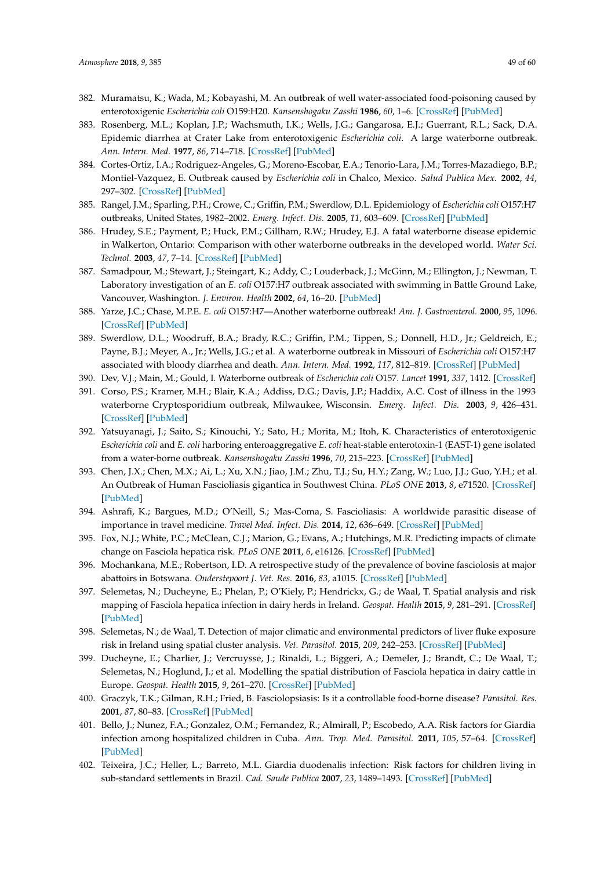- <span id="page-48-3"></span><span id="page-48-2"></span><span id="page-48-1"></span>382. Muramatsu, K.; Wada, M.; Kobayashi, M. An outbreak of well water-associated food-poisoning caused by enterotoxigenic *Escherichia coli* O159:H20. *Kansenshogaku Zasshi* **1986**, *60*, 1–6. [\[CrossRef\]](http://dx.doi.org/10.11150/kansenshogakuzasshi1970.60.1) [\[PubMed\]](http://www.ncbi.nlm.nih.gov/pubmed/3088171)
- <span id="page-48-4"></span><span id="page-48-0"></span>383. Rosenberg, M.L.; Koplan, J.P.; Wachsmuth, I.K.; Wells, J.G.; Gangarosa, E.J.; Guerrant, R.L.; Sack, D.A. Epidemic diarrhea at Crater Lake from enterotoxigenic *Escherichia coli*. A large waterborne outbreak. *Ann. Intern. Med.* **1977**, *86*, 714–718. [\[CrossRef\]](http://dx.doi.org/10.7326/0003-4819-86-6-714) [\[PubMed\]](http://www.ncbi.nlm.nih.gov/pubmed/326116)
- <span id="page-48-5"></span>384. Cortes-Ortiz, I.A.; Rodriguez-Angeles, G.; Moreno-Escobar, E.A.; Tenorio-Lara, J.M.; Torres-Mazadiego, B.P.; Montiel-Vazquez, E. Outbreak caused by *Escherichia coli* in Chalco, Mexico. *Salud Publica Mex.* **2002**, *44*, 297–302. [\[CrossRef\]](http://dx.doi.org/10.1590/S0036-36342002000400002) [\[PubMed\]](http://www.ncbi.nlm.nih.gov/pubmed/12216516)
- <span id="page-48-6"></span>385. Rangel, J.M.; Sparling, P.H.; Crowe, C.; Griffin, P.M.; Swerdlow, D.L. Epidemiology of *Escherichia coli* O157:H7 outbreaks, United States, 1982–2002. *Emerg. Infect. Dis.* **2005**, *11*, 603–609. [\[CrossRef\]](http://dx.doi.org/10.3201/eid1104.040739) [\[PubMed\]](http://www.ncbi.nlm.nih.gov/pubmed/15829201)
- <span id="page-48-7"></span>386. Hrudey, S.E.; Payment, P.; Huck, P.M.; Gillham, R.W.; Hrudey, E.J. A fatal waterborne disease epidemic in Walkerton, Ontario: Comparison with other waterborne outbreaks in the developed world. *Water Sci. Technol.* **2003**, *47*, 7–14. [\[CrossRef\]](http://dx.doi.org/10.2166/wst.2003.0146) [\[PubMed\]](http://www.ncbi.nlm.nih.gov/pubmed/12638998)
- <span id="page-48-8"></span>387. Samadpour, M.; Stewart, J.; Steingart, K.; Addy, C.; Louderback, J.; McGinn, M.; Ellington, J.; Newman, T. Laboratory investigation of an *E. coli* O157:H7 outbreak associated with swimming in Battle Ground Lake, Vancouver, Washington. *J. Environ. Health* **2002**, *64*, 16–20. [\[PubMed\]](http://www.ncbi.nlm.nih.gov/pubmed/12049000)
- 388. Yarze, J.C.; Chase, M.P.E. *E. coli* O157:H7—Another waterborne outbreak! *Am. J. Gastroenterol.* **2000**, *95*, 1096. [\[CrossRef\]](http://dx.doi.org/10.1111/j.1572-0241.2000.01956.x) [\[PubMed\]](http://www.ncbi.nlm.nih.gov/pubmed/10763977)
- 389. Swerdlow, D.L.; Woodruff, B.A.; Brady, R.C.; Griffin, P.M.; Tippen, S.; Donnell, H.D., Jr.; Geldreich, E.; Payne, B.J.; Meyer, A., Jr.; Wells, J.G.; et al. A waterborne outbreak in Missouri of *Escherichia coli* O157:H7 associated with bloody diarrhea and death. *Ann. Intern. Med.* **1992**, *117*, 812–819. [\[CrossRef\]](http://dx.doi.org/10.7326/0003-4819-117-10-812) [\[PubMed\]](http://www.ncbi.nlm.nih.gov/pubmed/1416555)
- 390. Dev, V.J.; Main, M.; Gould, I. Waterborne outbreak of *Escherichia coli* O157. *Lancet* **1991**, *337*, 1412. [\[CrossRef\]](http://dx.doi.org/10.1016/0140-6736(91)93092-N)
- 391. Corso, P.S.; Kramer, M.H.; Blair, K.A.; Addiss, D.G.; Davis, J.P.; Haddix, A.C. Cost of illness in the 1993 waterborne Cryptosporidium outbreak, Milwaukee, Wisconsin. *Emerg. Infect. Dis.* **2003**, *9*, 426–431. [\[CrossRef\]](http://dx.doi.org/10.3201/eid0904.020417) [\[PubMed\]](http://www.ncbi.nlm.nih.gov/pubmed/12702221)
- <span id="page-48-9"></span>392. Yatsuyanagi, J.; Saito, S.; Kinouchi, Y.; Sato, H.; Morita, M.; Itoh, K. Characteristics of enterotoxigenic *Escherichia coli* and *E. coli* harboring enteroaggregative *E. coli* heat-stable enterotoxin-1 (EAST-1) gene isolated from a water-borne outbreak. *Kansenshogaku Zasshi* **1996**, *70*, 215–223. [\[CrossRef\]](http://dx.doi.org/10.11150/kansenshogakuzasshi1970.70.215) [\[PubMed\]](http://www.ncbi.nlm.nih.gov/pubmed/8621962)
- <span id="page-48-10"></span>393. Chen, J.X.; Chen, M.X.; Ai, L.; Xu, X.N.; Jiao, J.M.; Zhu, T.J.; Su, H.Y.; Zang, W.; Luo, J.J.; Guo, Y.H.; et al. An Outbreak of Human Fascioliasis gigantica in Southwest China. *PLoS ONE* **2013**, *8*, e71520. [\[CrossRef\]](http://dx.doi.org/10.1371/journal.pone.0071520) [\[PubMed\]](http://www.ncbi.nlm.nih.gov/pubmed/23951181)
- <span id="page-48-11"></span>394. Ashrafi, K.; Bargues, M.D.; O'Neill, S.; Mas-Coma, S. Fascioliasis: A worldwide parasitic disease of importance in travel medicine. *Travel Med. Infect. Dis.* **2014**, *12*, 636–649. [\[CrossRef\]](http://dx.doi.org/10.1016/j.tmaid.2014.09.006) [\[PubMed\]](http://www.ncbi.nlm.nih.gov/pubmed/25287722)
- 395. Fox, N.J.; White, P.C.; McClean, C.J.; Marion, G.; Evans, A.; Hutchings, M.R. Predicting impacts of climate change on Fasciola hepatica risk. *PLoS ONE* **2011**, *6*, e16126. [\[CrossRef\]](http://dx.doi.org/10.1371/journal.pone.0016126) [\[PubMed\]](http://www.ncbi.nlm.nih.gov/pubmed/21249228)
- 396. Mochankana, M.E.; Robertson, I.D. A retrospective study of the prevalence of bovine fasciolosis at major abattoirs in Botswana. *Onderstepoort J. Vet. Res.* **2016**, *83*, a1015. [\[CrossRef\]](http://dx.doi.org/10.4102/ojvr.v83i1.1015) [\[PubMed\]](http://www.ncbi.nlm.nih.gov/pubmed/27380655)
- 397. Selemetas, N.; Ducheyne, E.; Phelan, P.; O'Kiely, P.; Hendrickx, G.; de Waal, T. Spatial analysis and risk mapping of Fasciola hepatica infection in dairy herds in Ireland. *Geospat. Health* **2015**, *9*, 281–291. [\[CrossRef\]](http://dx.doi.org/10.4081/gh.2015.350) [\[PubMed\]](http://www.ncbi.nlm.nih.gov/pubmed/25826309)
- 398. Selemetas, N.; de Waal, T. Detection of major climatic and environmental predictors of liver fluke exposure risk in Ireland using spatial cluster analysis. *Vet. Parasitol.* **2015**, *209*, 242–253. [\[CrossRef\]](http://dx.doi.org/10.1016/j.vetpar.2015.02.029) [\[PubMed\]](http://www.ncbi.nlm.nih.gov/pubmed/25777048)
- 399. Ducheyne, E.; Charlier, J.; Vercruysse, J.; Rinaldi, L.; Biggeri, A.; Demeler, J.; Brandt, C.; De Waal, T.; Selemetas, N.; Hoglund, J.; et al. Modelling the spatial distribution of Fasciola hepatica in dairy cattle in Europe. *Geospat. Health* **2015**, *9*, 261–270. [\[CrossRef\]](http://dx.doi.org/10.4081/gh.2015.348) [\[PubMed\]](http://www.ncbi.nlm.nih.gov/pubmed/25826307)
- 400. Graczyk, T.K.; Gilman, R.H.; Fried, B. Fasciolopsiasis: Is it a controllable food-borne disease? *Parasitol. Res.* **2001**, *87*, 80–83. [\[CrossRef\]](http://dx.doi.org/10.1007/s004360000299) [\[PubMed\]](http://www.ncbi.nlm.nih.gov/pubmed/11199855)
- 401. Bello, J.; Nunez, F.A.; Gonzalez, O.M.; Fernandez, R.; Almirall, P.; Escobedo, A.A. Risk factors for Giardia infection among hospitalized children in Cuba. *Ann. Trop. Med. Parasitol.* **2011**, *105*, 57–64. [\[CrossRef\]](http://dx.doi.org/10.1179/136485911X12899838413385) [\[PubMed\]](http://www.ncbi.nlm.nih.gov/pubmed/21294949)
- 402. Teixeira, J.C.; Heller, L.; Barreto, M.L. Giardia duodenalis infection: Risk factors for children living in sub-standard settlements in Brazil. *Cad. Saude Publica* **2007**, *23*, 1489–1493. [\[CrossRef\]](http://dx.doi.org/10.1590/S0102-311X2007000600024) [\[PubMed\]](http://www.ncbi.nlm.nih.gov/pubmed/17546340)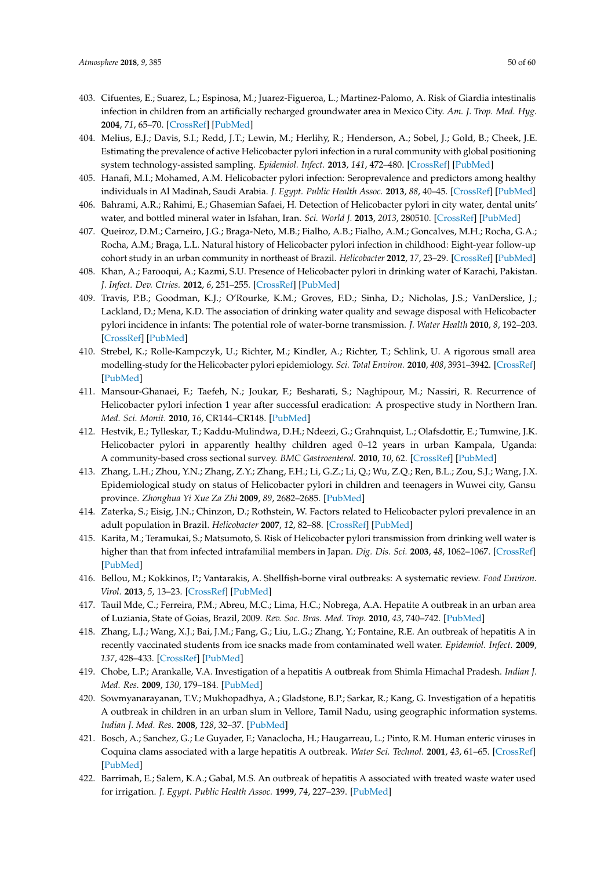- <span id="page-49-1"></span><span id="page-49-0"></span>403. Cifuentes, E.; Suarez, L.; Espinosa, M.; Juarez-Figueroa, L.; Martinez-Palomo, A. Risk of Giardia intestinalis infection in children from an artificially recharged groundwater area in Mexico City. *Am. J. Trop. Med. Hyg.* **2004**, *71*, 65–70. [\[CrossRef\]](http://dx.doi.org/10.4269/ajtmh.2004.71.65) [\[PubMed\]](http://www.ncbi.nlm.nih.gov/pubmed/15238691)
- 404. Melius, E.J.; Davis, S.I.; Redd, J.T.; Lewin, M.; Herlihy, R.; Henderson, A.; Sobel, J.; Gold, B.; Cheek, J.E. Estimating the prevalence of active Helicobacter pylori infection in a rural community with global positioning system technology-assisted sampling. *Epidemiol. Infect.* **2013**, *141*, 472–480. [\[CrossRef\]](http://dx.doi.org/10.1017/S0950268812000714) [\[PubMed\]](http://www.ncbi.nlm.nih.gov/pubmed/22595455)
- 405. Hanafi, M.I.; Mohamed, A.M. Helicobacter pylori infection: Seroprevalence and predictors among healthy individuals in Al Madinah, Saudi Arabia. *J. Egypt. Public Health Assoc.* **2013**, *88*, 40–45. [\[CrossRef\]](http://dx.doi.org/10.1097/01.EPX.0000427043.99834.a4) [\[PubMed\]](http://www.ncbi.nlm.nih.gov/pubmed/23528531)
- 406. Bahrami, A.R.; Rahimi, E.; Ghasemian Safaei, H. Detection of Helicobacter pylori in city water, dental units' water, and bottled mineral water in Isfahan, Iran. *Sci. World J.* **2013**, *2013*, 280510. [\[CrossRef\]](http://dx.doi.org/10.1155/2013/280510) [\[PubMed\]](http://www.ncbi.nlm.nih.gov/pubmed/23606812)
- 407. Queiroz, D.M.; Carneiro, J.G.; Braga-Neto, M.B.; Fialho, A.B.; Fialho, A.M.; Goncalves, M.H.; Rocha, G.A.; Rocha, A.M.; Braga, L.L. Natural history of Helicobacter pylori infection in childhood: Eight-year follow-up cohort study in an urban community in northeast of Brazil. *Helicobacter* **2012**, *17*, 23–29. [\[CrossRef\]](http://dx.doi.org/10.1111/j.1523-5378.2011.00894.x) [\[PubMed\]](http://www.ncbi.nlm.nih.gov/pubmed/22221612)
- <span id="page-49-2"></span>408. Khan, A.; Farooqui, A.; Kazmi, S.U. Presence of Helicobacter pylori in drinking water of Karachi, Pakistan. *J. Infect. Dev. Ctries.* **2012**, *6*, 251–255. [\[CrossRef\]](http://dx.doi.org/10.3855/jidc.2312) [\[PubMed\]](http://www.ncbi.nlm.nih.gov/pubmed/22421606)
- <span id="page-49-3"></span>409. Travis, P.B.; Goodman, K.J.; O'Rourke, K.M.; Groves, F.D.; Sinha, D.; Nicholas, J.S.; VanDerslice, J.; Lackland, D.; Mena, K.D. The association of drinking water quality and sewage disposal with Helicobacter pylori incidence in infants: The potential role of water-borne transmission. *J. Water Health* **2010**, *8*, 192–203. [\[CrossRef\]](http://dx.doi.org/10.2166/wh.2009.040) [\[PubMed\]](http://www.ncbi.nlm.nih.gov/pubmed/20009261)
- 410. Strebel, K.; Rolle-Kampczyk, U.; Richter, M.; Kindler, A.; Richter, T.; Schlink, U. A rigorous small area modelling-study for the Helicobacter pylori epidemiology. *Sci. Total Environ.* **2010**, *408*, 3931–3942. [\[CrossRef\]](http://dx.doi.org/10.1016/j.scitotenv.2010.03.045) [\[PubMed\]](http://www.ncbi.nlm.nih.gov/pubmed/20444496)
- 411. Mansour-Ghanaei, F.; Taefeh, N.; Joukar, F.; Besharati, S.; Naghipour, M.; Nassiri, R. Recurrence of Helicobacter pylori infection 1 year after successful eradication: A prospective study in Northern Iran. *Med. Sci. Monit.* **2010**, *16*, CR144–CR148. [\[PubMed\]](http://www.ncbi.nlm.nih.gov/pubmed/20190685)
- 412. Hestvik, E.; Tylleskar, T.; Kaddu-Mulindwa, D.H.; Ndeezi, G.; Grahnquist, L.; Olafsdottir, E.; Tumwine, J.K. Helicobacter pylori in apparently healthy children aged 0–12 years in urban Kampala, Uganda: A community-based cross sectional survey. *BMC Gastroenterol.* **2010**, *10*, 62. [\[CrossRef\]](http://dx.doi.org/10.1186/1471-230X-10-62) [\[PubMed\]](http://www.ncbi.nlm.nih.gov/pubmed/20553588)
- 413. Zhang, L.H.; Zhou, Y.N.; Zhang, Z.Y.; Zhang, F.H.; Li, G.Z.; Li, Q.; Wu, Z.Q.; Ren, B.L.; Zou, S.J.; Wang, J.X. Epidemiological study on status of Helicobacter pylori in children and teenagers in Wuwei city, Gansu province. *Zhonghua Yi Xue Za Zhi* **2009**, *89*, 2682–2685. [\[PubMed\]](http://www.ncbi.nlm.nih.gov/pubmed/20137267)
- 414. Zaterka, S.; Eisig, J.N.; Chinzon, D.; Rothstein, W. Factors related to Helicobacter pylori prevalence in an adult population in Brazil. *Helicobacter* **2007**, *12*, 82–88. [\[CrossRef\]](http://dx.doi.org/10.1111/j.1523-5378.2007.00474.x) [\[PubMed\]](http://www.ncbi.nlm.nih.gov/pubmed/17241306)
- 415. Karita, M.; Teramukai, S.; Matsumoto, S. Risk of Helicobacter pylori transmission from drinking well water is higher than that from infected intrafamilial members in Japan. *Dig. Dis. Sci.* **2003**, *48*, 1062–1067. [\[CrossRef\]](http://dx.doi.org/10.1023/A:1023752326137) [\[PubMed\]](http://www.ncbi.nlm.nih.gov/pubmed/12822863)
- 416. Bellou, M.; Kokkinos, P.; Vantarakis, A. Shellfish-borne viral outbreaks: A systematic review. *Food Environ. Virol.* **2013**, *5*, 13–23. [\[CrossRef\]](http://dx.doi.org/10.1007/s12560-012-9097-6) [\[PubMed\]](http://www.ncbi.nlm.nih.gov/pubmed/23412719)
- 417. Tauil Mde, C.; Ferreira, P.M.; Abreu, M.C.; Lima, H.C.; Nobrega, A.A. Hepatite A outbreak in an urban area of Luziania, State of Goias, Brazil, 2009. *Rev. Soc. Bras. Med. Trop.* **2010**, *43*, 740–742. [\[PubMed\]](http://www.ncbi.nlm.nih.gov/pubmed/21181037)
- 418. Zhang, L.J.; Wang, X.J.; Bai, J.M.; Fang, G.; Liu, L.G.; Zhang, Y.; Fontaine, R.E. An outbreak of hepatitis A in recently vaccinated students from ice snacks made from contaminated well water. *Epidemiol. Infect.* **2009**, *137*, 428–433. [\[CrossRef\]](http://dx.doi.org/10.1017/S0950268808001337) [\[PubMed\]](http://www.ncbi.nlm.nih.gov/pubmed/18817585)
- 419. Chobe, L.P.; Arankalle, V.A. Investigation of a hepatitis A outbreak from Shimla Himachal Pradesh. *Indian J. Med. Res.* **2009**, *130*, 179–184. [\[PubMed\]](http://www.ncbi.nlm.nih.gov/pubmed/19797816)
- 420. Sowmyanarayanan, T.V.; Mukhopadhya, A.; Gladstone, B.P.; Sarkar, R.; Kang, G. Investigation of a hepatitis A outbreak in children in an urban slum in Vellore, Tamil Nadu, using geographic information systems. *Indian J. Med. Res.* **2008**, *128*, 32–37. [\[PubMed\]](http://www.ncbi.nlm.nih.gov/pubmed/18820356)
- 421. Bosch, A.; Sanchez, G.; Le Guyader, F.; Vanaclocha, H.; Haugarreau, L.; Pinto, R.M. Human enteric viruses in Coquina clams associated with a large hepatitis A outbreak. *Water Sci. Technol.* **2001**, *43*, 61–65. [\[CrossRef\]](http://dx.doi.org/10.2166/wst.2001.0712) [\[PubMed\]](http://www.ncbi.nlm.nih.gov/pubmed/11464770)
- 422. Barrimah, E.; Salem, K.A.; Gabal, M.S. An outbreak of hepatitis A associated with treated waste water used for irrigation. *J. Egypt. Public Health Assoc.* **1999**, *74*, 227–239. [\[PubMed\]](http://www.ncbi.nlm.nih.gov/pubmed/17219868)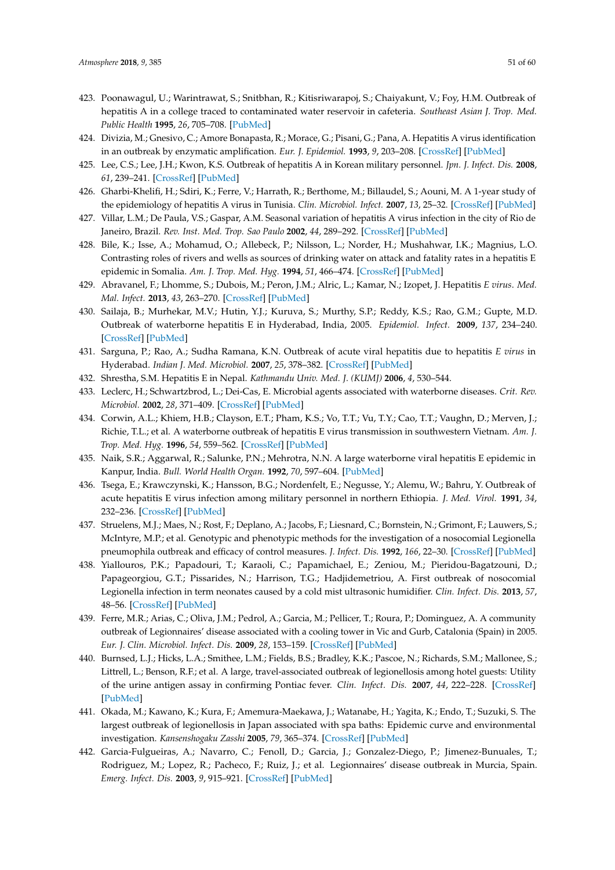- <span id="page-50-4"></span><span id="page-50-3"></span><span id="page-50-2"></span><span id="page-50-1"></span><span id="page-50-0"></span>423. Poonawagul, U.; Warintrawat, S.; Snitbhan, R.; Kitisriwarapoj, S.; Chaiyakunt, V.; Foy, H.M. Outbreak of hepatitis A in a college traced to contaminated water reservoir in cafeteria. *Southeast Asian J. Trop. Med. Public Health* **1995**, *26*, 705–708. [\[PubMed\]](http://www.ncbi.nlm.nih.gov/pubmed/9139380)
- 424. Divizia, M.; Gnesivo, C.; Amore Bonapasta, R.; Morace, G.; Pisani, G.; Pana, A. Hepatitis A virus identification in an outbreak by enzymatic amplification. *Eur. J. Epidemiol.* **1993**, *9*, 203–208. [\[CrossRef\]](http://dx.doi.org/10.1007/BF00158793) [\[PubMed\]](http://www.ncbi.nlm.nih.gov/pubmed/8390942)
- 425. Lee, C.S.; Lee, J.H.; Kwon, K.S. Outbreak of hepatitis A in Korean military personnel. *Jpn. J. Infect. Dis.* **2008**, *61*, 239–241. [\[CrossRef\]](http://dx.doi.org/10.1016/j.ijid.2008.05.219) [\[PubMed\]](http://www.ncbi.nlm.nih.gov/pubmed/18503182)
- 426. Gharbi-Khelifi, H.; Sdiri, K.; Ferre, V.; Harrath, R.; Berthome, M.; Billaudel, S.; Aouni, M. A 1-year study of the epidemiology of hepatitis A virus in Tunisia. *Clin. Microbiol. Infect.* **2007**, *13*, 25–32. [\[CrossRef\]](http://dx.doi.org/10.1111/j.1469-0691.2006.01588.x) [\[PubMed\]](http://www.ncbi.nlm.nih.gov/pubmed/17184284)
- <span id="page-50-5"></span>427. Villar, L.M.; De Paula, V.S.; Gaspar, A.M. Seasonal variation of hepatitis A virus infection in the city of Rio de Janeiro, Brazil. *Rev. Inst. Med. Trop. Sao Paulo* **2002**, *44*, 289–292. [\[CrossRef\]](http://dx.doi.org/10.1590/S0036-46652002000500011) [\[PubMed\]](http://www.ncbi.nlm.nih.gov/pubmed/12436171)
- <span id="page-50-6"></span>428. Bile, K.; Isse, A.; Mohamud, O.; Allebeck, P.; Nilsson, L.; Norder, H.; Mushahwar, I.K.; Magnius, L.O. Contrasting roles of rivers and wells as sources of drinking water on attack and fatality rates in a hepatitis E epidemic in Somalia. *Am. J. Trop. Med. Hyg.* **1994**, *51*, 466–474. [\[CrossRef\]](http://dx.doi.org/10.4269/ajtmh.1994.51.466) [\[PubMed\]](http://www.ncbi.nlm.nih.gov/pubmed/7943574)
- 429. Abravanel, F.; Lhomme, S.; Dubois, M.; Peron, J.M.; Alric, L.; Kamar, N.; Izopet, J. Hepatitis *E virus*. *Med. Mal. Infect.* **2013**, *43*, 263–270. [\[CrossRef\]](http://dx.doi.org/10.1016/j.medmal.2013.03.005) [\[PubMed\]](http://www.ncbi.nlm.nih.gov/pubmed/23608595)
- 430. Sailaja, B.; Murhekar, M.V.; Hutin, Y.J.; Kuruva, S.; Murthy, S.P.; Reddy, K.S.; Rao, G.M.; Gupte, M.D. Outbreak of waterborne hepatitis E in Hyderabad, India, 2005. *Epidemiol. Infect.* **2009**, *137*, 234–240. [\[CrossRef\]](http://dx.doi.org/10.1017/S0950268808000952) [\[PubMed\]](http://www.ncbi.nlm.nih.gov/pubmed/18606027)
- 431. Sarguna, P.; Rao, A.; Sudha Ramana, K.N. Outbreak of acute viral hepatitis due to hepatitis *E virus* in Hyderabad. *Indian J. Med. Microbiol.* **2007**, *25*, 378–382. [\[CrossRef\]](http://dx.doi.org/10.4103/0255-0857.37343) [\[PubMed\]](http://www.ncbi.nlm.nih.gov/pubmed/18087089)
- 432. Shrestha, S.M. Hepatitis E in Nepal. *Kathmandu Univ. Med. J. (KUMJ)* **2006**, *4*, 530–544.
- 433. Leclerc, H.; Schwartzbrod, L.; Dei-Cas, E. Microbial agents associated with waterborne diseases. *Crit. Rev. Microbiol.* **2002**, *28*, 371–409. [\[CrossRef\]](http://dx.doi.org/10.1080/1040-840291046768) [\[PubMed\]](http://www.ncbi.nlm.nih.gov/pubmed/12546197)
- 434. Corwin, A.L.; Khiem, H.B.; Clayson, E.T.; Pham, K.S.; Vo, T.T.; Vu, T.Y.; Cao, T.T.; Vaughn, D.; Merven, J.; Richie, T.L.; et al. A waterborne outbreak of hepatitis E virus transmission in southwestern Vietnam. *Am. J. Trop. Med. Hyg.* **1996**, *54*, 559–562. [\[CrossRef\]](http://dx.doi.org/10.4269/ajtmh.1996.54.559) [\[PubMed\]](http://www.ncbi.nlm.nih.gov/pubmed/8686771)
- 435. Naik, S.R.; Aggarwal, R.; Salunke, P.N.; Mehrotra, N.N. A large waterborne viral hepatitis E epidemic in Kanpur, India. *Bull. World Health Organ.* **1992**, *70*, 597–604. [\[PubMed\]](http://www.ncbi.nlm.nih.gov/pubmed/1464145)
- 436. Tsega, E.; Krawczynski, K.; Hansson, B.G.; Nordenfelt, E.; Negusse, Y.; Alemu, W.; Bahru, Y. Outbreak of acute hepatitis E virus infection among military personnel in northern Ethiopia. *J. Med. Virol.* **1991**, *34*, 232–236. [\[CrossRef\]](http://dx.doi.org/10.1002/jmv.1890340407) [\[PubMed\]](http://www.ncbi.nlm.nih.gov/pubmed/1940876)
- 437. Struelens, M.J.; Maes, N.; Rost, F.; Deplano, A.; Jacobs, F.; Liesnard, C.; Bornstein, N.; Grimont, F.; Lauwers, S.; McIntyre, M.P.; et al. Genotypic and phenotypic methods for the investigation of a nosocomial Legionella pneumophila outbreak and efficacy of control measures. *J. Infect. Dis.* **1992**, *166*, 22–30. [\[CrossRef\]](http://dx.doi.org/10.1093/infdis/166.1.22) [\[PubMed\]](http://www.ncbi.nlm.nih.gov/pubmed/1607704)
- 438. Yiallouros, P.K.; Papadouri, T.; Karaoli, C.; Papamichael, E.; Zeniou, M.; Pieridou-Bagatzouni, D.; Papageorgiou, G.T.; Pissarides, N.; Harrison, T.G.; Hadjidemetriou, A. First outbreak of nosocomial Legionella infection in term neonates caused by a cold mist ultrasonic humidifier. *Clin. Infect. Dis.* **2013**, *57*, 48–56. [\[CrossRef\]](http://dx.doi.org/10.1093/cid/cit176) [\[PubMed\]](http://www.ncbi.nlm.nih.gov/pubmed/23511302)
- 439. Ferre, M.R.; Arias, C.; Oliva, J.M.; Pedrol, A.; Garcia, M.; Pellicer, T.; Roura, P.; Dominguez, A. A community outbreak of Legionnaires' disease associated with a cooling tower in Vic and Gurb, Catalonia (Spain) in 2005. *Eur. J. Clin. Microbiol. Infect. Dis.* **2009**, *28*, 153–159. [\[CrossRef\]](http://dx.doi.org/10.1007/s10096-008-0603-6) [\[PubMed\]](http://www.ncbi.nlm.nih.gov/pubmed/18752009)
- 440. Burnsed, L.J.; Hicks, L.A.; Smithee, L.M.; Fields, B.S.; Bradley, K.K.; Pascoe, N.; Richards, S.M.; Mallonee, S.; Littrell, L.; Benson, R.F.; et al. A large, travel-associated outbreak of legionellosis among hotel guests: Utility of the urine antigen assay in confirming Pontiac fever. *Clin. Infect. Dis.* **2007**, *44*, 222–228. [\[CrossRef\]](http://dx.doi.org/10.1086/510387) [\[PubMed\]](http://www.ncbi.nlm.nih.gov/pubmed/17173221)
- 441. Okada, M.; Kawano, K.; Kura, F.; Amemura-Maekawa, J.; Watanabe, H.; Yagita, K.; Endo, T.; Suzuki, S. The largest outbreak of legionellosis in Japan associated with spa baths: Epidemic curve and environmental investigation. *Kansenshogaku Zasshi* **2005**, *79*, 365–374. [\[CrossRef\]](http://dx.doi.org/10.11150/kansenshogakuzasshi1970.79.365) [\[PubMed\]](http://www.ncbi.nlm.nih.gov/pubmed/16022473)
- 442. Garcia-Fulgueiras, A.; Navarro, C.; Fenoll, D.; Garcia, J.; Gonzalez-Diego, P.; Jimenez-Bunuales, T.; Rodriguez, M.; Lopez, R.; Pacheco, F.; Ruiz, J.; et al. Legionnaires' disease outbreak in Murcia, Spain. *Emerg. Infect. Dis.* **2003**, *9*, 915–921. [\[CrossRef\]](http://dx.doi.org/10.3201/eid0908.030337) [\[PubMed\]](http://www.ncbi.nlm.nih.gov/pubmed/12967487)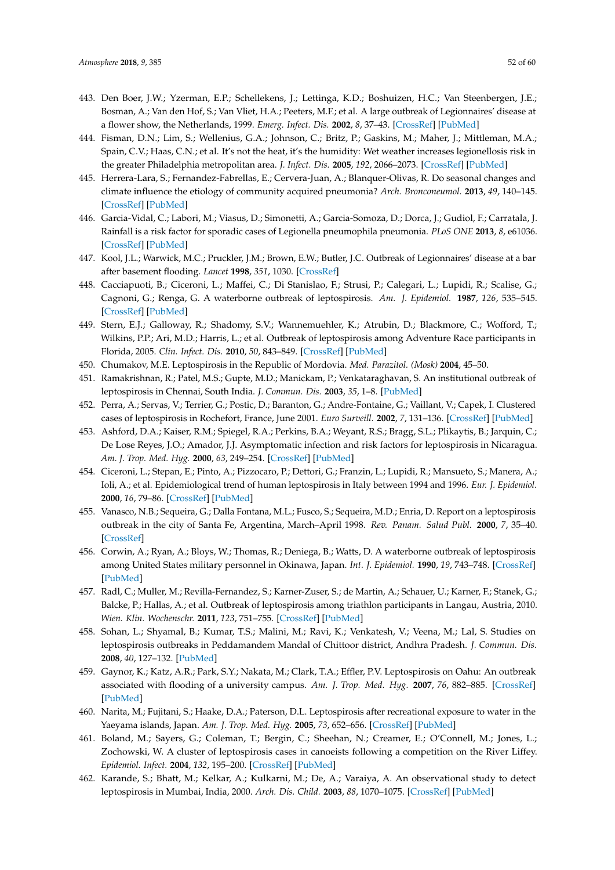- <span id="page-51-5"></span><span id="page-51-4"></span><span id="page-51-3"></span><span id="page-51-2"></span><span id="page-51-1"></span><span id="page-51-0"></span>443. Den Boer, J.W.; Yzerman, E.P.; Schellekens, J.; Lettinga, K.D.; Boshuizen, H.C.; Van Steenbergen, J.E.; Bosman, A.; Van den Hof, S.; Van Vliet, H.A.; Peeters, M.F.; et al. A large outbreak of Legionnaires' disease at a flower show, the Netherlands, 1999. *Emerg. Infect. Dis.* **2002**, *8*, 37–43. [\[CrossRef\]](http://dx.doi.org/10.3201/eid0801.010176) [\[PubMed\]](http://www.ncbi.nlm.nih.gov/pubmed/11799746)
- 444. Fisman, D.N.; Lim, S.; Wellenius, G.A.; Johnson, C.; Britz, P.; Gaskins, M.; Maher, J.; Mittleman, M.A.; Spain, C.V.; Haas, C.N.; et al. It's not the heat, it's the humidity: Wet weather increases legionellosis risk in the greater Philadelphia metropolitan area. *J. Infect. Dis.* **2005**, *192*, 2066–2073. [\[CrossRef\]](http://dx.doi.org/10.1086/498248) [\[PubMed\]](http://www.ncbi.nlm.nih.gov/pubmed/16288369)
- 445. Herrera-Lara, S.; Fernandez-Fabrellas, E.; Cervera-Juan, A.; Blanquer-Olivas, R. Do seasonal changes and climate influence the etiology of community acquired pneumonia? *Arch. Bronconeumol.* **2013**, *49*, 140–145. [\[CrossRef\]](http://dx.doi.org/10.1016/j.arbres.2012.11.001) [\[PubMed\]](http://www.ncbi.nlm.nih.gov/pubmed/23305778)
- 446. Garcia-Vidal, C.; Labori, M.; Viasus, D.; Simonetti, A.; Garcia-Somoza, D.; Dorca, J.; Gudiol, F.; Carratala, J. Rainfall is a risk factor for sporadic cases of Legionella pneumophila pneumonia. *PLoS ONE* **2013**, *8*, e61036. [\[CrossRef\]](http://dx.doi.org/10.1371/journal.pone.0061036) [\[PubMed\]](http://www.ncbi.nlm.nih.gov/pubmed/23613778)
- <span id="page-51-6"></span>447. Kool, J.L.; Warwick, M.C.; Pruckler, J.M.; Brown, E.W.; Butler, J.C. Outbreak of Legionnaires' disease at a bar after basement flooding. *Lancet* **1998**, *351*, 1030. [\[CrossRef\]](http://dx.doi.org/10.1016/S0140-6736(05)78996-0)
- <span id="page-51-7"></span>448. Cacciapuoti, B.; Ciceroni, L.; Maffei, C.; Di Stanislao, F.; Strusi, P.; Calegari, L.; Lupidi, R.; Scalise, G.; Cagnoni, G.; Renga, G. A waterborne outbreak of leptospirosis. *Am. J. Epidemiol.* **1987**, *126*, 535–545. [\[CrossRef\]](http://dx.doi.org/10.1093/oxfordjournals.aje.a114686) [\[PubMed\]](http://www.ncbi.nlm.nih.gov/pubmed/3618584)
- <span id="page-51-8"></span>449. Stern, E.J.; Galloway, R.; Shadomy, S.V.; Wannemuehler, K.; Atrubin, D.; Blackmore, C.; Wofford, T.; Wilkins, P.P.; Ari, M.D.; Harris, L.; et al. Outbreak of leptospirosis among Adventure Race participants in Florida, 2005. *Clin. Infect. Dis.* **2010**, *50*, 843–849. [\[CrossRef\]](http://dx.doi.org/10.1086/650578) [\[PubMed\]](http://www.ncbi.nlm.nih.gov/pubmed/20146629)
- 450. Chumakov, M.E. Leptospirosis in the Republic of Mordovia. *Med. Parazitol. (Mosk)* **2004**, 45–50.
- 451. Ramakrishnan, R.; Patel, M.S.; Gupte, M.D.; Manickam, P.; Venkataraghavan, S. An institutional outbreak of leptospirosis in Chennai, South India. *J. Commun. Dis.* **2003**, *35*, 1–8. [\[PubMed\]](http://www.ncbi.nlm.nih.gov/pubmed/15239298)
- 452. Perra, A.; Servas, V.; Terrier, G.; Postic, D.; Baranton, G.; Andre-Fontaine, G.; Vaillant, V.; Capek, I. Clustered cases of leptospirosis in Rochefort, France, June 2001. *Euro Surveill.* **2002**, *7*, 131–136. [\[CrossRef\]](http://dx.doi.org/10.2807/esm.07.10.00361-en) [\[PubMed\]](http://www.ncbi.nlm.nih.gov/pubmed/12631991)
- 453. Ashford, D.A.; Kaiser, R.M.; Spiegel, R.A.; Perkins, B.A.; Weyant, R.S.; Bragg, S.L.; Plikaytis, B.; Jarquin, C.; De Lose Reyes, J.O.; Amador, J.J. Asymptomatic infection and risk factors for leptospirosis in Nicaragua. *Am. J. Trop. Med. Hyg.* **2000**, *63*, 249–254. [\[CrossRef\]](http://dx.doi.org/10.4269/ajtmh.2000.63.249) [\[PubMed\]](http://www.ncbi.nlm.nih.gov/pubmed/11421372)
- 454. Ciceroni, L.; Stepan, E.; Pinto, A.; Pizzocaro, P.; Dettori, G.; Franzin, L.; Lupidi, R.; Mansueto, S.; Manera, A.; Ioli, A.; et al. Epidemiological trend of human leptospirosis in Italy between 1994 and 1996. *Eur. J. Epidemiol.* **2000**, *16*, 79–86. [\[CrossRef\]](http://dx.doi.org/10.1023/A:1007658607963) [\[PubMed\]](http://www.ncbi.nlm.nih.gov/pubmed/10780347)
- 455. Vanasco, N.B.; Sequeira, G.; Dalla Fontana, M.L.; Fusco, S.; Sequeira, M.D.; Enria, D. Report on a leptospirosis outbreak in the city of Santa Fe, Argentina, March–April 1998. *Rev. Panam. Salud Publ.* **2000**, *7*, 35–40. [\[CrossRef\]](http://dx.doi.org/10.1590/S1020-49892000000100006)
- 456. Corwin, A.; Ryan, A.; Bloys, W.; Thomas, R.; Deniega, B.; Watts, D. A waterborne outbreak of leptospirosis among United States military personnel in Okinawa, Japan. *Int. J. Epidemiol.* **1990**, *19*, 743–748. [\[CrossRef\]](http://dx.doi.org/10.1093/ije/19.3.743) [\[PubMed\]](http://www.ncbi.nlm.nih.gov/pubmed/2262273)
- 457. Radl, C.; Muller, M.; Revilla-Fernandez, S.; Karner-Zuser, S.; de Martin, A.; Schauer, U.; Karner, F.; Stanek, G.; Balcke, P.; Hallas, A.; et al. Outbreak of leptospirosis among triathlon participants in Langau, Austria, 2010. *Wien. Klin. Wochenschr.* **2011**, *123*, 751–755. [\[CrossRef\]](http://dx.doi.org/10.1007/s00508-011-0100-2) [\[PubMed\]](http://www.ncbi.nlm.nih.gov/pubmed/22105111)
- 458. Sohan, L.; Shyamal, B.; Kumar, T.S.; Malini, M.; Ravi, K.; Venkatesh, V.; Veena, M.; Lal, S. Studies on leptospirosis outbreaks in Peddamandem Mandal of Chittoor district, Andhra Pradesh. *J. Commun. Dis.* **2008**, *40*, 127–132. [\[PubMed\]](http://www.ncbi.nlm.nih.gov/pubmed/19301697)
- 459. Gaynor, K.; Katz, A.R.; Park, S.Y.; Nakata, M.; Clark, T.A.; Effler, P.V. Leptospirosis on Oahu: An outbreak associated with flooding of a university campus. *Am. J. Trop. Med. Hyg.* **2007**, *76*, 882–885. [\[CrossRef\]](http://dx.doi.org/10.4269/ajtmh.2007.76.882) [\[PubMed\]](http://www.ncbi.nlm.nih.gov/pubmed/17488909)
- 460. Narita, M.; Fujitani, S.; Haake, D.A.; Paterson, D.L. Leptospirosis after recreational exposure to water in the Yaeyama islands, Japan. *Am. J. Trop. Med. Hyg.* **2005**, *73*, 652–656. [\[CrossRef\]](http://dx.doi.org/10.4269/ajtmh.2005.73.652) [\[PubMed\]](http://www.ncbi.nlm.nih.gov/pubmed/16222003)
- 461. Boland, M.; Sayers, G.; Coleman, T.; Bergin, C.; Sheehan, N.; Creamer, E.; O'Connell, M.; Jones, L.; Zochowski, W. A cluster of leptospirosis cases in canoeists following a competition on the River Liffey. *Epidemiol. Infect.* **2004**, *132*, 195–200. [\[CrossRef\]](http://dx.doi.org/10.1017/S0950268803001596) [\[PubMed\]](http://www.ncbi.nlm.nih.gov/pubmed/15061493)
- 462. Karande, S.; Bhatt, M.; Kelkar, A.; Kulkarni, M.; De, A.; Varaiya, A. An observational study to detect leptospirosis in Mumbai, India, 2000. *Arch. Dis. Child.* **2003**, *88*, 1070–1075. [\[CrossRef\]](http://dx.doi.org/10.1136/adc.88.12.1070) [\[PubMed\]](http://www.ncbi.nlm.nih.gov/pubmed/14670771)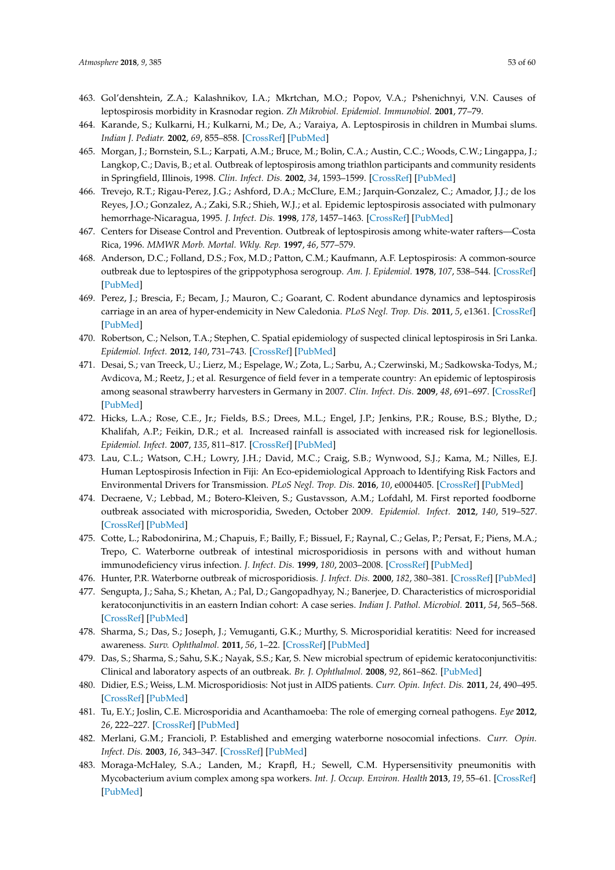- <span id="page-52-3"></span><span id="page-52-2"></span><span id="page-52-1"></span><span id="page-52-0"></span>463. Gol'denshtein, Z.A.; Kalashnikov, I.A.; Mkrtchan, M.O.; Popov, V.A.; Pshenichnyi, V.N. Causes of leptospirosis morbidity in Krasnodar region. *Zh Mikrobiol. Epidemiol. Immunobiol.* **2001**, 77–79.
- 464. Karande, S.; Kulkarni, H.; Kulkarni, M.; De, A.; Varaiya, A. Leptospirosis in children in Mumbai slums. *Indian J. Pediatr.* **2002**, *69*, 855–858. [\[CrossRef\]](http://dx.doi.org/10.1007/BF02723705) [\[PubMed\]](http://www.ncbi.nlm.nih.gov/pubmed/12450293)
- <span id="page-52-4"></span>465. Morgan, J.; Bornstein, S.L.; Karpati, A.M.; Bruce, M.; Bolin, C.A.; Austin, C.C.; Woods, C.W.; Lingappa, J.; Langkop, C.; Davis, B.; et al. Outbreak of leptospirosis among triathlon participants and community residents in Springfield, Illinois, 1998. *Clin. Infect. Dis.* **2002**, *34*, 1593–1599. [\[CrossRef\]](http://dx.doi.org/10.1086/340615) [\[PubMed\]](http://www.ncbi.nlm.nih.gov/pubmed/12032894)
- <span id="page-52-5"></span>466. Trevejo, R.T.; Rigau-Perez, J.G.; Ashford, D.A.; McClure, E.M.; Jarquin-Gonzalez, C.; Amador, J.J.; de los Reyes, J.O.; Gonzalez, A.; Zaki, S.R.; Shieh, W.J.; et al. Epidemic leptospirosis associated with pulmonary hemorrhage-Nicaragua, 1995. *J. Infect. Dis.* **1998**, *178*, 1457–1463. [\[CrossRef\]](http://dx.doi.org/10.1086/314424) [\[PubMed\]](http://www.ncbi.nlm.nih.gov/pubmed/9780268)
- <span id="page-52-6"></span>467. Centers for Disease Control and Prevention. Outbreak of leptospirosis among white-water rafters—Costa Rica, 1996. *MMWR Morb. Mortal. Wkly. Rep.* **1997**, *46*, 577–579.
- 468. Anderson, D.C.; Folland, D.S.; Fox, M.D.; Patton, C.M.; Kaufmann, A.F. Leptospirosis: A common-source outbreak due to leptospires of the grippotyphosa serogroup. *Am. J. Epidemiol.* **1978**, *107*, 538–544. [\[CrossRef\]](http://dx.doi.org/10.1093/oxfordjournals.aje.a112573) [\[PubMed\]](http://www.ncbi.nlm.nih.gov/pubmed/665667)
- 469. Perez, J.; Brescia, F.; Becam, J.; Mauron, C.; Goarant, C. Rodent abundance dynamics and leptospirosis carriage in an area of hyper-endemicity in New Caledonia. *PLoS Negl. Trop. Dis.* **2011**, *5*, e1361. [\[CrossRef\]](http://dx.doi.org/10.1371/journal.pntd.0001361) [\[PubMed\]](http://www.ncbi.nlm.nih.gov/pubmed/22039557)
- 470. Robertson, C.; Nelson, T.A.; Stephen, C. Spatial epidemiology of suspected clinical leptospirosis in Sri Lanka. *Epidemiol. Infect.* **2012**, *140*, 731–743. [\[CrossRef\]](http://dx.doi.org/10.1017/S0950268811001014) [\[PubMed\]](http://www.ncbi.nlm.nih.gov/pubmed/21676347)
- <span id="page-52-8"></span>471. Desai, S.; van Treeck, U.; Lierz, M.; Espelage, W.; Zota, L.; Sarbu, A.; Czerwinski, M.; Sadkowska-Todys, M.; Avdicova, M.; Reetz, J.; et al. Resurgence of field fever in a temperate country: An epidemic of leptospirosis among seasonal strawberry harvesters in Germany in 2007. *Clin. Infect. Dis.* **2009**, *48*, 691–697. [\[CrossRef\]](http://dx.doi.org/10.1086/597036) [\[PubMed\]](http://www.ncbi.nlm.nih.gov/pubmed/19193108)
- 472. Hicks, L.A.; Rose, C.E., Jr.; Fields, B.S.; Drees, M.L.; Engel, J.P.; Jenkins, P.R.; Rouse, B.S.; Blythe, D.; Khalifah, A.P.; Feikin, D.R.; et al. Increased rainfall is associated with increased risk for legionellosis. *Epidemiol. Infect.* **2007**, *135*, 811–817. [\[CrossRef\]](http://dx.doi.org/10.1017/S0950268806007552) [\[PubMed\]](http://www.ncbi.nlm.nih.gov/pubmed/17121693)
- <span id="page-52-9"></span><span id="page-52-7"></span>473. Lau, C.L.; Watson, C.H.; Lowry, J.H.; David, M.C.; Craig, S.B.; Wynwood, S.J.; Kama, M.; Nilles, E.J. Human Leptospirosis Infection in Fiji: An Eco-epidemiological Approach to Identifying Risk Factors and Environmental Drivers for Transmission. *PLoS Negl. Trop. Dis.* **2016**, *10*, e0004405. [\[CrossRef\]](http://dx.doi.org/10.1371/journal.pntd.0004405) [\[PubMed\]](http://www.ncbi.nlm.nih.gov/pubmed/26820752)
- 474. Decraene, V.; Lebbad, M.; Botero-Kleiven, S.; Gustavsson, A.M.; Lofdahl, M. First reported foodborne outbreak associated with microsporidia, Sweden, October 2009. *Epidemiol. Infect.* **2012**, *140*, 519–527. [\[CrossRef\]](http://dx.doi.org/10.1017/S095026881100077X) [\[PubMed\]](http://www.ncbi.nlm.nih.gov/pubmed/21733266)
- 475. Cotte, L.; Rabodonirina, M.; Chapuis, F.; Bailly, F.; Bissuel, F.; Raynal, C.; Gelas, P.; Persat, F.; Piens, M.A.; Trepo, C. Waterborne outbreak of intestinal microsporidiosis in persons with and without human immunodeficiency virus infection. *J. Infect. Dis.* **1999**, *180*, 2003–2008. [\[CrossRef\]](http://dx.doi.org/10.1086/315112) [\[PubMed\]](http://www.ncbi.nlm.nih.gov/pubmed/10558958)
- 476. Hunter, P.R. Waterborne outbreak of microsporidiosis. *J. Infect. Dis.* **2000**, *182*, 380–381. [\[CrossRef\]](http://dx.doi.org/10.1086/315654) [\[PubMed\]](http://www.ncbi.nlm.nih.gov/pubmed/10882635)
- 477. Sengupta, J.; Saha, S.; Khetan, A.; Pal, D.; Gangopadhyay, N.; Banerjee, D. Characteristics of microsporidial keratoconjunctivitis in an eastern Indian cohort: A case series. *Indian J. Pathol. Microbiol.* **2011**, *54*, 565–568. [\[CrossRef\]](http://dx.doi.org/10.4103/0377-4929.85094) [\[PubMed\]](http://www.ncbi.nlm.nih.gov/pubmed/21934222)
- 478. Sharma, S.; Das, S.; Joseph, J.; Vemuganti, G.K.; Murthy, S. Microsporidial keratitis: Need for increased awareness. *Surv. Ophthalmol.* **2011**, *56*, 1–22. [\[CrossRef\]](http://dx.doi.org/10.1016/j.survophthal.2010.03.006) [\[PubMed\]](http://www.ncbi.nlm.nih.gov/pubmed/21071051)
- 479. Das, S.; Sharma, S.; Sahu, S.K.; Nayak, S.S.; Kar, S. New microbial spectrum of epidemic keratoconjunctivitis: Clinical and laboratory aspects of an outbreak. *Br. J. Ophthalmol.* **2008**, *92*, 861–862. [\[PubMed\]](http://www.ncbi.nlm.nih.gov/pubmed/18523092)
- 480. Didier, E.S.; Weiss, L.M. Microsporidiosis: Not just in AIDS patients. *Curr. Opin. Infect. Dis.* **2011**, *24*, 490–495. [\[CrossRef\]](http://dx.doi.org/10.1097/QCO.0b013e32834aa152) [\[PubMed\]](http://www.ncbi.nlm.nih.gov/pubmed/21844802)
- 481. Tu, E.Y.; Joslin, C.E. Microsporidia and Acanthamoeba: The role of emerging corneal pathogens. *Eye* **2012**, *26*, 222–227. [\[CrossRef\]](http://dx.doi.org/10.1038/eye.2011.315) [\[PubMed\]](http://www.ncbi.nlm.nih.gov/pubmed/22173072)
- 482. Merlani, G.M.; Francioli, P. Established and emerging waterborne nosocomial infections. *Curr. Opin. Infect. Dis.* **2003**, *16*, 343–347. [\[CrossRef\]](http://dx.doi.org/10.1097/00001432-200308000-00006) [\[PubMed\]](http://www.ncbi.nlm.nih.gov/pubmed/12861087)
- 483. Moraga-McHaley, S.A.; Landen, M.; Krapfl, H.; Sewell, C.M. Hypersensitivity pneumonitis with Mycobacterium avium complex among spa workers. *Int. J. Occup. Environ. Health* **2013**, *19*, 55–61. [\[CrossRef\]](http://dx.doi.org/10.1179/2049396712Y.0000000015) [\[PubMed\]](http://www.ncbi.nlm.nih.gov/pubmed/23582615)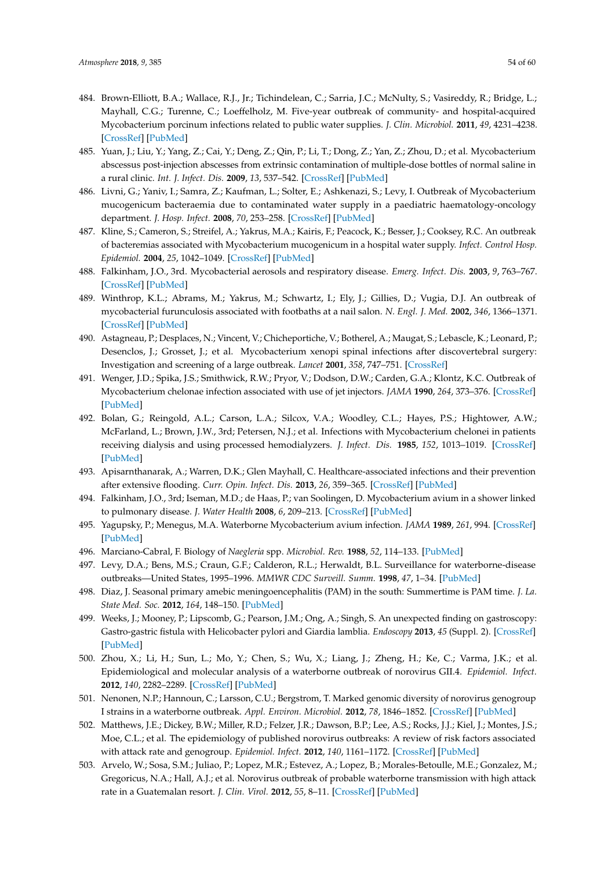- 484. Brown-Elliott, B.A.; Wallace, R.J., Jr.; Tichindelean, C.; Sarria, J.C.; McNulty, S.; Vasireddy, R.; Bridge, L.; Mayhall, C.G.; Turenne, C.; Loeffelholz, M. Five-year outbreak of community- and hospital-acquired Mycobacterium porcinum infections related to public water supplies. *J. Clin. Microbiol.* **2011**, *49*, 4231–4238. [\[CrossRef\]](http://dx.doi.org/10.1128/JCM.05122-11) [\[PubMed\]](http://www.ncbi.nlm.nih.gov/pubmed/21998415)
- <span id="page-53-1"></span>485. Yuan, J.; Liu, Y.; Yang, Z.; Cai, Y.; Deng, Z.; Qin, P.; Li, T.; Dong, Z.; Yan, Z.; Zhou, D.; et al. Mycobacterium abscessus post-injection abscesses from extrinsic contamination of multiple-dose bottles of normal saline in a rural clinic. *Int. J. Infect. Dis.* **2009**, *13*, 537–542. [\[CrossRef\]](http://dx.doi.org/10.1016/j.ijid.2008.11.024) [\[PubMed\]](http://www.ncbi.nlm.nih.gov/pubmed/19269204)
- 486. Livni, G.; Yaniv, I.; Samra, Z.; Kaufman, L.; Solter, E.; Ashkenazi, S.; Levy, I. Outbreak of Mycobacterium mucogenicum bacteraemia due to contaminated water supply in a paediatric haematology-oncology department. *J. Hosp. Infect.* **2008**, *70*, 253–258. [\[CrossRef\]](http://dx.doi.org/10.1016/j.jhin.2008.07.016) [\[PubMed\]](http://www.ncbi.nlm.nih.gov/pubmed/18799238)
- <span id="page-53-3"></span><span id="page-53-2"></span>487. Kline, S.; Cameron, S.; Streifel, A.; Yakrus, M.A.; Kairis, F.; Peacock, K.; Besser, J.; Cooksey, R.C. An outbreak of bacteremias associated with Mycobacterium mucogenicum in a hospital water supply. *Infect. Control Hosp. Epidemiol.* **2004**, *25*, 1042–1049. [\[CrossRef\]](http://dx.doi.org/10.1086/502341) [\[PubMed\]](http://www.ncbi.nlm.nih.gov/pubmed/15636290)
- <span id="page-53-4"></span>488. Falkinham, J.O., 3rd. Mycobacterial aerosols and respiratory disease. *Emerg. Infect. Dis.* **2003**, *9*, 763–767. [\[CrossRef\]](http://dx.doi.org/10.3201/eid0907.020415) [\[PubMed\]](http://www.ncbi.nlm.nih.gov/pubmed/12890314)
- <span id="page-53-6"></span><span id="page-53-5"></span>489. Winthrop, K.L.; Abrams, M.; Yakrus, M.; Schwartz, I.; Ely, J.; Gillies, D.; Vugia, D.J. An outbreak of mycobacterial furunculosis associated with footbaths at a nail salon. *N. Engl. J. Med.* **2002**, *346*, 1366–1371. [\[CrossRef\]](http://dx.doi.org/10.1056/NEJMoa012643) [\[PubMed\]](http://www.ncbi.nlm.nih.gov/pubmed/11986410)
- <span id="page-53-7"></span><span id="page-53-0"></span>490. Astagneau, P.; Desplaces, N.; Vincent, V.; Chicheportiche, V.; Botherel, A.; Maugat, S.; Lebascle, K.; Leonard, P.; Desenclos, J.; Grosset, J.; et al. Mycobacterium xenopi spinal infections after discovertebral surgery: Investigation and screening of a large outbreak. *Lancet* **2001**, *358*, 747–751. [\[CrossRef\]](http://dx.doi.org/10.1016/S0140-6736(01)05843-3)
- 491. Wenger, J.D.; Spika, J.S.; Smithwick, R.W.; Pryor, V.; Dodson, D.W.; Carden, G.A.; Klontz, K.C. Outbreak of Mycobacterium chelonae infection associated with use of jet injectors. *JAMA* **1990**, *264*, 373–376. [\[CrossRef\]](http://dx.doi.org/10.1001/jama.1990.03450030097040) [\[PubMed\]](http://www.ncbi.nlm.nih.gov/pubmed/2362334)
- 492. Bolan, G.; Reingold, A.L.; Carson, L.A.; Silcox, V.A.; Woodley, C.L.; Hayes, P.S.; Hightower, A.W.; McFarland, L.; Brown, J.W., 3rd; Petersen, N.J.; et al. Infections with Mycobacterium chelonei in patients receiving dialysis and using processed hemodialyzers. *J. Infect. Dis.* **1985**, *152*, 1013–1019. [\[CrossRef\]](http://dx.doi.org/10.1093/infdis/152.5.1013) [\[PubMed\]](http://www.ncbi.nlm.nih.gov/pubmed/4045242)
- 493. Apisarnthanarak, A.; Warren, D.K.; Glen Mayhall, C. Healthcare-associated infections and their prevention after extensive flooding. *Curr. Opin. Infect. Dis.* **2013**, *26*, 359–365. [\[CrossRef\]](http://dx.doi.org/10.1097/QCO.0b013e3283630b1d) [\[PubMed\]](http://www.ncbi.nlm.nih.gov/pubmed/23757004)
- 494. Falkinham, J.O., 3rd; Iseman, M.D.; de Haas, P.; van Soolingen, D. Mycobacterium avium in a shower linked to pulmonary disease. *J. Water Health* **2008**, *6*, 209–213. [\[CrossRef\]](http://dx.doi.org/10.2166/wh.2008.232) [\[PubMed\]](http://www.ncbi.nlm.nih.gov/pubmed/18209283)
- 495. Yagupsky, P.; Menegus, M.A. Waterborne Mycobacterium avium infection. *JAMA* **1989**, *261*, 994. [\[CrossRef\]](http://dx.doi.org/10.1001/jama.1989.03420070044026) [\[PubMed\]](http://www.ncbi.nlm.nih.gov/pubmed/2915425)
- 496. Marciano-Cabral, F. Biology of *Naegleria* spp. *Microbiol. Rev.* **1988**, *52*, 114–133. [\[PubMed\]](http://www.ncbi.nlm.nih.gov/pubmed/3280964)
- 497. Levy, D.A.; Bens, M.S.; Craun, G.F.; Calderon, R.L.; Herwaldt, B.L. Surveillance for waterborne-disease outbreaks—United States, 1995–1996. *MMWR CDC Surveill. Summ.* **1998**, *47*, 1–34. [\[PubMed\]](http://www.ncbi.nlm.nih.gov/pubmed/9859954)
- 498. Diaz, J. Seasonal primary amebic meningoencephalitis (PAM) in the south: Summertime is PAM time. *J. La. State Med. Soc.* **2012**, *164*, 148–150. [\[PubMed\]](http://www.ncbi.nlm.nih.gov/pubmed/22866356)
- 499. Weeks, J.; Mooney, P.; Lipscomb, G.; Pearson, J.M.; Ong, A.; Singh, S. An unexpected finding on gastroscopy: Gastro-gastric fistula with Helicobacter pylori and Giardia lamblia. *Endoscopy* **2013**, *45* (Suppl. 2). [\[CrossRef\]](http://dx.doi.org/10.1055/s-0032-1326259) [\[PubMed\]](http://www.ncbi.nlm.nih.gov/pubmed/23716087)
- 500. Zhou, X.; Li, H.; Sun, L.; Mo, Y.; Chen, S.; Wu, X.; Liang, J.; Zheng, H.; Ke, C.; Varma, J.K.; et al. Epidemiological and molecular analysis of a waterborne outbreak of norovirus GII.4. *Epidemiol. Infect.* **2012**, *140*, 2282–2289. [\[CrossRef\]](http://dx.doi.org/10.1017/S0950268812000374) [\[PubMed\]](http://www.ncbi.nlm.nih.gov/pubmed/22400795)
- 501. Nenonen, N.P.; Hannoun, C.; Larsson, C.U.; Bergstrom, T. Marked genomic diversity of norovirus genogroup I strains in a waterborne outbreak. *Appl. Environ. Microbiol.* **2012**, *78*, 1846–1852. [\[CrossRef\]](http://dx.doi.org/10.1128/AEM.07350-11) [\[PubMed\]](http://www.ncbi.nlm.nih.gov/pubmed/22247153)
- 502. Matthews, J.E.; Dickey, B.W.; Miller, R.D.; Felzer, J.R.; Dawson, B.P.; Lee, A.S.; Rocks, J.J.; Kiel, J.; Montes, J.S.; Moe, C.L.; et al. The epidemiology of published norovirus outbreaks: A review of risk factors associated with attack rate and genogroup. *Epidemiol. Infect.* **2012**, *140*, 1161–1172. [\[CrossRef\]](http://dx.doi.org/10.1017/S0950268812000234) [\[PubMed\]](http://www.ncbi.nlm.nih.gov/pubmed/22444943)
- 503. Arvelo, W.; Sosa, S.M.; Juliao, P.; Lopez, M.R.; Estevez, A.; Lopez, B.; Morales-Betoulle, M.E.; Gonzalez, M.; Gregoricus, N.A.; Hall, A.J.; et al. Norovirus outbreak of probable waterborne transmission with high attack rate in a Guatemalan resort. *J. Clin. Virol.* **2012**, *55*, 8–11. [\[CrossRef\]](http://dx.doi.org/10.1016/j.jcv.2012.02.018) [\[PubMed\]](http://www.ncbi.nlm.nih.gov/pubmed/22776162)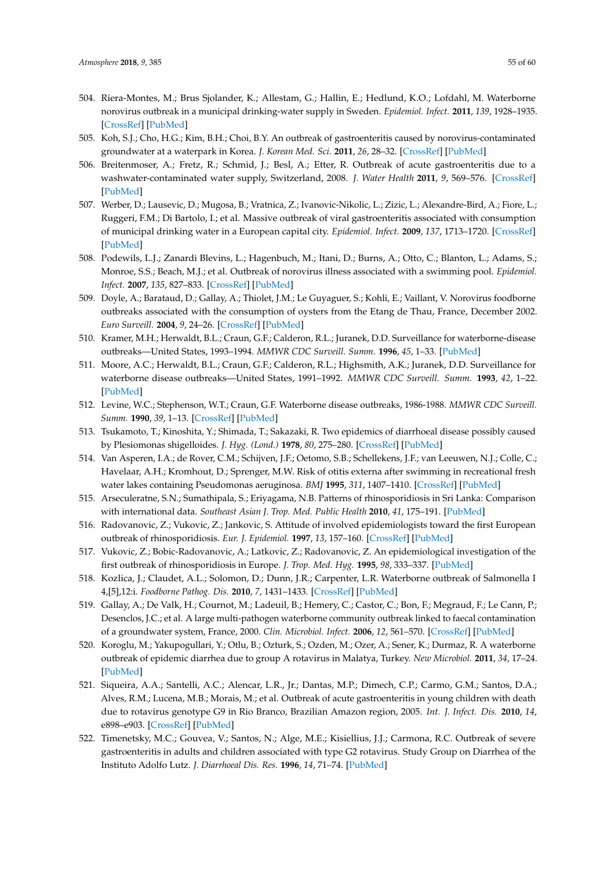- <span id="page-54-2"></span><span id="page-54-1"></span><span id="page-54-0"></span>504. Riera-Montes, M.; Brus Sjolander, K.; Allestam, G.; Hallin, E.; Hedlund, K.O.; Lofdahl, M. Waterborne norovirus outbreak in a municipal drinking-water supply in Sweden. *Epidemiol. Infect.* **2011**, *139*, 1928–1935. [\[CrossRef\]](http://dx.doi.org/10.1017/S0950268810003146) [\[PubMed\]](http://www.ncbi.nlm.nih.gov/pubmed/21251349)
- 505. Koh, S.J.; Cho, H.G.; Kim, B.H.; Choi, B.Y. An outbreak of gastroenteritis caused by norovirus-contaminated groundwater at a waterpark in Korea. *J. Korean Med. Sci.* **2011**, *26*, 28–32. [\[CrossRef\]](http://dx.doi.org/10.3346/jkms.2011.26.1.28) [\[PubMed\]](http://www.ncbi.nlm.nih.gov/pubmed/21218026)
- <span id="page-54-3"></span>506. Breitenmoser, A.; Fretz, R.; Schmid, J.; Besl, A.; Etter, R. Outbreak of acute gastroenteritis due to a washwater-contaminated water supply, Switzerland, 2008. *J. Water Health* **2011**, *9*, 569–576. [\[CrossRef\]](http://dx.doi.org/10.2166/wh.2011.158) [\[PubMed\]](http://www.ncbi.nlm.nih.gov/pubmed/21976203)
- <span id="page-54-4"></span>507. Werber, D.; Lausevic, D.; Mugosa, B.; Vratnica, Z.; Ivanovic-Nikolic, L.; Zizic, L.; Alexandre-Bird, A.; Fiore, L.; Ruggeri, F.M.; Di Bartolo, I.; et al. Massive outbreak of viral gastroenteritis associated with consumption of municipal drinking water in a European capital city. *Epidemiol. Infect.* **2009**, *137*, 1713–1720. [\[CrossRef\]](http://dx.doi.org/10.1017/S095026880999015X) [\[PubMed\]](http://www.ncbi.nlm.nih.gov/pubmed/19534843)
- <span id="page-54-5"></span>508. Podewils, L.J.; Zanardi Blevins, L.; Hagenbuch, M.; Itani, D.; Burns, A.; Otto, C.; Blanton, L.; Adams, S.; Monroe, S.S.; Beach, M.J.; et al. Outbreak of norovirus illness associated with a swimming pool. *Epidemiol. Infect.* **2007**, *135*, 827–833. [\[CrossRef\]](http://dx.doi.org/10.1017/S0950268806007370) [\[PubMed\]](http://www.ncbi.nlm.nih.gov/pubmed/17076938)
- <span id="page-54-6"></span>509. Doyle, A.; Barataud, D.; Gallay, A.; Thiolet, J.M.; Le Guyaguer, S.; Kohli, E.; Vaillant, V. Norovirus foodborne outbreaks associated with the consumption of oysters from the Etang de Thau, France, December 2002. *Euro Surveill.* **2004**, *9*, 24–26. [\[CrossRef\]](http://dx.doi.org/10.2807/esm.09.03.00451-en) [\[PubMed\]](http://www.ncbi.nlm.nih.gov/pubmed/15075483)
- <span id="page-54-7"></span>510. Kramer, M.H.; Herwaldt, B.L.; Craun, G.F.; Calderon, R.L.; Juranek, D.D. Surveillance for waterborne-disease outbreaks—United States, 1993–1994. *MMWR CDC Surveill. Summ.* **1996**, *45*, 1–33. [\[PubMed\]](http://www.ncbi.nlm.nih.gov/pubmed/8600346)
- 511. Moore, A.C.; Herwaldt, B.L.; Craun, G.F.; Calderon, R.L.; Highsmith, A.K.; Juranek, D.D. Surveillance for waterborne disease outbreaks—United States, 1991–1992. *MMWR CDC Surveill. Summ.* **1993**, *42*, 1–22. [\[PubMed\]](http://www.ncbi.nlm.nih.gov/pubmed/8232179)
- 512. Levine, W.C.; Stephenson, W.T.; Craun, G.F. Waterborne disease outbreaks, 1986-1988. *MMWR CDC Surveill. Summ.* **1990**, *39*, 1–13. [\[CrossRef\]](http://dx.doi.org/10.4315/0362-028X-54.1.71) [\[PubMed\]](http://www.ncbi.nlm.nih.gov/pubmed/2156147)
- 513. Tsukamoto, T.; Kinoshita, Y.; Shimada, T.; Sakazaki, R. Two epidemics of diarrhoeal disease possibly caused by Plesiomonas shigelloides. *J. Hyg. (Lond.)* **1978**, *80*, 275–280. [\[CrossRef\]](http://dx.doi.org/10.1017/S0022172400053638) [\[PubMed\]](http://www.ncbi.nlm.nih.gov/pubmed/632567)
- 514. Van Asperen, I.A.; de Rover, C.M.; Schijven, J.F.; Oetomo, S.B.; Schellekens, J.F.; van Leeuwen, N.J.; Colle, C.; Havelaar, A.H.; Kromhout, D.; Sprenger, M.W. Risk of otitis externa after swimming in recreational fresh water lakes containing Pseudomonas aeruginosa. *BMJ* **1995**, *311*, 1407–1410. [\[CrossRef\]](http://dx.doi.org/10.1136/bmj.311.7017.1407) [\[PubMed\]](http://www.ncbi.nlm.nih.gov/pubmed/8520277)
- 515. Arseculeratne, S.N.; Sumathipala, S.; Eriyagama, N.B. Patterns of rhinosporidiosis in Sri Lanka: Comparison with international data. *Southeast Asian J. Trop. Med. Public Health* **2010**, *41*, 175–191. [\[PubMed\]](http://www.ncbi.nlm.nih.gov/pubmed/20578497)
- 516. Radovanovic, Z.; Vukovic, Z.; Jankovic, S. Attitude of involved epidemiologists toward the first European outbreak of rhinosporidiosis. *Eur. J. Epidemiol.* **1997**, *13*, 157–160. [\[CrossRef\]](http://dx.doi.org/10.1023/A:1007329001907) [\[PubMed\]](http://www.ncbi.nlm.nih.gov/pubmed/9084998)
- 517. Vukovic, Z.; Bobic-Radovanovic, A.; Latkovic, Z.; Radovanovic, Z. An epidemiological investigation of the first outbreak of rhinosporidiosis in Europe. *J. Trop. Med. Hyg.* **1995**, *98*, 333–337. [\[PubMed\]](http://www.ncbi.nlm.nih.gov/pubmed/7563262)
- 518. Kozlica, J.; Claudet, A.L.; Solomon, D.; Dunn, J.R.; Carpenter, L.R. Waterborne outbreak of Salmonella I 4,[5],12:i. *Foodborne Pathog. Dis.* **2010**, *7*, 1431–1433. [\[CrossRef\]](http://dx.doi.org/10.1089/fpd.2010.0556) [\[PubMed\]](http://www.ncbi.nlm.nih.gov/pubmed/20617936)
- 519. Gallay, A.; De Valk, H.; Cournot, M.; Ladeuil, B.; Hemery, C.; Castor, C.; Bon, F.; Megraud, F.; Le Cann, P.; Desenclos, J.C.; et al. A large multi-pathogen waterborne community outbreak linked to faecal contamination of a groundwater system, France, 2000. *Clin. Microbiol. Infect.* **2006**, *12*, 561–570. [\[CrossRef\]](http://dx.doi.org/10.1111/j.1469-0691.2006.01441.x) [\[PubMed\]](http://www.ncbi.nlm.nih.gov/pubmed/16700706)
- 520. Koroglu, M.; Yakupogullari, Y.; Otlu, B.; Ozturk, S.; Ozden, M.; Ozer, A.; Sener, K.; Durmaz, R. A waterborne outbreak of epidemic diarrhea due to group A rotavirus in Malatya, Turkey. *New Microbiol.* **2011**, *34*, 17–24. [\[PubMed\]](http://www.ncbi.nlm.nih.gov/pubmed/21344142)
- 521. Siqueira, A.A.; Santelli, A.C.; Alencar, L.R., Jr.; Dantas, M.P.; Dimech, C.P.; Carmo, G.M.; Santos, D.A.; Alves, R.M.; Lucena, M.B.; Morais, M.; et al. Outbreak of acute gastroenteritis in young children with death due to rotavirus genotype G9 in Rio Branco, Brazilian Amazon region, 2005. *Int. J. Infect. Dis.* **2010**, *14*, e898–e903. [\[CrossRef\]](http://dx.doi.org/10.1016/j.ijid.2010.03.024) [\[PubMed\]](http://www.ncbi.nlm.nih.gov/pubmed/20843719)
- 522. Timenetsky, M.C.; Gouvea, V.; Santos, N.; Alge, M.E.; Kisiellius, J.J.; Carmona, R.C. Outbreak of severe gastroenteritis in adults and children associated with type G2 rotavirus. Study Group on Diarrhea of the Instituto Adolfo Lutz. *J. Diarrhoeal Dis. Res.* **1996**, *14*, 71–74. [\[PubMed\]](http://www.ncbi.nlm.nih.gov/pubmed/8870397)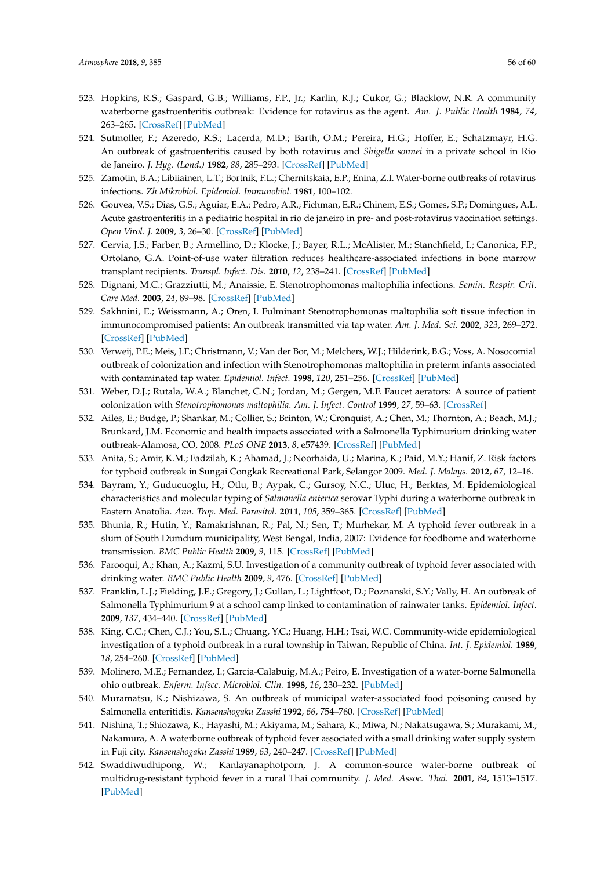- <span id="page-55-2"></span><span id="page-55-1"></span><span id="page-55-0"></span>523. Hopkins, R.S.; Gaspard, G.B.; Williams, F.P., Jr.; Karlin, R.J.; Cukor, G.; Blacklow, N.R. A community waterborne gastroenteritis outbreak: Evidence for rotavirus as the agent. *Am. J. Public Health* **1984**, *74*, 263–265. [\[CrossRef\]](http://dx.doi.org/10.2105/AJPH.74.3.263) [\[PubMed\]](http://www.ncbi.nlm.nih.gov/pubmed/6320684)
- <span id="page-55-4"></span><span id="page-55-3"></span>524. Sutmoller, F.; Azeredo, R.S.; Lacerda, M.D.; Barth, O.M.; Pereira, H.G.; Hoffer, E.; Schatzmayr, H.G. An outbreak of gastroenteritis caused by both rotavirus and *Shigella sonnei* in a private school in Rio de Janeiro. *J. Hyg. (Lond.)* **1982**, *88*, 285–293. [\[CrossRef\]](http://dx.doi.org/10.1017/S0022172400070145) [\[PubMed\]](http://www.ncbi.nlm.nih.gov/pubmed/6278017)
- 525. Zamotin, B.A.; Libiiainen, L.T.; Bortnik, F.L.; Chernitskaia, E.P.; Enina, Z.I. Water-borne outbreaks of rotavirus infections. *Zh Mikrobiol. Epidemiol. Immunobiol.* **1981**, 100–102.
- 526. Gouvea, V.S.; Dias, G.S.; Aguiar, E.A.; Pedro, A.R.; Fichman, E.R.; Chinem, E.S.; Gomes, S.P.; Domingues, A.L. Acute gastroenteritis in a pediatric hospital in rio de janeiro in pre- and post-rotavirus vaccination settings. *Open Virol. J.* **2009**, *3*, 26–30. [\[CrossRef\]](http://dx.doi.org/10.2174/1874357900903010026) [\[PubMed\]](http://www.ncbi.nlm.nih.gov/pubmed/19572054)
- <span id="page-55-5"></span>527. Cervia, J.S.; Farber, B.; Armellino, D.; Klocke, J.; Bayer, R.L.; McAlister, M.; Stanchfield, I.; Canonica, F.P.; Ortolano, G.A. Point-of-use water filtration reduces healthcare-associated infections in bone marrow transplant recipients. *Transpl. Infect. Dis.* **2010**, *12*, 238–241. [\[CrossRef\]](http://dx.doi.org/10.1111/j.1399-3062.2009.00459.x) [\[PubMed\]](http://www.ncbi.nlm.nih.gov/pubmed/19781018)
- 528. Dignani, M.C.; Grazziutti, M.; Anaissie, E. Stenotrophomonas maltophilia infections. *Semin. Respir. Crit. Care Med.* **2003**, *24*, 89–98. [\[CrossRef\]](http://dx.doi.org/10.1055/s-2003-37920) [\[PubMed\]](http://www.ncbi.nlm.nih.gov/pubmed/16088528)
- 529. Sakhnini, E.; Weissmann, A.; Oren, I. Fulminant Stenotrophomonas maltophilia soft tissue infection in immunocompromised patients: An outbreak transmitted via tap water. *Am. J. Med. Sci.* **2002**, *323*, 269–272. [\[CrossRef\]](http://dx.doi.org/10.1097/00000441-200205000-00008) [\[PubMed\]](http://www.ncbi.nlm.nih.gov/pubmed/12018671)
- 530. Verweij, P.E.; Meis, J.F.; Christmann, V.; Van der Bor, M.; Melchers, W.J.; Hilderink, B.G.; Voss, A. Nosocomial outbreak of colonization and infection with Stenotrophomonas maltophilia in preterm infants associated with contaminated tap water. *Epidemiol. Infect.* **1998**, *120*, 251–256. [\[CrossRef\]](http://dx.doi.org/10.1017/S0950268898008735) [\[PubMed\]](http://www.ncbi.nlm.nih.gov/pubmed/9692603)
- 531. Weber, D.J.; Rutala, W.A.; Blanchet, C.N.; Jordan, M.; Gergen, M.F. Faucet aerators: A source of patient colonization with *Stenotrophomonas maltophilia*. *Am. J. Infect. Control* **1999**, *27*, 59–63. [\[CrossRef\]](http://dx.doi.org/10.1016/S0196-6553(99)70077-5)
- 532. Ailes, E.; Budge, P.; Shankar, M.; Collier, S.; Brinton, W.; Cronquist, A.; Chen, M.; Thornton, A.; Beach, M.J.; Brunkard, J.M. Economic and health impacts associated with a Salmonella Typhimurium drinking water outbreak-Alamosa, CO, 2008. *PLoS ONE* **2013**, *8*, e57439. [\[CrossRef\]](http://dx.doi.org/10.1371/journal.pone.0057439) [\[PubMed\]](http://www.ncbi.nlm.nih.gov/pubmed/23526942)
- <span id="page-55-6"></span>533. Anita, S.; Amir, K.M.; Fadzilah, K.; Ahamad, J.; Noorhaida, U.; Marina, K.; Paid, M.Y.; Hanif, Z. Risk factors for typhoid outbreak in Sungai Congkak Recreational Park, Selangor 2009. *Med. J. Malays.* **2012**, *67*, 12–16.
- 534. Bayram, Y.; Guducuoglu, H.; Otlu, B.; Aypak, C.; Gursoy, N.C.; Uluc, H.; Berktas, M. Epidemiological characteristics and molecular typing of *Salmonella enterica* serovar Typhi during a waterborne outbreak in Eastern Anatolia. *Ann. Trop. Med. Parasitol.* **2011**, *105*, 359–365. [\[CrossRef\]](http://dx.doi.org/10.1179/1364859411Y.0000000024) [\[PubMed\]](http://www.ncbi.nlm.nih.gov/pubmed/21929877)
- 535. Bhunia, R.; Hutin, Y.; Ramakrishnan, R.; Pal, N.; Sen, T.; Murhekar, M. A typhoid fever outbreak in a slum of South Dumdum municipality, West Bengal, India, 2007: Evidence for foodborne and waterborne transmission. *BMC Public Health* **2009**, *9*, 115. [\[CrossRef\]](http://dx.doi.org/10.1186/1471-2458-9-115) [\[PubMed\]](http://www.ncbi.nlm.nih.gov/pubmed/19397806)
- 536. Farooqui, A.; Khan, A.; Kazmi, S.U. Investigation of a community outbreak of typhoid fever associated with drinking water. *BMC Public Health* **2009**, *9*, 476. [\[CrossRef\]](http://dx.doi.org/10.1186/1471-2458-9-476) [\[PubMed\]](http://www.ncbi.nlm.nih.gov/pubmed/20021691)
- 537. Franklin, L.J.; Fielding, J.E.; Gregory, J.; Gullan, L.; Lightfoot, D.; Poznanski, S.Y.; Vally, H. An outbreak of Salmonella Typhimurium 9 at a school camp linked to contamination of rainwater tanks. *Epidemiol. Infect.* **2009**, *137*, 434–440. [\[CrossRef\]](http://dx.doi.org/10.1017/S095026880800109X) [\[PubMed\]](http://www.ncbi.nlm.nih.gov/pubmed/18687158)
- 538. King, C.C.; Chen, C.J.; You, S.L.; Chuang, Y.C.; Huang, H.H.; Tsai, W.C. Community-wide epidemiological investigation of a typhoid outbreak in a rural township in Taiwan, Republic of China. *Int. J. Epidemiol.* **1989**, *18*, 254–260. [\[CrossRef\]](http://dx.doi.org/10.1093/ije/18.1.254) [\[PubMed\]](http://www.ncbi.nlm.nih.gov/pubmed/2656560)
- 539. Molinero, M.E.; Fernandez, I.; Garcia-Calabuig, M.A.; Peiro, E. Investigation of a water-borne Salmonella ohio outbreak. *Enferm. Infecc. Microbiol. Clin.* **1998**, *16*, 230–232. [\[PubMed\]](http://www.ncbi.nlm.nih.gov/pubmed/9666586)
- 540. Muramatsu, K.; Nishizawa, S. An outbreak of municipal water-associated food poisoning caused by Salmonella enteritidis. *Kansenshogaku Zasshi* **1992**, *66*, 754–760. [\[CrossRef\]](http://dx.doi.org/10.11150/kansenshogakuzasshi1970.66.754) [\[PubMed\]](http://www.ncbi.nlm.nih.gov/pubmed/1431357)
- 541. Nishina, T.; Shiozawa, K.; Hayashi, M.; Akiyama, M.; Sahara, K.; Miwa, N.; Nakatsugawa, S.; Murakami, M.; Nakamura, A. A waterborne outbreak of typhoid fever associated with a small drinking water supply system in Fuji city. *Kansenshogaku Zasshi* **1989**, *63*, 240–247. [\[CrossRef\]](http://dx.doi.org/10.11150/kansenshogakuzasshi1970.63.240) [\[PubMed\]](http://www.ncbi.nlm.nih.gov/pubmed/2504837)
- 542. Swaddiwudhipong, W.; Kanlayanaphotporn, J. A common-source water-borne outbreak of multidrug-resistant typhoid fever in a rural Thai community. *J. Med. Assoc. Thai.* **2001**, *84*, 1513–1517. [\[PubMed\]](http://www.ncbi.nlm.nih.gov/pubmed/11853291)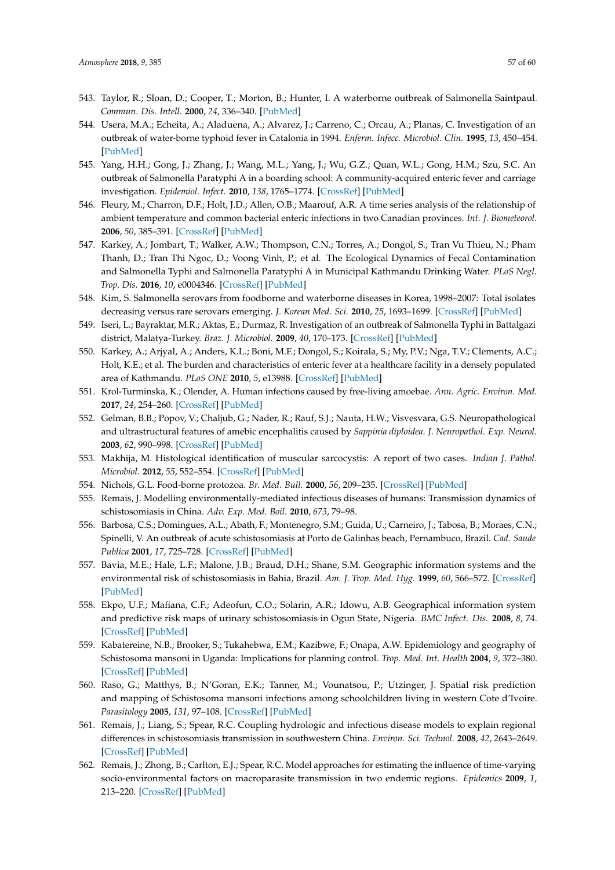- <span id="page-56-5"></span><span id="page-56-4"></span><span id="page-56-3"></span><span id="page-56-2"></span><span id="page-56-1"></span><span id="page-56-0"></span>543. Taylor, R.; Sloan, D.; Cooper, T.; Morton, B.; Hunter, I. A waterborne outbreak of Salmonella Saintpaul. *Commun. Dis. Intell.* **2000**, *24*, 336–340. [\[PubMed\]](http://www.ncbi.nlm.nih.gov/pubmed/11190815)
- <span id="page-56-6"></span>544. Usera, M.A.; Echeita, A.; Aladuena, A.; Alvarez, J.; Carreno, C.; Orcau, A.; Planas, C. Investigation of an outbreak of water-borne typhoid fever in Catalonia in 1994. *Enferm. Infecc. Microbiol. Clin.* **1995**, *13*, 450–454. [\[PubMed\]](http://www.ncbi.nlm.nih.gov/pubmed/8555302)
- <span id="page-56-7"></span>545. Yang, H.H.; Gong, J.; Zhang, J.; Wang, M.L.; Yang, J.; Wu, G.Z.; Quan, W.L.; Gong, H.M.; Szu, S.C. An outbreak of Salmonella Paratyphi A in a boarding school: A community-acquired enteric fever and carriage investigation. *Epidemiol. Infect.* **2010**, *138*, 1765–1774. [\[CrossRef\]](http://dx.doi.org/10.1017/S0950268810001986) [\[PubMed\]](http://www.ncbi.nlm.nih.gov/pubmed/20800009)
- <span id="page-56-9"></span><span id="page-56-8"></span>546. Fleury, M.; Charron, D.F.; Holt, J.D.; Allen, O.B.; Maarouf, A.R. A time series analysis of the relationship of ambient temperature and common bacterial enteric infections in two Canadian provinces. *Int. J. Biometeorol.* **2006**, *50*, 385–391. [\[CrossRef\]](http://dx.doi.org/10.1007/s00484-006-0028-9) [\[PubMed\]](http://www.ncbi.nlm.nih.gov/pubmed/16575582)
- <span id="page-56-11"></span><span id="page-56-10"></span>547. Karkey, A.; Jombart, T.; Walker, A.W.; Thompson, C.N.; Torres, A.; Dongol, S.; Tran Vu Thieu, N.; Pham Thanh, D.; Tran Thi Ngoc, D.; Voong Vinh, P.; et al. The Ecological Dynamics of Fecal Contamination and Salmonella Typhi and Salmonella Paratyphi A in Municipal Kathmandu Drinking Water. *PLoS Negl. Trop. Dis.* **2016**, *10*, e0004346. [\[CrossRef\]](http://dx.doi.org/10.1371/journal.pntd.0004346) [\[PubMed\]](http://www.ncbi.nlm.nih.gov/pubmed/26735696)
- <span id="page-56-12"></span>548. Kim, S. Salmonella serovars from foodborne and waterborne diseases in Korea, 1998–2007: Total isolates decreasing versus rare serovars emerging. *J. Korean Med. Sci.* **2010**, *25*, 1693–1699. [\[CrossRef\]](http://dx.doi.org/10.3346/jkms.2010.25.12.1693) [\[PubMed\]](http://www.ncbi.nlm.nih.gov/pubmed/21165281)
- 549. Iseri, L.; Bayraktar, M.R.; Aktas, E.; Durmaz, R. Investigation of an outbreak of Salmonella Typhi in Battalgazi district, Malatya-Turkey. *Braz. J. Microbiol.* **2009**, *40*, 170–173. [\[CrossRef\]](http://dx.doi.org/10.1590/S1517-83822009000100029) [\[PubMed\]](http://www.ncbi.nlm.nih.gov/pubmed/24031338)
- 550. Karkey, A.; Arjyal, A.; Anders, K.L.; Boni, M.F.; Dongol, S.; Koirala, S.; My, P.V.; Nga, T.V.; Clements, A.C.; Holt, K.E.; et al. The burden and characteristics of enteric fever at a healthcare facility in a densely populated area of Kathmandu. *PLoS ONE* **2010**, *5*, e13988. [\[CrossRef\]](http://dx.doi.org/10.1371/journal.pone.0013988) [\[PubMed\]](http://www.ncbi.nlm.nih.gov/pubmed/21085575)
- 551. Krol-Turminska, K.; Olender, A. Human infections caused by free-living amoebae. *Ann. Agric. Environ. Med.* **2017**, *24*, 254–260. [\[CrossRef\]](http://dx.doi.org/10.5604/12321966.1233568) [\[PubMed\]](http://www.ncbi.nlm.nih.gov/pubmed/28664704)
- <span id="page-56-13"></span>552. Gelman, B.B.; Popov, V.; Chaljub, G.; Nader, R.; Rauf, S.J.; Nauta, H.W.; Visvesvara, G.S. Neuropathological and ultrastructural features of amebic encephalitis caused by *Sappinia diploidea*. *J. Neuropathol. Exp. Neurol.* **2003**, *62*, 990–998. [\[CrossRef\]](http://dx.doi.org/10.1093/jnen/62.10.990) [\[PubMed\]](http://www.ncbi.nlm.nih.gov/pubmed/14575235)
- <span id="page-56-14"></span>553. Makhija, M. Histological identification of muscular sarcocystis: A report of two cases. *Indian J. Pathol. Microbiol.* **2012**, *55*, 552–554. [\[CrossRef\]](http://dx.doi.org/10.4103/0377-4929.107813) [\[PubMed\]](http://www.ncbi.nlm.nih.gov/pubmed/23455804)
- 554. Nichols, G.L. Food-borne protozoa. *Br. Med. Bull.* **2000**, *56*, 209–235. [\[CrossRef\]](http://dx.doi.org/10.1258/0007142001902905) [\[PubMed\]](http://www.ncbi.nlm.nih.gov/pubmed/10885117)
- <span id="page-56-15"></span>555. Remais, J. Modelling environmentally-mediated infectious diseases of humans: Transmission dynamics of schistosomiasis in China. *Adv. Exp. Med. Boil.* **2010**, *673*, 79–98.
- 556. Barbosa, C.S.; Domingues, A.L.; Abath, F.; Montenegro, S.M.; Guida, U.; Carneiro, J.; Tabosa, B.; Moraes, C.N.; Spinelli, V. An outbreak of acute schistosomiasis at Porto de Galinhas beach, Pernambuco, Brazil. *Cad. Saude Publica* **2001**, *17*, 725–728. [\[CrossRef\]](http://dx.doi.org/10.1590/S0102-311X2001000300028) [\[PubMed\]](http://www.ncbi.nlm.nih.gov/pubmed/11395810)
- 557. Bavia, M.E.; Hale, L.F.; Malone, J.B.; Braud, D.H.; Shane, S.M. Geographic information systems and the environmental risk of schistosomiasis in Bahia, Brazil. *Am. J. Trop. Med. Hyg.* **1999**, *60*, 566–572. [\[CrossRef\]](http://dx.doi.org/10.4269/ajtmh.1999.60.566) [\[PubMed\]](http://www.ncbi.nlm.nih.gov/pubmed/10348229)
- 558. Ekpo, U.F.; Mafiana, C.F.; Adeofun, C.O.; Solarin, A.R.; Idowu, A.B. Geographical information system and predictive risk maps of urinary schistosomiasis in Ogun State, Nigeria. *BMC Infect. Dis.* **2008**, *8*, 74. [\[CrossRef\]](http://dx.doi.org/10.1186/1471-2334-8-74) [\[PubMed\]](http://www.ncbi.nlm.nih.gov/pubmed/18513442)
- 559. Kabatereine, N.B.; Brooker, S.; Tukahebwa, E.M.; Kazibwe, F.; Onapa, A.W. Epidemiology and geography of Schistosoma mansoni in Uganda: Implications for planning control. *Trop. Med. Int. Health* **2004**, *9*, 372–380. [\[CrossRef\]](http://dx.doi.org/10.1046/j.1365-3156.2003.01176.x) [\[PubMed\]](http://www.ncbi.nlm.nih.gov/pubmed/14996367)
- 560. Raso, G.; Matthys, B.; N'Goran, E.K.; Tanner, M.; Vounatsou, P.; Utzinger, J. Spatial risk prediction and mapping of Schistosoma mansoni infections among schoolchildren living in western Cote d'Ivoire. *Parasitology* **2005**, *131*, 97–108. [\[CrossRef\]](http://dx.doi.org/10.1017/S0031182005007432) [\[PubMed\]](http://www.ncbi.nlm.nih.gov/pubmed/16038401)
- 561. Remais, J.; Liang, S.; Spear, R.C. Coupling hydrologic and infectious disease models to explain regional differences in schistosomiasis transmission in southwestern China. *Environ. Sci. Technol.* **2008**, *42*, 2643–2649. [\[CrossRef\]](http://dx.doi.org/10.1021/es071052s) [\[PubMed\]](http://www.ncbi.nlm.nih.gov/pubmed/18505010)
- 562. Remais, J.; Zhong, B.; Carlton, E.J.; Spear, R.C. Model approaches for estimating the influence of time-varying socio-environmental factors on macroparasite transmission in two endemic regions. *Epidemics* **2009**, *1*, 213–220. [\[CrossRef\]](http://dx.doi.org/10.1016/j.epidem.2009.10.001) [\[PubMed\]](http://www.ncbi.nlm.nih.gov/pubmed/20454601)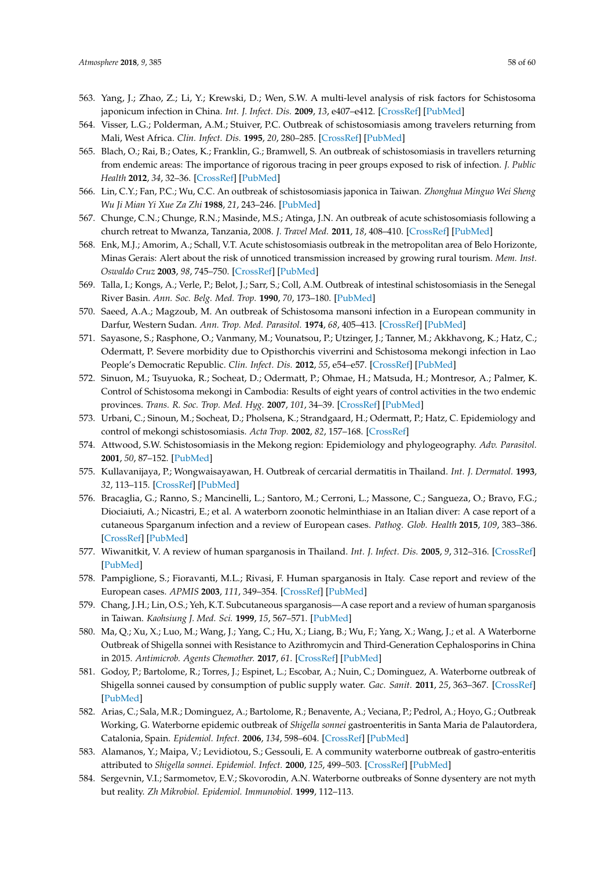- <span id="page-57-6"></span><span id="page-57-5"></span><span id="page-57-4"></span><span id="page-57-3"></span><span id="page-57-2"></span><span id="page-57-1"></span><span id="page-57-0"></span>563. Yang, J.; Zhao, Z.; Li, Y.; Krewski, D.; Wen, S.W. A multi-level analysis of risk factors for Schistosoma japonicum infection in China. *Int. J. Infect. Dis.* **2009**, *13*, e407–e412. [\[CrossRef\]](http://dx.doi.org/10.1016/j.ijid.2009.02.005) [\[PubMed\]](http://www.ncbi.nlm.nih.gov/pubmed/19398361)
- 564. Visser, L.G.; Polderman, A.M.; Stuiver, P.C. Outbreak of schistosomiasis among travelers returning from Mali, West Africa. *Clin. Infect. Dis.* **1995**, *20*, 280–285. [\[CrossRef\]](http://dx.doi.org/10.1093/clinids/20.2.280) [\[PubMed\]](http://www.ncbi.nlm.nih.gov/pubmed/7742430)
- 565. Blach, O.; Rai, B.; Oates, K.; Franklin, G.; Bramwell, S. An outbreak of schistosomiasis in travellers returning from endemic areas: The importance of rigorous tracing in peer groups exposed to risk of infection. *J. Public Health* **2012**, *34*, 32–36. [\[CrossRef\]](http://dx.doi.org/10.1093/pubmed/fdr099) [\[PubMed\]](http://www.ncbi.nlm.nih.gov/pubmed/22155647)
- <span id="page-57-7"></span>566. Lin, C.Y.; Fan, P.C.; Wu, C.C. An outbreak of schistosomiasis japonica in Taiwan. *Zhonghua Minguo Wei Sheng Wu Ji Mian Yi Xue Za Zhi* **1988**, *21*, 243–246. [\[PubMed\]](http://www.ncbi.nlm.nih.gov/pubmed/3151482)
- <span id="page-57-8"></span>567. Chunge, C.N.; Chunge, R.N.; Masinde, M.S.; Atinga, J.N. An outbreak of acute schistosomiasis following a church retreat to Mwanza, Tanzania, 2008. *J. Travel Med.* **2011**, *18*, 408–410. [\[CrossRef\]](http://dx.doi.org/10.1111/j.1708-8305.2011.00558.x) [\[PubMed\]](http://www.ncbi.nlm.nih.gov/pubmed/22017717)
- <span id="page-57-9"></span>568. Enk, M.J.; Amorim, A.; Schall, V.T. Acute schistosomiasis outbreak in the metropolitan area of Belo Horizonte, Minas Gerais: Alert about the risk of unnoticed transmission increased by growing rural tourism. *Mem. Inst. Oswaldo Cruz* **2003**, *98*, 745–750. [\[CrossRef\]](http://dx.doi.org/10.1590/S0074-02762003000600006) [\[PubMed\]](http://www.ncbi.nlm.nih.gov/pubmed/14595449)
- 569. Talla, I.; Kongs, A.; Verle, P.; Belot, J.; Sarr, S.; Coll, A.M. Outbreak of intestinal schistosomiasis in the Senegal River Basin. *Ann. Soc. Belg. Med. Trop.* **1990**, *70*, 173–180. [\[PubMed\]](http://www.ncbi.nlm.nih.gov/pubmed/2122819)
- 570. Saeed, A.A.; Magzoub, M. An outbreak of Schistosoma mansoni infection in a European community in Darfur, Western Sudan. *Ann. Trop. Med. Parasitol.* **1974**, *68*, 405–413. [\[CrossRef\]](http://dx.doi.org/10.1080/00034983.1974.11686967) [\[PubMed\]](http://www.ncbi.nlm.nih.gov/pubmed/4447396)
- <span id="page-57-10"></span>571. Sayasone, S.; Rasphone, O.; Vanmany, M.; Vounatsou, P.; Utzinger, J.; Tanner, M.; Akkhavong, K.; Hatz, C.; Odermatt, P. Severe morbidity due to Opisthorchis viverrini and Schistosoma mekongi infection in Lao People's Democratic Republic. *Clin. Infect. Dis.* **2012**, *55*, e54–e57. [\[CrossRef\]](http://dx.doi.org/10.1093/cid/cis528) [\[PubMed\]](http://www.ncbi.nlm.nih.gov/pubmed/22670046)
- <span id="page-57-11"></span>572. Sinuon, M.; Tsuyuoka, R.; Socheat, D.; Odermatt, P.; Ohmae, H.; Matsuda, H.; Montresor, A.; Palmer, K. Control of Schistosoma mekongi in Cambodia: Results of eight years of control activities in the two endemic provinces. *Trans. R. Soc. Trop. Med. Hyg.* **2007**, *101*, 34–39. [\[CrossRef\]](http://dx.doi.org/10.1016/j.trstmh.2006.04.011) [\[PubMed\]](http://www.ncbi.nlm.nih.gov/pubmed/17028047)
- 573. Urbani, C.; Sinoun, M.; Socheat, D.; Pholsena, K.; Strandgaard, H.; Odermatt, P.; Hatz, C. Epidemiology and control of mekongi schistosomiasis. *Acta Trop.* **2002**, *82*, 157–168. [\[CrossRef\]](http://dx.doi.org/10.1016/S0001-706X(02)00047-5)
- 574. Attwood, S.W. Schistosomiasis in the Mekong region: Epidemiology and phylogeography. *Adv. Parasitol.* **2001**, *50*, 87–152. [\[PubMed\]](http://www.ncbi.nlm.nih.gov/pubmed/11757333)
- 575. Kullavanijaya, P.; Wongwaisayawan, H. Outbreak of cercarial dermatitis in Thailand. *Int. J. Dermatol.* **1993**, *32*, 113–115. [\[CrossRef\]](http://dx.doi.org/10.1111/j.1365-4362.1993.tb01448.x) [\[PubMed\]](http://www.ncbi.nlm.nih.gov/pubmed/8440550)
- <span id="page-57-12"></span>576. Bracaglia, G.; Ranno, S.; Mancinelli, L.; Santoro, M.; Cerroni, L.; Massone, C.; Sangueza, O.; Bravo, F.G.; Diociaiuti, A.; Nicastri, E.; et al. A waterborn zoonotic helminthiase in an Italian diver: A case report of a cutaneous Sparganum infection and a review of European cases. *Pathog. Glob. Health* **2015**, *109*, 383–386. [\[CrossRef\]](http://dx.doi.org/10.1080/20477724.2015.1123901) [\[PubMed\]](http://www.ncbi.nlm.nih.gov/pubmed/26751512)
- 577. Wiwanitkit, V. A review of human sparganosis in Thailand. *Int. J. Infect. Dis.* **2005**, *9*, 312–316. [\[CrossRef\]](http://dx.doi.org/10.1016/j.ijid.2004.08.003) [\[PubMed\]](http://www.ncbi.nlm.nih.gov/pubmed/16023879)
- 578. Pampiglione, S.; Fioravanti, M.L.; Rivasi, F. Human sparganosis in Italy. Case report and review of the European cases. *APMIS* **2003**, *111*, 349–354. [\[CrossRef\]](http://dx.doi.org/10.1034/j.1600-0463.2003.1110208.x) [\[PubMed\]](http://www.ncbi.nlm.nih.gov/pubmed/12716392)
- 579. Chang, J.H.; Lin, O.S.; Yeh, K.T. Subcutaneous sparganosis—A case report and a review of human sparganosis in Taiwan. *Kaohsiung J. Med. Sci.* **1999**, *15*, 567–571. [\[PubMed\]](http://www.ncbi.nlm.nih.gov/pubmed/10561983)
- 580. Ma, Q.; Xu, X.; Luo, M.; Wang, J.; Yang, C.; Hu, X.; Liang, B.; Wu, F.; Yang, X.; Wang, J.; et al. A Waterborne Outbreak of Shigella sonnei with Resistance to Azithromycin and Third-Generation Cephalosporins in China in 2015. *Antimicrob. Agents Chemother.* **2017**, *61*. [\[CrossRef\]](http://dx.doi.org/10.1128/AAC.00308-17) [\[PubMed\]](http://www.ncbi.nlm.nih.gov/pubmed/28373192)
- 581. Godoy, P.; Bartolome, R.; Torres, J.; Espinet, L.; Escobar, A.; Nuin, C.; Dominguez, A. Waterborne outbreak of Shigella sonnei caused by consumption of public supply water. *Gac. Sanit.* **2011**, *25*, 363–367. [\[CrossRef\]](http://dx.doi.org/10.1016/j.gaceta.2011.04.012) [\[PubMed\]](http://www.ncbi.nlm.nih.gov/pubmed/21802793)
- 582. Arias, C.; Sala, M.R.; Dominguez, A.; Bartolome, R.; Benavente, A.; Veciana, P.; Pedrol, A.; Hoyo, G.; Outbreak Working, G. Waterborne epidemic outbreak of *Shigella sonnei* gastroenteritis in Santa Maria de Palautordera, Catalonia, Spain. *Epidemiol. Infect.* **2006**, *134*, 598–604. [\[CrossRef\]](http://dx.doi.org/10.1017/S0950268805005121) [\[PubMed\]](http://www.ncbi.nlm.nih.gov/pubmed/16194288)
- 583. Alamanos, Y.; Maipa, V.; Levidiotou, S.; Gessouli, E. A community waterborne outbreak of gastro-enteritis attributed to *Shigella sonnei*. *Epidemiol. Infect.* **2000**, *125*, 499–503. [\[CrossRef\]](http://dx.doi.org/10.1017/S0950268800004866) [\[PubMed\]](http://www.ncbi.nlm.nih.gov/pubmed/11218200)
- 584. Sergevnin, V.I.; Sarmometov, E.V.; Skovorodin, A.N. Waterborne outbreaks of Sonne dysentery are not myth but reality. *Zh Mikrobiol. Epidemiol. Immunobiol.* **1999**, 112–113.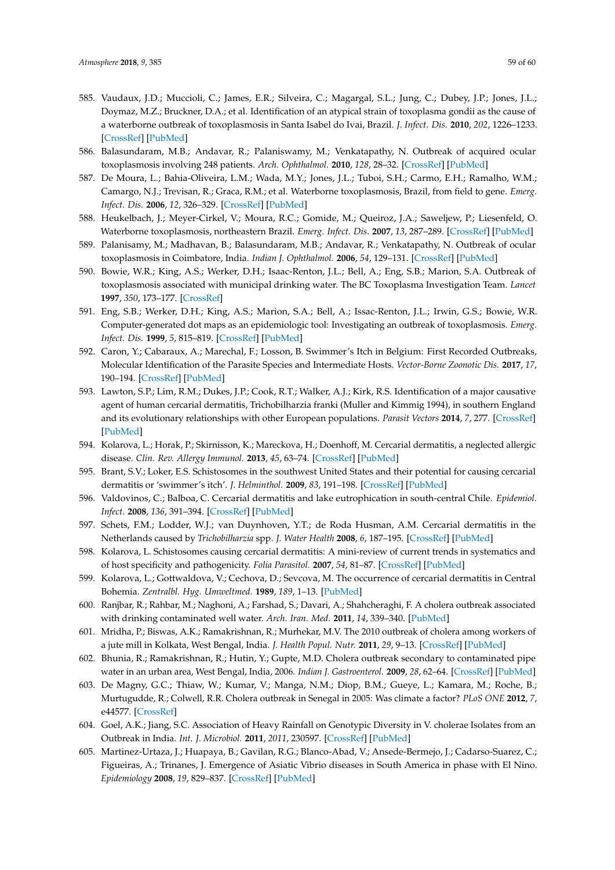- <span id="page-58-4"></span><span id="page-58-3"></span><span id="page-58-2"></span><span id="page-58-1"></span><span id="page-58-0"></span>585. Vaudaux, J.D.; Muccioli, C.; James, E.R.; Silveira, C.; Magargal, S.L.; Jung, C.; Dubey, J.P.; Jones, J.L.; Doymaz, M.Z.; Bruckner, D.A.; et al. Identification of an atypical strain of toxoplasma gondii as the cause of a waterborne outbreak of toxoplasmosis in Santa Isabel do Ivai, Brazil. *J. Infect. Dis.* **2010**, *202*, 1226–1233. [\[CrossRef\]](http://dx.doi.org/10.1086/656397) [\[PubMed\]](http://www.ncbi.nlm.nih.gov/pubmed/20836703)
- 586. Balasundaram, M.B.; Andavar, R.; Palaniswamy, M.; Venkatapathy, N. Outbreak of acquired ocular toxoplasmosis involving 248 patients. *Arch. Ophthalmol.* **2010**, *128*, 28–32. [\[CrossRef\]](http://dx.doi.org/10.1001/archophthalmol.2009.354) [\[PubMed\]](http://www.ncbi.nlm.nih.gov/pubmed/20065213)
- 587. De Moura, L.; Bahia-Oliveira, L.M.; Wada, M.Y.; Jones, J.L.; Tuboi, S.H.; Carmo, E.H.; Ramalho, W.M.; Camargo, N.J.; Trevisan, R.; Graca, R.M.; et al. Waterborne toxoplasmosis, Brazil, from field to gene. *Emerg. Infect. Dis.* **2006**, *12*, 326–329. [\[CrossRef\]](http://dx.doi.org/10.3201/eid1202.041115) [\[PubMed\]](http://www.ncbi.nlm.nih.gov/pubmed/16494765)
- 588. Heukelbach, J.; Meyer-Cirkel, V.; Moura, R.C.; Gomide, M.; Queiroz, J.A.; Saweljew, P.; Liesenfeld, O. Waterborne toxoplasmosis, northeastern Brazil. *Emerg. Infect. Dis.* **2007**, *13*, 287–289. [\[CrossRef\]](http://dx.doi.org/10.3201/eid1302.060686) [\[PubMed\]](http://www.ncbi.nlm.nih.gov/pubmed/17479893)
- 589. Palanisamy, M.; Madhavan, B.; Balasundaram, M.B.; Andavar, R.; Venkatapathy, N. Outbreak of ocular toxoplasmosis in Coimbatore, India. *Indian J. Ophthalmol.* **2006**, *54*, 129–131. [\[CrossRef\]](http://dx.doi.org/10.4103/0301-4738.25839) [\[PubMed\]](http://www.ncbi.nlm.nih.gov/pubmed/16770035)
- 590. Bowie, W.R.; King, A.S.; Werker, D.H.; Isaac-Renton, J.L.; Bell, A.; Eng, S.B.; Marion, S.A. Outbreak of toxoplasmosis associated with municipal drinking water. The BC Toxoplasma Investigation Team. *Lancet* **1997**, *350*, 173–177. [\[CrossRef\]](http://dx.doi.org/10.1016/S0140-6736(96)11105-3)
- <span id="page-58-5"></span>591. Eng, S.B.; Werker, D.H.; King, A.S.; Marion, S.A.; Bell, A.; Issac-Renton, J.L.; Irwin, G.S.; Bowie, W.R. Computer-generated dot maps as an epidemiologic tool: Investigating an outbreak of toxoplasmosis. *Emerg. Infect. Dis.* **1999**, *5*, 815–819. [\[CrossRef\]](http://dx.doi.org/10.3201/eid0506.990613) [\[PubMed\]](http://www.ncbi.nlm.nih.gov/pubmed/10603218)
- <span id="page-58-6"></span>592. Caron, Y.; Cabaraux, A.; Marechal, F.; Losson, B. Swimmer's Itch in Belgium: First Recorded Outbreaks, Molecular Identification of the Parasite Species and Intermediate Hosts. *Vector-Borne Zoonotic Dis.* **2017**, *17*, 190–194. [\[CrossRef\]](http://dx.doi.org/10.1089/vbz.2016.2034) [\[PubMed\]](http://www.ncbi.nlm.nih.gov/pubmed/28112601)
- <span id="page-58-7"></span>593. Lawton, S.P.; Lim, R.M.; Dukes, J.P.; Cook, R.T.; Walker, A.J.; Kirk, R.S. Identification of a major causative agent of human cercarial dermatitis, Trichobilharzia franki (Muller and Kimmig 1994), in southern England and its evolutionary relationships with other European populations. *Parasit Vectors* **2014**, *7*, 277. [\[CrossRef\]](http://dx.doi.org/10.1186/1756-3305-7-277) [\[PubMed\]](http://www.ncbi.nlm.nih.gov/pubmed/24946974)
- <span id="page-58-8"></span>594. Kolarova, L.; Horak, P.; Skirnisson, K.; Mareckova, H.; Doenhoff, M. Cercarial dermatitis, a neglected allergic disease. *Clin. Rev. Allergy Immunol.* **2013**, *45*, 63–74. [\[CrossRef\]](http://dx.doi.org/10.1007/s12016-012-8334-y) [\[PubMed\]](http://www.ncbi.nlm.nih.gov/pubmed/22915284)
- <span id="page-58-9"></span>595. Brant, S.V.; Loker, E.S. Schistosomes in the southwest United States and their potential for causing cercarial dermatitis or 'swimmer's itch'. *J. Helminthol.* **2009**, *83*, 191–198. [\[CrossRef\]](http://dx.doi.org/10.1017/S0022149X09308020) [\[PubMed\]](http://www.ncbi.nlm.nih.gov/pubmed/19366484)
- <span id="page-58-10"></span>596. Valdovinos, C.; Balboa, C. Cercarial dermatitis and lake eutrophication in south-central Chile. *Epidemiol. Infect.* **2008**, *136*, 391–394. [\[CrossRef\]](http://dx.doi.org/10.1017/S0950268807008734) [\[PubMed\]](http://www.ncbi.nlm.nih.gov/pubmed/17553177)
- 597. Schets, F.M.; Lodder, W.J.; van Duynhoven, Y.T.; de Roda Husman, A.M. Cercarial dermatitis in the Netherlands caused by *Trichobilharzia* spp. *J. Water Health* **2008**, *6*, 187–195. [\[CrossRef\]](http://dx.doi.org/10.2166/wh.2008.028) [\[PubMed\]](http://www.ncbi.nlm.nih.gov/pubmed/18209281)
- 598. Kolarova, L. Schistosomes causing cercarial dermatitis: A mini-review of current trends in systematics and of host specificity and pathogenicity. *Folia Parasitol.* **2007**, *54*, 81–87. [\[CrossRef\]](http://dx.doi.org/10.14411/fp.2007.010) [\[PubMed\]](http://www.ncbi.nlm.nih.gov/pubmed/17894034)
- 599. Kolarova, L.; Gottwaldova, V.; Cechova, D.; Sevcova, M. The occurrence of cercarial dermatitis in Central Bohemia. *Zentralbl. Hyg. Umweltmed.* **1989**, *189*, 1–13. [\[PubMed\]](http://www.ncbi.nlm.nih.gov/pubmed/2818792)
- 600. Ranjbar, R.; Rahbar, M.; Naghoni, A.; Farshad, S.; Davari, A.; Shahcheraghi, F. A cholera outbreak associated with drinking contaminated well water. *Arch. Iran. Med.* **2011**, *14*, 339–340. [\[PubMed\]](http://www.ncbi.nlm.nih.gov/pubmed/21888459)
- 601. Mridha, P.; Biswas, A.K.; Ramakrishnan, R.; Murhekar, M.V. The 2010 outbreak of cholera among workers of a jute mill in Kolkata, West Bengal, India. *J. Health Popul. Nutr.* **2011**, *29*, 9–13. [\[CrossRef\]](http://dx.doi.org/10.3329/jhpn.v29i1.7561) [\[PubMed\]](http://www.ncbi.nlm.nih.gov/pubmed/21528785)
- 602. Bhunia, R.; Ramakrishnan, R.; Hutin, Y.; Gupte, M.D. Cholera outbreak secondary to contaminated pipe water in an urban area, West Bengal, India, 2006. *Indian J. Gastroenterol.* **2009**, *28*, 62–64. [\[CrossRef\]](http://dx.doi.org/10.1007/s12664-009-0020-5) [\[PubMed\]](http://www.ncbi.nlm.nih.gov/pubmed/19696991)
- 603. De Magny, G.C.; Thiaw, W.; Kumar, V.; Manga, N.M.; Diop, B.M.; Gueye, L.; Kamara, M.; Roche, B.; Murtugudde, R.; Colwell, R.R. Cholera outbreak in Senegal in 2005: Was climate a factor? *PLoS ONE* **2012**, *7*, e44577. [\[CrossRef\]](http://dx.doi.org/10.1371/journal.pone.0044577)
- 604. Goel, A.K.; Jiang, S.C. Association of Heavy Rainfall on Genotypic Diversity in V. cholerae Isolates from an Outbreak in India. *Int. J. Microbiol.* **2011**, *2011*, 230597. [\[CrossRef\]](http://dx.doi.org/10.1155/2011/230597) [\[PubMed\]](http://www.ncbi.nlm.nih.gov/pubmed/22194751)
- 605. Martinez-Urtaza, J.; Huapaya, B.; Gavilan, R.G.; Blanco-Abad, V.; Ansede-Bermejo, J.; Cadarso-Suarez, C.; Figueiras, A.; Trinanes, J. Emergence of Asiatic Vibrio diseases in South America in phase with El Nino. *Epidemiology* **2008**, *19*, 829–837. [\[CrossRef\]](http://dx.doi.org/10.1097/EDE.0b013e3181883d43) [\[PubMed\]](http://www.ncbi.nlm.nih.gov/pubmed/18854707)